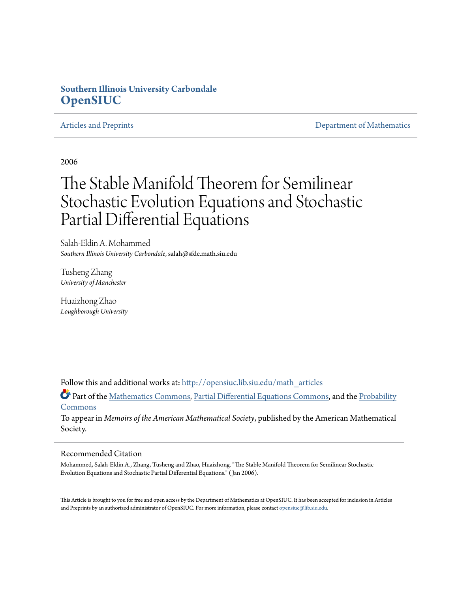# **Southern Illinois University Carbondale [OpenSIUC](http://opensiuc.lib.siu.edu?utm_source=opensiuc.lib.siu.edu%2Fmath_articles%2F60&utm_medium=PDF&utm_campaign=PDFCoverPages)**

[Articles and Preprints](http://opensiuc.lib.siu.edu/math_articles?utm_source=opensiuc.lib.siu.edu%2Fmath_articles%2F60&utm_medium=PDF&utm_campaign=PDFCoverPages) **[Department of Mathematics](http://opensiuc.lib.siu.edu/math?utm_source=opensiuc.lib.siu.edu%2Fmath_articles%2F60&utm_medium=PDF&utm_campaign=PDFCoverPages)** Department of Mathematics

2006

# The Stable Manifold Theorem for Semilinear Stochastic Evolution Equations and Stochastic Partial Differential Equations

Salah-Eldin A. Mohammed *Southern Illinois University Carbondale*, salah@sfde.math.siu.edu

Tusheng Zhang *University of Manchester*

Huaizhong Zhao *Loughborough University*

Follow this and additional works at: [http://opensiuc.lib.siu.edu/math\\_articles](http://opensiuc.lib.siu.edu/math_articles?utm_source=opensiuc.lib.siu.edu%2Fmath_articles%2F60&utm_medium=PDF&utm_campaign=PDFCoverPages)

Part of the [Mathematics Commons](http://network.bepress.com/hgg/discipline/174?utm_source=opensiuc.lib.siu.edu%2Fmath_articles%2F60&utm_medium=PDF&utm_campaign=PDFCoverPages), [Partial Differential Equations Commons](http://network.bepress.com/hgg/discipline/120?utm_source=opensiuc.lib.siu.edu%2Fmath_articles%2F60&utm_medium=PDF&utm_campaign=PDFCoverPages), and the [Probability](http://network.bepress.com/hgg/discipline/212?utm_source=opensiuc.lib.siu.edu%2Fmath_articles%2F60&utm_medium=PDF&utm_campaign=PDFCoverPages) **[Commons](http://network.bepress.com/hgg/discipline/212?utm_source=opensiuc.lib.siu.edu%2Fmath_articles%2F60&utm_medium=PDF&utm_campaign=PDFCoverPages)** 

To appear in *Memoirs of the American Mathematical Society*, published by the American Mathematical Society.

#### Recommended Citation

Mohammed, Salah-Eldin A., Zhang, Tusheng and Zhao, Huaizhong. "The Stable Manifold Theorem for Semilinear Stochastic Evolution Equations and Stochastic Partial Differential Equations." ( Jan 2006).

This Article is brought to you for free and open access by the Department of Mathematics at OpenSIUC. It has been accepted for inclusion in Articles and Preprints by an authorized administrator of OpenSIUC. For more information, please contact [opensiuc@lib.siu.edu](mailto:opensiuc@lib.siu.edu).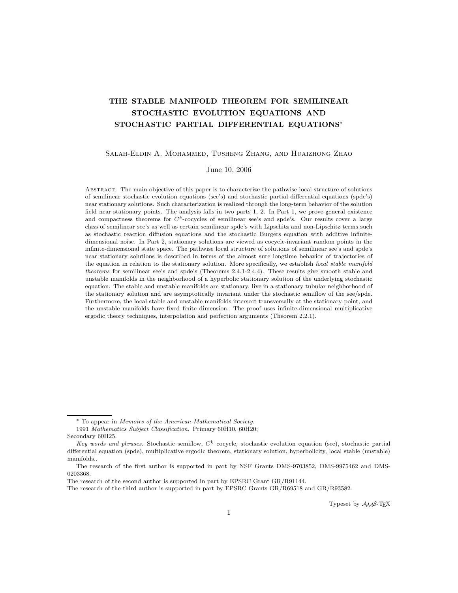# THE STABLE MANIFOLD THEOREM FOR SEMILINEAR STOCHASTIC EVOLUTION EQUATIONS AND STOCHASTIC PARTIAL DIFFERENTIAL EQUATIONS∗

#### Salah-Eldin A. Mohammed, Tusheng Zhang, and Huaizhong Zhao

#### June 10, 2006

Abstract. The main objective of this paper is to characterize the pathwise local structure of solutions of semilinear stochastic evolution equations (see's) and stochastic partial differential equations (spde's) near stationary solutions. Such characterization is realized through the long-term behavior of the solution field near stationary points. The analysis falls in two parts 1, 2. In Part 1, we prove general existence and compactness theorems for  $C<sup>k</sup>$ -cocycles of semilinear see's and spde's. Our results cover a large class of semilinear see's as well as certain semilinear spde's with Lipschitz and non-Lipschitz terms such as stochastic reaction diffusion equations and the stochastic Burgers equation with additive infinitedimensional noise. In Part 2, stationary solutions are viewed as cocycle-invariant random points in the infinite-dimensional state space. The pathwise local structure of solutions of semilinear see's and spde's near stationary solutions is described in terms of the almost sure longtime behavior of trajectories of the equation in relation to the stationary solution. More specifically, we establish local stable manifold theorems for semilinear see's and spde's (Theorems 2.4.1-2.4.4). These results give smooth stable and unstable manifolds in the neighborhood of a hyperbolic stationary solution of the underlying stochastic equation. The stable and unstable manifolds are stationary, live in a stationary tubular neighborhood of the stationary solution and are asymptotically invariant under the stochastic semiflow of the see/spde. Furthermore, the local stable and unstable manifolds intersect transversally at the stationary point, and the unstable manifolds have fixed finite dimension. The proof uses infinite-dimensional multiplicative ergodic theory techniques, interpolation and perfection arguments (Theorem 2.2.1).

Typeset by AMS-TEX

<sup>∗</sup> To appear in Memoirs of the American Mathematical Society. 1991 Mathematics Subject Classification. Primary 60H10, 60H20;

Secondary 60H25.

Key words and phrases. Stochastic semiflow,  $C<sup>k</sup>$  cocycle, stochastic evolution equation (see), stochastic partial differential equation (spde), multiplicative ergodic theorem, stationary solution, hyperbolicity, local stable (unstable) manifolds..

The research of the first author is supported in part by NSF Grants DMS-9703852, DMS-9975462 and DMS-0203368.

The research of the second author is supported in part by EPSRC Grant GR/R91144.

The research of the third author is supported in part by EPSRC Grants GR/R69518 and GR/R93582.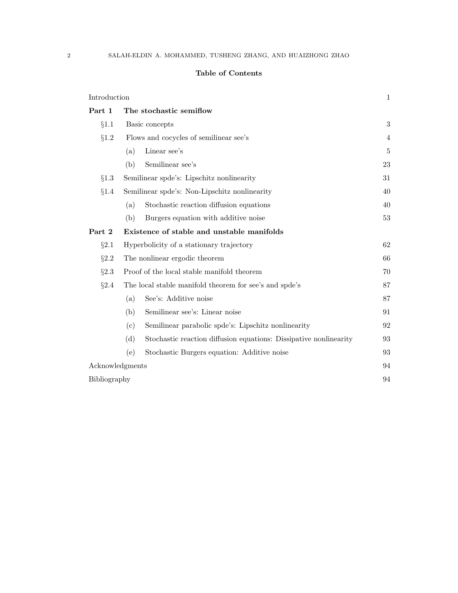## Table of Contents

| Introduction    |                                                        |                                                                   | 1  |
|-----------------|--------------------------------------------------------|-------------------------------------------------------------------|----|
| Part 1          | The stochastic semiflow                                |                                                                   |    |
| §1.1            | Basic concepts                                         |                                                                   | 3  |
| §1.2            | Flows and cocycles of semilinear see's                 |                                                                   | 4  |
|                 | (a)                                                    | Linear see's                                                      | 5  |
|                 | (b)                                                    | Semilinear see's                                                  | 23 |
| §1.3            | Semilinear spote's: Lipschitz nonlinearity             |                                                                   | 31 |
| §1.4            | Semilinear spde's: Non-Lipschitz nonlinearity          |                                                                   | 40 |
|                 | (a)                                                    | Stochastic reaction diffusion equations                           | 40 |
|                 | (b)                                                    | Burgers equation with additive noise                              | 53 |
| Part 2          | Existence of stable and unstable manifolds             |                                                                   |    |
| §2.1            | Hyperbolicity of a stationary trajectory               |                                                                   | 62 |
| §2.2            | The nonlinear ergodic theorem                          |                                                                   | 66 |
| §2.3            | Proof of the local stable manifold theorem             |                                                                   | 70 |
| §2.4            | The local stable manifold theorem for see's and spde's |                                                                   | 87 |
|                 | (a)                                                    | See's: Additive noise                                             | 87 |
|                 | (b)                                                    | Semilinear see's: Linear noise                                    | 91 |
|                 | (c)                                                    | Semilinear parabolic spde's: Lipschitz nonlinearity               | 92 |
|                 | (d)                                                    | Stochastic reaction diffusion equations: Dissipative nonlinearity | 93 |
|                 | (e)                                                    | Stochastic Burgers equation: Additive noise                       | 93 |
| Acknowledgments |                                                        |                                                                   | 94 |
| Bibliography    |                                                        |                                                                   | 94 |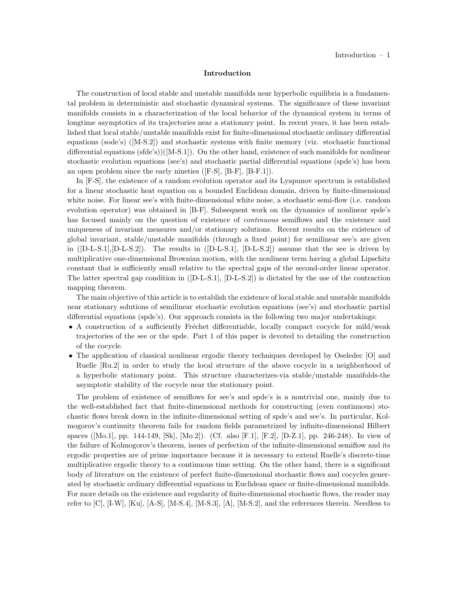#### Introduction

The construction of local stable and unstable manifolds near hyperbolic equilibria is a fundamental problem in deterministic and stochastic dynamical systems. The significance of these invariant manifolds consists in a characterization of the local behavior of the dynamical system in terms of longtime asymptotics of its trajectories near a stationary point. In recent years, it has been established that local stable/unstable manifolds exist for finite-dimensional stochastic ordinary differential equations (sode's) ([M-S.2]) and stochastic systems with finite memory (viz. stochastic functional differential equations (sfde's))([M-S.1]). On the other hand, existence of such manifolds for nonlinear stochastic evolution equations (see's) and stochastic partial differential equations (spde's) has been an open problem since the early nineties ([F-S], [B-F], [B-F.1]).

In [F-S], the existence of a random evolution operator and its Lyapunov spectrum is established for a linear stochastic heat equation on a bounded Euclidean domain, driven by finite-dimensional white noise. For linear see's with finite-dimensional white noise, a stochastic semi-flow (i.e. random evolution operator) was obtained in [B-F]. Subsequent work on the dynamics of nonlinear spde's has focused mainly on the question of existence of *continuous* semiflows and the existence and uniqueness of invariant measures and/or stationary solutions. Recent results on the existence of global invariant, stable/unstable manifolds (through a fixed point) for semilinear see's are given in ([D-L-S.1],[D-L-S.2]). The results in ([D-L-S.1], [D-L-S.2]) assume that the see is driven by multiplicative one-dimensional Brownian motion, with the nonlinear term having a global Lipschitz constant that is sufficiently small relative to the spectral gaps of the second-order linear operator. The latter spectral gap condition in ([D-L-S.1], [D-L-S.2]) is dictated by the use of the contraction mapping theorem.

The main objective of this article is to establish the existence of local stable and unstable manifolds near stationary solutions of semilinear stochastic evolution equations (see's) and stochastic partial differential equations (spde's). Our approach consists in the following two major undertakings:

- $\bullet$  A construction of a sufficiently Fréchet differentiable, locally compact cocycle for mild/weak trajectories of the see or the spde. Part 1 of this paper is devoted to detailing the construction of the cocycle.
- The application of classical nonlinear ergodic theory techniques developed by Oseledec [O] and Ruelle [Ru.2] in order to study the local structure of the above cocycle in a neighborhood of a hyperbolic stationary point. This structure characterizes-via stable/unstable manifolds-the asymptotic stability of the cocycle near the stationary point.

The problem of existence of semiflows for see's and spde's is a nontrivial one, mainly due to the well-established fact that finite-dimensional methods for constructing (even continuous) stochastic flows break down in the infinite-dimensional setting of spde's and see's. In particular, Kolmogorov's continuity theorem fails for random fields parametrized by infinite-dimensional Hilbert spaces ([Mo.1], pp. 144-149, [Sk], [Mo.2]). (Cf. also [F.1], [F.2], [D-Z.1], pp. 246-248). In view of the failure of Kolmogorov's theorem, issues of perfection of the infinite-dimensional semiflow and its ergodic properties are of prime importance because it is necessary to extend Ruelle's discrete-time multiplicative ergodic theory to a continuous time setting. On the other hand, there is a significant body of literature on the existence of perfect finite-dimensional stochastic flows and cocycles generated by stochastic ordinary differential equations in Euclidean space or finite-dimensional manifolds. For more details on the existence and regularity of finite-dimensional stochastic flows, the reader may refer to  $[C], [I-W], [Ku], [A-S], [M-S.4], [M-S.3], [A], [M-S.2],$  and the references therein. Needless to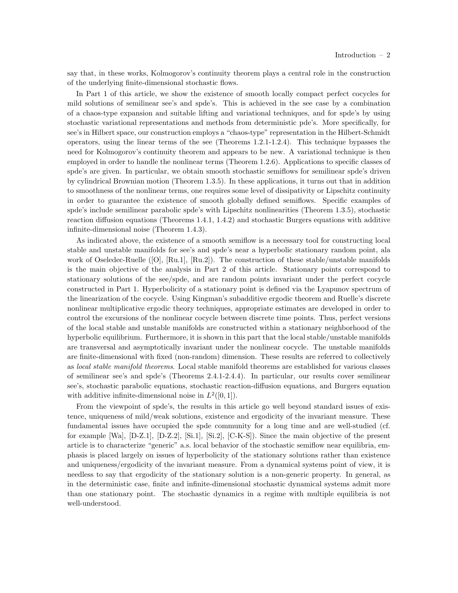say that, in these works, Kolmogorov's continuity theorem plays a central role in the construction of the underlying finite-dimensional stochastic flows.

In Part 1 of this article, we show the existence of smooth locally compact perfect cocycles for mild solutions of semilinear see's and spde's. This is achieved in the see case by a combination of a chaos-type expansion and suitable lifting and variational techniques, and for spde's by using stochastic variational representations and methods from deterministic pde's. More specifically, for see's in Hilbert space, our construction employs a "chaos-type" representation in the Hilbert-Schmidt operators, using the linear terms of the see (Theorems 1.2.1-1.2.4). This technique bypasses the need for Kolmogorov's continuity theorem and appears to be new. A variational technique is then employed in order to handle the nonlinear terms (Theorem 1.2.6). Applications to specific classes of spde's are given. In particular, we obtain smooth stochastic semiflows for semilinear spde's driven by cylindrical Brownian motion (Theorem 1.3.5). In these applications, it turns out that in addition to smoothness of the nonlinear terms, one requires some level of dissipativity or Lipschitz continuity in order to guarantee the existence of smooth globally defined semiflows. Specific examples of spde's include semilinear parabolic spde's with Lipschitz nonlinearities (Theorem 1.3.5), stochastic reaction diffusion equations (Theorems 1.4.1, 1.4.2) and stochastic Burgers equations with additive infinite-dimensional noise (Theorem 1.4.3).

As indicated above, the existence of a smooth semiflow is a necessary tool for constructing local stable and unstable manifolds for see's and spde's near a hyperbolic stationary random point, ala work of Oseledec-Ruelle ([O], [Ru.1], [Ru.2]). The construction of these stable/unstable manifolds is the main objective of the analysis in Part 2 of this article. Stationary points correspond to stationary solutions of the see/spde, and are random points invariant under the perfect cocycle constructed in Part 1. Hyperbolicity of a stationary point is defined via the Lyapunov spectrum of the linearization of the cocycle. Using Kingman's subadditive ergodic theorem and Ruelle's discrete nonlinear multiplicative ergodic theory techniques, appropriate estimates are developed in order to control the excursions of the nonlinear cocycle between discrete time points. Thus, perfect versions of the local stable and unstable manifolds are constructed within a stationary neighborhood of the hyperbolic equilibrium. Furthermore, it is shown in this part that the local stable/unstable manifolds are transversal and asymptotically invariant under the nonlinear cocycle. The unstable manifolds are finite-dimensional with fixed (non-random) dimension. These results are referred to collectively as local stable manifold theorems. Local stable manifold theorems are established for various classes of semilinear see's and spde's (Theorems 2.4.1-2.4.4). In particular, our results cover semilinear see's, stochastic parabolic equations, stochastic reaction-diffusion equations, and Burgers equation with additive infinite-dimensional noise in  $L^2([0,1])$ .

From the viewpoint of spde's, the results in this article go well beyond standard issues of existence, uniqueness of mild/weak solutions, existence and ergodicity of the invariant measure. These fundamental issues have occupied the spde community for a long time and are well-studied (cf. for example [Wa], [D-Z.1], [D-Z.2], [Si.1], [Si.2], [C-K-S]). Since the main objective of the present article is to characterize "generic" a.s. local behavior of the stochastic semiflow near equilibria, emphasis is placed largely on issues of hyperbolicity of the stationary solutions rather than existence and uniqueness/ergodicity of the invariant measure. From a dynamical systems point of view, it is needless to say that ergodicity of the stationary solution is a non-generic property. In general, as in the deterministic case, finite and infinite-dimensional stochastic dynamical systems admit more than one stationary point. The stochastic dynamics in a regime with multiple equilibria is not well-understood.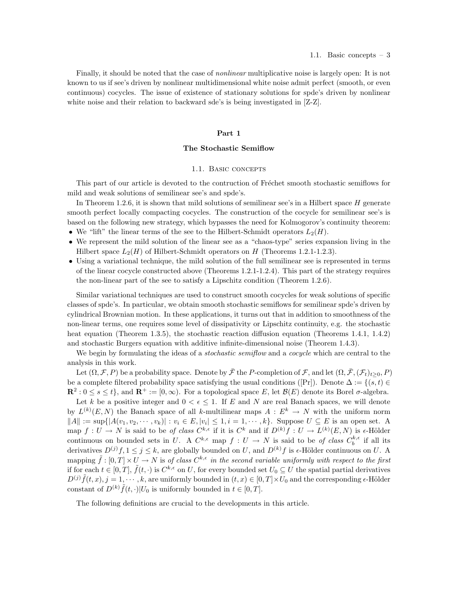Finally, it should be noted that the case of *nonlinear* multiplicative noise is largely open: It is not known to us if see's driven by nonlinear multidimensional white noise admit perfect (smooth, or even continuous) cocycles. The issue of existence of stationary solutions for spde's driven by nonlinear white noise and their relation to backward sde's is being investigated in [Z-Z].

#### Part 1

#### The Stochastic Semiflow

#### 1.1. BASIC CONCEPTS

This part of our article is devoted to the contruction of Fréchet smooth stochastic semiflows for mild and weak solutions of semilinear see's and spde's.

In Theorem 1.2.6, it is shown that mild solutions of semilinear see's in a Hilbert space  $H$  generate smooth perfect locally compacting cocycles. The construction of the cocycle for semilinear see's is based on the following new strategy, which bypasses the need for Kolmogorov's continuity theorem: • We "lift" the linear terms of the see to the Hilbert-Schmidt operators  $L_2(H)$ .

- We represent the mild solution of the linear see as a "chaos-type" series expansion living in the
- Hilbert space  $L_2(H)$  of Hilbert-Schmidt operators on H (Theorems 1.2.1-1.2.3).
- Using a variational technique, the mild solution of the full semilinear see is represented in terms of the linear cocycle constructed above (Theorems 1.2.1-1.2.4). This part of the strategy requires the non-linear part of the see to satisfy a Lipschitz condition (Theorem 1.2.6).

Similar variational techniques are used to construct smooth cocycles for weak solutions of specific classes of spde's. In particular, we obtain smooth stochastic semiflows for semilinear spde's driven by cylindrical Brownian motion. In these applications, it turns out that in addition to smoothness of the non-linear terms, one requires some level of dissipativity or Lipschitz continuity, e.g. the stochastic heat equation (Theorem 1.3.5), the stochastic reaction diffusion equation (Theorems 1.4.1, 1.4.2) and stochastic Burgers equation with additive infinite-dimensional noise (Theorem 1.4.3).

We begin by formulating the ideas of a *stochastic semiflow* and a *cocycle* which are central to the analysis in this work.

Let  $(\Omega, \mathcal{F}, P)$  be a probability space. Denote by  $\bar{\mathcal{F}}$  the P-completion of  $\mathcal{F}$ , and let  $(\Omega, \bar{\mathcal{F}}, (\mathcal{F}_t)_{t>0}, P)$ be a complete filtered probability space satisfying the usual conditions ([Pr]). Denote  $\Delta := \{(s, t) \in$  $\mathbf{R}^2: 0 \leq s \leq t\}$ , and  $\mathbf{R}^+ := [0, \infty)$ . For a topological space E, let  $\mathcal{B}(E)$  denote its Borel  $\sigma$ -algebra.

Let k be a positive integer and  $0 < \epsilon \leq 1$ . If E and N are real Banach spaces, we will denote by  $L^{(k)}(E, N)$  the Banach space of all k-multilinear maps  $A : E^k \to N$  with the uniform norm  $||A|| := \sup{ |A(v_1, v_2, \dots, v_k)| : v_i \in E, |v_i| \leq 1, i = 1, \dots, k \}.$  Suppose  $U \subseteq E$  is an open set. A map  $f: U \to N$  is said to be of class  $C^{k,\epsilon}$  if it is  $C^k$  and if  $D^{(k)}f: U \to L^{(k)}(E,N)$  is  $\epsilon$ -Hölder continuous on bounded sets in U. A  $C^{k,\epsilon}$  map  $f: U \to N$  is said to be of class  $C_b^{k,\epsilon}$  if all its derivatives  $D^{(j)}f, 1 \leq j \leq k$ , are globally bounded on U, and  $D^{(k)}f$  is  $\epsilon$ -Hölder continuous on U. A mapping  $\tilde{f} : [0,T] \times U \to N$  is of class  $C^{k,\epsilon}$  in the second variable uniformly with respect to the first if for each  $t \in [0, T]$ ,  $\tilde{f}(t, \cdot)$  is  $C^{k,\epsilon}$  on U, for every bounded set  $U_0 \subseteq U$  the spatial partial derivatives  $D^{(j)}\tilde{f}(t,x), j=1,\dots,k$ , are uniformly bounded in  $(t,x)\in[0,T]\times U_0$  and the corresponding  $\epsilon$ -Hölder constant of  $D^{(k)}\tilde{f}(t,\cdot)|U_0$  is uniformly bounded in  $t\in[0,T]$ .

The following definitions are crucial to the developments in this article.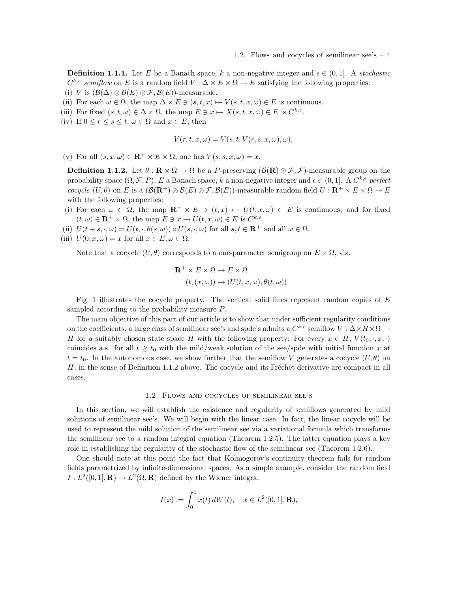**Definition 1.1.1.** Let E be a Banach space, k a non-negative integer and  $\epsilon \in (0,1]$ . A stochastic  $C^{k,\epsilon}$  semiflow on E is a random field  $V : \Delta \times E \times \Omega \to E$  satisfying the following properties: (i) V is  $(\mathcal{B}(\Delta) \otimes \mathcal{B}(E) \otimes \mathcal{F}, \mathcal{B}(E))$ -measurable.

- (ii) For each  $\omega \in \Omega$ , the map  $\Delta \times E \ni (s, t, x) \mapsto V(s, t, x, \omega) \in E$  is continuous.
- (iii) For fixed  $(s, t, \omega) \in \Delta \times \Omega$ , the map  $E \ni x \mapsto X(s, t, x, \omega) \in E$  is  $C^{k, \epsilon}$ .
- (iv) If  $0 \le r \le s \le t$ ,  $\omega \in \Omega$  and  $x \in E$ , then

$$
V(r, t, x, \omega) = V(s, t, V(r, s, x, \omega), \omega).
$$

(v) For all  $(s, x, \omega) \in \mathbf{R}^+ \times E \times \Omega$ , one has  $V(s, s, x, \omega) = x$ .

**Definition 1.1.2.** Let  $\theta : \mathbf{R} \times \Omega \to \Omega$  be a P-preserving  $(\mathcal{B}(\mathbf{R}) \otimes \mathcal{F}, \mathcal{F})$ -measurable group on the probability space  $(\Omega, \mathcal{F}, P)$ , E a Banach space, k a non-negative integer and  $\epsilon \in (0, 1]$ . A  $C^{k,\epsilon}$  perfect cocycle  $(U, \theta)$  on E is a  $(\mathcal{B}(\mathbf{R}^+) \otimes \mathcal{B}(E) \otimes \mathcal{F}, \mathcal{B}(E))$ -measurable random field  $U : \mathbf{R}^+ \times E \times \Omega \to E$ with the following properties:

- (i) For each  $\omega \in \Omega$ , the map  $\mathbb{R}^+ \times E \ni (t, x) \mapsto U(t, x, \omega) \in E$  is continuous; and for fixed  $(t, \omega) \in \mathbf{R}^+ \times \Omega$ , the map  $E \ni x \mapsto U(t, x, \omega) \in E$  is  $C^{k, \epsilon}$ .
- (ii)  $U(t + s, \cdot, \omega) = U(t, \cdot, \theta(s, \omega)) \circ U(s, \cdot, \omega)$  for all  $s, t \in \mathbb{R}^+$  and all  $\omega \in \Omega$ .
- (iii)  $U(0, x, \omega) = x$  for all  $x \in E, \omega \in \Omega$ .

Note that a cocycle  $(U, \theta)$  corresponds to a one-parameter semigroup on  $E \times \Omega$ , viz.

$$
\mathbf{R}^+ \times E \times \Omega \to E \times \Omega
$$
  

$$
(t, (x, \omega)) \mapsto (U(t, x, \omega), \theta(t, \omega))
$$

Fig. 1 illustrates the cocycle property. The vertical solid lines represent random copies of  $E$ sampled according to the probability measure P.

The main objective of this part of our article is to show that under sufficient regularity conditions on the coefficients, a large class of semilinear see's and spde's admits a  $C^{k,\epsilon}$  semiflow  $V : \Delta \times H \times \Omega \to$ H for a suitably chosen state space H with the following property: For every  $x \in H$ ,  $V(t_0, \cdot, x, \cdot)$ coincides a.s. for all  $t \geq t_0$  with the mild/weak solution of the see/spde with initial function x at  $t = t_0$ . In the autonomous case, we show further that the semiflow V generates a cocycle  $(U, \theta)$  on  $H$ , in the sense of Definition 1.1.2 above. The cocycle and its Fréchet derivative are compact in all cases.

#### 1.2. Flows and cocycles of semilinear see's

In this section, we will establish the existence and regularity of semiflows generated by mild solutions of semilinear see's. We will begin with the linear case. In fact, the linear cocycle will be used to represent the mild solution of the semilinear see via a variational formula which transforms the semilinear see to a random integral equation (Theorem 1.2.5). The latter equation plays a key role in establishing the regularity of the stochastic flow of the semilinear see (Theorem 1.2.6).

One should note at this point the fact that Kolmogorov's continuity theorem fails for random fields parametrized by infinite-dimensional spaces. As a simple example, consider the random field  $I: L^2([0,1], \mathbf{R}) \to L^2(\Omega, \mathbf{R})$  defined by the Wiener integral

$$
I(x) := \int_0^1 x(t) dW(t), \quad x \in L^2([0,1], \mathbf{R}),
$$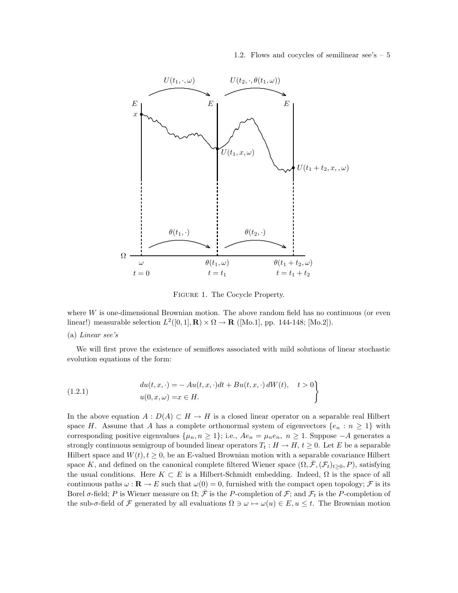1.2. Flows and cocycles of semilinear see's  $-5$ 



Figure 1. The Cocycle Property.

where  $W$  is one-dimensional Brownian motion. The above random field has no continuous (or even linear!) measurable selection  $L^2([0,1], \mathbf{R}) \times \Omega \to \mathbf{R}$  ([Mo.1], pp. 144-148; [Mo.2]).

#### (a) Linear see's

We will first prove the existence of semiflows associated with mild solutions of linear stochastic evolution equations of the form:

(1.2.1) 
$$
du(t, x, \cdot) = -Au(t, x, \cdot)dt + Bu(t, x, \cdot) dW(t), \quad t > 0
$$

$$
u(0, x, \omega) = x \in H.
$$

In the above equation  $A: D(A) \subset H \to H$  is a closed linear operator on a separable real Hilbert space H. Assume that A has a complete orthonormal system of eigenvectors  $\{e_n : n \geq 1\}$  with corresponding positive eigenvalues  $\{\mu_n, n \geq 1\}$ ; i.e.,  $Ae_n = \mu_n e_n$ ,  $n \geq 1$ . Suppose  $-A$  generates a strongly continuous semigroup of bounded linear operators  $T_t : H \to H$ ,  $t \geq 0$ . Let E be a separable Hilbert space and  $W(t)$ ,  $t \geq 0$ , be an E-valued Brownian motion with a separable covariance Hilbert space K, and defined on the canonical complete filtered Wiener space  $(\Omega, \bar{\mathcal{F}}, (\mathcal{F}_t)_{t>0}, P)$ , satisfying the usual conditions. Here  $K \subset E$  is a Hilbert-Schmidt embedding. Indeed,  $\Omega$  is the space of all continuous paths  $\omega : \mathbf{R} \to E$  such that  $\omega(0) = 0$ , furnished with the compact open topology; F is its Borel  $\sigma$ -field; P is Wiener measure on  $\Omega$ ;  $\bar{\mathcal{F}}$  is the P-completion of  $\mathcal{F}$ ; and  $\mathcal{F}_t$  is the P-completion of the sub- $\sigma$ -field of F generated by all evaluations  $\Omega \ni \omega \mapsto \omega(u) \in E$ ,  $u \leq t$ . The Brownian motion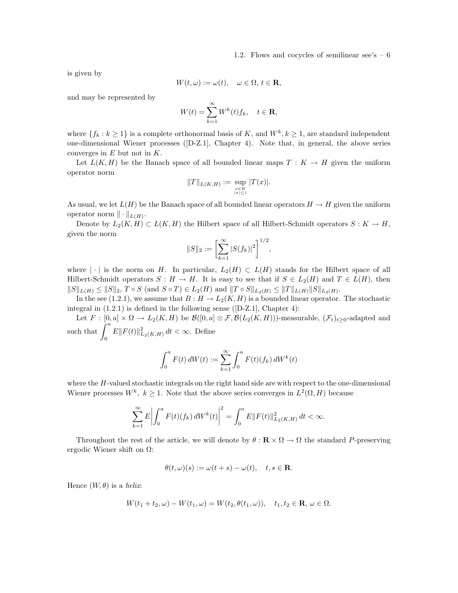is given by

$$
W(t,\omega) := \omega(t), \quad \omega \in \Omega, \, t \in \mathbf{R},
$$

and may be represented by

$$
W(t) = \sum_{k=1}^{\infty} W^k(t) f_k, \quad t \in \mathbf{R},
$$

where  $\{f_k : k \ge 1\}$  is a complete orthonormal basis of K, and  $W^k, k \ge 1$ , are standard independent one-dimensional Wiener processes ([D-Z.1], Chapter 4). Note that, in general, the above series converges in  $E$  but not in  $K$ .

Let  $L(K, H)$  be the Banach space of all bounded linear maps  $T : K \to H$  given the uniform operator norm

$$
||T||_{L(K,H)} := \sup_{\substack{x \in K \\ |x| \le 1}} |T(x)|.
$$

As usual, we let  $L(H)$  be the Banach space of all bounded linear operators  $H \to H$  given the uniform operator norm  $\|\cdot\|_{L(H)}$ .

Denote by  $L_2(K, H) \subset L(K, H)$  the Hilbert space of all Hilbert-Schmidt operators  $S: K \to H$ , given the norm

$$
||S||_2 := \left[\sum_{k=1}^{\infty} |S(f_k)|^2\right]^{1/2},
$$

where | | is the norm on H. In particular,  $L_2(H) \subset L(H)$  stands for the Hilbert space of all Hilbert-Schmidt operators  $S : H \to H$ . It is easy to see that if  $S \in L_2(H)$  and  $T \in L(H)$ , then  $||S||_{L(H)} \leq ||S||_2, T \circ S \text{ (and } S \circ T) \in L_2(H) \text{ and } ||T \circ S||_{L_2(H)} \leq ||T||_{L(H)} ||S||_{L_2(H)}.$ 

In the see (1.2.1), we assume that  $B : H \to L_2(K, H)$  is a bounded linear operator. The stochastic integral in (1.2.1) is defined in the following sense ([D-Z.1], Chapter 4):

Let  $F : [0, a] \times \Omega \to L_2(K, H)$  be  $\mathcal{B}([0, a] \otimes \mathcal{F}, \mathcal{B}(L_2(K, H)))$ -measurable,  $(\mathcal{F}_t)_{t>0}$ -adapted and such that  $\int^{a}$  $\int_{0}^{R} E||F(t)||_{L_{2}(K,H)}^{2} dt < \infty$ . Define

$$
\int_0^a F(t) dW(t) := \sum_{k=1}^{\infty} \int_0^a F(t)(f_k) dW^k(t)
$$

where the H-valued stochastic integrals on the right hand side are with respect to the one-dimensional Wiener processes  $W^k$ ,  $k \geq 1$ . Note that the above series converges in  $L^2(\Omega, H)$  because

$$
\sum_{k=1}^{\infty} E \left| \int_0^a F(t)(f_k) dW^k(t) \right|^2 = \int_0^a E ||F(t)||^2_{L_2(K,H)} dt < \infty.
$$

Throughout the rest of the article, we will denote by  $\theta : \mathbf{R} \times \Omega \to \Omega$  the standard P-preserving ergodic Wiener shift on Ω:

$$
\theta(t,\omega)(s) := \omega(t+s) - \omega(t), \quad t, s \in \mathbf{R}.
$$

Hence  $(W, \theta)$  is a helix:

$$
W(t_1+t_2,\omega)-W(t_1,\omega)=W(t_2,\theta(t_1,\omega)),\quad t_1,t_2\in\mathbf{R},\,\omega\in\Omega.
$$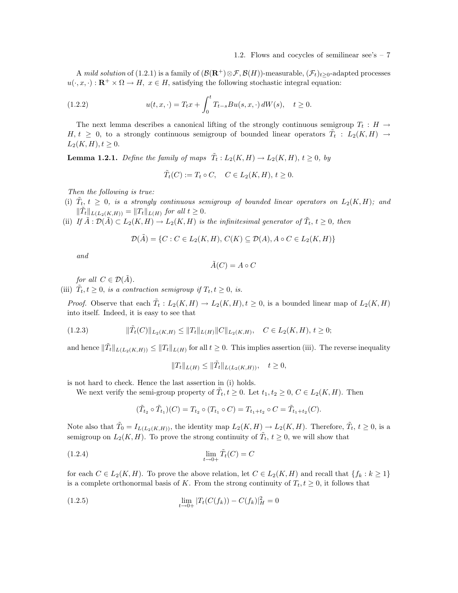A mild solution of (1.2.1) is a family of  $(\mathcal{B}(\mathbf{R}^+)\otimes \mathcal{F}, \mathcal{B}(H))$ -measurable,  $(\mathcal{F}_t)_{t\geq 0}$ -adapted processes  $u(\cdot, x, \cdot): \mathbb{R}^+ \times \Omega \to H$ ,  $x \in H$ , satisfying the following stochastic integral equation:

(1.2.2) 
$$
u(t, x, \cdot) = T_t x + \int_0^t T_{t-s} B u(s, x, \cdot) dW(s), \quad t \ge 0.
$$

The next lemma describes a canonical lifting of the strongly continuous semigroup  $T_t : H \to$  $H, t \geq 0$ , to a strongly continuous semigroup of bounded linear operators  $\tilde{T}_t : L_2(K, H) \rightarrow$  $L_2(K, H), t \geq 0.$ 

**Lemma 1.2.1.** Define the family of maps  $\tilde{T}_t : L_2(K, H) \to L_2(K, H), t \geq 0$ , by

$$
\tilde{T}_t(C) := T_t \circ C, \quad C \in L_2(K, H), \ t \ge 0.
$$

Then the following is true:

- (i)  $\tilde{T}_{t}$ ,  $t \geq 0$ , is a strongly continuous semigroup of bounded linear operators on  $L_2(K,H)$ ; and  $\|\tilde{T}_t\|_{L(L_2(K,H))} = \|T_t\|_{L(H)}$  for all  $t \geq 0$ .
- (ii) If  $\tilde{A}: \mathcal{D}(\tilde{A}) \subset L_2(K, H) \to L_2(K, H)$  is the infinitesimal generator of  $\tilde{T}_t$ ,  $t \geq 0$ , then

$$
\mathcal{D}(\tilde{A}) = \{C : C \in L_2(K, H), C(K) \subseteq \mathcal{D}(A), A \circ C \in L_2(K, H)\}
$$

and

$$
\tilde{A}(C) = A \circ C
$$

for all  $C \in \mathcal{D}(\tilde{A})$ .

(iii)  $\tilde{T}_t, t \geq 0$ , is a contraction semigroup if  $T_t, t \geq 0$ , is.

*Proof.* Observe that each  $\tilde{T}_t : L_2(K, H) \to L_2(K, H), t \geq 0$ , is a bounded linear map of  $L_2(K, H)$ into itself. Indeed, it is easy to see that

$$
(1.2.3) \t\t ||\tilde{T}_t(C)||_{L_2(K,H)} \le ||T_t||_{L(H)} ||C||_{L_2(K,H)}, \quad C \in L_2(K,H), \ t \ge 0;
$$

and hence  $\|\tilde{T}_t\|_{L(L_2(K,H))} \leq \|T_t\|_{L(H)}$  for all  $t \geq 0$ . This implies assertion (iii). The reverse inequality

$$
||T_t||_{L(H)} \le ||\tilde{T}_t||_{L(L_2(K,H))}, \quad t \ge 0,
$$

is not hard to check. Hence the last assertion in (i) holds.

We next verify the semi-group property of  $\tilde{T}_t, t \geq 0$ . Let  $t_1, t_2 \geq 0, C \in L_2(K, H)$ . Then

$$
(\tilde{T}_{t_2} \circ \tilde{T}_{t_1})(C) = T_{t_2} \circ (T_{t_1} \circ C) = T_{t_1+t_2} \circ C = \tilde{T}_{t_1+t_2}(C).
$$

Note also that  $\tilde{T}_0 = I_{L(L_2(K,H))}$ , the identity map  $L_2(K,H) \to L_2(K,H)$ . Therefore,  $\tilde{T}_t$ ,  $t \geq 0$ , is a semigroup on  $L_2(K, H)$ . To prove the strong continuity of  $\tilde{T}_t$ ,  $t \geq 0$ , we will show that

$$
\lim_{t \to 0+} \tilde{T}_t(C) = C
$$

for each  $C \in L_2(K, H)$ . To prove the above relation, let  $C \in L_2(K, H)$  and recall that  $\{f_k : k \geq 1\}$ is a complete orthonormal basis of K. From the strong continuity of  $T_t, t \geq 0$ , it follows that

(1.2.5) 
$$
\lim_{t \to 0+} |T_t(C(f_k)) - C(f_k)|_H^2 = 0
$$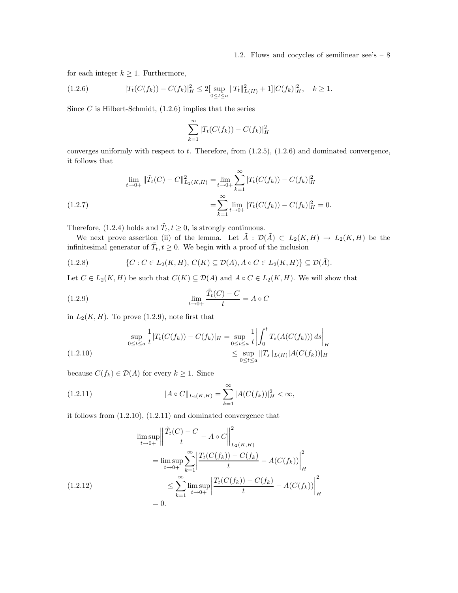for each integer  $k \geq 1$ . Furthermore,

$$
(1.2.6) \t\t |T_t(C(f_k)) - C(f_k)|_H^2 \le 2[\sup_{0 \le t \le a} ||T_t||_{L(H)}^2 + 1] |C(f_k)|_H^2, \quad k \ge 1.
$$

Since  $C$  is Hilbert-Schmidt,  $(1.2.6)$  implies that the series

$$
\sum_{k=1}^{\infty} |T_t(C(f_k)) - C(f_k)|_H^2
$$

converges uniformly with respect to  $t$ . Therefore, from  $(1.2.5)$ ,  $(1.2.6)$  and dominated convergence, it follows that

(1.2.7) 
$$
\lim_{t \to 0+} \|\tilde{T}_t(C) - C\|_{L_2(K,H)}^2 = \lim_{t \to 0+} \sum_{k=1}^{\infty} |T_t(C(f_k)) - C(f_k)|_H^2
$$

$$
= \sum_{k=1}^{\infty} \lim_{t \to 0+} |T_t(C(f_k)) - C(f_k)|_H^2 = 0.
$$

Therefore, (1.2.4) holds and  $\tilde{T}_t, t \geq 0$ , is strongly continuous.

We next prove assertion (ii) of the lemma. Let  $\tilde{A}$  :  $\mathcal{D}(\tilde{A}) \subset L_2(K, H) \to L_2(K, H)$  be the infinitesimal generator of  $\tilde{T}_t, t \geq 0$ . We begin with a proof of the inclusion

(1.2.8) 
$$
\{C : C \in L_2(K, H), C(K) \subseteq \mathcal{D}(A), A \circ C \in L_2(K, H)\} \subseteq \mathcal{D}(\tilde{A}).
$$

Let  $C \in L_2(K, H)$  be such that  $C(K) \subseteq \mathcal{D}(A)$  and  $A \circ C \in L_2(K, H)$ . We will show that

(1.2.9) 
$$
\lim_{t \to 0+} \frac{\tilde{T}_t(C) - C}{t} = A \circ C
$$

in  $L_2(K, H)$ . To prove (1.2.9), note first that

$$
\sup_{0 \le t \le a} \frac{1}{t} |T_t(C(f_k)) - C(f_k)|_H = \sup_{0 \le t \le a} \frac{1}{t} \left| \int_0^t T_s(A(C(f_k))) ds \right|_H
$$
\n
$$
\le \sup_{0 \le t \le a} \|T_s\|_{L(H)} |A(C(f_k))|_H
$$

because  $C(f_k) \in \mathcal{D}(A)$  for every  $k \geq 1$ . Since

(1.2.11) 
$$
||A \circ C||_{L_2(K,H)} = \sum_{k=1}^{\infty} |A(C(f_k))|_{H}^2 < \infty,
$$

it follows from (1.2.10), (1.2.11) and dominated convergence that

$$
\limsup_{t \to 0+} \left\| \frac{\tilde{T}_t(C) - C}{t} - A \circ C \right\|_{L_2(K, H)}^2
$$
\n
$$
= \limsup_{t \to 0+} \sum_{k=1}^{\infty} \left| \frac{T_t(C(f_k)) - C(f_k)}{t} - A(C(f_k)) \right|_H^2
$$
\n
$$
\leq \sum_{k=1}^{\infty} \limsup_{t \to 0+} \left| \frac{T_t(C(f_k)) - C(f_k)}{t} - A(C(f_k)) \right|_H^2
$$
\n
$$
= 0.
$$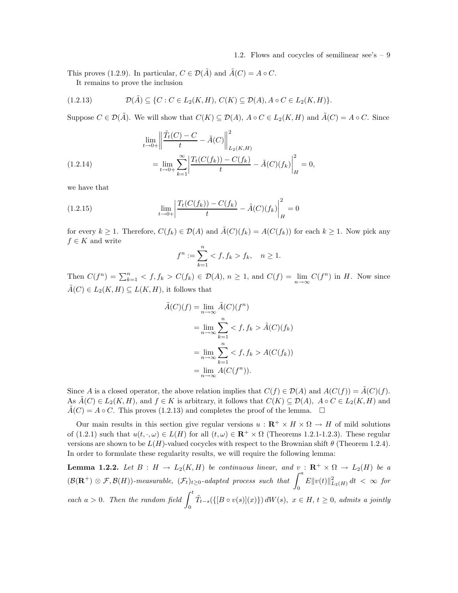This proves (1.2.9). In particular,  $C \in \mathcal{D}(\tilde{A})$  and  $\tilde{A}(C) = A \circ C$ . It remains to prove the inclusion

$$
(1.2.13) \t\mathcal{D}(\tilde{A}) \subseteq \{C : C \in L_2(K, H), C(K) \subseteq \mathcal{D}(A), A \circ C \in L_2(K, H)\}.
$$

Suppose  $C \in \mathcal{D}(\tilde{A})$ . We will show that  $C(K) \subseteq \mathcal{D}(A)$ ,  $A \circ C \in L_2(K, H)$  and  $\tilde{A}(C) = A \circ C$ . Since

(1.2.14) 
$$
\lim_{t \to 0+} \left\| \frac{\tilde{T}_t(C) - C}{t} - \tilde{A}(C) \right\|_{L_2(K,H)}^2
$$

$$
= \lim_{t \to 0+} \sum_{k=1}^{\infty} \left| \frac{T_t(C(f_k)) - C(f_k)}{t} - \tilde{A}(C)(f_k) \right|_H^2 = 0,
$$

we have that

(1.2.15) 
$$
\lim_{t \to 0+} \left| \frac{T_t(C(f_k)) - C(f_k)}{t} - \tilde{A}(C)(f_k) \right|_H^2 = 0
$$

for every  $k \geq 1$ . Therefore,  $C(f_k) \in \mathcal{D}(A)$  and  $\tilde{A}(C)(f_k) = A(C(f_k))$  for each  $k \geq 1$ . Now pick any  $f \in K$  and write

$$
f^n := \sum_{k=1}^n \langle f, f_k \rangle f_k, \quad n \ge 1.
$$

Then  $C(f^n) = \sum_{k=1}^n \langle f, f_k \rangle C(f_k) \in \mathcal{D}(A), n \ge 1$ , and  $C(f) = \lim_{n \to \infty} C(f^n)$  in H. Now since  $\tilde{A}(C) \in L_2(K, H) \subseteq L(K, H)$ , it follows that

$$
\tilde{A}(C)(f) = \lim_{n \to \infty} \tilde{A}(C)(f^n)
$$
\n
$$
= \lim_{n \to \infty} \sum_{k=1}^n \langle f, f_k \rangle \tilde{A}(C)(f_k)
$$
\n
$$
= \lim_{n \to \infty} \sum_{k=1}^n \langle f, f_k \rangle \tilde{A}(C(f_k))
$$
\n
$$
= \lim_{n \to \infty} \tilde{A}(C(f^n)).
$$

Since A is a closed operator, the above relation implies that  $C(f) \in \mathcal{D}(A)$  and  $A(C(f)) = \tilde{A}(C)(f)$ . As  $\tilde{A}(C) \in L_2(K, H)$ , and  $f \in K$  is arbitrary, it follows that  $C(K) \subseteq \mathcal{D}(A)$ ,  $A \circ C \in L_2(K, H)$  and  $A(C) = A \circ C$ . This proves (1.2.13) and completes the proof of the lemma.  $\square$ 

Our main results in this section give regular versions  $u : \mathbb{R}^+ \times H \times \Omega \to H$  of mild solutions of (1.2.1) such that  $u(t, \cdot, \omega) \in L(H)$  for all  $(t, \omega) \in \mathbb{R}^+ \times \Omega$  (Theorems 1.2.1-1.2.3). These regular versions are shown to be  $L(H)$ -valued cocycles with respect to the Brownian shift  $\theta$  (Theorem 1.2.4). In order to formulate these regularity results, we will require the following lemma:

**Lemma 1.2.2.** Let  $B : H \to L_2(K, H)$  be continuous linear, and  $v : \mathbb{R}^+ \times \Omega \to L_2(H)$  be a  $(\mathcal{B}(\mathbf{R}^+) \otimes \mathcal{F}, \mathcal{B}(H))$ -measurable,  $(\mathcal{F}_t)_{t \geq 0}$ -adapted process such that  $\int_0^a E||v(t)||^2_{L_2(H)} dt < \infty$  for each  $a > 0$ . Then the random field  $\int_0^t$  $\boldsymbol{0}$  $\widetilde{T}_{t-s}(\{[B \circ v(s)](x)\}) dW(s), \ x \in H, t \geq 0, \ admits \ a \ jointly$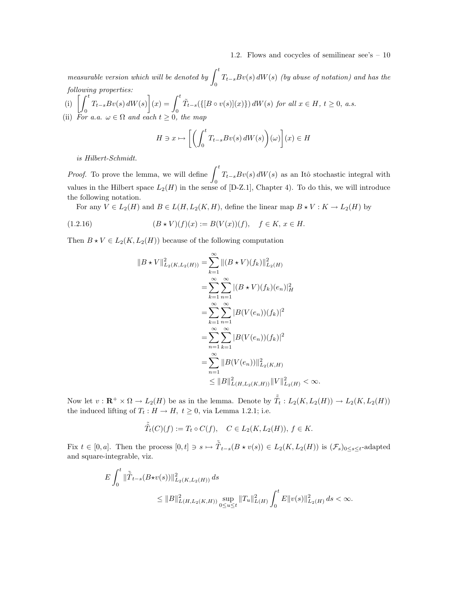measurable version which will be denoted by  $\int^t$  $\int_{0}^{T} T_{t-s} Bv(s) dW(s)$  (by abuse of notation) and has the following properties:

(i) 
$$
\left[\int_0^t T_{t-s}Bv(s) dW(s)\right](x) = \int_0^t \tilde{T}_{t-s}(\left\{[B \circ v(s)](x)\right\}) dW(s)
$$
 for all  $x \in H$ ,  $t \ge 0$ , a.s.  
(ii) For a.a.  $\omega \in \Omega$  and each  $t \ge 0$ , the map

$$
H \ni x \mapsto \left[ \left( \int_0^t T_{t-s} B v(s) \, dW(s) \right) (\omega) \right] (x) \in H
$$

is Hilbert-Schmidt.

*Proof.* To prove the lemma, we will define  $\int_0^t$  $T_{t-s}Bv(s) dW(s)$  as an Itô stochastic integral with values in the Hilbert space  $L_2(H)$  in the sense of [D-Z.1], Chapter 4). To do this, we will introduce the following notation.

For any  $V \in L_2(H)$  and  $B \in L(H, L_2(K, H))$ , define the linear map  $B \star V : K \to L_2(H)$  by

(1.2.16) 
$$
(B * V)(f)(x) := B(V(x))(f), \quad f \in K, x \in H.
$$

Then  $B \star V \in L_2(K, L_2(H))$  because of the following computation

$$
||B \star V||_{L_2(K, L_2(H))}^2 = \sum_{k=1}^{\infty} ||(B \star V)(f_k)||_{L_2(H)}^2
$$
  
\n
$$
= \sum_{k=1}^{\infty} \sum_{n=1}^{\infty} |(B \star V)(f_k)(e_n)|_H^2
$$
  
\n
$$
= \sum_{k=1}^{\infty} \sum_{n=1}^{\infty} |B(V(e_n))(f_k)|^2
$$
  
\n
$$
= \sum_{n=1}^{\infty} \sum_{k=1}^{\infty} |B(V(e_n))(f_k)|^2
$$
  
\n
$$
= \sum_{n=1}^{\infty} ||B(V(e_n))||_{L_2(K,H)}^2
$$
  
\n
$$
\leq ||B||_{L(H, L_2(K, H))}^2 ||V||_{L_2(H)}^2 < \infty.
$$

Now let  $v: \mathbf{R}^+ \times \Omega \to L_2(H)$  be as in the lemma. Denote by  $\tilde{\tilde{T}}_t: L_2(K, L_2(H)) \to L_2(K, L_2(H))$ the induced lifting of  $T_t : H \to H$ ,  $t \ge 0$ , via Lemma 1.2.1; i.e.

$$
\tilde{\tilde{T}}_t(C)(f) := T_t \circ C(f), \quad C \in L_2(K, L_2(H)), \ f \in K.
$$

Fix  $t \in [0, a]$ . Then the process  $[0, t] \ni s \mapsto \tilde{T}_{t-s}(B \star v(s)) \in L_2(K, L_2(H))$  is  $(\mathcal{F}_s)_{0 \le s \le t}$ -adapted and square-integrable, viz.

$$
\begin{aligned} E\int_0^t\|\tilde{\bar{T}}_{t-s}(B\star v(s))\|_{L_2(K,L_2(H))}^2\,ds\\ \leq \|B\|_{L(H,L_2(K,H))}^2\sup_{0\leq u\leq t}\|T_u\|_{L(H)}^2\int_0^tE\|v(s)\|_{L_2(H)}^2\,ds<\infty. \end{aligned}
$$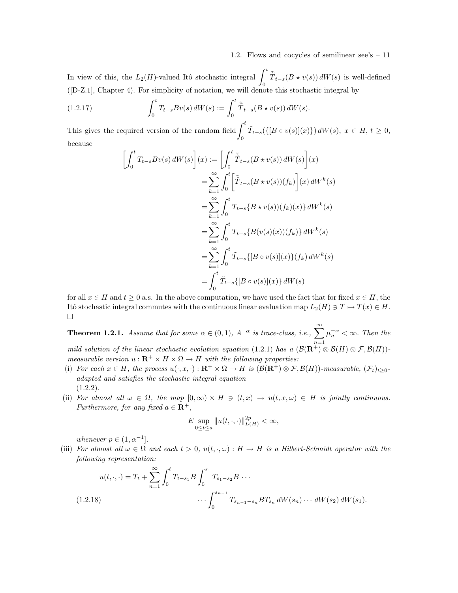In view of this, the  $L_2(H)$ -valued Itô stochastic integral  $\int_0^t$  $\tilde{\tilde{T}}_{t-s}(B \star v(s)) dW(s)$  is well-defined ([D-Z.1], Chapter 4). For simplicity of notation, we will denote this stochastic integral by

(1.2.17) 
$$
\int_0^t T_{t-s} B v(s) dW(s) := \int_0^t \tilde{T}_{t-s} (B \star v(s)) dW(s).
$$

This gives the required version of the random field  $\int_0^t$ 0  $\tilde{T}_{t-s}(\{[B \circ v(s)](x)\}) dW(s), x \in H, t \geq 0,$ because

$$
\begin{split}\n\left[\int_{0}^{t} T_{t-s} B v(s) \, dW(s)\right](x) &:= \left[\int_{0}^{t} \tilde{T}_{t-s} (B \star v(s)) \, dW(s)\right](x) \\
&= \sum_{k=1}^{\infty} \int_{0}^{t} \left[\tilde{T}_{t-s} (B \star v(s)) (f_k)\right](x) \, dW^k(s) \\
&= \sum_{k=1}^{\infty} \int_{0}^{t} T_{t-s} \{B \star v(s)) (f_k)(x)\} \, dW^k(s) \\
&= \sum_{k=1}^{\infty} \int_{0}^{t} T_{t-s} \{B(v(s)(x)) (f_k)\} \, dW^k(s) \\
&= \sum_{k=1}^{\infty} \int_{0}^{t} \tilde{T}_{t-s} \{[B \circ v(s)](x)\} (f_k) \, dW^k(s) \\
&= \int_{0}^{t} \tilde{T}_{t-s} \{[B \circ v(s)](x)\} \, dW(s)\n\end{split}
$$

for all  $x \in H$  and  $t \geq 0$  a.s. In the above computation, we have used the fact that for fixed  $x \in H$ , the Itô stochastic integral commutes with the continuous linear evaluation map  $L_2(H) \ni T \mapsto T(x) \in H$ .  $\Box$ 

**Theorem 1.2.1.** Assume that for some  $\alpha \in (0,1)$ ,  $A^{-\alpha}$  is trace-class, i.e.,  $\sum_{n=1}^{\infty}$  $\mu_n^{-\alpha} < \infty$ . Then the mild solution of the linear stochastic evolution equation (1.2.1) has a  $(\mathcal{B}(\mathbf{R}^+) \otimes \mathcal{B}(H) \otimes \mathcal{F}, \mathcal{B}(H))$ measurable version  $u : \mathbf{R}^+ \times H \times \Omega \to H$  with the following properties:

- (i) For each  $x \in H$ , the process  $u(\cdot, x, \cdot): \mathbf{R}^+ \times \Omega \to H$  is  $(\mathcal{B}(\mathbf{R}^+) \otimes \mathcal{F}, \mathcal{B}(H))$ -measurable,  $(\mathcal{F}_t)_{t>0}$ adapted and satisfies the stochastic integral equation  $(1.2.2).$
- (ii) For almost all  $\omega \in \Omega$ , the map  $[0, \infty) \times H \ni (t, x) \rightarrow u(t, x, \omega) \in H$  is jointly continuous. Furthermore, for any fixed  $a \in \mathbb{R}^+$ ,

$$
E \sup_{0 \le t \le a} ||u(t,\cdot,\cdot)||_{L(H)}^{2p} < \infty,
$$

whenever  $p \in (1, \alpha^{-1}]$ .

(iii) For almost all  $\omega \in \Omega$  and each  $t > 0$ ,  $u(t, \cdot, \omega) : H \to H$  is a Hilbert-Schmidt operator with the following representation:

$$
u(t,\cdot,\cdot) = T_t + \sum_{n=1}^{\infty} \int_0^t T_{t-s_1} B \int_0^{s_1} T_{s_1-s_2} B \cdots
$$
  

$$
\cdots \int_0^{s_{n-1}} T_{s_{n-1}-s_n} B T_{s_n} dW(s_n) \cdots dW(s_2) dW(s_1).
$$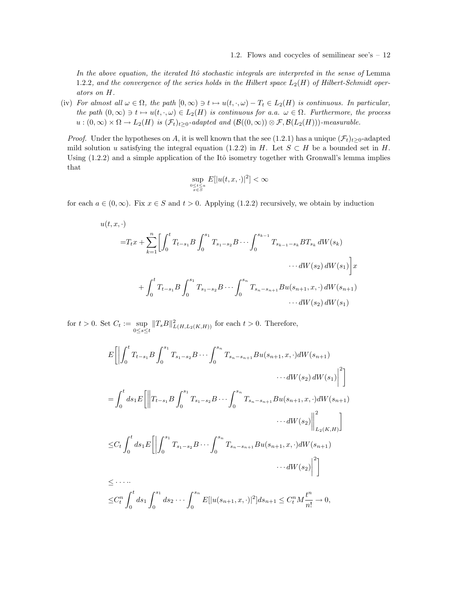In the above equation, the iterated Itô stochastic integrals are interpreted in the sense of Lemma 1.2.2, and the convergence of the series holds in the Hilbert space  $L_2(H)$  of Hilbert-Schmidt operators on H.

(iv) For almost all  $\omega \in \Omega$ , the path  $[0, \infty) \ni t \mapsto u(t, \cdot, \omega) - T_t \in L_2(H)$  is continuous. In particular, the path  $(0, \infty) \ni t \mapsto u(t, \cdot, \omega) \in L_2(H)$  is continuous for a.a.  $\omega \in \Omega$ . Furthermore, the process  $u:(0,\infty)\times\Omega\to L_2(H)$  is  $(\mathcal{F}_t)_{t\geq0}$ -adapted and  $(\mathcal{B}((0,\infty))\otimes\mathcal{F},\mathcal{B}(L_2(H)))$ -measurable.

*Proof.* Under the hypotheses on A, it is well known that the see (1.2.1) has a unique  $(\mathcal{F}_t)_{t\geq0}$ -adapted mild solution u satisfying the integral equation (1.2.2) in H. Let  $S \subset H$  be a bounded set in H. Using  $(1.2.2)$  and a simple application of the Itô isometry together with Gronwall's lemma implies that

$$
\sup_{\substack{0\leq t\leq a\\x\in S}} E[|u(t,x,\cdot)|^2] < \infty
$$

for each  $a \in (0,\infty)$ . Fix  $x \in S$  and  $t > 0$ . Applying (1.2.2) recursively, we obtain by induction

$$
u(t, x, \cdot)
$$
  
\n
$$
=T_t x + \sum_{k=1}^n \left[ \int_0^t T_{t-s_1} B \int_0^{s_1} T_{s_1-s_2} B \cdots \int_0^{s_{k-1}} T_{s_{k-1}-s_k} B T_{s_k} dW(s_k) \cdots dW(s_2) dW(s_1) \right] x
$$
  
\n
$$
+ \int_0^t T_{t-s_1} B \int_0^{s_1} T_{s_1-s_2} B \cdots \int_0^{s_n} T_{s_n-s_{n+1}} B u(s_{n+1}, x, \cdot) dW(s_{n+1}) \cdots dW(s_2) dW(s_1)
$$

for  $t > 0$ . Set  $C_t := \sup$  $\sup_{0\leq s\leq t}||T_sB||^2_{L(H,L_2(K,H))}$  for each  $t>0$ . Therefore,

$$
E\left[\left|\int_{0}^{t} T_{t-s_{1}}B\int_{0}^{s_{1}} T_{s_{1}-s_{2}}B\cdots\int_{0}^{s_{n}} T_{s_{n}-s_{n+1}}Bu(s_{n+1},x,\cdot)dW(s_{n+1})\right|^{2}\right]
$$
  
\n
$$
= \int_{0}^{t} ds_{1}E\left[\left\|T_{t-s_{1}}B\int_{0}^{s_{1}} T_{s_{1}-s_{2}}B\cdots\int_{0}^{s_{n}} T_{s_{n}-s_{n+1}}Bu(s_{n+1},x,\cdot)dW(s_{n+1})\right\|^{2}\right]
$$
  
\n
$$
\left.\int_{0}^{t} ds_{1}E\left[\left\| \int_{0}^{s_{1}} T_{s_{1}-s_{2}}B\cdots\int_{0}^{s_{n}} T_{s_{n}-s_{n+1}}Bu(s_{n+1},x,\cdot)dW(s_{n+1})\right\|^{2}\right]
$$
  
\n
$$
\leq C_{t}\int_{0}^{t} ds_{1}E\left[\left|\int_{0}^{s_{1}} T_{s_{1}-s_{2}}B\cdots\int_{0}^{s_{n}} T_{s_{n}-s_{n+1}}Bu(s_{n+1},x,\cdot)dW(s_{n+1})\right\|^{2}\right]
$$
  
\n
$$
\leq \cdots \cdots
$$
  
\n
$$
\leq C_{t}^{n}\int_{0}^{t} ds_{1}\int_{0}^{s_{1}} ds_{2}\cdots\int_{0}^{s_{n}} E[|u(s_{n+1},x,\cdot)|^{2}]ds_{n+1} \leq C_{t}^{n}M\frac{t^{n}}{n!} \to 0,
$$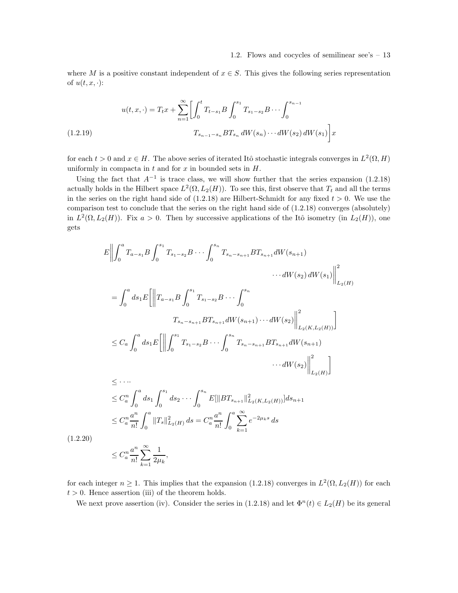where M is a positive constant independent of  $x \in S$ . This gives the following series representation of  $u(t, x, \cdot)$ :

$$
u(t, x, \cdot) = T_t x + \sum_{n=1}^{\infty} \left[ \int_0^t T_{t-s_1} B \int_0^{s_1} T_{s_1-s_2} B \cdots \int_0^{s_{n-1}} \right]
$$
  
(1.2.19)  

$$
T_{s_{n-1}-s_n} B T_{s_n} dW(s_n) \cdots dW(s_2) dW(s_1) \right] x
$$

for each  $t > 0$  and  $x \in H$ . The above series of iterated Itô stochastic integrals converges in  $L^2(\Omega, H)$ uniformly in compacta in  $t$  and for  $x$  in bounded sets in  $H$ .

Using the fact that  $A^{-1}$  is trace class, we will show further that the series expansion (1.2.18) actually holds in the Hilbert space  $L^2(\Omega, L_2(H))$ . To see this, first observe that  $T_t$  and all the terms in the series on the right hand side of  $(1.2.18)$  are Hilbert-Schmidt for any fixed  $t > 0$ . We use the comparison test to conclude that the series on the right hand side of (1.2.18) converges (absolutely) in  $L^2(\Omega, L_2(H))$ . Fix  $a > 0$ . Then by successive applications of the Itô isometry (in  $L_2(H)$ ), one gets

$$
E\left\| \int_{0}^{a} T_{a-s_{1}}B \int_{0}^{s_{1}} T_{s_{1}-s_{2}}B \cdots \int_{0}^{s_{n}} T_{s_{n}-s_{n+1}}BT_{s_{n+1}}dW(s_{n+1}) \cdots dW(s_{2}) dW(s_{1}) \right\|_{L_{2}(H)}^{2}
$$
  
\n
$$
= \int_{0}^{a} ds_{1}E\left\| T_{a-s_{1}}B \int_{0}^{s_{1}} T_{s_{1}-s_{2}}B \cdots \int_{0}^{s_{n}} T_{s_{n}+s_{n+1}}dW(s_{n+1}) \cdots dW(s_{2}) \right\|_{L_{2}(K,L_{2}(H))}^{2}
$$
  
\n
$$
\leq C_{a} \int_{0}^{a} ds_{1}E\left\| \int_{0}^{s_{1}} T_{s_{1}-s_{2}}B \cdots \int_{0}^{s_{n}} T_{s_{n}-s_{n+1}}BT_{s_{n+1}}dW(s_{n+1}) \cdots dW(s_{2}) \right\|_{L_{2}(H)}^{2}
$$
  
\n
$$
\leq \cdots
$$
  
\n
$$
\leq C_{a}^{n} \int_{0}^{a} ds_{1} \int_{0}^{s_{1}} ds_{2} \cdots \int_{0}^{s_{n}} E[\|BT_{s_{n+1}}\|_{L_{2}(K,L_{2}(H))}^{2}] ds_{n+1}
$$
  
\n
$$
\leq C_{a}^{n} \frac{a^{n}}{n!} \int_{0}^{a} \|T_{s}\|_{L_{2}(H)}^{2} ds = C_{a}^{n} \frac{a^{n}}{n!} \int_{0}^{a} \sum_{k=1}^{\infty} e^{-2\mu_{k}s} ds
$$
  
\n(1.2.20)  
\n
$$
\leq C_{a}^{n} \frac{a^{n}}{n!} \sum_{k=1}^{\infty} \frac{1}{2\mu_{k}},
$$

for each integer  $n \geq 1$ . This implies that the expansion (1.2.18) converges in  $L^2(\Omega, L_2(H))$  for each  $t > 0$ . Hence assertion (iii) of the theorem holds.

We next prove assertion (iv). Consider the series in (1.2.18) and let  $\Phi^{n}(t) \in L_2(H)$  be its general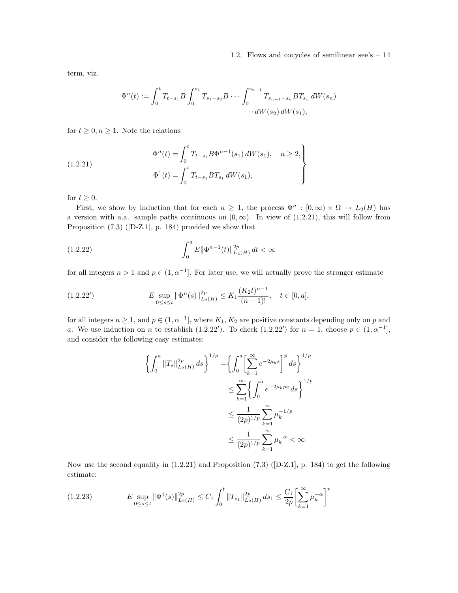term, viz.

$$
\Phi^{n}(t) := \int_{0}^{t} T_{t-s_{1}} B \int_{0}^{s_{1}} T_{s_{1}-s_{2}} B \cdots \int_{0}^{s_{n-1}} T_{s_{n-1}-s_{n}} B T_{s_{n}} dW(s_{n}) \cdots dW(s_{2}) dW(s_{1}),
$$

for  $t \geq 0, n \geq 1$ . Note the relations

(1.2.21) 
$$
\Phi^{n}(t) = \int_{0}^{t} T_{t-s_1} B \Phi^{n-1}(s_1) dW(s_1), \quad n \ge 2,
$$

$$
\Phi^{1}(t) = \int_{0}^{t} T_{t-s_1} B T_{s_1} dW(s_1),
$$

for  $t \geq 0$ .

First, we show by induction that for each  $n \geq 1$ , the process  $\Phi^n : [0, \infty) \times \Omega \to L_2(H)$  has a version with a.a. sample paths continuous on  $[0, \infty)$ . In view of (1.2.21), this will follow from Proposition (7.3) ([D-Z.1], p. 184) provided we show that

(1.2.22) 
$$
\int_0^a E \|\Phi^{n-1}(t)\|_{L_2(H)}^{2p} dt < \infty
$$

for all integers  $n > 1$  and  $p \in (1, \alpha^{-1}]$ . For later use, we will actually prove the stronger estimate

$$
(1.2.22') \t\t E \sup_{0 \le s \le t} \|\Phi^n(s)\|_{L_2(H)}^{2p} \le K_1 \frac{(K_2 t)^{n-1}}{(n-1)!}, \quad t \in [0, a],
$$

for all integers  $n \geq 1$ , and  $p \in (1, \alpha^{-1}]$ , where  $K_1, K_2$  are positive constants depending only on p and a. We use induction on n to establish (1.2.22'). To check (1.2.22') for  $n = 1$ , choose  $p \in (1, \alpha^{-1}]$ , and consider the following easy estimates:

$$
\left\{\int_0^a ||T_s||_{L_2(H)}^{2p} ds\right\}^{1/p} = \left\{\int_0^a \left[\sum_{k=1}^\infty e^{-2\mu_k s}\right]^p ds\right\}^{1/p}
$$
  

$$
\leq \sum_{k=1}^\infty \left\{\int_0^a e^{-2\mu_k ps} ds\right\}^{1/p}
$$
  

$$
\leq \frac{1}{(2p)^{1/p}} \sum_{k=1}^\infty \mu_k^{-1/p}
$$
  

$$
\leq \frac{1}{(2p)^{1/p}} \sum_{k=1}^\infty \mu_k^{-\alpha} < \infty.
$$

Now use the second equality in (1.2.21) and Proposition (7.3) ([D-Z.1], p. 184) to get the following estimate:

$$
(1.2.23) \t E \sup_{0 \le s \le t} \|\Phi^1(s)\|_{L_2(H)}^{2p} \le C_1 \int_0^t \|T_{s_1}\|_{L_2(H)}^{2p} ds_1 \le \frac{C_1}{2p} \left[\sum_{k=1}^\infty \mu_k^{-\alpha}\right]^p
$$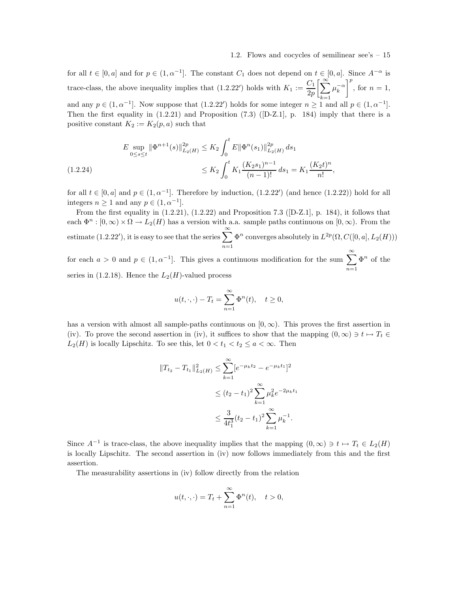for all  $t \in [0, a]$  and for  $p \in (1, \alpha^{-1}]$ . The constant  $C_1$  does not depend on  $t \in [0, a]$ . Since  $A^{-\alpha}$  is trace-class, the above inequality implies that  $(1.2.22')$  holds with  $K_1 := \frac{C_1}{2\pi}$  $_{2p}$  $\left[\sum_{\infty}^{\infty}\right]$  $k=1$  $\mu_k^{-\alpha}$  $\Big]^{p}$ , for  $n=1$ , and any  $p \in (1, \alpha^{-1}]$ . Now suppose that  $(1.2.22')$  holds for some integer  $n \ge 1$  and all  $p \in (1, \alpha^{-1}]$ .

Then the first equality in  $(1.2.21)$  and Proposition  $(7.3)$  ([D-Z.1], p. 184) imply that there is a positive constant  $K_2 := K_2(p, a)$  such that

$$
E \sup_{0 \le s \le t} \|\Phi^{n+1}(s)\|_{L_2(H)}^{2p} \le K_2 \int_0^t E \|\Phi^n(s_1)\|_{L_2(H)}^{2p} ds_1
$$
  

$$
\le K_2 \int_0^t K_1 \frac{(K_2 s_1)^{n-1}}{(n-1)!} ds_1 = K_1 \frac{(K_2 t)^n}{n!},
$$

for all  $t \in [0, a]$  and  $p \in (1, \alpha^{-1}]$ . Therefore by induction,  $(1.2.22')$  (and hence  $(1.2.22)$ ) hold for all integers  $n \ge 1$  and any  $p \in (1, \alpha^{-1}]$ .

From the first equality in  $(1.2.21)$ ,  $(1.2.22)$  and Proposition 7.3 ([D-Z.1], p. 184), it follows that each  $\Phi^n : [0, \infty) \times \Omega \to L_2(H)$  has a version with a.a. sample paths continuous on  $[0, \infty)$ . From the estimate (1.2.22'), it is easy to see that the series  $\sum^{\infty}$  $n=1$  $\Phi^n$  converges absolutely in  $L^{2p}(\Omega, C([0, a], L_2(H)))$ 

for each  $a > 0$  and  $p \in (1, \alpha^{-1}]$ . This gives a continuous modification for the sum  $\sum^{\infty}$  $n=1$  $\Phi^n$  of the series in  $(1.2.18)$ . Hence the  $L_2(H)$ -valued process

$$
u(t,\cdot,\cdot)-T_t=\sum_{n=1}^\infty \Phi^n(t),\quad t\geq 0,
$$

has a version with almost all sample-paths continuous on  $[0, \infty)$ . This proves the first assertion in (iv). To prove the second assertion in (iv), it suffices to show that the mapping  $(0, \infty) \ni t \mapsto T_t \in$  $L_2(H)$  is locally Lipschitz. To see this, let  $0 < t_1 < t_2 \le a < \infty$ . Then

$$
||T_{t_2} - T_{t_1}||_{L_2(H)}^2 \le \sum_{k=1}^{\infty} [e^{-\mu_k t_2} - e^{-\mu_k t_1}]^2
$$
  

$$
\le (t_2 - t_1)^2 \sum_{k=1}^{\infty} \mu_k^2 e^{-2\mu_k t_1}
$$
  

$$
\le \frac{3}{4t_1^3} (t_2 - t_1)^2 \sum_{k=1}^{\infty} \mu_k^{-1}.
$$

Since  $A^{-1}$  is trace-class, the above inequality implies that the mapping  $(0, \infty) \ni t \mapsto T_t \in L_2(H)$ is locally Lipschitz. The second assertion in (iv) now follows immediately from this and the first assertion.

The measurability assertions in (iv) follow directly from the relation

$$
u(t,\cdot,\cdot)=T_t+\sum_{n=1}^{\infty}\Phi^n(t),\quad t>0,
$$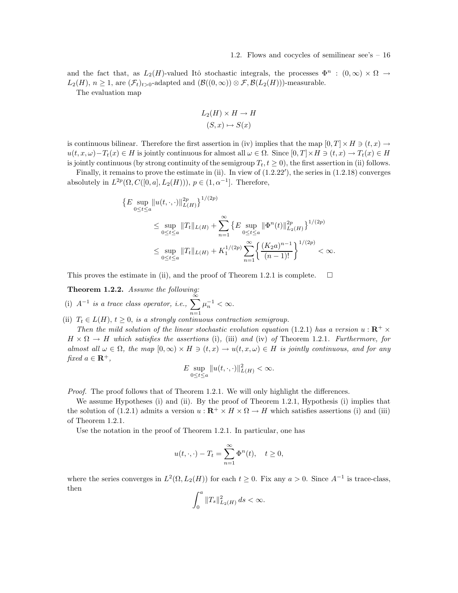and the fact that, as  $L_2(H)$ -valued Itô stochastic integrals, the processes  $\Phi^n$  :  $(0,\infty) \times \Omega \to$  $L_2(H)$ ,  $n \geq 1$ , are  $(\mathcal{F}_t)_{t>0}$ -adapted and  $(\mathcal{B}((0,\infty)) \otimes \mathcal{F}, \mathcal{B}(L_2(H)))$ -measurable.

The evaluation map

$$
L_2(H) \times H \to H
$$

$$
(S, x) \mapsto S(x)
$$

is continuous bilinear. Therefore the first assertion in (iv) implies that the map  $[0, T] \times H \ni (t, x) \rightarrow$  $u(t, x, \omega) - T_t(x) \in H$  is jointly continuous for almost all  $\omega \in \Omega$ . Since  $[0, T] \times H \ni (t, x) \to T_t(x) \in H$ is jointly continuous (by strong continuity of the semigroup  $T_t, t \geq 0$ ), the first assertion in (ii) follows.

Finally, it remains to prove the estimate in (ii). In view of  $(1.2.22')$ , the series in  $(1.2.18)$  converges absolutely in  $L^{2p}(\Omega, C([0, a], L_2(H))), p \in (1, \alpha^{-1}]$ . Therefore,

$$
\{E \sup_{0 \le t \le a} ||u(t, \cdot, \cdot)||_{L(H)}^{2p} \}^{1/(2p)}
$$
\n
$$
\le \sup_{0 \le t \le a} ||T_t||_{L(H)} + \sum_{n=1}^{\infty} \left\{ E \sup_{0 \le t \le a} ||\Phi^n(t)||_{L_2(H)}^{2p} \right\}^{1/(2p)}
$$
\n
$$
\le \sup_{0 \le t \le a} ||T_t||_{L(H)} + K_1^{1/(2p)} \sum_{n=1}^{\infty} \left\{ \frac{(K_2 a)^{n-1}}{(n-1)!} \right\}^{1/(2p)} < \infty.
$$

This proves the estimate in (ii), and the proof of Theorem 1.2.1 is complete.  $\Box$ 

Theorem 1.2.2. Assume the following:

(i)  $A^{-1}$  is a trace class operator, i.e.,  $\sum_{n=1}^{\infty}$  $n=1$  $\mu_n^{-1} < \infty.$ 

(ii)  $T_t \in L(H)$ ,  $t \geq 0$ , is a strongly continuous contraction semigroup.

Then the mild solution of the linear stochastic evolution equation (1.2.1) has a version  $u : \mathbb{R}^+ \times$  $H \times \Omega \to H$  which satisfies the assertions (i), (iii) and (iv) of Theorem 1.2.1. Furthermore, for almost all  $\omega \in \Omega$ , the map  $[0, \infty) \times H \ni (t, x) \to u(t, x, \omega) \in H$  is jointly continuous, and for any fixed  $a \in \mathbf{R}^+,$ 

$$
E \sup_{0 \le t \le a} ||u(t,\cdot,\cdot)||^2_{L(H)} < \infty.
$$

Proof. The proof follows that of Theorem 1.2.1. We will only highlight the differences.

We assume Hypotheses (i) and (ii). By the proof of Theorem 1.2.1, Hypothesis (i) implies that the solution of (1.2.1) admits a version  $u : \mathbb{R}^+ \times H \times \Omega \to H$  which satisfies assertions (i) and (iii) of Theorem 1.2.1.

Use the notation in the proof of Theorem 1.2.1. In particular, one has

$$
u(t,\cdot,\cdot)-T_t=\sum_{n=1}^{\infty}\Phi^n(t),\quad t\geq 0,
$$

where the series converges in  $L^2(\Omega, L_2(H))$  for each  $t \geq 0$ . Fix any  $a > 0$ . Since  $A^{-1}$  is trace-class, then

$$
\int_0^a \|T_s\|_{L_2(H)}^2 ds < \infty.
$$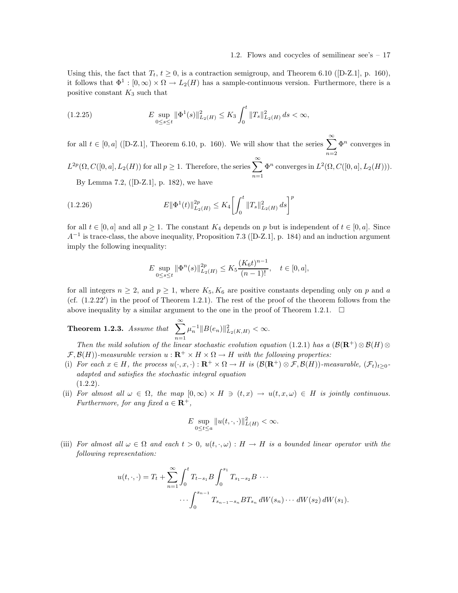Using this, the fact that  $T_t$ ,  $t \geq 0$ , is a contraction semigroup, and Theorem 6.10 ([D-Z.1], p. 160), it follows that  $\Phi^1: [0, \infty) \times \Omega \to L_2(H)$  has a sample-continuous version. Furthermore, there is a positive constant  $K_3$  such that

$$
(1.2.25) \t\t E \sup_{0 \le s \le t} \|\Phi^1(s)\|_{L_2(H)}^2 \le K_3 \int_0^t \|T_s\|_{L_2(H)}^2 ds < \infty,
$$

for all  $t \in [0, a]$  ([D-Z.1], Theorem 6.10, p. 160). We will show that the series  $\sum_{n=1}^{\infty} \Phi^n$  converges in  $n=2$  $L^{2p}(\Omega, C([0, a], L_2(H))$  for all  $p \ge 1$ . Therefore, the series  $\sum_{n=1}^{\infty}$  $\Phi^n$  converges in  $L^2(\Omega, C([0, a], L_2(H)))$ .

By Lemma 7.2, ([D-Z.1], p. 182), we have

(1.2.26) 
$$
E \|\Phi^1(t)\|_{L_2(H)}^{2p} \le K_4 \left[ \int_0^t \|T_s\|_{L_2(H)}^2 ds \right]^p
$$

for all  $t \in [0, a]$  and all  $p \ge 1$ . The constant  $K_4$  depends on p but is independent of  $t \in [0, a]$ . Since  $A^{-1}$  is trace-class, the above inequality, Proposition 7.3 ([D-Z.1], p. 184) and an induction argument imply the following inequality:

$$
E \sup_{0 \le s \le t} \|\Phi^n(s)\|_{L_2(H)}^{2p} \le K_5 \frac{(K_6 t)^{n-1}}{(n-1)!}, \quad t \in [0, a],
$$

for all integers  $n \geq 2$ , and  $p \geq 1$ , where  $K_5, K_6$  are positive constants depending only on p and a (cf. (1.2.22′ ) in the proof of Theorem 1.2.1). The rest of the proof of the theorem follows from the above inequality by a similar argument to the one in the proof of Theorem 1.2.1.  $\Box$ 

**Theorem 1.2.3.** Assume that  $\sum_{n=1}^{\infty}$  $n=1$  $\mu_n^{-1} \|B(e_n)\|_{L_2(K,H)}^2 < \infty.$ 

Then the mild solution of the linear stochastic evolution equation (1.2.1) has a  $(\mathcal{B}(\mathbf{R}^+)\otimes \mathcal{B}(H)\otimes$  $\mathcal{F}, \mathcal{B}(H)$ )-measurable version  $u : \mathbf{R}^+ \times H \times \Omega \to H$  with the following properties:

- (i) For each  $x \in H$ , the process  $u(\cdot, x, \cdot): \mathbf{R}^+ \times \Omega \to H$  is  $(\mathcal{B}(\mathbf{R}^+) \otimes \mathcal{F}, \mathcal{B}(H))$ -measurable,  $(\mathcal{F}_t)_{t>0}$ adapted and satisfies the stochastic integral equation  $(1.2.2).$
- (ii) For almost all  $\omega \in \Omega$ , the map  $[0, \infty) \times H \ni (t, x) \rightarrow u(t, x, \omega) \in H$  is jointly continuous. Furthermore, for any fixed  $a \in \mathbf{R}^+$ ,

$$
E \sup_{0 \le t \le a} ||u(t,\cdot,\cdot)||^2_{L(H)} < \infty.
$$

(iii) For almost all  $\omega \in \Omega$  and each  $t > 0$ ,  $u(t, \cdot, \omega) : H \to H$  is a bounded linear operator with the following representation:

$$
u(t,\cdot,\cdot) = T_t + \sum_{n=1}^{\infty} \int_0^t T_{t-s_1} B \int_0^{s_1} T_{s_1-s_2} B \cdots
$$

$$
\cdots \int_0^{s_{n-1}} T_{s_{n-1}-s_n} B T_{s_n} dW(s_n) \cdots dW(s_2) dW(s_1).
$$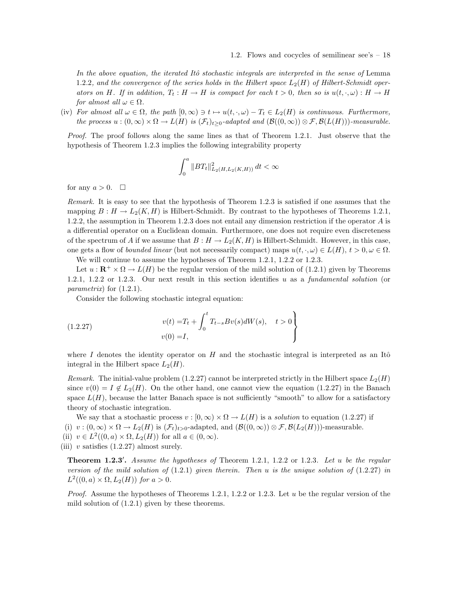In the above equation, the iterated Itô stochastic integrals are interpreted in the sense of Lemma 1.2.2, and the convergence of the series holds in the Hilbert space  $L_2(H)$  of Hilbert-Schmidt operators on H. If in addition,  $T_t : H \to H$  is compact for each  $t > 0$ , then so is  $u(t, \cdot, \omega) : H \to H$ for almost all  $\omega \in \Omega$ .

(iv) For almost all  $\omega \in \Omega$ , the path  $[0, \infty) \ni t \mapsto u(t, \cdot, \omega) - T_t \in L_2(H)$  is continuous. Furthermore, the process  $u : (0, \infty) \times \Omega \to L(H)$  is  $(\mathcal{F}_t)_{t\geq 0}$ -adapted and  $(\mathcal{B}((0, \infty)) \otimes \mathcal{F}, \mathcal{B}(L(H)))$ -measurable.

Proof. The proof follows along the same lines as that of Theorem 1.2.1. Just observe that the hypothesis of Theorem 1.2.3 implies the following integrability property

$$
\int_0^a \|BT_t\|_{L_2(H, L_2(K, H))}^2 dt < \infty
$$

for any  $a > 0$ .  $\Box$ 

Remark. It is easy to see that the hypothesis of Theorem 1.2.3 is satisfied if one assumes that the mapping  $B: H \to L_2(K, H)$  is Hilbert-Schmidt. By contrast to the hypotheses of Theorems 1.2.1, 1.2.2, the assumption in Theorem 1.2.3 does not entail any dimension restriction if the operator A is a differential operator on a Euclidean domain. Furthermore, one does not require even discreteness of the spectrum of A if we assume that  $B : H \to L_2(K, H)$  is Hilbert-Schmidt. However, in this case, one gets a flow of *bounded linear* (but not necessarily compact) maps  $u(t, \cdot, \omega) \in L(H)$ ,  $t > 0, \omega \in \Omega$ .

We will continue to assume the hypotheses of Theorem 1.2.1, 1.2.2 or 1.2.3.

Let  $u : \mathbf{R}^+ \times \Omega \to L(H)$  be the regular version of the mild solution of (1.2.1) given by Theorems 1.2.1, 1.2.2 or 1.2.3. Our next result in this section identifies u as a fundamental solution (or parametrix) for  $(1.2.1)$ .

Consider the following stochastic integral equation:

(1.2.27) 
$$
v(t) = T_t + \int_0^t T_{t-s} Bv(s) dW(s), \quad t > 0
$$

$$
v(0) = I,
$$

where I denotes the identity operator on  $H$  and the stochastic integral is interpreted as an Itô integral in the Hilbert space  $L_2(H)$ .

Remark. The initial-value problem (1.2.27) cannot be interpreted strictly in the Hilbert space  $L_2(H)$ since  $v(0) = I \notin L_2(H)$ . On the other hand, one cannot view the equation (1.2.27) in the Banach space  $L(H)$ , because the latter Banach space is not sufficiently "smooth" to allow for a satisfactory theory of stochastic integration.

We say that a stochastic process  $v : [0, \infty) \times \Omega \to L(H)$  is a *solution* to equation (1.2.27) if (i)  $v:(0,\infty)\times\Omega\to L_2(H)$  is  $(\mathcal{F}_t)_{t>0}$ -adapted, and  $(\mathcal{B}((0,\infty))\otimes\mathcal{F},\mathcal{B}(L_2(H)))$ -measurable.

- (ii)  $v \in L^2((0, a) \times \Omega, L_2(H))$  for all  $a \in (0, \infty)$ .
- (iii) v satisfies  $(1.2.27)$  almost surely.

**Theorem 1.2.3'.** Assume the hypotheses of Theorem 1.2.1, 1.2.2 or 1.2.3. Let u be the regular version of the mild solution of  $(1.2.1)$  given therein. Then u is the unique solution of  $(1.2.27)$  in  $L^2((0, a) \times \Omega, L_2(H))$  for  $a > 0$ .

*Proof.* Assume the hypotheses of Theorems 1.2.1, 1.2.2 or 1.2.3. Let u be the regular version of the mild solution of (1.2.1) given by these theorems.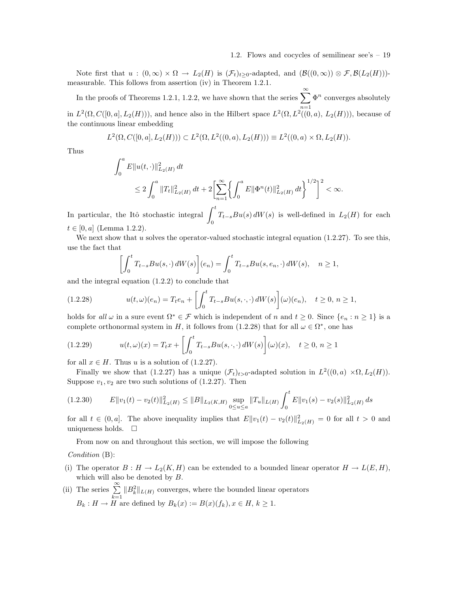Note first that  $u:(0,\infty)\times\Omega\to L_2(H)$  is  $(\mathcal{F}_t)_{t\geq0}$ -adapted, and  $(\mathcal{B}((0,\infty))\otimes\mathcal{F},\mathcal{B}(L_2(H)))$ measurable. This follows from assertion (iv) in Theorem 1.2.1.

In the proofs of Theorems 1.2.1, 1.2.2, we have shown that the series  $\sum_{n=1}^{\infty}$  $n=1$  $\Phi^n$  converges absolutely in  $L^2(\Omega, C([0, a], L_2(H)))$ , and hence also in the Hilbert space  $L^2(\Omega, L^2((0, a), L_2(H)))$ , because of the continuous linear embedding

$$
L^{2}(\Omega, C([0, a], L_{2}(H))) \subset L^{2}(\Omega, L^{2}((0, a), L_{2}(H))) \equiv L^{2}((0, a) \times \Omega, L_{2}(H)).
$$

Thus

$$
\int_0^a E||u(t, \cdot)||_{L_2(H)}^2 dt
$$
  
\n
$$
\leq 2 \int_0^a ||T_t||_{L_2(H)}^2 dt + 2 \left[ \sum_{n=1}^\infty \left\{ \int_0^a E||\Phi^n(t)||_{L_2(H)}^2 dt \right\}^{1/2} \right]^2 < \infty.
$$

In particular, the Itô stochastic integral  $\int_0^t$  $T_{t-s}Bu(s) dW(s)$  is well-defined in  $L_2(H)$  for each 0  $t \in [0, a]$  (Lemma 1.2.2).

We next show that  $u$  solves the operator-valued stochastic integral equation (1.2.27). To see this, use the fact that

$$
\left[\int_0^t T_{t-s}Bu(s,\cdot) dW(s)\right](e_n) = \int_0^t T_{t-s}Bu(s,e_n,\cdot) dW(s), \quad n \ge 1,
$$

and the integral equation (1.2.2) to conclude that

(1.2.28) 
$$
u(t,\omega)(e_n) = T_t e_n + \left[\int_0^t T_{t-s} B u(s,\cdot,\cdot) dW(s)\right](\omega)(e_n), \quad t \ge 0, n \ge 1,
$$

holds for all  $\omega$  in a sure event  $\Omega^* \in \mathcal{F}$  which is independent of n and  $t \geq 0$ . Since  $\{e_n : n \geq 1\}$  is a complete orthonormal system in H, it follows from  $(1.2.28)$  that for all  $\omega \in \Omega^*$ , one has

(1.2.29) 
$$
u(t,\omega)(x) = T_t x + \left[\int_0^t T_{t-s} B u(s,\cdot,\cdot) dW(s)\right](\omega)(x), \quad t \ge 0, n \ge 1
$$

for all  $x \in H$ . Thus u is a solution of (1.2.27).

Finally we show that (1.2.27) has a unique  $(\mathcal{F}_t)_{t>0}$ -adapted solution in  $L^2((0,a) \times \Omega, L_2(H))$ . Suppose  $v_1, v_2$  are two such solutions of  $(1.2.27)$ . Then

$$
(1.2.30) \t E \|v_1(t) - v_2(t)\|_{L_2(H)}^2 \le \|B\|_{L_2(K,H)} \sup_{0 \le u \le a} \|T_u\|_{L(H)} \int_0^t E \|v_1(s) - v_2(s)\|_{L_2(H)}^2 ds
$$

for all  $t \in (0, a]$ . The above inequality implies that  $E||v_1(t) - v_2(t)||_{L_2(H)}^2 = 0$  for all  $t > 0$  and uniqueness holds.  $\square$ 

From now on and throughout this section, we will impose the following

Condition (B):

- (i) The operator  $B: H \to L_2(K, H)$  can be extended to a bounded linear operator  $H \to L(E, H)$ , which will also be denoted by  $B$ .
- (ii) The series  $\sum_{k=1}^{\infty} \|B_k^2\|_{L(H)}$  converges, where the bounded linear operators  $B_k: H \to \overline{H}$  are defined by  $B_k(x) := B(x)(f_k), x \in H, k \geq 1$ .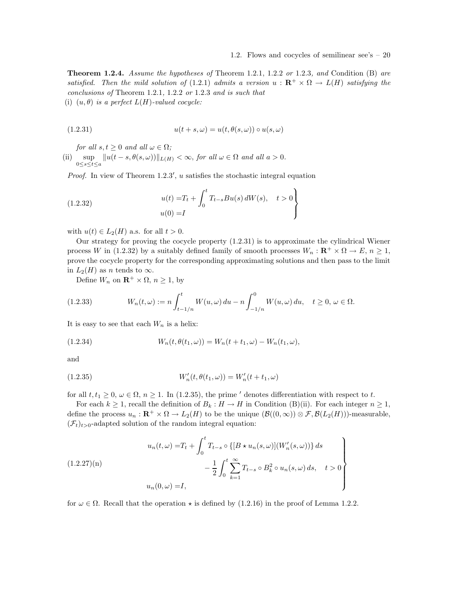**Theorem 1.2.4.** Assume the hypotheses of Theorem 1.2.1, 1.2.2 or 1.2.3, and Condition (B) are satisfied. Then the mild solution of (1.2.1) admits a version  $u : \mathbb{R}^+ \times \Omega \to L(H)$  satisfying the conclusions of Theorem 1.2.1, 1.2.2 or 1.2.3 and is such that

(i)  $(u, \theta)$  is a perfect  $L(H)$ -valued cocycle:

(1.2.31) 
$$
u(t+s,\omega) = u(t,\theta(s,\omega)) \circ u(s,\omega)
$$

for all  $s, t \geq 0$  and all  $\omega \in \Omega$ ;

(ii) sup  $\sup_{0 \le s \le t \le a} ||u(t - s, \theta(s, \omega))||_{L(H)} < \infty$ , for all  $\omega \in \Omega$  and all  $a > 0$ .

Proof. In view of Theorem 1.2.3', u satisfies the stochastic integral equation

(1.2.32) 
$$
u(t) = T_t + \int_0^t T_{t-s}Bu(s) dW(s), \quad t > 0
$$

$$
u(0) = I
$$

with  $u(t) \in L_2(H)$  a.s. for all  $t > 0$ .

Our strategy for proving the cocycle property (1.2.31) is to approximate the cylindrical Wiener process W in (1.2.32) by a suitably defined family of smooth processes  $W_n : \mathbf{R}^+ \times \Omega \to E$ ,  $n \geq 1$ , prove the cocycle property for the corresponding approximating solutions and then pass to the limit in  $L_2(H)$  as n tends to  $\infty$ .

Define  $W_n$  on  $\mathbb{R}^+ \times \Omega$ ,  $n \geq 1$ , by

(1.2.33) 
$$
W_n(t,\omega) := n \int_{t-1/n}^t W(u,\omega) du - n \int_{-1/n}^0 W(u,\omega) du, \quad t \ge 0, \ \omega \in \Omega.
$$

It is easy to see that each  $W_n$  is a helix:

(1.2.34) 
$$
W_n(t, \theta(t_1, \omega)) = W_n(t + t_1, \omega) - W_n(t_1, \omega),
$$

and

$$
(1.2.35) \t W'_n(t, \theta(t_1, \omega)) = W'_n(t + t_1, \omega)
$$

for all  $t, t_1 \geq 0, \omega \in \Omega$ ,  $n \geq 1$ . In (1.2.35), the prime ' denotes differentiation with respect to t.

For each  $k \geq 1$ , recall the definition of  $B_k : H \to H$  in Condition (B)(ii). For each integer  $n \geq 1$ , define the process  $u_n : \mathbf{R}^+ \times \Omega \to L_2(H)$  to be the unique  $(\mathcal{B}((0,\infty)) \otimes \mathcal{F}, \mathcal{B}(L_2(H)))$ -measurable,  $(\mathcal{F}_t)_{t>0}$ -adapted solution of the random integral equation:

$$
(1.2.27)(n)
$$
\n
$$
u_n(t,\omega) = T_t + \int_0^t T_{t-s} \circ \{[B \star u_n(s,\omega)](W'_n(s,\omega))\} ds - \frac{1}{2} \int_0^t \sum_{k=1}^\infty T_{t-s} \circ B_k^2 \circ u_n(s,\omega) ds, \quad t > 0
$$
\n
$$
u_n(0,\omega) = I,
$$

for  $\omega \in \Omega$ . Recall that the operation  $\star$  is defined by (1.2.16) in the proof of Lemma 1.2.2.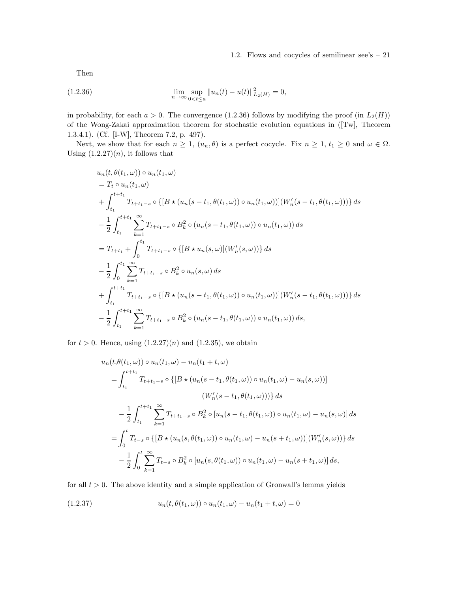Then

(1.2.36) 
$$
\lim_{n \to \infty} \sup_{0 < t \le a} ||u_n(t) - u(t)||_{L_2(H)}^2 = 0,
$$

in probability, for each  $a > 0$ . The convergence (1.2.36) follows by modifying the proof (in  $L_2(H)$ ) of the Wong-Zakai approximation theorem for stochastic evolution equations in ([Tw], Theorem 1.3.4.1). (Cf. [I-W], Theorem 7.2, p. 497).

Next, we show that for each  $n \geq 1$ ,  $(u_n, \theta)$  is a perfect cocycle. Fix  $n \geq 1$ ,  $t_1 \geq 0$  and  $\omega \in \Omega$ . Using  $(1.2.27)(n)$ , it follows that

$$
u_n(t, \theta(t_1, \omega)) \circ u_n(t_1, \omega)
$$
  
=  $T_t \circ u_n(t_1, \omega)$   
+  $\int_{t_1}^{t+t_1} T_{t+t_1-s} \circ \{[B \star (u_n(s-t_1, \theta(t_1, \omega)) \circ u_n(t_1, \omega))](W'_n(s-t_1, \theta(t_1, \omega)))\} ds$   
-  $\frac{1}{2} \int_{t_1}^{t+t_1} \sum_{k=1}^{\infty} T_{t+t_1-s} \circ B_k^2 \circ (u_n(s-t_1, \theta(t_1, \omega)) \circ u_n(t_1, \omega)) ds$   
=  $T_{t+t_1} + \int_0^{t_1} T_{t+t_1-s} \circ \{[B \star u_n(s, \omega)](W'_n(s, \omega))\} ds$   
-  $\frac{1}{2} \int_0^{t_1} \sum_{k=1}^{\infty} T_{t+t_1-s} \circ B_k^2 \circ u_n(s, \omega) ds$   
+  $\int_{t_1}^{t+t_1} T_{t+t_1-s} \circ \{[B \star (u_n(s-t_1, \theta(t_1, \omega)) \circ u_n(t_1, \omega))](W'_n(s-t_1, \theta(t_1, \omega)))\} ds$   
-  $\frac{1}{2} \int_{t_1}^{t+t_1} \sum_{k=1}^{\infty} T_{t+t_1-s} \circ B_k^2 \circ (u_n(s-t_1, \theta(t_1, \omega)) \circ u_n(t_1, \omega)) ds,$ 

for  $t > 0$ . Hence, using  $(1.2.27)(n)$  and  $(1.2.35)$ , we obtain

$$
u_n(t, \theta(t_1, \omega)) \circ u_n(t_1, \omega) - u_n(t_1 + t, \omega)
$$
  
=  $\int_{t_1}^{t+t_1} T_{t+t_1-s} \circ \{ [B \star (u_n(s - t_1, \theta(t_1, \omega)) \circ u_n(t_1, \omega) - u_n(s, \omega))]$   
 $(W'_n(s - t_1, \theta(t_1, \omega))) \} ds$   
 $- \frac{1}{2} \int_{t_1}^{t+t_1} \sum_{k=1}^{\infty} T_{t+t_1-s} \circ B_k^2 \circ [u_n(s - t_1, \theta(t_1, \omega)) \circ u_n(t_1, \omega) - u_n(s, \omega)] ds$   
=  $\int_0^t T_{t-s} \circ \{ [B \star (u_n(s, \theta(t_1, \omega)) \circ u_n(t_1, \omega) - u_n(s + t_1, \omega))](W'_n(s, \omega)) \} ds$   
 $- \frac{1}{2} \int_0^t \sum_{k=1}^{\infty} T_{t-s} \circ B_k^2 \circ [u_n(s, \theta(t_1, \omega)) \circ u_n(t_1, \omega) - u_n(s + t_1, \omega)] ds,$ 

for all  $t > 0$ . The above identity and a simple application of Gronwall's lemma yields

(1.2.37) 
$$
u_n(t, \theta(t_1, \omega)) \circ u_n(t_1, \omega) - u_n(t_1 + t, \omega) = 0
$$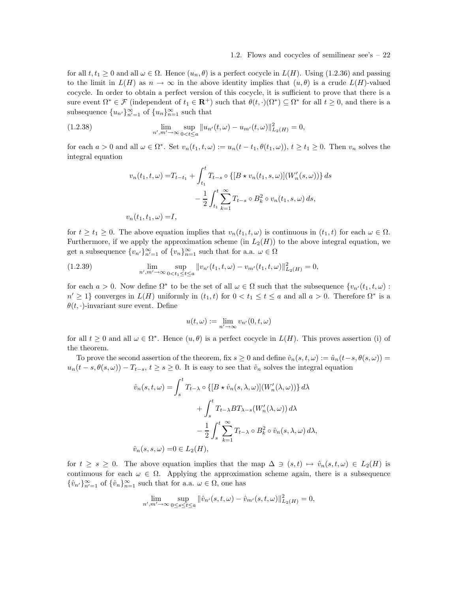for all  $t, t_1 \geq 0$  and all  $\omega \in \Omega$ . Hence  $(u_n, \theta)$  is a perfect cocycle in  $L(H)$ . Using (1.2.36) and passing to the limit in  $L(H)$  as  $n \to \infty$  in the above identity implies that  $(u, \theta)$  is a crude  $L(H)$ -valued cocycle. In order to obtain a perfect version of this cocycle, it is sufficient to prove that there is a sure event  $\Omega^* \in \mathcal{F}$  (independent of  $t_1 \in \mathbf{R}^+$ ) such that  $\theta(t, \cdot)(\Omega^*) \subseteq \Omega^*$  for all  $t \geq 0$ , and there is a subsequence  ${u_{n'}\}_{n'=1}^{\infty}$  of  ${u_n}_{n=1}^{\infty}$  such that

(1.2.38) 
$$
\lim_{n',m'\to\infty}\sup_{0
$$

for each  $a > 0$  and all  $\omega \in \Omega^*$ . Set  $v_n(t_1, t, \omega) := u_n(t - t_1, \theta(t_1, \omega))$ ,  $t \ge t_1 \ge 0$ . Then  $v_n$  solves the integral equation

$$
v_n(t_1, t, \omega) = T_{t-t_1} + \int_{t_1}^t T_{t-s} \circ \{ [B \star v_n(t_1, s, \omega)](W'_n(s, \omega)) \} ds
$$
  

$$
- \frac{1}{2} \int_{t_1}^t \sum_{k=1}^\infty T_{t-s} \circ B_k^2 \circ v_n(t_1, s, \omega) ds,
$$
  

$$
v_n(t_1, t_1, \omega) = I,
$$

for  $t \geq t_1 \geq 0$ . The above equation implies that  $v_n(t_1, t, \omega)$  is continuous in  $(t_1, t)$  for each  $\omega \in \Omega$ . Furthermore, if we apply the approximation scheme (in  $L_2(H)$ ) to the above integral equation, we get a subsequence  ${v_{n'}}_{n'=1}^{\infty}$  of  ${v_{n}}_{n=1}^{\infty}$  such that for a.a.  $\omega \in \Omega$ 

(1.2.39) 
$$
\lim_{n',m'\to\infty}\sup_{0
$$

for each  $a > 0$ . Now define  $\Omega^*$  to be the set of all  $\omega \in \Omega$  such that the subsequence  $\{v_{n'}(t_1, t, \omega) :$  $n' \geq 1$ } converges in  $L(H)$  uniformly in  $(t_1, t)$  for  $0 < t_1 \leq t \leq a$  and all  $a > 0$ . Therefore  $\Omega^*$  is a  $\theta(t, \cdot)$ -invariant sure event. Define

$$
u(t,\omega) := \lim_{n' \to \infty} v_{n'}(0,t,\omega)
$$

for all  $t \geq 0$  and all  $\omega \in \Omega^*$ . Hence  $(u, \theta)$  is a perfect cocycle in  $L(H)$ . This proves assertion (i) of the theorem.

To prove the second assertion of the theorem, fix  $s \geq 0$  and define  $\hat{v}_n(s, t, \omega) := \hat{u}_n(t - s, \theta(s, \omega))$  $u_n(t-s,\theta(s,\omega)) - T_{t-s}, t \geq s \geq 0$ . It is easy to see that  $\hat{v}_n$  solves the integral equation

$$
\hat{v}_n(s, t, \omega) = \int_s^t T_{t-\lambda} \circ \{ [B \star \hat{v}_n(s, \lambda, \omega)] (W'_n(\lambda, \omega)) \} d\lambda \n+ \int_s^t T_{t-\lambda} BT_{\lambda-s} (W'_n(\lambda, \omega)) d\lambda \n- \frac{1}{2} \int_s^t \sum_{k=1}^\infty T_{t-\lambda} \circ B_k^2 \circ \hat{v}_n(s, \lambda, \omega) d\lambda, \n\hat{v}_n(s, s, \omega) = 0 \in L_2(H),
$$

for  $t \geq s \geq 0$ . The above equation implies that the map  $\Delta \ni (s, t) \mapsto \hat{v}_n(s, t, \omega) \in L_2(H)$  is continuous for each  $\omega \in \Omega$ . Applying the approximation scheme again, there is a subsequence  $\{\hat{v}_{n'}\}_{n'=1}^{\infty}$  of  $\{\hat{v}_{n}\}_{n=1}^{\infty}$  such that for a.a.  $\omega \in \Omega$ , one has

$$
\lim_{n',m'\to\infty} \sup_{0\leq s\leq t\leq a} \|\hat{v}_{n'}(s,t,\omega) - \hat{v}_{m'}(s,t,\omega)\|_{L_2(H)}^2 = 0,
$$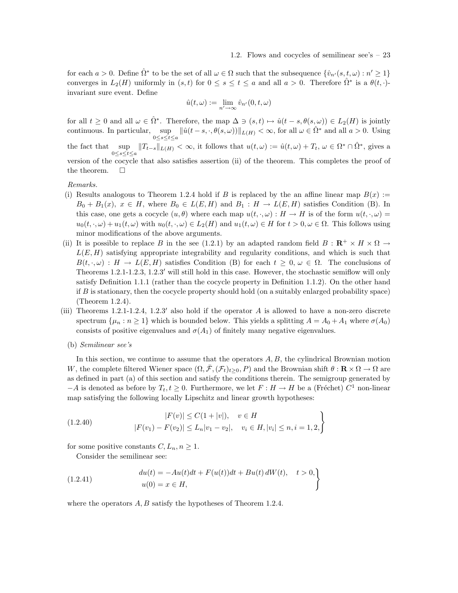for each  $a > 0$ . Define  $\hat{\Omega}^*$  to be the set of all  $\omega \in \Omega$  such that the subsequence  $\{\hat{v}_{n'}(s,t,\omega): n' \geq 1\}$ converges in  $L_2(H)$  uniformly in  $(s,t)$  for  $0 \le s \le t \le a$  and all  $a > 0$ . Therefore  $\hat{\Omega}^*$  is a  $\theta(t, \cdot)$ invariant sure event. Define

$$
\hat{u}(t,\omega) := \lim_{n' \to \infty} \hat{v}_{n'}(0,t,\omega)
$$

for all  $t \geq 0$  and all  $\omega \in \hat{\Omega}^*$ . Therefore, the map  $\Delta \ni (s, t) \mapsto \hat{u}(t - s, \theta(s, \omega)) \in L_2(H)$  is jointly continuous. In particular, sup  $\sup_{0 \le s \le t \le a} ||\hat{u}(t-s,\cdot,\theta(s,\omega))||_{L(H)} < \infty$ , for all  $\omega \in \hat{\Omega}^*$  and all  $a > 0$ . Using the fact that  $\sup_{0 \leq t \leq \epsilon} ||T_{t-s}||_{L(H)} < \infty$ , it follows that  $u(t,\omega) := \hat{u}(t,\omega) + T_t, \ \omega \in \Omega^* \cap \hat{\Omega}^*$ , gives a 0≤s≤t≤a version of the cocycle that also satisfies assertion (ii) of the theorem. This completes the proof of the theorem.  $\Box$ 

#### Remarks.

- (i) Results analogous to Theorem 1.2.4 hold if B is replaced by the an affine linear map  $B(x) :=$  $B_0 + B_1(x), x \in H$ , where  $B_0 \in L(E, H)$  and  $B_1 : H \to L(E, H)$  satisfies Condition (B). In this case, one gets a cocycle  $(u, \theta)$  where each map  $u(t, \cdot, \omega) : H \to H$  is of the form  $u(t, \cdot, \omega) =$  $u_0(t, \cdot, \omega) + u_1(t, \omega)$  with  $u_0(t, \cdot, \omega) \in L_2(H)$  and  $u_1(t, \omega) \in H$  for  $t > 0, \omega \in \Omega$ . This follows using minor modifications of the above arguments.
- (ii) It is possible to replace B in the see (1.2.1) by an adapted random field  $B: \mathbb{R}^+ \times H \times \Omega \rightarrow$  $L(E, H)$  satisfying appropriate integrability and regularity conditions, and which is such that  $B(t, \cdot, \omega) : H \to L(E, H)$  satisfies Condition (B) for each  $t \geq 0, \omega \in \Omega$ . The conclusions of Theorems 1.2.1-1.2.3, 1.2.3′ will still hold in this case. However, the stochastic semiflow will only satisfy Definition 1.1.1 (rather than the cocycle property in Definition 1.1.2). On the other hand if  $B$  is stationary, then the cocycle property should hold (on a suitably enlarged probability space) (Theorem 1.2.4).
- (iii) Theorems 1.2.1-1.2.4, 1.2.3' also hold if the operator A is allowed to have a non-zero discrete spectrum  $\{\mu_n : n \geq 1\}$  which is bounded below. This yields a splitting  $A = A_0 + A_1$  where  $\sigma(A_0)$ consists of positive eigenvalues and  $\sigma(A_1)$  of finitely many negative eigenvalues.
	- (b) Semilinear see's

In this section, we continue to assume that the operators  $A, B$ , the cylindrical Brownian motion W, the complete filtered Wiener space  $(\Omega, \bar{\mathcal{F}}, (\mathcal{F}_t)_{t>0}, P)$  and the Brownian shift  $\theta : \mathbf{R} \times \Omega \to \Omega$  are as defined in part (a) of this section and satisfy the conditions therein. The semigroup generated by  $-A$  is denoted as before by  $T_t, t \geq 0$ . Furthermore, we let  $F: H \to H$  be a (Fréchet)  $C^1$  non-linear map satisfying the following locally Lipschitz and linear growth hypotheses:

$$
|F(v)| \le C(1+|v|), \quad v \in H
$$
  
(1.2.40)  

$$
|F(v_1) - F(v_2)| \le L_n |v_1 - v_2|, \quad v_i \in H, |v_i| \le n, i = 1, 2,
$$

for some positive constants  $C, L_n, n \geq 1$ .

Consider the semilinear see:

(1.2.41) 
$$
du(t) = -Au(t)dt + F(u(t))dt + Bu(t) dW(t), \quad t > 0,u(0) = x \in H,
$$

where the operators  $A, B$  satisfy the hypotheses of Theorem 1.2.4.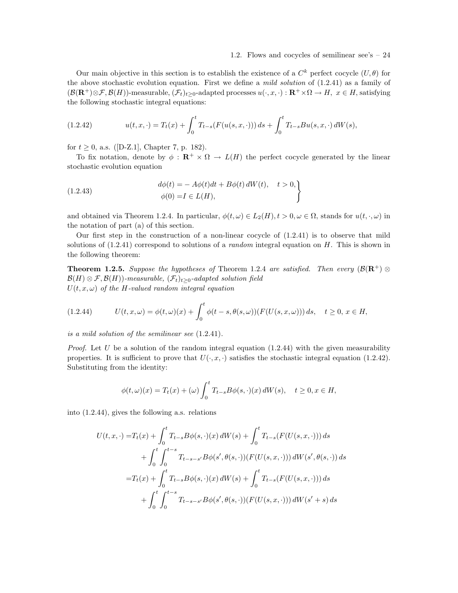Our main objective in this section is to establish the existence of a  $C^k$  perfect cocycle  $(U, \theta)$  for the above stochastic evolution equation. First we define a mild solution of (1.2.41) as a family of  $(\mathcal{B}(\mathbf{R}^+) \otimes \mathcal{F}, \mathcal{B}(H))$ -measurable,  $(\mathcal{F}_t)_{t>0}$ -adapted processes  $u(\cdot, x, \cdot) : \mathbf{R}^+ \times \Omega \to H$ ,  $x \in H$ , satisfying the following stochastic integral equations:

(1.2.42) 
$$
u(t,x,\cdot) = T_t(x) + \int_0^t T_{t-s}(F(u(s,x,\cdot))) ds + \int_0^t T_{t-s}Bu(s,x,\cdot) dW(s),
$$

for  $t \geq 0$ , a.s. ([D-Z.1], Chapter 7, p. 182).

To fix notation, denote by  $\phi : \mathbf{R}^+ \times \Omega \to L(H)$  the perfect cocycle generated by the linear stochastic evolution equation

(1.2.43) 
$$
d\phi(t) = -A\phi(t)dt + B\phi(t) dW(t), \quad t > 0,
$$

$$
\phi(0) = I \in L(H),
$$

and obtained via Theorem 1.2.4. In particular,  $\phi(t,\omega) \in L_2(H)$ ,  $t > 0$ ,  $\omega \in \Omega$ , stands for  $u(t, \cdot, \omega)$  in the notation of part (a) of this section.

Our first step in the construction of a non-linear cocycle of  $(1.2.41)$  is to observe that mild solutions of  $(1.2.41)$  correspond to solutions of a *random* integral equation on H. This is shown in the following theorem:

**Theorem 1.2.5.** Suppose the hypotheses of Theorem 1.2.4 are satisfied. Then every  $(\mathcal{B}(R^+) \otimes$  $\mathcal{B}(H) \otimes \mathcal{F}, \mathcal{B}(H)$ )-measurable,  $(\mathcal{F}_t)_{t>0}$ -adapted solution field  $U(t, x, \omega)$  of the H-valued random integral equation

$$
(1.2.44) \tU(t, x, \omega) = \phi(t, \omega)(x) + \int_0^t \phi(t - s, \theta(s, \omega)) (F(U(s, x, \omega))) ds, \quad t \ge 0, x \in H,
$$

is a mild solution of the semilinear see (1.2.41).

*Proof.* Let U be a solution of the random integral equation  $(1.2.44)$  with the given measurability properties. It is sufficient to prove that  $U(\cdot, x, \cdot)$  satisfies the stochastic integral equation (1.2.42). Substituting from the identity:

$$
\phi(t,\omega)(x) = T_t(x) + (\omega) \int_0^t T_{t-s} B\phi(s,\cdot)(x) dW(s), \quad t \ge 0, x \in H,
$$

into (1.2.44), gives the following a.s. relations

$$
U(t, x, \cdot) = T_t(x) + \int_0^t T_{t-s} B\phi(s, \cdot)(x) dW(s) + \int_0^t T_{t-s}(F(U(s, x, \cdot))) ds
$$
  
+ 
$$
\int_0^t \int_0^{t-s} T_{t-s-s'} B\phi(s', \theta(s, \cdot))(F(U(s, x, \cdot))) dW(s', \theta(s, \cdot)) ds
$$
  
= 
$$
T_t(x) + \int_0^t T_{t-s} B\phi(s, \cdot)(x) dW(s) + \int_0^t T_{t-s}(F(U(s, x, \cdot))) ds
$$
  
+ 
$$
\int_0^t \int_0^{t-s} T_{t-s-s'} B\phi(s', \theta(s, \cdot))(F(U(s, x, \cdot))) dW(s' + s) ds
$$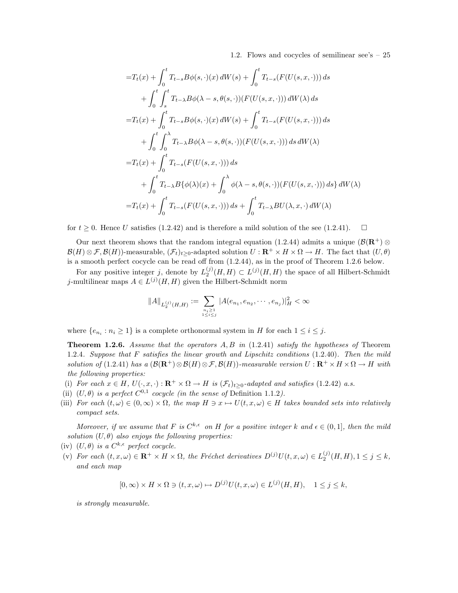$$
=T_{t}(x)+\int_{0}^{t}T_{t-s}B\phi(s,\cdot)(x)\,dW(s)+\int_{0}^{t}T_{t-s}(F(U(s,x,\cdot)))\,ds+\int_{0}^{t}\int_{s}^{t}T_{t-\lambda}B\phi(\lambda-s,\theta(s,\cdot))(F(U(s,x,\cdot)))\,dW(\lambda)\,ds=T_{t}(x)+\int_{0}^{t}T_{t-s}B\phi(s,\cdot)(x)\,dW(s)+\int_{0}^{t}T_{t-s}(F(U(s,x,\cdot)))\,ds+ \int_{0}^{t}\int_{0}^{\lambda}T_{t-\lambda}B\phi(\lambda-s,\theta(s,\cdot))(F(U(s,x,\cdot)))\,ds\,dW(\lambda)=T_{t}(x)+\int_{0}^{t}T_{t-s}(F(U(s,x,\cdot)))\,ds+ \int_{0}^{t}T_{t-\lambda}B\{\phi(\lambda)(x)+\int_{0}^{\lambda}\phi(\lambda-s,\theta(s,\cdot))(F(U(s,x,\cdot)))\,ds\}\,dW(\lambda)=T_{t}(x)+\int_{0}^{t}T_{t-s}(F(U(s,x,\cdot)))\,ds+\int_{0}^{t}T_{t-\lambda}BU(\lambda,x,\cdot)\,dW(\lambda)
$$

for  $t \geq 0$ . Hence U satisfies (1.2.42) and is therefore a mild solution of the see (1.2.41).  $\Box$ 

Our next theorem shows that the random integral equation (1.2.44) admits a unique ( $\mathcal{B}(\mathbf{R}^+)$  ⊗  $\mathcal{B}(H) \otimes \mathcal{F}, \mathcal{B}(H)$ -measurable,  $(\mathcal{F}_t)_{t>0}$ -adapted solution  $U : \mathbb{R}^+ \times H \times \Omega \to H$ . The fact that  $(U, \theta)$ is a smooth perfect cocycle can be read off from (1.2.44), as in the proof of Theorem 1.2.6 below.

For any positive integer j, denote by  $L_2^{(j)}(H, H) \subset L^{(j)}(H, H)$  the space of all Hilbert-Schmidt j-multilinear maps  $A \in L^{(j)}(H, H)$  given the Hilbert-Schmidt norm

$$
||A||_{L_2^{(j)}(H,H)} := \sum_{\substack{n_i \geq 1 \\ 1 \leq i \leq j}} |A(e_{n_1}, e_{n_2}, \cdots, e_{n_j})|_H^2 < \infty
$$

where  $\{e_{n_i} : n_i \geq 1\}$  is a complete orthonormal system in H for each  $1 \leq i \leq j$ .

**Theorem 1.2.6.** Assume that the operators  $A, B$  in (1.2.41) satisfy the hypotheses of Theorem 1.2.4. Suppose that F satisfies the linear growth and Lipschitz conditions (1.2.40). Then the mild solution of (1.2.41) has a  $(\mathcal{B}(\mathbf{R}^+)\otimes \mathcal{B}(H)\otimes \mathcal{F}, \mathcal{B}(H))$ -measurable version  $U : \mathbf{R}^+ \times H \times \Omega \to H$  with the following properties:

- (i) For each  $x \in H$ ,  $U(\cdot, x, \cdot) : \mathbf{R}^+ \times \Omega \to H$  is  $(\mathcal{F}_t)_{t>0}$ -adapted and satisfies (1.2.42) a.s.
- (ii)  $(U, \theta)$  is a perfect  $C^{0,1}$  cocycle (in the sense of Definition 1.1.2).
- (iii) For each  $(t, \omega) \in (0, \infty) \times \Omega$ , the map  $H \ni x \mapsto U(t, x, \omega) \in H$  takes bounded sets into relatively compact sets.

Moreover, if we assume that F is  $C^{k,\epsilon}$  on H for a positive integer k and  $\epsilon \in (0,1]$ , then the mild solution  $(U, \theta)$  also enjoys the following properties:

- (iv)  $(U, \theta)$  is a  $C^{k,\epsilon}$  perfect cocycle.
- (v) For each  $(t, x, \omega) \in \mathbf{R}^+ \times H \times \Omega$ , the Fréchet derivatives  $D^{(j)}U(t, x, \omega) \in L_2^{(j)}(H, H)$ ,  $1 \leq j \leq k$ , and each map

$$
[0,\infty) \times H \times \Omega \ni (t,x,\omega) \mapsto D^{(j)}U(t,x,\omega) \in L^{(j)}(H,H), \quad 1 \le j \le k,
$$

is strongly measurable.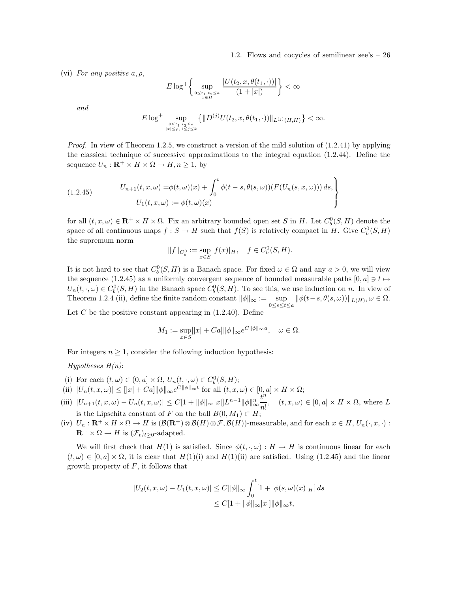(vi) For any positive  $a, \rho$ ,

$$
E\log^+\left\{\sup_{\substack{0\leq t_1,t_2\leq a\\x\in H}}\frac{|U(t_2,x,\theta(t_1,\cdot))|}{(1+|x|)}\right\}<\infty
$$

and

$$
E \log^{+} \sup_{\substack{0 \leq t_1, t_2 \leq a \\ |x| \leq \rho, 1 \leq j \leq k}} \left\{ \| D^{(j)} U(t_2, x, \theta(t_1, \cdot)) \|_{L^{(j)}(H, H)} \right\} < \infty.
$$

Proof. In view of Theorem 1.2.5, we construct a version of the mild solution of  $(1.2.41)$  by applying the classical technique of successive approximations to the integral equation (1.2.44). Define the sequence  $U_n : \mathbf{R}^+ \times H \times \Omega \to H, n \geq 1$ , by

(1.2.45) 
$$
U_{n+1}(t,x,\omega) = \phi(t,\omega)(x) + \int_0^t \phi(t-s,\theta(s,\omega))(F(U_n(s,x,\omega))) ds,
$$

$$
U_1(t,x,\omega) := \phi(t,\omega)(x)
$$

for all  $(t, x, \omega) \in \mathbf{R}^+ \times H \times \Omega$ . Fix an arbitrary bounded open set S in H. Let  $C_b^0(S, H)$  denote the space of all continuous maps  $f : S \to H$  such that  $f(S)$  is relatively compact in H. Give  $C_b^0(S, H)$ the supremum norm

$$
||f||_{C_b^0} := \sup_{x \in S} |f(x)|_H, \quad f \in C_b^0(S, H).
$$

It is not hard to see that  $C_b^0(S, H)$  is a Banach space. For fixed  $\omega \in \Omega$  and any  $a > 0$ , we will view the sequence (1.2.45) as a uniformly convergent sequence of bounded measurable paths  $[0, a] \ni t \mapsto$  $U_n(t, \cdot, \omega) \in C_b^0(S, H)$  in the Banach space  $C_b^0(S, H)$ . To see this, we use induction on n. In view of Theorem 1.2.4 (ii), define the finite random constant  $\|\phi\|_{\infty} := \sup_{0 \le s \le t \le a} \|\phi(t-s,\theta(s,\omega))\|_{L(H)}, \omega \in \Omega.$ 

Let  $C$  be the positive constant appearing in  $(1.2.40)$ . Define

$$
M_1 := \sup_{x \in S} [|x| + Ca] ||\phi||_{\infty} e^{C ||\phi||_{\infty} a}, \quad \omega \in \Omega.
$$

For integers  $n \geq 1$ , consider the following induction hypothesis:

Hypotheses  $H(n)$ :

- (i) For each  $(t, \omega) \in (0, a] \times \Omega$ ,  $U_n(t, \cdot, \omega) \in C_b^0(S, H);$
- (i) For each  $(t, \omega) \in (0, \omega] \times \Omega$ ,  $\mathcal{O}_n(t, \cdot, \omega) \in \mathcal{O}_b(\omega, H)$ ,<br>
(ii)  $|U_n(t, x, \omega)| \leq |x| + Ca||\|\phi\|_{\infty}e^{C||\phi\|_{\infty}t}$  for all  $(t, x, \omega) \in [0, a] \times H \times \Omega$ ;
- (iii)  $|U_{n+1}(t, x, \omega) U_n(t, x, \omega)| \leq C[1 + ||\phi||_{\infty}|x|]L^{n-1}||\phi||_{\infty}^n$ ∞  $t^{\hat{n}}$  $\frac{\partial}{\partial n!}$ ,  $(t, x, \omega) \in [0, a] \times H \times \Omega$ , where L is the Lipschitz constant of F on the ball  $B(0, M_1) \subset H$ ;
- (iv)  $U_n: \mathbf{R}^+ \times H \times \Omega \to H$  is  $(\mathcal{B}(\mathbf{R}^+) \otimes \mathcal{B}(H) \otimes \mathcal{F}, \mathcal{B}(H))$ -measurable, and for each  $x \in H$ ,  $U_n(\cdot, x, \cdot)$ :  $\mathbf{R}^+ \times \Omega \to H$  is  $(\mathcal{F}_t)_{t>0}$ -adapted.

We will first check that  $H(1)$  is satisfied. Since  $\phi(t, \cdot, \omega): H \to H$  is continuous linear for each  $(t, \omega) \in [0, a] \times \Omega$ , it is clear that  $H(1)(i)$  and  $H(1)(ii)$  are satisfied. Using (1.2.45) and the linear growth property of  $F$ , it follows that

$$
|U_2(t, x, \omega) - U_1(t, x, \omega)| \le C ||\phi||_{\infty} \int_0^t [1 + |\phi(s, \omega)(x)|_H] ds
$$
  
 
$$
\le C[1 + ||\phi||_{\infty} |x|] ||\phi||_{\infty} t,
$$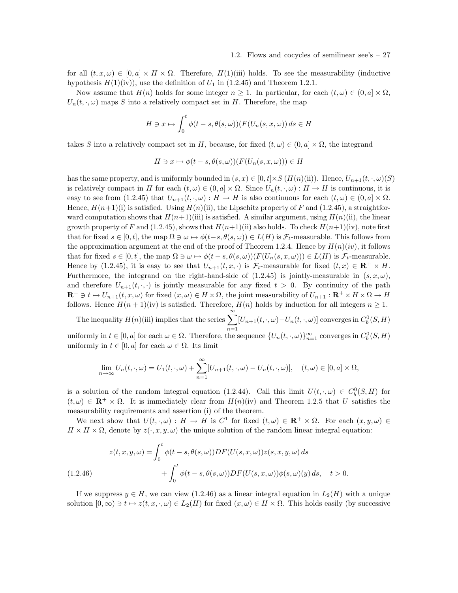for all  $(t, x, \omega) \in [0, a] \times H \times \Omega$ . Therefore,  $H(1)$ (iii) holds. To see the measurability (inductive hypothesis  $H(1)(iv)$ , use the definition of  $U_1$  in (1.2.45) and Theorem 1.2.1.

Now assume that  $H(n)$  holds for some integer  $n \geq 1$ . In particular, for each  $(t, \omega) \in (0, a] \times \Omega$ ,  $U_n(t, \cdot, \omega)$  maps S into a relatively compact set in H. Therefore, the map

$$
H \ni x \mapsto \int_0^t \phi(t - s, \theta(s, \omega)) (F(U_n(s, x, \omega)) ds \in H
$$

takes S into a relatively compact set in H, because, for fixed  $(t, \omega) \in (0, a] \times \Omega$ , the integrand

$$
H \ni x \mapsto \phi(t - s, \theta(s, \omega))(F(U_n(s, x, \omega))) \in H
$$

has the same property, and is uniformly bounded in  $(s, x) \in [0, t] \times S(H(n)(ii))$ . Hence,  $U_{n+1}(t, \cdot, \omega)(S)$ is relatively compact in H for each  $(t, \omega) \in (0, a] \times \Omega$ . Since  $U_n(t, \cdot, \omega) : H \to H$  is continuous, it is easy to see from  $(1.2.45)$  that  $U_{n+1}(t, \cdot, \omega): H \to H$  is also continuous for each  $(t, \omega) \in (0, a] \times \Omega$ . Hence,  $H(n+1)(i)$  is satisfied. Using  $H(n)(ii)$ , the Lipschitz property of F and (1.2.45), a straightforward computation shows that  $H(n+1)$ (iii) is satisfied. A similar argument, using  $H(n)$ (ii), the linear growth property of F and  $(1.2.45)$ , shows that  $H(n+1)(ii)$  also holds. To check  $H(n+1)(iv)$ , note first that for fixed  $s \in [0, t]$ , the map  $\Omega \ni \omega \mapsto \phi(t-s, \theta(s, \omega)) \in L(H)$  is  $\mathcal{F}_t$ -measurable. This follows from the approximation argument at the end of the proof of Theorem 1.2.4. Hence by  $H(n)(iv)$ , it follows that for fixed  $s \in [0, t]$ , the map  $\Omega \ni \omega \mapsto \phi(t - s, \theta(s, \omega))(F(U_n(s, x, \omega))) \in L(H)$  is  $\mathcal{F}_t$ -measurable. Hence by (1.2.45), it is easy to see that  $U_{n+1}(t, x, \cdot)$  is  $\mathcal{F}_t$ -measurable for fixed  $(t, x) \in \mathbb{R}^+ \times H$ . Furthermore, the integrand on the right-hand-side of  $(1.2.45)$  is jointly-measurable in  $(s, x, \omega)$ , and therefore  $U_{n+1}(t, \cdot, \cdot)$  is jointly measurable for any fixed  $t > 0$ . By continuity of the path  $\mathbf{R}^+ \ni t \mapsto U_{n+1}(t, x, \omega)$  for fixed  $(x, \omega) \in H \times \Omega$ , the joint measurability of  $U_{n+1} : \mathbf{R}^+ \times H \times \Omega \to H$ follows. Hence  $H(n+1)(iv)$  is satisfied. Therefore,  $H(n)$  holds by induction for all integers  $n \geq 1$ .

The inequality  $H(n)$ (iii) implies that the series  $\sum_{n=1}^{\infty}$  $\sum_{n=1} [U_{n+1}(t,\cdot,\omega)-U_n(t,\cdot,\omega)]$  converges in  $C_b^0(S,H)$ 

uniformly in  $t \in [0, a]$  for each  $\omega \in \Omega$ . Therefore, the sequence  $\{U_n(t, \cdot, \omega)\}_{n=1}^{\infty}$  converges in  $C_b^0(S, H)$ uniformly in  $t \in [0, a]$  for each  $\omega \in \Omega$ . Its limit

$$
\lim_{n\to\infty} U_n(t,\cdot,\omega) = U_1(t,\cdot,\omega) + \sum_{n=1}^{\infty} [U_{n+1}(t,\cdot,\omega) - U_n(t,\cdot,\omega)], \quad (t,\omega) \in [0,a] \times \Omega,
$$

is a solution of the random integral equation (1.2.44). Call this limit  $U(t, \cdot, \omega) \in C_b^0(S, H)$  for  $(t, \omega) \in \mathbb{R}^+ \times \Omega$ . It is immediately clear from  $H(n)(iv)$  and Theorem 1.2.5 that U satisfies the measurability requirements and assertion (i) of the theorem.

We next show that  $U(t, \cdot, \omega) : H \to H$  is  $C^1$  for fixed  $(t, \omega) \in \mathbb{R}^+ \times \Omega$ . For each  $(x, y, \omega) \in$  $H \times H \times \Omega$ , denote by  $z(\cdot, x, y, \omega)$  the unique solution of the random linear integral equation:

$$
z(t, x, y, \omega) = \int_0^t \phi(t - s, \theta(s, \omega)) DF(U(s, x, \omega)) z(s, x, y, \omega) ds
$$
  

$$
+ \int_0^t \phi(t - s, \theta(s, \omega)) DF(U(s, x, \omega)) \phi(s, \omega)(y) ds, \quad t > 0.
$$

If we suppress  $y \in H$ , we can view (1.2.46) as a linear integral equation in  $L_2(H)$  with a unique solution  $[0, \infty) \ni t \mapsto z(t, x, \cdot, \omega) \in L_2(H)$  for fixed  $(x, \omega) \in H \times \Omega$ . This holds easily (by successive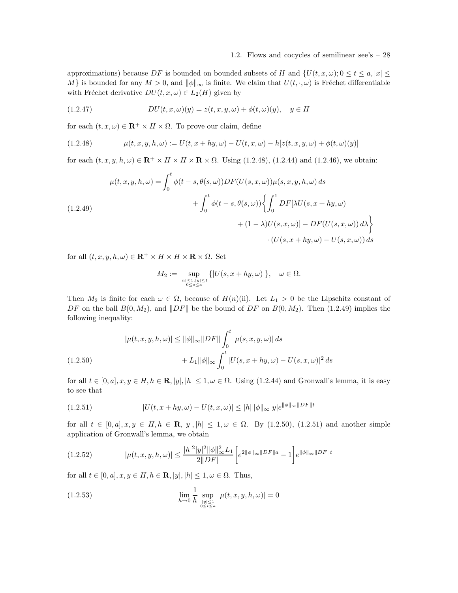approximations) because DF is bounded on bounded subsets of H and  $\{U(t, x, \omega) : 0 \le t \le a, |x| \le c\}$ M} is bounded for any  $M > 0$ , and  $\|\phi\|_{\infty}$  is finite. We claim that  $U(t, \cdot, \omega)$  is Fréchet differentiable with Fréchet derivative  $DU(t, x, \omega) \in L_2(H)$  given by

(1.2.47) 
$$
DU(t, x, \omega)(y) = z(t, x, y, \omega) + \phi(t, \omega)(y), \quad y \in H
$$

for each  $(t, x, \omega) \in \mathbb{R}^+ \times H \times \Omega$ . To prove our claim, define

(1.2.48) 
$$
\mu(t, x, y, h, \omega) := U(t, x + hy, \omega) - U(t, x, \omega) - h[z(t, x, y, \omega) + \phi(t, \omega)(y)]
$$

for each  $(t, x, y, h, \omega) \in \mathbb{R}^+ \times H \times H \times \mathbb{R} \times \Omega$ . Using (1.2.48), (1.2.44) and (1.2.46), we obtain:

$$
\mu(t, x, y, h, \omega) = \int_0^t \phi(t - s, \theta(s, \omega)) DF(U(s, x, \omega)) \mu(s, x, y, h, \omega) ds
$$
  
+ 
$$
\int_0^t \phi(t - s, \theta(s, \omega)) \left\{ \int_0^1 DF[\lambda U(s, x + hy, \omega) + (1 - \lambda)U(s, x, \omega)] - DF(U(s, x, \omega)) d\lambda \right\}
$$
  
 
$$
\cdot (U(s, x + hy, \omega) - U(s, x, \omega)) ds
$$

for all  $(t, x, y, h, \omega) \in \mathbb{R}^+ \times H \times H \times \mathbb{R} \times \Omega$ . Set

$$
M_2 := \sup_{\substack{|h| \le 1, |y| \le 1 \\ 0 \le s \le a}} \{ |U(s, x + hy, \omega)| \}, \quad \omega \in \Omega.
$$

Then  $M_2$  is finite for each  $\omega \in \Omega$ , because of  $H(n)(ii)$ . Let  $L_1 > 0$  be the Lipschitz constant of DF on the ball  $B(0, M_2)$ , and  $||DF||$  be the bound of DF on  $B(0, M_2)$ . Then (1.2.49) implies the following inequality:

$$
|\mu(t, x, y, h, \omega)| \le ||\phi||_{\infty} ||DF|| \int_0^t |\mu(s, x, y, \omega)| ds
$$
  
(1.2.50) 
$$
+ L_1 ||\phi||_{\infty} \int_0^t |U(s, x + hy, \omega) - U(s, x, \omega)|^2 ds
$$

for all  $t \in [0, a], x, y \in H, h \in \mathbf{R}, |y|, |h| \leq 1, \omega \in \Omega$ . Using (1.2.44) and Gronwall's lemma, it is easy to see that

$$
(1.2.51) \t\t |U(t, x + hy, \omega) - U(t, x, \omega)| \le |h| \|\phi\|_{\infty} |y| e^{\|\phi\|_{\infty} \|DF\| t}
$$

for all  $t \in [0, a], x, y \in H, h \in \mathbf{R}, |y|, |h| \leq 1, \omega \in \Omega$ . By (1.2.50), (1.2.51) and another simple application of Gronwall's lemma, we obtain

$$
(1.2.52) \qquad |\mu(t, x, y, h, \omega)| \le \frac{|h|^2 |y|^2 ||\phi||_{\infty}^2 L_1}{2||DF||} \left[ e^{2||\phi||_{\infty} ||DF||a} - 1 \right] e^{||\phi||_{\infty} ||DF||t}
$$

for all  $t \in [0, a], x, y \in H, h \in \mathbf{R}, |y|, |h| \leq 1, \omega \in \Omega$ . Thus,

(1.2.53) 
$$
\lim_{h \to 0} \frac{1}{h} \sup_{\substack{|y| \le 1 \\ 0 \le t \le a}} |\mu(t, x, y, h, \omega)| = 0
$$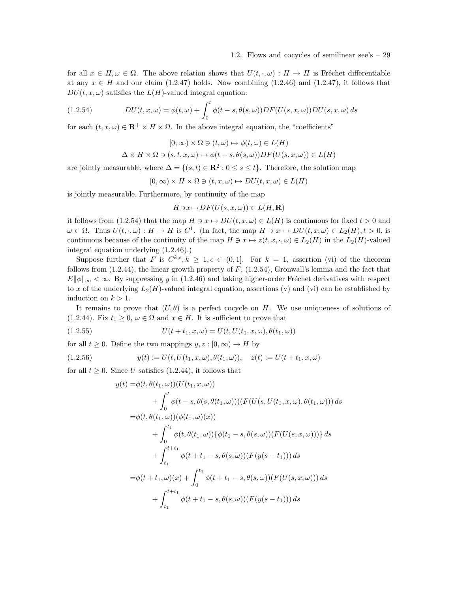for all  $x \in H, \omega \in \Omega$ . The above relation shows that  $U(t, \cdot, \omega): H \to H$  is Fréchet differentiable at any  $x \in H$  and our claim (1.2.47) holds. Now combining (1.2.46) and (1.2.47), it follows that  $DU(t, x, \omega)$  satisfies the  $L(H)$ -valued integral equation:

(1.2.54) 
$$
DU(t, x, \omega) = \phi(t, \omega) + \int_0^t \phi(t - s, \theta(s, \omega)) DF(U(s, x, \omega)) DU(s, x, \omega) ds
$$

for each  $(t, x, \omega) \in \mathbb{R}^+ \times H \times \Omega$ . In the above integral equation, the "coefficients"

$$
[0,\infty)\times\Omega\ni(t,\omega)\mapsto\phi(t,\omega)\in L(H)
$$

$$
\Delta \times H \times \Omega \ni (s, t, x, \omega) \mapsto \phi(t - s, \theta(s, \omega))DF(U(s, x, \omega)) \in L(H)
$$

are jointly measurable, where  $\Delta = \{(s, t) \in \mathbb{R}^2 : 0 \le s \le t\}$ . Therefore, the solution map

 $[0, \infty) \times H \times \Omega \ni (t, x, \omega) \mapsto DU(t, x, \omega) \in L(H)$ 

is jointly measurable. Furthermore, by continuity of the map

$$
H \ni x \mapsto DF(U(s, x, \omega)) \in L(H, \mathbf{R})
$$

it follows from (1.2.54) that the map  $H \ni x \mapsto DU(t, x, \omega) \in L(H)$  is continuous for fixed  $t > 0$  and  $\omega \in \Omega$ . Thus  $U(t, \cdot, \omega) : H \to H$  is  $C^1$ . (In fact, the map  $H \ni x \mapsto DU(t, x, \omega) \in L_2(H), t > 0$ , is continuous because of the continuity of the map  $H \ni x \mapsto z(t, x, \cdot, \omega) \in L_2(H)$  in the  $L_2(H)$ -valued integral equation underlying (1.2.46).)

Suppose further that F is  $C^{k,\epsilon}, k \geq 1, \epsilon \in (0,1]$ . For  $k = 1$ , assertion (vi) of the theorem follows from  $(1.2.44)$ , the linear growth property of  $F$ ,  $(1.2.54)$ , Gronwall's lemma and the fact that  $E\|\phi\|_{\infty} < \infty$ . By suppressing y in (1.2.46) and taking higher-order Fréchet derivatives with respect to x of the underlying  $L_2(H)$ -valued integral equation, assertions (v) and (vi) can be established by induction on  $k > 1$ .

It remains to prove that  $(U, \theta)$  is a perfect cocycle on H. We use uniqueness of solutions of (1.2.44). Fix  $t_1 \geq 0$ ,  $\omega \in \Omega$  and  $x \in H$ . It is sufficient to prove that

(1.2.55) 
$$
U(t + t_1, x, \omega) = U(t, U(t_1, x, \omega), \theta(t_1, \omega))
$$

for all  $t \geq 0$ . Define the two mappings  $y, z : [0, \infty) \to H$  by

(1.2.56) 
$$
y(t) := U(t, U(t_1, x, \omega), \theta(t_1, \omega)), \quad z(t) := U(t + t_1, x, \omega)
$$

for all  $t \geq 0$ . Since U satisfies (1.2.44), it follows that

$$
y(t) = \phi(t, \theta(t_1, \omega))(U(t_1, x, \omega))
$$
  
+  $\int_0^t \phi(t - s, \theta(s, \theta(t_1, \omega)))(F(U(s, U(t_1, x, \omega), \theta(t_1, \omega))) ds$   
=  $\phi(t, \theta(t_1, \omega))(\phi(t_1, \omega)(x))$   
+  $\int_0^{t_1} \phi(t, \theta(t_1, \omega)) \{\phi(t_1 - s, \theta(s, \omega))(F(U(s, x, \omega)))\} ds$   
+  $\int_{t_1}^{t_{1} + t_1} \phi(t + t_1 - s, \theta(s, \omega))(F(y(s - t_1))) ds$   
=  $\phi(t + t_1, \omega)(x) + \int_0^{t_1} \phi(t + t_1 - s, \theta(s, \omega))(F(U(s, x, \omega))) ds$   
+  $\int_{t_1}^{t_{1} + t_1} \phi(t + t_1 - s, \theta(s, \omega))(F(y(s - t_1))) ds$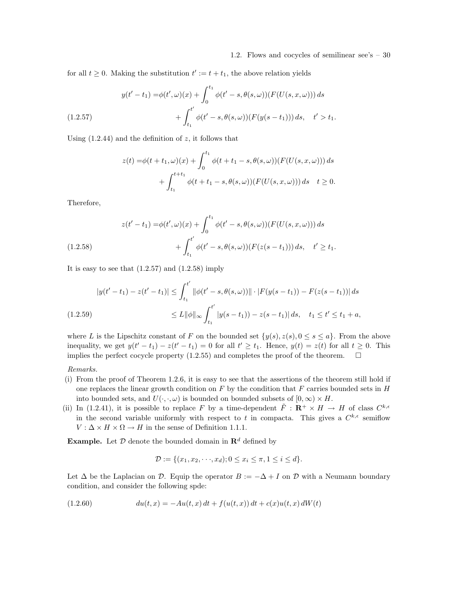for all  $t \geq 0$ . Making the substitution  $t' := t + t_1$ , the above relation yields

(1.2.57) 
$$
y(t'-t_1) = \phi(t',\omega)(x) + \int_0^{t_1} \phi(t'-s,\theta(s,\omega))(F(U(s,x,\omega))) ds + \int_{t_1}^{t'} \phi(t'-s,\theta(s,\omega))(F(y(s-t_1))) ds, \quad t' > t_1.
$$

Using  $(1.2.44)$  and the definition of z, it follows that

$$
z(t) = \phi(t + t_1, \omega)(x) + \int_0^{t_1} \phi(t + t_1 - s, \theta(s, \omega))(F(U(s, x, \omega))) ds + \int_{t_1}^{t + t_1} \phi(t + t_1 - s, \theta(s, \omega))(F(U(s, x, \omega))) ds \quad t \ge 0.
$$

Therefore,

$$
z(t'-t_1) = \phi(t',\omega)(x) + \int_0^{t_1} \phi(t'-s,\theta(s,\omega))(F(U(s,x,\omega))) ds
$$
  

$$
+ \int_{t_1}^{t'} \phi(t'-s,\theta(s,\omega))(F(z(s-t_1))) ds, \quad t' \ge t_1.
$$

It is easy to see that  $(1.2.57)$  and  $(1.2.58)$  imply

$$
|y(t'-t_1)-z(t'-t_1)| \leq \int_{t_1}^{t'} ||\phi(t'-s,\theta(s,\omega))|| \cdot |F(y(s-t_1)) - F(z(s-t_1))| ds
$$
  
(1.2.59)  

$$
\leq L ||\phi||_{\infty} \int_{t_1}^{t'} |y(s-t_1)) - z(s-t_1)| ds, \quad t_1 \leq t' \leq t_1 + a,
$$

where L is the Lipschitz constant of F on the bounded set  $\{y(s), z(s), 0 \le s \le a\}$ . From the above inequality, we get  $y(t'-t_1) - z(t'-t_1) = 0$  for all  $t' \ge t_1$ . Hence,  $y(t) = z(t)$  for all  $t \ge 0$ . This implies the perfect cocycle property  $(1.2.55)$  and completes the proof of the theorem.  $\Box$ 

#### Remarks.

- (i) From the proof of Theorem 1.2.6, it is easy to see that the assertions of the theorem still hold if one replaces the linear growth condition on  $F$  by the condition that  $F$  carries bounded sets in  $H$ into bounded sets, and  $U(\cdot, \cdot, \omega)$  is bounded on bounded subsets of  $[0, \infty) \times H$ .
- (ii) In (1.2.41), it is possible to replace F by a time-dependent  $\tilde{F}: \mathbb{R}^+ \times H \to H$  of class  $C^{k,\epsilon}$ in the second variable uniformly with respect to t in compacta. This gives a  $C^{k,\epsilon}$  semiflow  $V: \Delta \times H \times \Omega \rightarrow H$  in the sense of Definition 1.1.1.

**Example.** Let  $\mathcal{D}$  denote the bounded domain in  $\mathbb{R}^d$  defined by

$$
\mathcal{D} := \{(x_1, x_2, \cdots, x_d); 0 \le x_i \le \pi, 1 \le i \le d\}.
$$

Let  $\Delta$  be the Laplacian on D. Equip the operator  $B := -\Delta + I$  on D with a Neumann boundary condition, and consider the following spde:

(1.2.60) 
$$
du(t,x) = -Au(t,x) dt + f(u(t,x)) dt + c(x)u(t,x) dW(t)
$$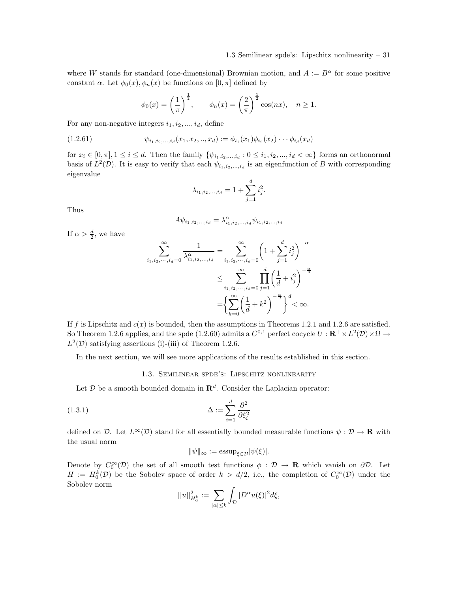where W stands for standard (one-dimensional) Brownian motion, and  $A := B^{\alpha}$  for some positive constant  $\alpha$ . Let  $\phi_0(x), \phi_n(x)$  be functions on  $[0, \pi]$  defined by

$$
\phi_0(x) = \left(\frac{1}{\pi}\right)^{\frac{1}{2}}, \quad \phi_n(x) = \left(\frac{2}{\pi}\right)^{\frac{1}{2}} \cos(nx), \quad n \ge 1.
$$

For any non-negative integers  $i_1, i_2, ..., i_d$ , define

$$
(1.2.61) \qquad \psi_{i_1, i_2, \dots, i_d}(x_1, x_2, \dots, x_d) := \phi_{i_1}(x_1) \phi_{i_2}(x_2) \cdots \phi_{i_d}(x_d)
$$

for  $x_i \in [0, \pi], 1 \leq i \leq d$ . Then the family  $\{\psi_{i_1, i_2, ..., i_d} : 0 \leq i_1, i_2, ..., i_d < \infty\}$  forms an orthonormal basis of  $L^2(\mathcal{D})$ . It is easy to verify that each  $\psi_{i_1,i_2,...,i_d}$  is an eigenfunction of B with corresponding eigenvalue

$$
\lambda_{i_1, i_2, \dots, i_d} = 1 + \sum_{j=1}^d i_j^2.
$$

Thus

$$
A\psi_{i_1,i_2,...,i_d} = \lambda_{i_1,i_2,...,i_d}^{\alpha} \psi_{i_1,i_2,...,i_d}
$$

If  $\alpha > \frac{d}{2}$ , we have

$$
\sum_{i_1, i_2, \dots, i_d = 0}^{\infty} \frac{1}{\lambda_{i_1, i_2, \dots, i_d}^{\alpha}} = \sum_{i_1, i_2, \dots, i_d = 0}^{\infty} \left(1 + \sum_{j=1}^d i_j^2\right)^{-\alpha}
$$

$$
\leq \sum_{i_1, i_2, \dots, i_d = 0}^{\infty} \prod_{j=1}^d \left(\frac{1}{d} + i_j^2\right)^{-\frac{\alpha}{d}}
$$

$$
= \left\{\sum_{k=0}^{\infty} \left(\frac{1}{d} + k^2\right)^{-\frac{\alpha}{d}}\right\}^d < \infty.
$$

If f is Lipschitz and  $c(x)$  is bounded, then the assumptions in Theorems 1.2.1 and 1.2.6 are satisfied. So Theorem 1.2.6 applies, and the spde (1.2.60) admits a  $C^{0,1}$  perfect cocycle  $U: \mathbf{R}^+ \times L^2(\mathcal{D}) \times \Omega \to$  $L^2(\mathcal{D})$  satisfying assertions (i)-(iii) of Theorem 1.2.6.

In the next section, we will see more applications of the results established in this section.

#### 1.3. Semilinear spde's: Lipschitz nonlinearity

Let  $D$  be a smooth bounded domain in  $\mathbf{R}^d$ . Consider the Laplacian operator:

$$
\Delta := \sum_{i=1}^{d} \frac{\partial^2}{\partial \xi_i^2}
$$

defined on D. Let  $L^{\infty}(\mathcal{D})$  stand for all essentially bounded measurable functions  $\psi : \mathcal{D} \to \mathbf{R}$  with the usual norm

$$
\|\psi\|_{\infty} := \operatorname{essup}_{\xi \in \mathcal{D}} |\psi(\xi)|.
$$

Denote by  $C_0^{\infty}(\mathcal{D})$  the set of all smooth test functions  $\phi : \mathcal{D} \to \mathbf{R}$  which vanish on  $\partial \mathcal{D}$ . Let  $H := H_0^k(D)$  be the Sobolev space of order  $k > d/2$ , i.e., the completion of  $C_0^{\infty}(D)$  under the Sobolev norm

$$
||u||_{H_0^k}^2 := \sum_{|\alpha| \le k} \int_{\mathcal{D}} |D^{\alpha} u(\xi)|^2 d\xi,
$$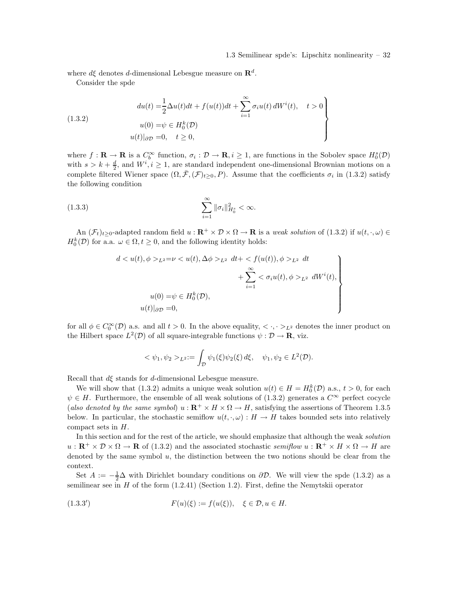#### 1.3 Semilinear spde's: Lipschitz nonlinearity – 32

where  $d\xi$  denotes d-dimensional Lebesgue measure on  $\mathbb{R}^d$ .

Consider the spde

(1.3.2)  
\n
$$
du(t) = \frac{1}{2}\Delta u(t)dt + f(u(t))dt + \sum_{i=1}^{\infty} \sigma_i u(t) dW^i(t), \quad t > 0
$$
\n
$$
u(0) = \psi \in H_0^k(\mathcal{D})
$$
\n
$$
u(t)|_{\partial \mathcal{D}} = 0, \quad t \ge 0,
$$

where  $f: \mathbf{R} \to \mathbf{R}$  is a  $C_b^{\infty}$  function,  $\sigma_i: \mathcal{D} \to \mathbf{R}, i \geq 1$ , are functions in the Sobolev space  $H_0^s(\mathcal{D})$ with  $s > k + \frac{d}{2}$ , and  $W^i, i \geq 1$ , are standard independent one-dimensional Brownian motions on a complete filtered Wiener space  $(\Omega, \bar{\mathcal{F}}, (\mathcal{F})_{t \geq 0}, P)$ . Assume that the coefficients  $\sigma_i$  in (1.3.2) satisfy the following condition

(1.3.3) 
$$
\sum_{i=1}^{\infty} \|\sigma_i\|_{H_0^s}^2 < \infty.
$$

An  $(\mathcal{F}_t)_{t\geq 0}$ -adapted random field  $u : \mathbf{R}^+ \times \mathcal{D} \times \Omega \to \mathbf{R}$  is a weak solution of (1.3.2) if  $u(t, \cdot, \omega) \in$  $H_0^k(\mathcal{D})$  for a.a.  $\omega \in \Omega, t \geq 0$ , and the following identity holds:

$$
d < u(t), \phi >_{L^2} = \nu < u(t), \Delta\phi >_{L^2} dt + < f(u(t)), \phi >_{L^2} dt + \sum_{i=1}^{\infty} < \sigma_i u(t), \phi >_{L^2} dW^i(t),
$$
\n
$$
u(0) = \psi \in H_0^k(\mathcal{D}),
$$
\n
$$
u(t)|_{\partial \mathcal{D}} = 0,
$$

for all  $\phi \in C_0^{\infty}(\mathcal{D})$  a.s. and all  $t > 0$ . In the above equality,  $\langle \cdot, \cdot \rangle_{L^2}$  denotes the inner product on the Hilbert space  $L^2(\mathcal{D})$  of all square-integrable functions  $\psi : \mathcal{D} \to \mathbf{R}$ , viz.

$$
<\psi_1, \psi_2 >_{L^2} := \int_{\mathcal{D}} \psi_1(\xi) \psi_2(\xi) d\xi, \quad \psi_1, \psi_2 \in L^2(\mathcal{D}).
$$

Recall that  $d\xi$  stands for d-dimensional Lebesgue measure.

We will show that (1.3.2) admits a unique weak solution  $u(t) \in H = H_0^k(D)$  a.s.,  $t > 0$ , for each  $\psi \in H$ . Furthermore, the ensemble of all weak solutions of (1.3.2) generates a  $C^{\infty}$  perfect cocycle (also denoted by the same symbol)  $u : \mathbf{R}^+ \times H \times \Omega \to H$ , satisfying the assertions of Theorem 1.3.5 below. In particular, the stochastic semiflow  $u(t, \cdot, \omega) : H \to H$  takes bounded sets into relatively compact sets in H.

In this section and for the rest of the article, we should emphasize that although the weak solution  $u: \mathbf{R}^+ \times \mathcal{D} \times \Omega \to \mathbf{R}$  of (1.3.2) and the associated stochastic semiflow  $u: \mathbf{R}^+ \times H \times \Omega \to H$  are denoted by the same symbol u, the distinction between the two notions should be clear from the context.

Set  $A := -\frac{1}{2}\Delta$  with Dirichlet boundary conditions on  $\partial \mathcal{D}$ . We will view the spde (1.3.2) as a semilinear see in  $H$  of the form  $(1.2.41)$  (Section 1.2). First, define the Nemytskii operator

(1.3.3') 
$$
F(u)(\xi) := f(u(\xi)), \quad \xi \in \mathcal{D}, u \in H.
$$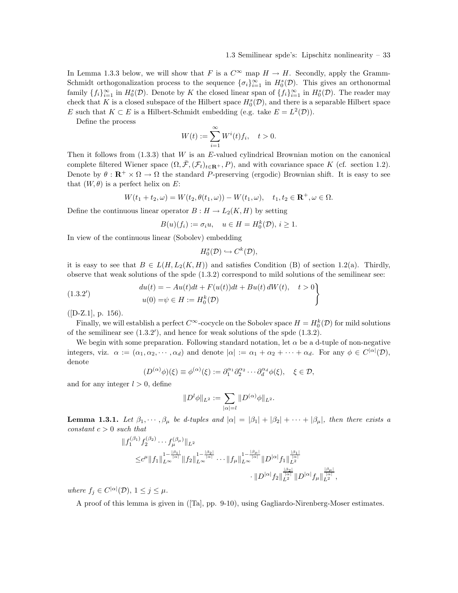In Lemma 1.3.3 below, we will show that F is a  $C^{\infty}$  map  $H \to H$ . Secondly, apply the Gramm-Schmidt orthogonalization process to the sequence  $\{\sigma_i\}_{i=1}^{\infty}$  in  $H_0^s(\mathcal{D})$ . This gives an orthonormal family  $\{f_i\}_{i=1}^{\infty}$  in  $H_0^s(\mathcal{D})$ . Denote by K the closed linear span of  $\{f_i\}_{i=1}^{\infty}$  in  $H_0^s(\mathcal{D})$ . The reader may check that K is a closed subspace of the Hilbert space  $H_0^s(\mathcal{D})$ , and there is a separable Hilbert space E such that  $K \subset E$  is a Hilbert-Schmidt embedding (e.g. take  $E = L^2(\mathcal{D})$ ).

Define the process

$$
W(t) := \sum_{i=1}^{\infty} W^i(t) f_i, \quad t > 0.
$$

Then it follows from  $(1.3.3)$  that W is an E-valued cylindrical Brownian motion on the canonical complete filtered Wiener space  $(\Omega, \bar{\mathcal{F}}, (\mathcal{F}_t)_{t\in \mathbf{R}^+}, P)$ , and with covariance space K (cf. section 1.2). Denote by  $\theta : \mathbf{R}^+ \times \Omega \to \Omega$  the standard P-preserving (ergodic) Brownian shift. It is easy to see that  $(W, \theta)$  is a perfect helix on E:

$$
W(t_1 + t_2, \omega) = W(t_2, \theta(t_1, \omega)) - W(t_1, \omega), \quad t_1, t_2 \in \mathbf{R}^+, \omega \in \Omega.
$$

Define the continuous linear operator  $B: H \to L_2(K, H)$  by setting

$$
B(u)(f_i) := \sigma_i u, \quad u \in H = H_0^k(\mathcal{D}), \ i \ge 1.
$$

In view of the continuous linear (Sobolev) embedding

$$
H_0^s(\mathcal{D}) \hookrightarrow C^k(\mathcal{D}),
$$

it is easy to see that  $B \in L(H, L_2(K, H))$  and satisfies Condition (B) of section 1.2(a). Thirdly, observe that weak solutions of the spde (1.3.2) correspond to mild solutions of the semilinear see:

(1.3.2') 
$$
du(t) = -Au(t)dt + F(u(t))dt + Bu(t) dW(t), \quad t > 0u(0) = \psi \in H := H_0^k(\mathcal{D})
$$

 $([D-Z.1], p. 156).$ 

Finally, we will establish a perfect  $C^{\infty}$ -cocycle on the Sobolev space  $H = H_0^k(\mathcal{D})$  for mild solutions of the semilinear see  $(1.3.2')$ , and hence for weak solutions of the spde  $(1.3.2)$ .

We begin with some preparation. Following standard notation, let  $\alpha$  be a d-tuple of non-negative integers, viz.  $\alpha := (\alpha_1, \alpha_2, \cdots, \alpha_d)$  and denote  $|\alpha| := \alpha_1 + \alpha_2 + \cdots + \alpha_d$ . For any  $\phi \in C^{|\alpha|}(\mathcal{D})$ , denote

$$
(D^{(\alpha)}\phi)(\xi) \equiv \phi^{(\alpha)}(\xi) := \partial_1^{\alpha_1} \partial_2^{\alpha_2} \cdots \partial_d^{\alpha_d} \phi(\xi), \quad \xi \in \mathcal{D},
$$

and for any integer  $l > 0$ , define

$$
||D^l \phi||_{L^2} := \sum_{|\alpha|=l} ||D^{(\alpha)} \phi||_{L^2}.
$$

**Lemma 1.3.1.** Let  $\beta_1, \dots, \beta_\mu$  be d-tuples and  $|\alpha| = |\beta_1| + |\beta_2| + \dots + |\beta_\mu|$ , then there exists a constant  $c > 0$  such that

$$
\begin{aligned}\n\|f_1^{(\beta_1)} f_2^{(\beta_2)} \cdots f_{\mu}^{(\beta_{\mu})} \|_{L^2} \\
&\leq & c^{\mu} \|f_1\|_{L^{\infty}}^{1 - \frac{|\beta_1|}{|\alpha|}} \|f_2\|_{L^{\infty}}^{1 - \frac{|\beta_2|}{|\alpha|}} \cdots \|f_{\mu}\|_{L^{\infty}}^{1 - \frac{|\beta_{\mu}|}{|\alpha|}} \|D^{|\alpha|} f_1\|_{L^{\frac{|\beta_1|}{|\alpha|}}}^{\frac{|\beta_1|}{|\alpha|}} \\
&\quad \cdot \|D^{|\alpha|} f_2\|_{L^2}^{\frac{|\beta_2|}{|\alpha|}} \|D^{|\alpha|} f_{\mu}\|_{L^2}^{\frac{|\beta_{\mu}|}{|\alpha|}},\n\end{aligned}
$$

where  $f_j \in C^{|\alpha|}(\mathcal{D}), 1 \leq j \leq \mu$ .

A proof of this lemma is given in ([Ta], pp. 9-10), using Gagliardo-Nirenberg-Moser estimates.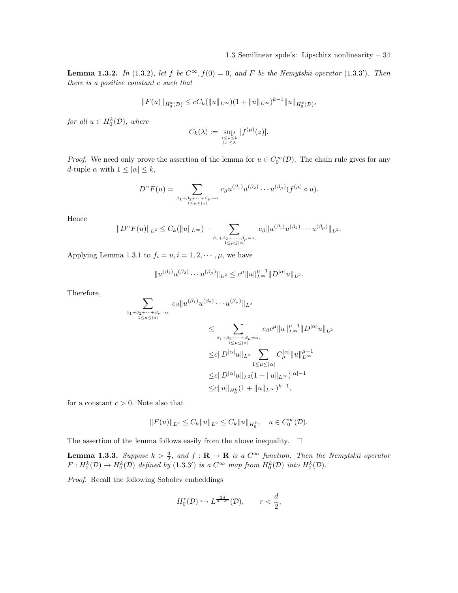**Lemma 1.3.2.** In (1.3.2), let f be  $C^{\infty}$ ,  $f(0) = 0$ , and F be the Nemytskii operator (1.3.3'). Then there is a positive constant c such that

$$
||F(u)||_{H_0^k(\mathcal{D})} \leq cC_k(||u||_{L^{\infty}})(1+||u||_{L^{\infty}})^{k-1}||u||_{H_0^k(\mathcal{D})},
$$

for all  $u \in H_0^k(\mathcal{D})$ , where

$$
C_k(\lambda) := \sup_{\substack{1 \leq \mu \leq k \\ |z| \leq \lambda}} |f^{(\mu)}(z)|.
$$

*Proof.* We need only prove the assertion of the lemma for  $u \in C_0^{\infty}(\mathcal{D})$ . The chain rule gives for any d-tuple  $\alpha$  with  $1 \leq |\alpha| \leq k$ ,

$$
D^{\alpha}F(u) = \sum_{\substack{\beta_1+\beta_2+\cdots+\beta_{\mu}=\alpha \\ 1\leq \mu \leq |\alpha|}} c_{\beta}u^{(\beta_1)}u^{(\beta_2)}\cdots u^{(\beta_{\mu})}(f^{(\mu)}\circ u).
$$

Hence

$$
||D^{\alpha} F(u)||_{L^2} \leq C_k (||u||_{L^{\infty}}) \cdot \sum_{\substack{\beta_1 + \beta_2 + \dots + \beta_{\mu} = \alpha, \\1 \leq \mu \leq |\alpha|}} c_{\beta} ||u^{(\beta_1)} u^{(\beta_2)} \dots u^{(\beta_{\mu})}||_{L^2}.
$$

Applying Lemma 1.3.1 to  $f_i = u, i = 1, 2, \dots, \mu$ , we have

$$
||u^{(\beta_1)}u^{(\beta_2)}\cdots u^{(\beta_\mu)}||_{L^2} \leq c^{\mu}||u||_{L^\infty}^{\mu-1}||D^{|\alpha|}u||_{L^2}.
$$

Therefore,

$$
\sum_{\beta_1+\beta_2+\cdots+\beta_\mu=\alpha, \atop 1\leq \mu\leq |\alpha|} c_{\beta} \|u^{(\beta_1)} u^{(\beta_2)}\cdots u^{(\beta_\mu)}\|_{L^2}
$$
\n
$$
\leq \sum_{\beta_1+\beta_2+\cdots+\beta_\mu=\alpha, \atop 1\leq \mu\leq |\alpha|} c_{\beta} c^{\mu} \|u\|_{L^{\infty}}^{\mu-1} \|D^{|\alpha|}u\|_{L^2}
$$
\n
$$
\leq c \|D^{|\alpha|}u\|_{L^2} \sum_{1\leq \mu\leq |\alpha|} C^{|\alpha|}_\mu \|u\|_{L^\infty}^{\mu-1}
$$
\n
$$
\leq c \|D^{|\alpha|}u\|_{L^2} (1 + \|u\|_{L^\infty})^{|\alpha|-1}
$$
\n
$$
\leq c \|u\|_{H_0^k} (1 + \|u\|_{L^\infty})^{k-1},
$$

for a constant  $c > 0$ . Note also that

$$
||F(u)||_{L^2} \leq C_k ||u||_{L^2} \leq C_k ||u||_{H_0^k}, \quad u \in C_0^{\infty}(\mathcal{D}).
$$

The assertion of the lemma follows easily from the above inequality.  $\Box$ 

**Lemma 1.3.3.** Suppose  $k > \frac{d}{2}$ , and  $f : \mathbf{R} \to \mathbf{R}$  is a  $C^{\infty}$  function. Then the Nemytskii operator  $F: H_0^k(D) \to H_0^k(D)$  defined by  $(1.3.3')$  is a  $C^{\infty}$  map from  $H_0^k(D)$  into  $H_0^k(D)$ .

Proof. Recall the following Sobolev embeddings

$$
H_0^r(\mathcal{D}) \hookrightarrow L^{\frac{2d}{d-2r}}(\mathcal{D}), \qquad r < \frac{d}{2},
$$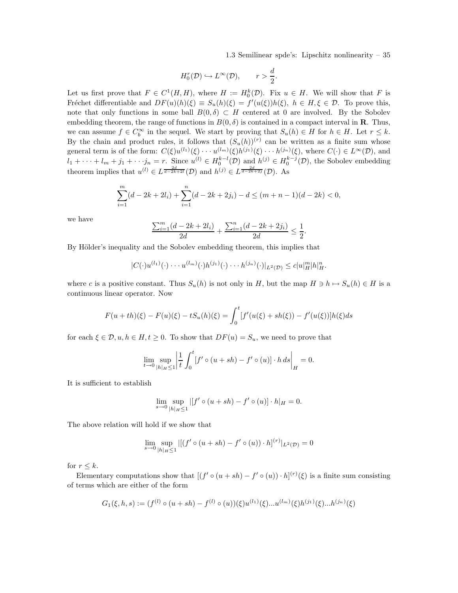$$
H_0^r(\mathcal{D}) \hookrightarrow L^\infty(\mathcal{D}), \qquad r > \frac{d}{2}.
$$

Let us first prove that  $F \in C^1(H, H)$ , where  $H := H_0^k(D)$ . Fix  $u \in H$ . We will show that F is Fréchet differentiable and  $DF(u)(h)(\xi) \equiv S_u(h)(\xi) = f'(u(\xi))h(\xi)$ ,  $h \in H, \xi \in \mathcal{D}$ . To prove this, note that only functions in some ball  $B(0, \delta) \subset H$  centered at 0 are involved. By the Sobolev embedding theorem, the range of functions in  $B(0, \delta)$  is contained in a compact interval in **R**. Thus, we can assume  $f \in C_b^{\infty}$  in the sequel. We start by proving that  $S_u(h) \in H$  for  $h \in H$ . Let  $r \leq k$ . By the chain and product rules, it follows that  $(S_u(h))^{(r)}$  can be written as a finite sum whose general term is of the form:  $C(\xi)u^{(l_1)}(\xi)\cdots u^{(l_m)}(\xi)h^{(j_1)}(\xi)\cdots h^{(j_n)}(\xi)$ , where  $C(\cdot) \in L^{\infty}(\mathcal{D})$ , and  $l_1 + \cdots + l_m + j_1 + \cdots + j_n = r$ . Since  $u^{(l)} \in H_0^{k-l}(\mathcal{D})$  and  $h^{(j)} \in H_0^{k-j}(\mathcal{D})$ , the Sobolev embedding theorem implies that  $u^{(l)} \in L^{\frac{2d}{d-2k+2l}}(\mathcal{D})$  and  $h^{(j)} \in L^{\frac{2d}{d-2k+2j}}(\mathcal{D})$ . As

$$
\sum_{i=1}^{m} (d - 2k + 2l_i) + \sum_{i=1}^{n} (d - 2k + 2j_i) - d \le (m + n - 1)(d - 2k) < 0,
$$

we have

$$
\frac{\sum_{i=1}^{m} (d - 2k + 2l_i)}{2d} + \frac{\sum_{i=1}^{n} (d - 2k + 2j_i)}{2d} \le \frac{1}{2}.
$$

By Hölder's inequality and the Sobolev embedding theorem, this implies that

$$
|C(\cdot)u^{(l_1)}(\cdot)\cdots u^{(l_m)}(\cdot)h^{(j_1)}(\cdot)\cdots h^{(j_n)}(\cdot)|_{L^2(\mathcal{D})}\leq c|u|_H^m|h|_H^n.
$$

where c is a positive constant. Thus  $S_u(h)$  is not only in H, but the map  $H \ni h \mapsto S_u(h) \in H$  is a continuous linear operator. Now

$$
F(u+th)(\xi) - F(u)(\xi) - tS_u(h)(\xi) = \int_0^t [f'(u(\xi) + sh(\xi)) - f'(u(\xi))]h(\xi)ds
$$

for each  $\xi \in \mathcal{D}, u, h \in H, t \geq 0$ . To show that  $DF(u) = S_u$ , we need to prove that

$$
\lim_{t \to 0} \sup_{|h|_{H} \le 1} \left| \frac{1}{t} \int_{0}^{t} [f' \circ (u + sh) - f' \circ (u)] \cdot h ds \right|_{H} = 0.
$$

It is sufficient to establish

$$
\lim_{s \to 0} \sup_{|h|_H \le 1} |[f' \circ (u + sh) - f' \circ (u)] \cdot h|_H = 0.
$$

The above relation will hold if we show that

$$
\lim_{s \to 0} \sup_{|h|_H \le 1} |[(f' \circ (u + sh) - f' \circ (u)) \cdot h]^{(r)}|_{L^2(\mathcal{D})} = 0
$$

for  $r \leq k$ .

Elementary computations show that  $[(f' \circ (u + sh) - f' \circ (u)) \cdot h]^{(r)}(\xi)$  is a finite sum consisting of terms which are either of the form

$$
G_1(\xi, h, s) := (f^{(l)} \circ (u + sh) - f^{(l)} \circ (u))(\xi)u^{(l_1)}(\xi)...u^{(l_m)}(\xi)h^{(j_1)}(\xi)...h^{(j_n)}(\xi)
$$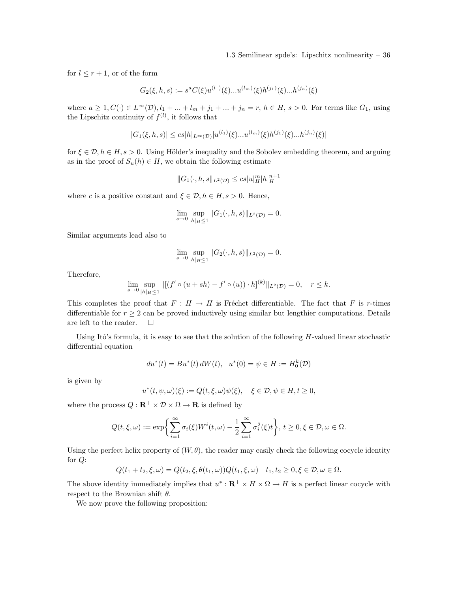for  $l \leq r+1$ , or of the form

$$
G_2(\xi, h, s) := s^a C(\xi) u^{(l_1)}(\xi) ... u^{(l_m)}(\xi) h^{(j_1)}(\xi) ... h^{(j_n)}(\xi)
$$

where  $a \ge 1, C(\cdot) \in L^{\infty}(\mathcal{D}), l_1 + ... + l_m + j_1 + ... + j_n = r, h \in H, s > 0$ . For terms like  $G_1$ , using the Lipschitz continuity of  $f^{(l)}$ , it follows that

$$
|G_1(\xi, h, s)| \le cs|h|_{L^{\infty}(\mathcal{D})}|u^{(l_1)}(\xi)...u^{(l_m)}(\xi)h^{(j_1)}(\xi)...h^{(j_n)}(\xi)|
$$

for  $\xi \in \mathcal{D}, h \in H, s > 0$ . Using Hölder's inequality and the Sobolev embedding theorem, and arguing as in the proof of  $S_u(h) \in H$ , we obtain the following estimate

$$
||G_1(\cdot,h,s||_{L^2(\mathcal{D})} \le cs|u|_H^m|h|_H^{n+1}
$$

where c is a positive constant and  $\xi \in \mathcal{D}, h \in H, s > 0$ . Hence,

$$
\lim_{s \to 0} \sup_{|h|_H \le 1} ||G_1(\cdot, h, s)||_{L^2(\mathcal{D})} = 0.
$$

Similar arguments lead also to

$$
\lim_{s \to 0} \sup_{|h|_H \le 1} ||G_2(\cdot, h, s)||_{L^2(\mathcal{D})} = 0.
$$

Therefore,

$$
\lim_{s \to 0} \sup_{|h|_H \le 1} \| [(f' \circ (u + sh) - f' \circ (u)) \cdot h]^{(k)} \|_{L^2(\mathcal{D})} = 0, \quad r \le k.
$$

This completes the proof that  $F : H \to H$  is Fréchet differentiable. The fact that F is r-times differentiable for  $r \geq 2$  can be proved inductively using similar but lengthier computations. Details are left to the reader. are left to the reader.

Using Itô's formula, it is easy to see that the solution of the following  $H$ -valued linear stochastic differential equation

$$
du^*(t) = Bu^*(t) dW(t), \quad u^*(0) = \psi \in H := H_0^k(\mathcal{D})
$$

is given by

$$
u^*(t, \psi, \omega)(\xi) := Q(t, \xi, \omega)\psi(\xi), \quad \xi \in \mathcal{D}, \psi \in H, t \ge 0,
$$

where the process  $Q: \mathbb{R}^+ \times \mathcal{D} \times \Omega \to \mathbb{R}$  is defined by

$$
Q(t,\xi,\omega):=\exp\biggl\{\sum_{i=1}^{\infty}\sigma_i(\xi)W^i(t,\omega)-\frac{1}{2}\sum_{i=1}^{\infty}\sigma_i^2(\xi)t\biggr\},\ t\geq 0,\xi\in\mathcal{D},\omega\in\Omega.
$$

Using the perfect helix property of  $(W, \theta)$ , the reader may easily check the following cocycle identity for Q:

$$
Q(t_1+t_2,\xi,\omega)=Q(t_2,\xi,\theta(t_1,\omega))Q(t_1,\xi,\omega)\quad t_1,t_2\geq 0,\xi\in\mathcal{D},\omega\in\Omega.
$$

The above identity immediately implies that  $u^*: \mathbb{R}^+ \times H \times \Omega \to H$  is a perfect linear cocycle with respect to the Brownian shift  $\theta$ .

We now prove the following proposition: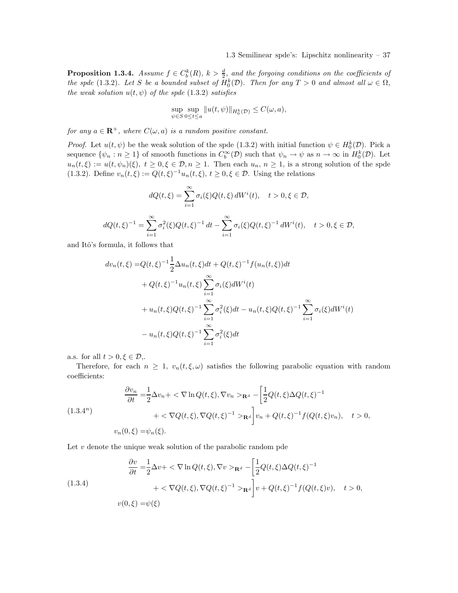**Proposition 1.3.4.** Assume  $f \in C_b^k(R)$ ,  $k > \frac{d}{2}$ , and the forgoing conditions on the coefficients of the spde (1.3.2). Let S be a bounded subset of  $H_0^k(\mathcal{D})$ . Then for any  $T > 0$  and almost all  $\omega \in \Omega$ , the weak solution  $u(t, \psi)$  of the spde (1.3.2) satisfies

$$
\sup_{\psi \in S} \sup_{0 \le t \le a} ||u(t, \psi)||_{H_0^k(\mathcal{D})} \le C(\omega, a),
$$

for any  $a \in \mathbf{R}^+$ , where  $C(\omega, a)$  is a random positive constant.

*Proof.* Let  $u(t, \psi)$  be the weak solution of the spde (1.3.2) with initial function  $\psi \in H_0^k(D)$ . Pick a sequence  $\{\psi_n : n \ge 1\}$  of smooth functions in  $C_b^{\infty}(\mathcal{D})$  such that  $\psi_n \to \psi$  as  $n \to \infty$  in  $H_0^k(\mathcal{D})$ . Let  $u_n(t,\xi) := u(t,\psi_n)(\xi), t \geq 0, \xi \in \mathcal{D}, n \geq 1$ . Then each  $u_n, n \geq 1$ , is a strong solution of the spde (1.3.2). Define  $v_n(t,\xi) := Q(t,\xi)^{-1}u_n(t,\xi), t \ge 0, \xi \in \mathcal{D}$ . Using the relations

$$
dQ(t,\xi) = \sum_{i=1}^{\infty} \sigma_i(\xi) Q(t,\xi) dW^i(t), \quad t > 0, \xi \in \mathcal{D},
$$
  

$$
dQ(t,\xi)^{-1} = \sum_{i=1}^{\infty} \sigma_i^2(\xi) Q(t,\xi)^{-1} dt - \sum_{i=1}^{\infty} \sigma_i(\xi) Q(t,\xi)^{-1} dW^i(t), \quad t > 0, \xi \in \mathcal{D},
$$

and Itô's formula, it follows that

$$
dv_n(t,\xi) = Q(t,\xi)^{-1} \frac{1}{2} \Delta u_n(t,\xi) dt + Q(t,\xi)^{-1} f(u_n(t,\xi)) dt
$$
  
+  $Q(t,\xi)^{-1} u_n(t,\xi) \sum_{i=1}^{\infty} \sigma_i(\xi) dW^i(t)$   
+  $u_n(t,\xi) Q(t,\xi)^{-1} \sum_{i=1}^{\infty} \sigma_i^2(\xi) dt - u_n(t,\xi) Q(t,\xi)^{-1} \sum_{i=1}^{\infty} \sigma_i(\xi) dW^i(t)$   
-  $u_n(t,\xi) Q(t,\xi)^{-1} \sum_{i=1}^{\infty} \sigma_i^2(\xi) dt$ 

a.s. for all  $t > 0, \xi \in \mathcal{D}$ ,.

Therefore, for each  $n \geq 1$ ,  $v_n(t,\xi,\omega)$  satisfies the following parabolic equation with random coefficients:

$$
\frac{\partial v_n}{\partial t} = \frac{1}{2} \Delta v_n + \langle \nabla \ln Q(t, \xi), \nabla v_n \rangle_{\mathbf{R}^d} - \left[ \frac{1}{2} Q(t, \xi) \Delta Q(t, \xi)^{-1} \right]
$$
  
(1.3.4<sup>n</sup>)  

$$
+ \langle \nabla Q(t, \xi), \nabla Q(t, \xi)^{-1} \rangle_{\mathbf{R}^d} \left] v_n + Q(t, \xi)^{-1} f(Q(t, \xi) v_n), \quad t > 0,
$$
  

$$
v_n(0, \xi) = \psi_n(\xi).
$$

Let  $v$  denote the unique weak solution of the parabolic random pde

(1.3.4)  
\n
$$
\frac{\partial v}{\partial t} = \frac{1}{2}\Delta v + \langle \nabla \ln Q(t,\xi), \nabla v \rangle_{\mathbf{R}^d} - \left[\frac{1}{2}Q(t,\xi)\Delta Q(t,\xi)^{-1} + \langle \nabla Q(t,\xi), \nabla Q(t,\xi)^{-1} \rangle_{\mathbf{R}^d}\right]v + Q(t,\xi)^{-1}f(Q(t,\xi)v), \quad t > 0,
$$
\n
$$
v(0,\xi) = \psi(\xi)
$$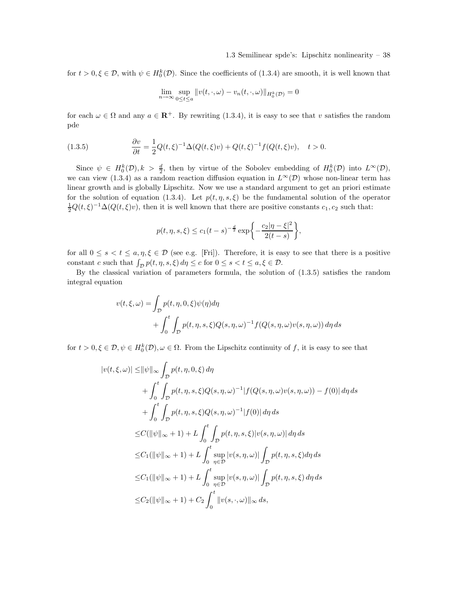for  $t > 0, \xi \in \mathcal{D}$ , with  $\psi \in H_0^k(\mathcal{D})$ . Since the coefficients of (1.3.4) are smooth, it is well known that

$$
\lim_{n \to \infty} \sup_{0 \le t \le a} ||v(t, \cdot, \omega) - v_n(t, \cdot, \omega)||_{H_0^k(\mathcal{D})} = 0
$$

for each  $\omega \in \Omega$  and any  $a \in \mathbb{R}^+$ . By rewriting (1.3.4), it is easy to see that v satisfies the random pde

(1.3.5) 
$$
\frac{\partial v}{\partial t} = \frac{1}{2}Q(t,\xi)^{-1}\Delta(Q(t,\xi)v) + Q(t,\xi)^{-1}f(Q(t,\xi)v), \quad t > 0.
$$

Since  $\psi \in H_0^k(D), k > \frac{d}{2}$ , then by virtue of the Sobolev embedding of  $H_0^k(D)$  into  $L^{\infty}(D)$ , we can view (1.3.4) as a random reaction diffusion equation in  $L^{\infty}(\mathcal{D})$  whose non-linear term has linear growth and is globally Lipschitz. Now we use a standard argument to get an priori estimate for the solution of equation (1.3.4). Let  $p(t, \eta, s, \xi)$  be the fundamental solution of the operator  $\frac{1}{2}Q(t,\xi)^{-1}\Delta(Q(t,\xi)v)$ , then it is well known that there are positive constants  $c_1, c_2$  such that:

$$
p(t, \eta, s, \xi) \le c_1 (t - s)^{-\frac{d}{2}} \exp \left\{-\frac{c_2 |\eta - \xi|^2}{2(t - s)}\right\},\,
$$

for all  $0 \le s < t \le a, \eta, \xi \in \mathcal{D}$  (see e.g. [Fri]). Therefore, it is easy to see that there is a positive constant c such that  $\int_{\mathcal{D}} p(t, \eta, s, \xi) d\eta \leq c$  for  $0 \leq s < t \leq a, \xi \in \mathcal{D}$ .

By the classical variation of parameters formula, the solution of  $(1.3.5)$  satisfies the random integral equation

$$
v(t,\xi,\omega) = \int_{\mathcal{D}} p(t,\eta,0,\xi)\psi(\eta)d\eta
$$
  
+ 
$$
\int_0^t \int_{\mathcal{D}} p(t,\eta,s,\xi)Q(s,\eta,\omega)^{-1}f(Q(s,\eta,\omega)v(s,\eta,\omega))\,d\eta\,ds
$$

for  $t > 0, \xi \in \mathcal{D}, \psi \in H_0^k(\mathcal{D}), \omega \in \Omega$ . From the Lipschitz continuity of f, it is easy to see that

$$
|v(t,\xi,\omega)| \le ||\psi||_{\infty} \int_{\mathcal{D}} p(t,\eta,0,\xi) d\eta
$$
  
+ 
$$
\int_{0}^{t} \int_{\mathcal{D}} p(t,\eta,s,\xi) Q(s,\eta,\omega)^{-1} |f(Q(s,\eta,\omega)v(s,\eta,\omega)) - f(0)| d\eta ds
$$
  
+ 
$$
\int_{0}^{t} \int_{\mathcal{D}} p(t,\eta,s,\xi) Q(s,\eta,\omega)^{-1} |f(0)| d\eta ds
$$
  

$$
\le C(||\psi||_{\infty} + 1) + L \int_{0}^{t} \int_{\mathcal{D}} p(t,\eta,s,\xi) |v(s,\eta,\omega)| d\eta ds
$$
  

$$
\le C_1 (||\psi||_{\infty} + 1) + L \int_{0}^{t} \sup_{\eta \in \mathcal{D}} |v(s,\eta,\omega)| \int_{\mathcal{D}} p(t,\eta,s,\xi) d\eta ds
$$
  

$$
\le C_1 (||\psi||_{\infty} + 1) + L \int_{0}^{t} \sup_{\eta \in \mathcal{D}} |v(s,\eta,\omega)| \int_{\mathcal{D}} p(t,\eta,s,\xi) d\eta ds
$$
  

$$
\le C_2 (||\psi||_{\infty} + 1) + C_2 \int_{0}^{t} ||v(s,\cdot,\omega)||_{\infty} ds,
$$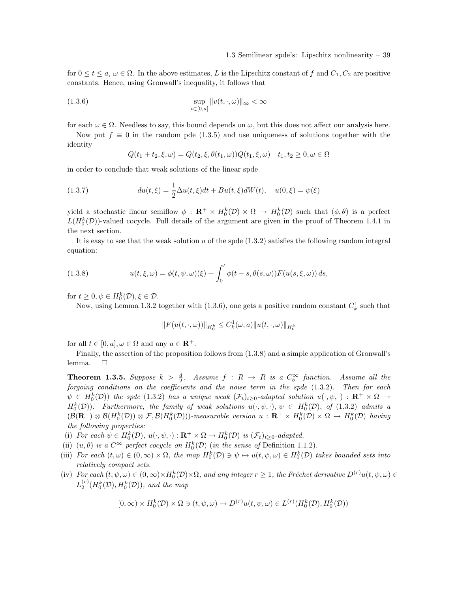for  $0 \le t \le a$ ,  $\omega \in \Omega$ . In the above estimates, L is the Lipschitz constant of f and  $C_1, C_2$  are positive constants. Hence, using Gronwall's inequality, it follows that

(1.3.6) 
$$
\sup_{t \in [0,a]} ||v(t,\cdot,\omega)||_{\infty} < \infty
$$

for each  $\omega \in \Omega$ . Needless to say, this bound depends on  $\omega$ , but this does not affect our analysis here.

Now put  $f \equiv 0$  in the random pde (1.3.5) and use uniqueness of solutions together with the identity

$$
Q(t_1 + t_2, \xi, \omega) = Q(t_2, \xi, \theta(t_1, \omega))Q(t_1, \xi, \omega) \quad t_1, t_2 \ge 0, \omega \in \Omega
$$

in order to conclude that weak solutions of the linear spde

(1.3.7) 
$$
du(t,\xi) = \frac{1}{2}\Delta u(t,\xi)dt + Bu(t,\xi)dW(t), \quad u(0,\xi) = \psi(\xi)
$$

yield a stochastic linear semiflow  $\phi : \mathbf{R}^+ \times H_0^k(D) \times \Omega \to H_0^k(D)$  such that  $(\phi, \theta)$  is a perfect  $L(H_0^k(\mathcal{D}))$ -valued cocycle. Full details of the argument are given in the proof of Theorem 1.4.1 in the next section.

It is easy to see that the weak solution u of the spde  $(1.3.2)$  satisfies the following random integral equation:

(1.3.8) 
$$
u(t,\xi,\omega) = \phi(t,\psi,\omega)(\xi) + \int_0^t \phi(t-s,\theta(s,\omega)) F(u(s,\xi,\omega)) ds,
$$

for  $t \geq 0, \psi \in H_0^k(\mathcal{D}), \xi \in \mathcal{D}$ .

Now, using Lemma 1.3.2 together with  $(1.3.6)$ , one gets a positive random constant  $C_k^1$  such that

$$
||F(u(t,\cdot,\omega))||_{H_0^k} \leq C_k^1(\omega,a)||u(t,\cdot,\omega)||_{H_0^k}
$$

for all  $t \in [0, a], \omega \in \Omega$  and any  $a \in \mathbb{R}^+$ .

Finally, the assertion of the proposition follows from (1.3.8) and a simple application of Gronwall's lemma. □

**Theorem 1.3.5.** Suppose  $k > \frac{d}{2}$ . Assume  $f : R \to R$  is a  $C_b^{\infty}$  function. Assume all the forgoing conditions on the coefficients and the noise term in the spde  $(1.3.2)$ . Then for each  $\psi \in H_0^k(\mathcal{D})$  the spde (1.3.2) has a unique weak  $(\mathcal{F}_t)_{t\geq 0}$ -adapted solution  $u(\cdot,\psi,\cdot) : \mathbf{R}^+ \times \Omega \to$  $H_0^k(\mathcal{D})$ ). Furthermore, the family of weak solutions  $u(\cdot,\psi,\cdot),\psi \in H_0^k(\mathcal{D})$ , of  $(1.3.2)$  admits a  $(\mathcal{B}(\mathbf{R}^+) \otimes \mathcal{B}(H_0^k(\mathcal{D})) \otimes \mathcal{F}, \mathcal{B}(H_0^k(\mathcal{D})))$ -measurable version  $u : \mathbf{R}^+ \times H_0^k(\mathcal{D}) \times \Omega \to H_0^k(\mathcal{D})$  having the following properties:

- (i) For each  $\psi \in H_0^k(\mathcal{D}), u(\cdot, \psi, \cdot) : \mathbf{R}^+ \times \Omega \to H_0^k(\mathcal{D})$  is  $(\mathcal{F}_t)_{t \geq 0}$ -adapted.
- (ii)  $(u, \theta)$  is a  $C^{\infty}$  perfect cocycle on  $H_0^k(D)$  (in the sense of Definition 1.1.2).
- (iii) For each  $(t, \omega) \in (0, \infty) \times \Omega$ , the map  $H_0^k(\mathcal{D}) \ni \psi \mapsto u(t, \psi, \omega) \in H_0^k(\mathcal{D})$  takes bounded sets into relatively compact sets.
- (iv) For each  $(t, \psi, \omega) \in (0, \infty) \times H_0^k(D) \times \Omega$ , and any integer  $r \ge 1$ , the Fréchet derivative  $D^{(r)}u(t, \psi, \omega) \in$  $L_2^{(r)}(H_0^k(\mathcal{D}), H_0^k(\mathcal{D}))$ , and the map

$$
[0,\infty) \times H_0^k(\mathcal{D}) \times \Omega \ni (t,\psi,\omega) \mapsto D^{(r)}u(t,\psi,\omega) \in L^{(r)}(H_0^k(\mathcal{D}),H_0^k(\mathcal{D}))
$$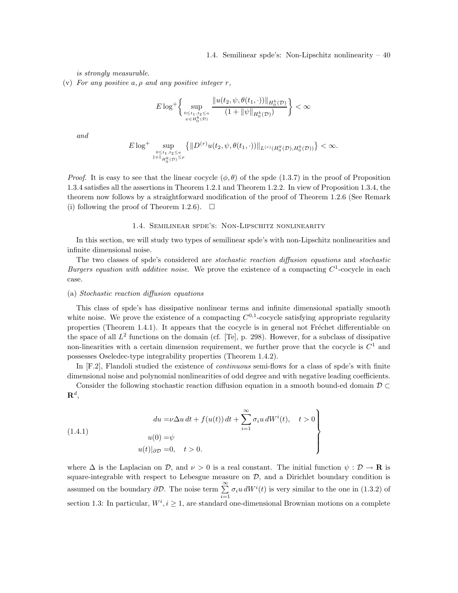is strongly measurable.

(v) For any positive a,  $\rho$  and any positive integer r,

$$
E\log^+\left\{\sup_{\substack{0\leq t_1,t_2\leq a\\ \psi\in H_0^k(\mathcal{D})}}\frac{\|u(t_2,\psi,\theta(t_1,\cdot))\|_{H_0^k(\mathcal{D})}}{(1+\|\psi\|_{H_0^k(\mathcal{D})})}\right\}<\infty
$$

and

$$
E\log^+\sup_{0\leq t_1,t_2\leq a\atop \| \psi \|_{H_0^k(\mathcal{D})}\leq \rho}\big\{\| D^{(r)} u(t_2,\psi,\theta(t_1,\cdot))\|_{L^{(r)}(H_0^k(\mathcal{D}),H_0^k(\mathcal{D}))}\big\}<\infty.
$$

*Proof.* It is easy to see that the linear cocycle  $(\phi, \theta)$  of the spde (1.3.7) in the proof of Proposition 1.3.4 satisfies all the assertions in Theorem 1.2.1 and Theorem 1.2.2. In view of Proposition 1.3.4, the theorem now follows by a straightforward modification of the proof of Theorem 1.2.6 (See Remark (i) following the proof of Theorem 1.2.6).  $\Box$ 

#### 1.4. Semilinear spde's: Non-Lipschitz nonlinearity

In this section, we will study two types of semilinear spde's with non-Lipschitz nonlinearities and infinite dimensional noise.

The two classes of spde's considered are stochastic reaction diffusion equations and stochastic Burgers equation with additive noise. We prove the existence of a compacting  $C^1$ -cocycle in each case.

### (a) Stochastic reaction diffusion equations

This class of spde's has dissipative nonlinear terms and infinite dimensional spatially smooth white noise. We prove the existence of a compacting  $C^{0,1}$ -cocycle satisfying appropriate regularity properties (Theorem 1.4.1). It appears that the cocycle is in general not Fréchet differentiable on the space of all  $L^2$  functions on the domain (cf. [Te], p. 298). However, for a subclass of dissipative non-linearities with a certain dimension requirement, we further prove that the cocycle is  $C^1$  and possesses Oseledec-type integrability properties (Theorem 1.4.2).

In [F.2], Flandoli studied the existence of *continuous* semi-flows for a class of spde's with finite dimensional noise and polynomial nonlinearities of odd degree and with negative leading coefficients.

Consider the following stochastic reaction diffusion equation in a smooth bound-ed domain  $\mathcal{D} \subset$  $\mathbf{R}^d,$ 

(1.4.1) 
$$
du = \nu \Delta u dt + f(u(t)) dt + \sum_{i=1}^{\infty} \sigma_i u dW^i(t), \quad t > 0
$$

$$
u(0) = \psi
$$

$$
u(t)|_{\partial \mathcal{D}} = 0, \quad t > 0.
$$

where  $\Delta$  is the Laplacian on D, and  $\nu > 0$  is a real constant. The initial function  $\psi : \mathcal{D} \to \mathbf{R}$  is square-integrable with respect to Lebesgue measure on  $D$ , and a Dirichlet boundary condition is assumed on the boundary  $\partial \mathcal{D}$ . The noise term  $\sum_{i=1}^{\infty} \sigma_i u \, dW^i(t)$  is very similar to the one in (1.3.2) of section 1.3: In particular,  $W^i$ ,  $i \geq 1$ , are standard one-dimensional Brownian motions on a complete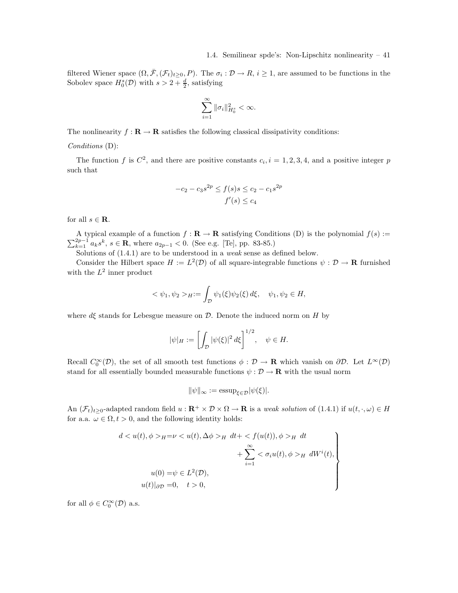filtered Wiener space  $(\Omega, \bar{\mathcal{F}}, (\mathcal{F}_t)_{t\geq 0}, P)$ . The  $\sigma_i : \mathcal{D} \to R$ ,  $i \geq 1$ , are assumed to be functions in the Sobolev space  $H_0^s(\mathcal{D})$  with  $s > 2 + \frac{d}{2}$ , satisfying

$$
\sum_{i=1}^\infty \|\sigma_i\|_{H^s_0}^2 < \infty.
$$

The nonlinearity  $f : \mathbf{R} \to \mathbf{R}$  satisfies the following classical dissipativity conditions:

# Conditions (D):

The function f is  $C^2$ , and there are positive constants  $c_i$ ,  $i = 1, 2, 3, 4$ , and a positive integer p such that

$$
-c_2 - c_3 s^{2p} \le f(s)s \le c_2 - c_1 s^{2p}
$$
  

$$
f'(s) \le c_4
$$

for all  $s \in \mathbf{R}$ .

A typical example of a function  $f : \mathbf{R} \to \mathbf{R}$  satisfying Conditions (D) is the polynomial  $f(s) :=$  $\sum_{k=1}^{2p-1} a_k s^k$ ,  $s \in \mathbf{R}$ , where  $a_{2p-1} < 0$ . (See e.g. [Te], pp. 83-85.)

Solutions of  $(1.4.1)$  are to be understood in a *weak* sense as defined below.

Consider the Hilbert space  $H := L^2(\mathcal{D})$  of all square-integrable functions  $\psi : \mathcal{D} \to \mathbf{R}$  furnished with the  $L^2$  inner product

$$
<\psi_1, \psi_2>_H := \int_{\mathcal{D}} \psi_1(\xi) \psi_2(\xi) d\xi, \quad \psi_1, \psi_2 \in H,
$$

where  $d\xi$  stands for Lebesgue measure on D. Denote the induced norm on H by

$$
|\psi|_H := \left[ \int_{\mathcal{D}} |\psi(\xi)|^2 \, d\xi \right]^{1/2}, \quad \psi \in H.
$$

Recall  $C_0^{\infty}(\mathcal{D})$ , the set of all smooth test functions  $\phi : \mathcal{D} \to \mathbf{R}$  which vanish on  $\partial \mathcal{D}$ . Let  $L^{\infty}(\mathcal{D})$ stand for all essentially bounded measurable functions  $\psi : \mathcal{D} \to \mathbf{R}$  with the usual norm

$$
\|\psi\|_{\infty} := \operatorname{essup}_{\xi \in \mathcal{D}} |\psi(\xi)|.
$$

An  $(\mathcal{F}_t)_{t\geq 0}$ -adapted random field  $u : \mathbf{R}^+ \times \mathcal{D} \times \Omega \to \mathbf{R}$  is a weak solution of (1.4.1) if  $u(t, \cdot, \omega) \in H$ for a.a.  $\omega \in \Omega, t > 0$ , and the following identity holds:

$$
d < u(t), \phi >_{H} = \nu < u(t), \Delta\phi >_{H} dt + < f(u(t)), \phi >_{H} dt
$$
\n
$$
+ \sum_{i=1}^{\infty} < \sigma_{i}u(t), \phi >_{H} dW^{i}(t),
$$
\n
$$
u(0) = \psi \in L^{2}(\mathcal{D}),
$$
\n
$$
u(t)|_{\partial \mathcal{D}} = 0, \quad t > 0,
$$

for all  $\phi \in C_0^{\infty}(\mathcal{D})$  a.s.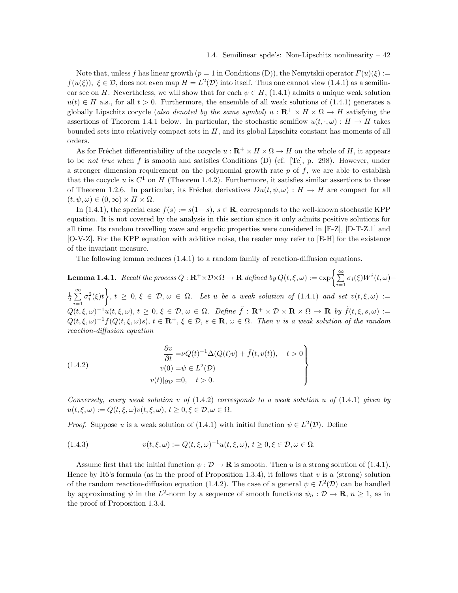Note that, unless f has linear growth  $(p = 1$  in Conditions (D)), the Nemytskii operator  $F(u)(\xi) :=$  $f(u(\xi))$ ,  $\xi \in \mathcal{D}$ , does not even map  $H = L^2(\mathcal{D})$  into itself. Thus one cannot view (1.4.1) as a semilinear see on H. Nevertheless, we will show that for each  $\psi \in H$ , (1.4.1) admits a unique weak solution  $u(t) \in H$  a.s., for all  $t > 0$ . Furthermore, the ensemble of all weak solutions of (1.4.1) generates a globally Lipschitz cocycle (also denoted by the same symbol)  $u : \mathbb{R}^+ \times H \times \Omega \to H$  satisfying the assertions of Theorem 1.4.1 below. In particular, the stochastic semiflow  $u(t, \cdot, \omega): H \to H$  takes bounded sets into relatively compact sets in  $H$ , and its global Lipschitz constant has moments of all orders.

As for Fréchet differentiability of the cocycle  $u : \mathbb{R}^+ \times H \times \Omega \to H$  on the whole of H, it appears to be *not true* when f is smooth and satisfies Conditions (D) (cf. [Te], p. 298). However, under a stronger dimension requirement on the polynomial growth rate  $p$  of  $f$ , we are able to establish that the cocycle u is  $C^1$  on H (Theorem 1.4.2). Furthermore, it satisfies similar assertions to those of Theorem 1.2.6. In particular, its Fréchet derivatives  $Du(t, \psi, \omega) : H \to H$  are compact for all  $(t, \psi, \omega) \in (0, \infty) \times H \times \Omega$ .

In (1.4.1), the special case  $f(s) := s(1-s), s \in \mathbb{R}$ , corresponds to the well-known stochastic KPP equation. It is not covered by the analysis in this section since it only admits positive solutions for all time. Its random travelling wave and ergodic properties were considered in [E-Z], [D-T-Z.1] and [O-V-Z]. For the KPP equation with additive noise, the reader may refer to [E-H] for the existence of the invariant measure.

The following lemma reduces (1.4.1) to a random family of reaction-diffusion equations.

 ${\bf Lemma 1.4.1.}\ \ Recall\ the\ process\ Q: {\bf R}^+ \times {\cal D} \times \Omega \to {\bf R}\ \ defined\ by\ Q(t,\xi,\omega):=\exp\biggl\{\sum_{i=1}^\infty\sigma_i(\xi)W^i(t,\omega)-\biggl\}$  $\frac{1}{2}$  $\sum_{1}^{\infty}$  $i=1$  $\{\sigma_i^2(\xi)t\bigg\}, t \geq 0, \xi \in \mathcal{D}, \omega \in \Omega.$  Let u be a weak solution of  $(1.4.1)$  and set  $v(t,\xi,\omega) :=$  $Q(t,\xi,\omega)^{-1}u(t,\xi,\omega), t \geq 0, \xi \in \mathcal{D}, \omega \in \Omega$ . Define  $\tilde{f}: \mathbf{R}^+ \times \mathcal{D} \times \mathbf{R} \times \Omega \to \mathbf{R}$  by  $\tilde{f}(t,\xi,s,\omega) :=$  $Q(t,\xi,\omega)^{-1}f(Q(t,\xi,\omega)s), t \in \mathbf{R}^+, \xi \in \mathcal{D}, s \in \mathbf{R}, \omega \in \Omega$ . Then v is a weak solution of the random reaction-diffusion equation

(1.4.2)  
\n
$$
\begin{cases}\n\frac{\partial v}{\partial t} = \nu Q(t)^{-1} \Delta(Q(t)v) + \tilde{f}(t, v(t)), \quad t > 0 \\
v(0) = \psi \in L^2(\mathcal{D}) \\
v(t)|_{\partial \mathcal{D}} = 0, \quad t > 0.\n\end{cases}
$$

Conversely, every weak solution v of  $(1.4.2)$  corresponds to a weak solution u of  $(1.4.1)$  given by  $u(t,\xi,\omega) := Q(t,\xi,\omega)v(t,\xi,\omega), t \geq 0, \xi \in \mathcal{D}, \omega \in \Omega.$ 

*Proof.* Suppose u is a weak solution of (1.4.1) with initial function  $\psi \in L^2(\mathcal{D})$ . Define

(1.4.3) 
$$
v(t,\xi,\omega) := Q(t,\xi,\omega)^{-1}u(t,\xi,\omega), t \geq 0, \xi \in \mathcal{D}, \omega \in \Omega.
$$

Assume first that the initial function  $\psi : \mathcal{D} \to \mathbf{R}$  is smooth. Then u is a strong solution of (1.4.1). Hence by Itô's formula (as in the proof of Proposition 1.3.4), it follows that v is a (strong) solution of the random reaction-diffusion equation (1.4.2). The case of a general  $\psi \in L^2(\mathcal{D})$  can be handled by approximating  $\psi$  in the L<sup>2</sup>-norm by a sequence of smooth functions  $\psi_n : \mathcal{D} \to \mathbf{R}$ ,  $n \geq 1$ , as in the proof of Proposition 1.3.4.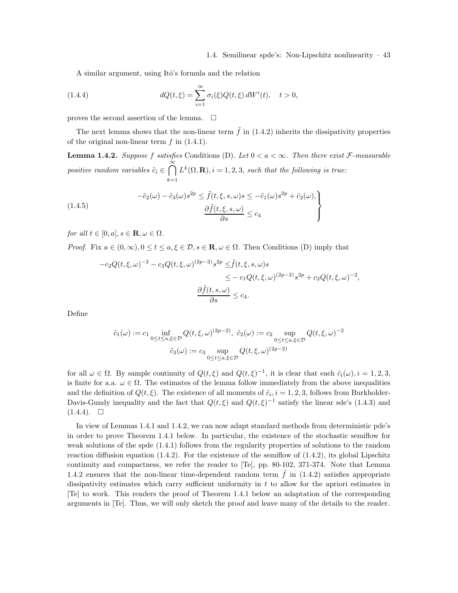A similar argument, using Itô's formula and the relation

(1.4.4) 
$$
dQ(t,\xi) = \sum_{i=1}^{\infty} \sigma_i(\xi) Q(t,\xi) dW^i(t), \quad t > 0,
$$

proves the second assertion of the lemma.  $\Box$ 

The next lemma shows that the non-linear term  $\tilde{f}$  in (1.4.2) inherits the dissipativity properties of the original non-linear term  $f$  in  $(1.4.1)$ .

**Lemma 1.4.2.** Suppose f satisfies Conditions (D). Let  $0 < a < \infty$ . Then there exist F-measurable positive random variables  $\tilde{c}_i \in \bigcap^{\infty}$  $k=1$  $L^k(\Omega, \mathbf{R}), i = 1, 2, 3$ , such that the following is true:

(1.4.5)  
\n
$$
-\tilde{c}_2(\omega) - \tilde{c}_3(\omega)s^{2p} \leq \tilde{f}(t, \xi, s, \omega)s \leq -\tilde{c}_1(\omega)s^{2p} + \tilde{c}_2(\omega),
$$
\n
$$
\frac{\partial \tilde{f}(t, \xi, s, \omega)}{\partial s} \leq c_4
$$

for all  $t \in [0, a], s \in \mathbf{R}, \omega \in \Omega$ .

*Proof.* Fix  $a \in (0, \infty), 0 \le t \le a, \xi \in \mathcal{D}, s \in \mathbb{R}, \omega \in \Omega$ . Then Conditions (D) imply that

$$
-c_2 Q(t,\xi,\omega)^{-2} - c_3 Q(t,\xi,\omega)^{(2p-2)} s^{2p} \leq \tilde{f}(t,\xi,s,\omega)s
$$
  

$$
\leq -c_1 Q(t,\xi,\omega)^{(2p-2)} s^{2p} + c_2 Q(t,\xi,\omega)^{-2},
$$
  

$$
\frac{\partial \tilde{f}(t,s,\omega)}{\partial s} \leq c_4.
$$

Define

$$
\tilde{c}_1(\omega) := c_1 \inf_{0 \le t \le a, \xi \in \mathcal{D}} Q(t, \xi, \omega)^{(2p-2)}, \quad \tilde{c}_2(\omega) := c_2 \sup_{0 \le t \le a, \xi \in \mathcal{D}} Q(t, \xi, \omega)^{-2}
$$

$$
\tilde{c}_3(\omega) := c_3 \sup_{0 \le t \le a, \xi \in \mathcal{D}} Q(t, \xi, \omega)^{(2p-2)}
$$

for all  $\omega \in \Omega$ . By sample continuity of  $Q(t,\xi)$  and  $Q(t,\xi)^{-1}$ , it is clear that each  $\tilde{c}_i(\omega), i = 1,2,3$ , is finite for a.a.  $\omega \in \Omega$ . The estimates of the lemma follow immediately from the above inequalities and the definition of  $Q(t, \xi)$ . The existence of all moments of  $\tilde{c}_i$ ,  $i = 1, 2, 3$ , follows from Burkholder-Davis-Gundy inequality and the fact that  $Q(t,\xi)$  and  $Q(t,\xi)^{-1}$  satisfy the linear sde's (1.4.3) and  $(1.4.4). \square$ 

In view of Lemmas 1.4.1 and 1.4.2, we can now adapt standard methods from deterministic pde's in order to prove Theorem 1.4.1 below. In particular, the existence of the stochastic semiflow for weak solutions of the spde (1.4.1) follows from the regularity properties of solutions to the random reaction diffusion equation  $(1.4.2)$ . For the existence of the semiflow of  $(1.4.2)$ , its global Lipschitz continuity and compactness, we refer the reader to [Te], pp. 80-102, 371-374. Note that Lemma 1.4.2 ensures that the non-linear time-dependent random term  $f$  in  $(1.4.2)$  satisfies appropriate dissipativity estimates which carry sufficient uniformity in  $t$  to allow for the apriori estimates in [Te] to work. This renders the proof of Theorem 1.4.1 below an adaptation of the corresponding arguments in [Te]. Thus, we will only sketch the proof and leave many of the details to the reader.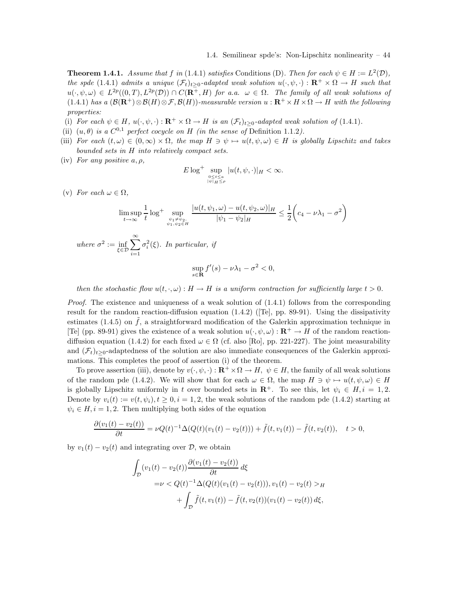**Theorem 1.4.1.** Assume that f in (1.4.1) satisfies Conditions (D). Then for each  $\psi \in H := L^2(\mathcal{D})$ , the spde (1.4.1) admits a unique  $(\mathcal{F}_t)_{t>0}$ -adapted weak solution  $u(\cdot,\psi,\cdot): \mathbf{R}^+ \times \Omega \to H$  such that  $u(\cdot,\psi,\omega) \in L^{2p}((0,T),L^{2p}(\mathcal{D})) \cap C(\mathbf{R}^+,H)$  for a.a.  $\omega \in \Omega$ . The family of all weak solutions of (1.4.1) has a  $(\mathcal{B}(\mathbf{R}^+)\otimes \mathcal{B}(H)\otimes \mathcal{F}, \mathcal{B}(H))$ -measurable version  $u : \mathbf{R}^+ \times H \times \Omega \to H$  with the following properties:

- (i) For each  $\psi \in H$ ,  $u(\cdot, \psi, \cdot) : \mathbf{R}^+ \times \Omega \to H$  is an  $(\mathcal{F}_t)_{t>0}$ -adapted weak solution of (1.4.1).
- (ii)  $(u, \theta)$  is a  $C^{0,1}$  perfect cocycle on H (in the sense of Definition 1.1.2).
- (iii) For each  $(t, \omega) \in (0, \infty) \times \Omega$ , the map  $H \ni \psi \mapsto u(t, \psi, \omega) \in H$  is globally Lipschitz and takes bounded sets in H into relatively compact sets.
- (iv) For any positive  $a, \rho$ ,

$$
E\log^+\sup_{0\leq t\leq a\atop\|\psi\|_H\leq\rho}|u(t,\psi,\cdot)|_H<\infty.
$$

(v) For each  $\omega \in \Omega$ ,

$$
\limsup_{t \to \infty} \frac{1}{t} \log^+ \sup_{\substack{\psi_1 \neq \psi_2, \\ \psi_1, \psi_2 \in H}} \frac{|u(t, \psi_1, \omega) - u(t, \psi_2, \omega)|_H}{|\psi_1 - \psi_2|_H} \le \frac{1}{2} \left( c_4 - \nu \lambda_1 - \sigma^2 \right)
$$
\nwhere  $\sigma^2 := \inf_{\xi \in \mathcal{D}} \sum_{i=1}^{\infty} \sigma_i^2(\xi)$ . In particular, if

\n
$$
\sup f'(s) - \nu \lambda_1 - \sigma^2 < 0,
$$

$$
\sup_{s\in\mathbf{R}}f'(s)-\nu\lambda_1-\sigma^2<0,
$$

then the stochastic flow  $u(t, \cdot, \omega) : H \to H$  is a uniform contraction for sufficiently large  $t > 0$ .

*Proof.* The existence and uniqueness of a weak solution of  $(1.4.1)$  follows from the corresponding result for the random reaction-diffusion equation (1.4.2) ([Te], pp. 89-91). Using the dissipativity estimates (1.4.5) on  $\tilde{f}$ , a straightforward modification of the Galerkin approximation technique in [Te] (pp. 89-91) gives the existence of a weak solution  $u(\cdot, \psi, \omega) : \mathbf{R}^+ \to H$  of the random reactiondiffusion equation (1.4.2) for each fixed  $\omega \in \Omega$  (cf. also [Ro], pp. 221-227). The joint measurability and  $(\mathcal{F}_t)_{t>0}$ -adaptedness of the solution are also immediate consequences of the Galerkin approximations. This completes the proof of assertion (i) of the theorem.

To prove assertion (iii), denote by  $v(\cdot,\psi,\cdot): \mathbf{R}^+\times\Omega\to H$ ,  $\psi\in H$ , the family of all weak solutions of the random pde (1.4.2). We will show that for each  $\omega \in \Omega$ , the map  $H \ni \psi \mapsto u(t, \psi, \omega) \in H$ is globally Lipschitz uniformly in t over bounded sets in  $\mathbb{R}^+$ . To see this, let  $\psi_i \in H, i = 1, 2$ . Denote by  $v_i(t) := v(t, \psi_i), t \geq 0, i = 1, 2$ , the weak solutions of the random pde (1.4.2) starting at  $\psi_i \in H, i = 1, 2$ . Then multiplying both sides of the equation

$$
\frac{\partial (v_1(t) - v_2(t))}{\partial t} = \nu Q(t)^{-1} \Delta(Q(t)(v_1(t) - v_2(t))) + \tilde{f}(t, v_1(t)) - \tilde{f}(t, v_2(t)), \quad t > 0,
$$

by  $v_1(t) - v_2(t)$  and integrating over  $\mathcal{D}$ , we obtain

$$
\int_{\mathcal{D}} (v_1(t) - v_2(t)) \frac{\partial (v_1(t) - v_2(t))}{\partial t} d\xi
$$
\n
$$
= \nu < Q(t)^{-1} \Delta(Q(t)(v_1(t) - v_2(t))), v_1(t) - v_2(t) > H
$$
\n
$$
+ \int_{\mathcal{D}} \tilde{f}(t, v_1(t)) - \tilde{f}(t, v_2(t))(v_1(t) - v_2(t)) d\xi,
$$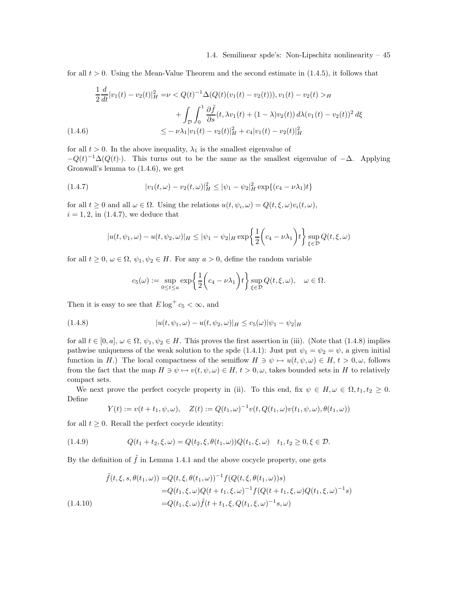for all  $t > 0$ . Using the Mean-Value Theorem and the second estimate in  $(1.4.5)$ , it follows that

$$
\frac{1}{2}\frac{d}{dt}|v_1(t) - v_2(t)|_H^2 = \nu < Q(t)^{-1}\Delta(Q(t)(v_1(t) - v_2(t))), v_1(t) - v_2(t) > H
$$

$$
+ \int_{\mathcal{D}} \int_0^1 \frac{\partial \tilde{f}}{\partial s}(t, \lambda v_1(t) + (1 - \lambda)v_2(t)) d\lambda (v_1(t) - v_2(t))^2 d\xi
$$

$$
\leq -\nu \lambda_1 |v_1(t) - v_2(t)|_H^2 + c_4 |v_1(t) - v_2(t)|_H^2
$$

for all  $t > 0$ . In the above inequality,  $\lambda_1$  is the smallest eigenvalue of  $-Q(t)^{-1}\Delta(Q(t))$ . This turns out to be the same as the smallest eigenvalue of  $-\Delta$ . Applying Gronwall's lemma to (1.4.6), we get

(1.4.7) 
$$
|v_1(t,\omega)-v_2(t,\omega)|_H^2 \leq |\psi_1-\psi_2|_H^2 \exp\{(c_4-\nu\lambda_1)t\}
$$

for all  $t \geq 0$  and all  $\omega \in \Omega$ . Using the relations  $u(t, \psi_i, \omega) = Q(t, \xi, \omega)v_i(t, \omega)$ ,  $i = 1, 2$ , in (1.4.7), we deduce that

$$
|u(t, \psi_1, \omega) - u(t, \psi_2, \omega)|_H \le |\psi_1 - \psi_2|_H \exp\left\{\frac{1}{2}\left(c_4 - \nu\lambda_1\right)t\right\} \sup_{\xi \in \mathcal{D}} Q(t, \xi, \omega)
$$

for all  $t \geq 0$ ,  $\omega \in \Omega$ ,  $\psi_1, \psi_2 \in H$ . For any  $a > 0$ , define the random variable

$$
c_5(\omega) := \sup_{0 \le t \le a} \exp\left\{\frac{1}{2}\left(c_4 - \nu\lambda_1\right)t\right\} \sup_{\xi \in \mathcal{D}} Q(t, \xi, \omega), \quad \omega \in \Omega.
$$

Then it is easy to see that  $E \log^+ c_5 < \infty$ , and

(1.4.8) 
$$
|u(t, \psi_1, \omega) - u(t, \psi_2, \omega)|_H \leq c_5(\omega) |\psi_1 - \psi_2|_H
$$

for all  $t \in [0, a], \omega \in \Omega, \psi_1, \psi_2 \in H$ . This proves the first assertion in (iii). (Note that (1.4.8) implies pathwise uniqueness of the weak solution to the spde (1.4.1): Just put  $\psi_1 = \psi_2 = \psi$ , a given initial function in H.) The local compactness of the semiflow  $H \ni \psi \mapsto u(t, \psi, \omega) \in H$ ,  $t > 0, \omega$ , follows from the fact that the map  $H \ni \psi \mapsto v(t, \psi, \omega) \in H$ ,  $t > 0, \omega$ , takes bounded sets in H to relatively compact sets.

We next prove the perfect cocycle property in (ii). To this end, fix  $\psi \in H, \omega \in \Omega, t_1, t_2 \geq 0$ . Define

$$
Y(t) := v(t + t_1, \psi, \omega), \quad Z(t) := Q(t_1, \omega)^{-1} v(t, Q(t_1, \omega) v(t_1, \psi, \omega), \theta(t_1, \omega))
$$

for all  $t \geq 0$ . Recall the perfect cocycle identity:

(1.4.9) 
$$
Q(t_1 + t_2, \xi, \omega) = Q(t_2, \xi, \theta(t_1, \omega)) Q(t_1, \xi, \omega) \quad t_1, t_2 \ge 0, \xi \in \mathcal{D}.
$$

By the definition of  $\tilde{f}$  in Lemma 1.4.1 and the above cocycle property, one gets

$$
\tilde{f}(t,\xi,s,\theta(t_1,\omega)) = Q(t,\xi,\theta(t_1,\omega))^{-1} f(Q(t,\xi,\theta(t_1,\omega))s)
$$
\n
$$
= Q(t_1,\xi,\omega)Q(t+t_1,\xi,\omega)^{-1} f(Q(t+t_1,\xi,\omega)Q(t_1,\xi,\omega)^{-1}s)
$$
\n
$$
= Q(t_1,\xi,\omega) \tilde{f}(t+t_1,\xi,Q(t_1,\xi,\omega)^{-1}s,\omega)
$$
\n(1.4.10)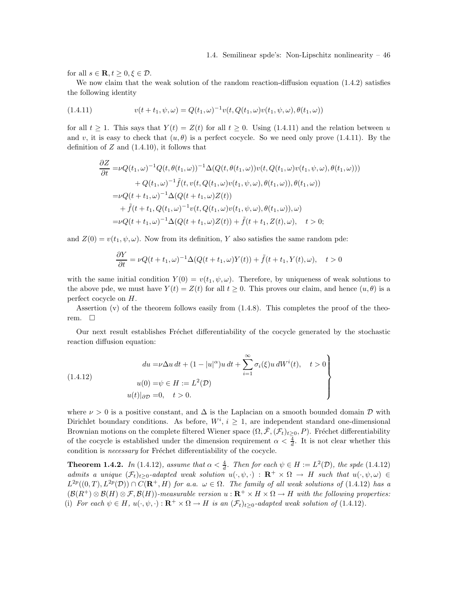for all  $s \in \mathbf{R}, t \geq 0, \xi \in \mathcal{D}$ .

We now claim that the weak solution of the random reaction-diffusion equation  $(1.4.2)$  satisfies the following identity

(1.4.11) 
$$
v(t+t_1, \psi, \omega) = Q(t_1, \omega)^{-1} v(t, Q(t_1, \omega) v(t_1, \psi, \omega), \theta(t_1, \omega))
$$

for all  $t \geq 1$ . This says that  $Y(t) = Z(t)$  for all  $t \geq 0$ . Using (1.4.11) and the relation between u and v, it is easy to check that  $(u, \theta)$  is a perfect cocycle. So we need only prove (1.4.11). By the definition of  $Z$  and  $(1.4.10)$ , it follows that

$$
\frac{\partial Z}{\partial t} = \nu Q(t_1, \omega)^{-1} Q(t, \theta(t_1, \omega))^{-1} \Delta(Q(t, \theta(t_1, \omega)) v(t, Q(t_1, \omega) v(t_1, \psi, \omega), \theta(t_1, \omega))) \n+ Q(t_1, \omega)^{-1} \tilde{f}(t, v(t, Q(t_1, \omega) v(t_1, \psi, \omega), \theta(t_1, \omega)), \theta(t_1, \omega)) \n= \nu Q(t + t_1, \omega)^{-1} \Delta(Q(t + t_1, \omega) Z(t)) \n+ \tilde{f}(t + t_1, Q(t_1, \omega)^{-1} v(t, Q(t_1, \omega) v(t_1, \psi, \omega), \theta(t_1, \omega)), \omega) \n= \nu Q(t + t_1, \omega)^{-1} \Delta(Q(t + t_1, \omega) Z(t)) + \tilde{f}(t + t_1, Z(t), \omega), \quad t > 0;
$$

and  $Z(0) = v(t_1, \psi, \omega)$ . Now from its definition, Y also satisfies the same random pde:

$$
\frac{\partial Y}{\partial t} = \nu Q(t + t_1, \omega)^{-1} \Delta(Q(t + t_1, \omega) Y(t)) + \tilde{f}(t + t_1, Y(t), \omega), \quad t > 0
$$

with the same initial condition  $Y(0) = v(t_1, \psi, \omega)$ . Therefore, by uniqueness of weak solutions to the above pde, we must have  $Y(t) = Z(t)$  for all  $t \geq 0$ . This proves our claim, and hence  $(u, \theta)$  is a perfect cocycle on H.

Assertion  $(v)$  of the theorem follows easily from  $(1.4.8)$ . This completes the proof of the theorem.  $\square$ 

Our next result establishes Fréchet differentiability of the cocycle generated by the stochastic reaction diffusion equation:

$$
(1.4.12)
$$
\n
$$
du = \nu \Delta u \, dt + (1 - |u|^{\alpha}) u \, dt + \sum_{i=1}^{\infty} \sigma_i(\xi) u \, dW^i(t), \quad t > 0
$$
\n
$$
u(0) = \psi \in H := L^2(\mathcal{D})
$$
\n
$$
u(t)|_{\partial \mathcal{D}} = 0, \quad t > 0.
$$

where  $\nu > 0$  is a positive constant, and  $\Delta$  is the Laplacian on a smooth bounded domain  $\mathcal D$  with Dirichlet boundary conditions. As before,  $W^i$ ,  $i \geq 1$ , are independent standard one-dimensional Brownian motions on the complete filtered Wiener space  $(\Omega, \bar{\mathcal{F}}, (\mathcal{F}_t)_{t\geq 0}, P)$ . Fréchet differentiability of the cocycle is established under the dimension requirement  $\alpha < \frac{4}{d}$ . It is not clear whether this condition is *necessary* for Fréchet differentiability of the cocycle.

**Theorem 1.4.2.** In (1.4.12), assume that  $\alpha < \frac{4}{d}$ . Then for each  $\psi \in H := L^2(\mathcal{D})$ , the spde (1.4.12) admits a unique  $(\mathcal{F}_t)_{t>0}$ -adapted weak solution  $u(\cdot,\psi,\cdot)$  :  $\mathbb{R}^+\times\Omega\to H$  such that  $u(\cdot,\psi,\omega)\in\mathbb{R}$  $L^{2p}((0,T), L^{2p}(\mathcal{D})) \cap C(\mathbf{R}^+, H)$  for a.a.  $\omega \in \Omega$ . The family of all weak solutions of (1.4.12) has a  $(\mathcal{B}(R^+) \otimes \mathcal{B}(H) \otimes \mathcal{F}, \mathcal{B}(H))$ -measurable version  $u : \mathbf{R}^+ \times H \times \Omega \to H$  with the following properties: (i) For each  $\psi \in H$ ,  $u(\cdot, \psi, \cdot): \mathbf{R}^+ \times \Omega \to H$  is an  $(\mathcal{F}_t)_{t \geq 0}$ -adapted weak solution of (1.4.12).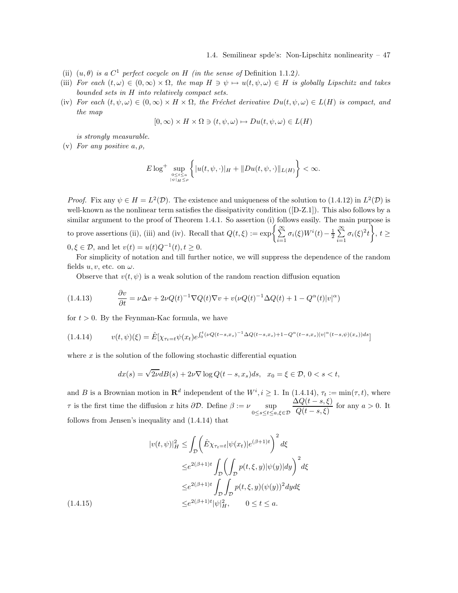- (ii)  $(u, \theta)$  is a  $C^1$  perfect cocycle on H (in the sense of Definition 1.1.2).
- (iii) For each  $(t, \omega) \in (0, \infty) \times \Omega$ , the map  $H \ni \psi \mapsto u(t, \psi, \omega) \in H$  is globally Lipschitz and takes bounded sets in H into relatively compact sets.
- (iv) For each  $(t, \psi, \omega) \in (0, \infty) \times H \times \Omega$ , the Fréchet derivative  $Du(t, \psi, \omega) \in L(H)$  is compact, and the map

$$
[0, \infty) \times H \times \Omega \ni (t, \psi, \omega) \mapsto Du(t, \psi, \omega) \in L(H)
$$

is strongly measurable.

(v) For any positive  $a, \rho$ ,

$$
E\log^+\sup_{\substack{0\leq t\leq a\\|\psi|_{H}\leq\rho}}\left\{|u(t,\psi,\cdot)|_{H}+\|Du(t,\psi,\cdot)\|_{L(H)}\right\}<\infty.
$$

*Proof.* Fix any  $\psi \in H = L^2(\mathcal{D})$ . The existence and uniqueness of the solution to (1.4.12) in  $L^2(\mathcal{D})$  is well-known as the nonlinear term satisfies the dissipativity condition ([D-Z.1]). This also follows by a similar argument to the proof of Theorem 1.4.1. So assertion (i) follows easily. The main purpose is to prove assertions (ii), (iii) and (iv). Recall that  $Q(t,\xi) := \exp\left\{\sum_{i=1}^{\infty} \frac{1}{i} \sum_{i=1}^{N} d_i \xi_i\right\}$  $\sum_{i=1}^{\infty} \sigma_i(\xi) W^i(t) - \frac{1}{2} \sum_{i=1}^{\infty}$  $\sum_{i=1}^{\infty} \sigma_i(\xi)^2 t$ ,  $t \geq$  $0, \xi \in \mathcal{D}$ , and let  $v(t) = u(t)Q^{-1}(t), t \ge 0$ .

For simplicity of notation and till further notice, we will suppress the dependence of the random fields  $u, v$ , etc. on  $\omega$ .

Observe that  $v(t, \psi)$  is a weak solution of the random reaction diffusion equation

(1.4.13) 
$$
\frac{\partial v}{\partial t} = \nu \Delta v + 2\nu Q(t)^{-1} \nabla Q(t) \nabla v + v(\nu Q(t)^{-1} \Delta Q(t) + 1 - Q^{\alpha}(t) |v|^{\alpha})
$$

for  $t > 0$ . By the Feynman-Kac formula, we have

$$
(1.4.14) \t v(t,\psi)(\xi) = \hat{E}[\chi_{\tau_t=t}\psi(x_t)e^{\int_0^t (\nu Q(t-s,x_s)^{-1}\Delta Q(t-s,x_s)+1-Q^{\alpha}(t-s,x_s)|v|^{\alpha}(t-s,\psi)(x_s))ds}]
$$

where  $x$  is the solution of the following stochastic differential equation

$$
dx(s) = \sqrt{2\nu}dB(s) + 2\nu\nabla \log Q(t-s, x_s)ds, \quad x_0 = \xi \in \mathcal{D}, \ 0 < s < t,
$$

and B is a Brownian motion in  $\mathbf{R}^d$  independent of the  $W^i, i \geq 1$ . In  $(1.4.14), \tau_t := \min(\tau, t)$ , where  $τ$  is the first time the diffusion x hits  $\partial \mathcal{D}$ . Define  $β := ν$  sup  $0 ≤ s ≤ t ≤ a, ξ ∈ \mathcal{D}$  $\Delta Q(t-s,\xi)$  $\frac{Q(t-s,\xi)}{Q(t-s,\xi)}$  for any  $a > 0$ . It follows from Jensen's inequality and (1.4.14) that

$$
|v(t,\psi)|_H^2 \le \int_{\mathcal{D}} \left(\hat{E}\chi_{\tau_t=t}|\psi(x_t)|e^{(\beta+1)t}\right)^2 d\xi
$$
  

$$
\le e^{2(\beta+1)t} \int_{\mathcal{D}} \left(\int_{\mathcal{D}} p(t,\xi,y)|\psi(y)|dy\right)^2 d\xi
$$
  

$$
\le e^{2(\beta+1)t} \int_{\mathcal{D}} \int_{\mathcal{D}} p(t,\xi,y)(\psi(y))^2 dyd\xi
$$
  

$$
\le e^{2(\beta+1)t} |\psi|_H^2, \qquad 0 \le t \le a.
$$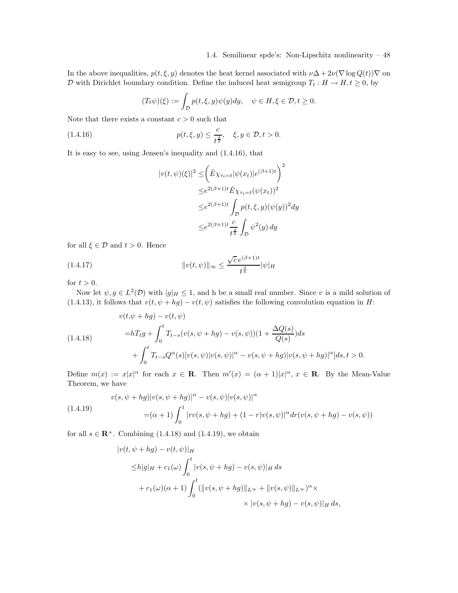In the above inequalities,  $p(t, \xi, y)$  denotes the heat kernel associated with  $\nu\Delta + 2\nu(\nabla \log Q(t))\nabla$  on D with Dirichlet boundary condition. Define the induced heat semigroup  $T_t : H \to H, t \geq 0$ , by

$$
(T_t\psi)(\xi) := \int_{\mathcal{D}} p(t,\xi,y)\psi(y)dy, \quad \psi \in H, \xi \in \mathcal{D}, t \ge 0.
$$

Note that there exists a constant  $c > 0$  such that

(1.4.16) 
$$
p(t, \xi, y) \le \frac{c}{t^{\frac{d}{2}}}, \quad \xi, y \in \mathcal{D}, t > 0.
$$

It is easy to see, using Jensen's inequality and (1.4.16), that

$$
|v(t,\psi)(\xi)|^2 \leq \left(\hat{E}\chi_{\tau_t=t}|\psi(x_t)|e^{(\beta+1)t}\right)^2
$$
  

$$
\leq e^{2(\beta+1)t}\hat{E}\chi_{\tau_t=t}(\psi(x_t))^2
$$
  

$$
\leq e^{2(\beta+1)t}\int_{\mathcal{D}}p(t,\xi,y)(\psi(y))^2dy
$$
  

$$
\leq e^{2(\beta+1)t}\frac{c}{t^{\frac{d}{2}}}\int_{\mathcal{D}}\psi^2(y)dy
$$

for all  $\xi \in \mathcal{D}$  and  $t > 0$ . Hence

(1.4.17) 
$$
||v(t,\psi)||_{\infty} \leq \frac{\sqrt{c} e^{(\beta+1)t}}{t^{\frac{d}{4}}} |\psi|_{H}
$$

for  $t > 0$ .

Now let  $\psi, g \in L^2(\mathcal{D})$  with  $|g|_H \leq 1$ , and h be a small real number. Since v is a mild solution of (1.4.13), it follows that  $v(t, \psi + hg) - v(t, \psi)$  satisfies the following convolution equation in H:

(1.4.18)  
\n
$$
v(t,\psi + hg) - v(t,\psi)
$$
\n
$$
= hT_t g + \int_0^t T_{t-s}(v(s,\psi + hg) - v(s,\psi))(1 + \frac{\Delta Q(s)}{Q(s)})ds
$$
\n
$$
+ \int_0^t T_{t-s} Q^{\alpha}(s)[v(s,\psi)]v(s,\psi)|^{\alpha} - v(s,\psi + hg)|v(s,\psi + hg)|^{\alpha}]ds, t > 0.
$$

Define  $m(x) := x|x|^{\alpha}$  for each  $x \in \mathbb{R}$ . Then  $m'(x) = (\alpha + 1)|x|^{\alpha}$ ,  $x \in \mathbb{R}$ . By the Mean-Value Theorem, we have

(1.4.19)  
\n
$$
v(s, \psi + hg)|v(s, \psi + hg)|^{\alpha} - v(s, \psi)|v(s, \psi)|^{\alpha}
$$
\n
$$
= (\alpha + 1) \int_0^1 |rv(s, \psi + hg) + (1 - r)v(s, \psi)|^{\alpha} dr(v(s, \psi + hg) - v(s, \psi))
$$

for all  $s \in \mathbb{R}^+$ . Combining (1.4.18) and (1.4.19), we obtain

$$
|v(t, \psi + hg) - v(t, \psi)|_H
$$
  
\n
$$
\leq h|g|_H + c_1(\omega) \int_0^t |v(s, \psi + hg) - v(s, \psi)|_H ds
$$
  
\n
$$
+ c_1(\omega)(\alpha + 1) \int_0^t (||v(s, \psi + hg)||_{L^{\infty}} + ||v(s, \psi)||_{L^{\infty}})^{\alpha} \times
$$
  
\n
$$
\times |v(s, \psi + hg) - v(s, \psi)|_H ds,
$$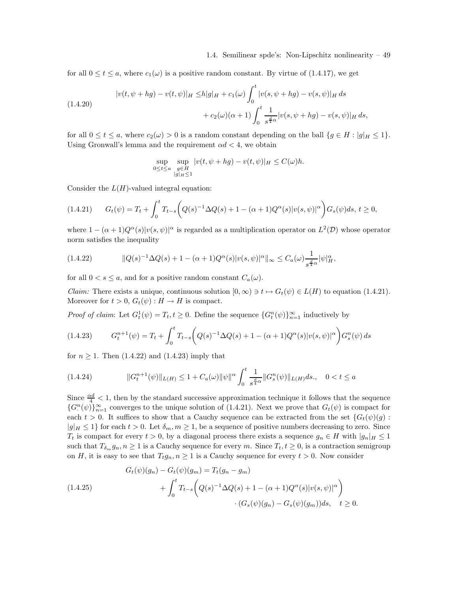for all  $0 \le t \le a$ , where  $c_1(\omega)$  is a positive random constant. By virtue of (1.4.17), we get

$$
|v(t, \psi + hg) - v(t, \psi)|_H \le h|g|_H + c_1(\omega) \int_0^t |v(s, \psi + hg) - v(s, \psi)|_H ds
$$
  
+  $c_2(\omega)(\alpha + 1) \int_0^t \frac{1}{s^{\frac{d}{4}\alpha}} |v(s, \psi + hg) - v(s, \psi)|_H ds$ ,

for all  $0 \le t \le a$ , where  $c_2(\omega) > 0$  is a random constant depending on the ball  $\{g \in H : |g|_H \le 1\}$ . Using Gronwall's lemma and the requirement  $\alpha d < 4$ , we obtain

$$
\sup_{0\leq t\leq a}\sup_{\substack{g\in H\\|g|_H\leq 1}}|v(t,\psi+hg)-v(t,\psi)|_H\leq C(\omega)h.
$$

Consider the  $L(H)$ -valued integral equation:

$$
(1.4.21) \t Gt(\psi) = Tt + \int_0^t T_{t-s} \left( Q(s)^{-1} \Delta Q(s) + 1 - (\alpha + 1) Q^{\alpha}(s) |v(s, \psi)|^{\alpha} \right) G_s(\psi) ds, t \ge 0,
$$

where  $1 - (\alpha + 1)Q^{\alpha}(s)|v(s, \psi)|^{\alpha}$  is regarded as a multiplication operator on  $L^2(\mathcal{D})$  whose operator norm satisfies the inequality

$$
(1.4.22) \t\t\t ||Q(s)^{-1}\Delta Q(s) + 1 - (\alpha + 1)Q^{\alpha}(s)|v(s,\psi)|^{\alpha}||_{\infty} \leq C_a(\omega)\frac{1}{s^{\frac{d}{4}\alpha}}|\psi|_H^{\alpha},
$$

for all  $0 < s \le a$ , and for a positive random constant  $C_a(\omega)$ .

*Claim:* There exists a unique, continuous solution  $[0, \infty) \ni t \mapsto G_t(\psi) \in L(H)$  to equation (1.4.21). Moreover for  $t > 0$ ,  $G_t(\psi) : H \to H$  is compact.

*Proof of claim*: Let  $G_t^1(\psi) = T_t, t \ge 0$ . Define the sequence  $\{G_t^n(\psi)\}_{n=1}^{\infty}$  inductively by

$$
(1.4.23) \tG_t^{n+1}(\psi) = T_t + \int_0^t T_{t-s} \left( Q(s)^{-1} \Delta Q(s) + 1 - (\alpha + 1) Q^{\alpha}(s) |v(s, \psi)|^{\alpha} \right) G_s^n(\psi) ds
$$

for  $n \geq 1$ . Then  $(1.4.22)$  and  $(1.4.23)$  imply that

$$
(1.4.24) \t\t ||G_t^{n+1}(\psi)||_{L(H)} \le 1 + C_a(\omega) ||\psi||^\alpha \int_0^t \frac{1}{s^{\frac{d}{4}\alpha}} ||G_s^n(\psi)||_{L(H)} ds, \quad 0 < t \le a
$$

Since  $\frac{\alpha d}{4}$  < 1, then by the standard successive approximation technique it follows that the sequence  ${G<sup>n</sup>(\psi)}<sub>n=1</sub><sup>\infty</sup>$  converges to the unique solution of (1.4.21). Next we prove that  $G<sub>t</sub>(\psi)$  is compact for each  $t > 0$ . It suffices to show that a Cauchy sequence can be extracted from the set  ${G_t(\psi)(g)}$ :  $|g|_H \leq 1$  for each  $t > 0$ . Let  $\delta_m, m \geq 1$ , be a sequence of positive numbers decreasing to zero. Since  $T_t$  is compact for every  $t > 0$ , by a diagonal process there exists a sequence  $g_n \in H$  with  $|g_n|_H \leq 1$ such that  $T_{\delta_m} g_n, n \geq 1$  is a Cauchy sequence for every m. Since  $T_t, t \geq 0$ , is a contraction semigroup on H, it is easy to see that  $T_t g_n, n \geq 1$  is a Cauchy sequence for every  $t > 0$ . Now consider

$$
(1.4.25) \tGt(\psi)(gn) - Gt(\psi)(gm) = Tt(gn - gm) + \int_0^t Tt-s (Q(s)-1 \Delta Q(s) + 1 - (\alpha + 1)Q\alpha(s)|v(s, \psi)|\alpha) \cdot (Gs(\psi)(gn) - Gs(\psi)(gm))ds, t \ge 0.
$$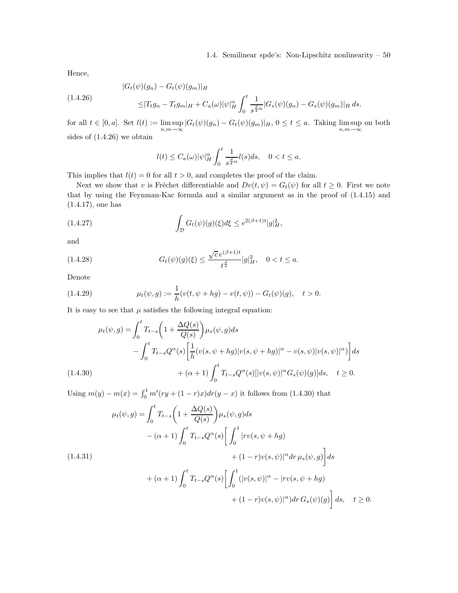Hence,

$$
(1.4.26) \qquad |G_t(\psi)(g_n) - G_t(\psi)(g_m)|_H
$$
  

$$
\leq |T_t g_n - T_t g_m|_H + C_a(\omega)|\psi|_H^{\alpha} \int_0^t \frac{1}{s^{\frac{d}{4}\alpha}} |G_s(\psi)(g_n) - G_s(\psi)(g_m)|_H ds.
$$

for all  $t \in [0, a]$ . Set  $l(t) := \limsup_{n,m \to \infty} |G_t(\psi)(g_n) - G_t(\psi)(g_m)|_H$ ,  $0 \le t \le a$ . Taking  $\limsup_{n,m \to \infty}$ on both sides of (1.4.26) we obtain

$$
l(t) \leq C_a(\omega)|\psi|_H^{\alpha} \int_0^t \frac{1}{s^{\frac{d}{4\alpha}}} l(s)ds, \quad 0 < t \leq a.
$$

This implies that  $l(t) = 0$  for all  $t > 0$ , and completes the proof of the claim.

Next we show that v is Fréchet differentiable and  $Dv(t, \psi) = G_t(\psi)$  for all  $t \geq 0$ . First we note that by using the Feynman-Kac formula and a similar argument as in the proof of (1.4.15) and (1.4.17), one has

(1.4.27) 
$$
\int_{\mathcal{D}} G_t(\psi)(g)(\xi) d\xi \leq e^{2(\beta+1)t} |g|_H^2,
$$

and

(1.4.28) 
$$
G_t(\psi)(g)(\xi) \leq \frac{\sqrt{c} e^{(\beta+1)t}}{t^{\frac{d}{4}}} |g|_H^2, \quad 0 < t \leq a.
$$

Denote

(1.4.29) 
$$
\mu_t(\psi, g) := \frac{1}{h}(v(t, \psi + hg) - v(t, \psi)) - G_t(\psi)(g), \quad t > 0.
$$

It is easy to see that  $\mu$  satisfies the following integral equation:

$$
\mu_t(\psi, g) = \int_0^t T_{t-s} \left( 1 + \frac{\Delta Q(s)}{Q(s)} \right) \mu_s(\psi, g) ds \n- \int_0^t T_{t-s} Q^{\alpha}(s) \left[ \frac{1}{h} (v(s, \psi + hg) | v(s, \psi + hg) |^{\alpha} - v(s, \psi) | v(s, \psi) |^{\alpha} \right] ds \n+ (\alpha + 1) \int_0^t T_{t-s} Q^{\alpha}(s) [ |v(s, \psi)|^{\alpha} G_s(\psi)(g) ] ds, \quad t \ge 0.
$$

Using  $m(y) - m(x) = \int_0^1 m'(ry + (1 - r)x) dr(y - x)$  it follows from (1.4.30) that

$$
\mu_t(\psi, g) = \int_0^t T_{t-s} \left( 1 + \frac{\Delta Q(s)}{Q(s)} \right) \mu_s(\psi, g) ds \n- (\alpha + 1) \int_0^t T_{t-s} Q^{\alpha}(s) \left[ \int_0^1 |rv(s, \psi + hg) + (1 - r)v(s, \psi)|^{\alpha} dr \,\mu_s(\psi, g) \right] ds \n+ (\alpha + 1) \int_0^t T_{t-s} Q^{\alpha}(s) \left[ \int_0^1 (|v(s, \psi)|^{\alpha} - |rv(s, \psi + hg) + (1 - r)v(s, \psi)|^{\alpha}) dr \, G_s(\psi)(g) \right] ds, \quad t \ge 0.
$$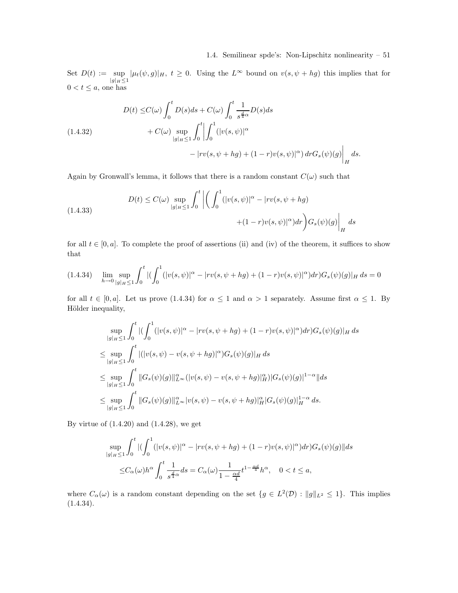Set  $D(t) := \sup$  $\sup_{|g|_H \leq 1} |\mu_t(\psi, g)|_H$ ,  $t \geq 0$ . Using the  $L^{\infty}$  bound on  $v(s, \psi + hg)$  this implies that for  $0 < t \leq a$ , one has

$$
(1.4.32)
$$
\n
$$
D(t) \leq C(\omega) \int_0^t D(s)ds + C(\omega) \int_0^t \frac{1}{s^{\frac{d}{4}\alpha}} D(s)ds
$$
\n
$$
+ C(\omega) \sup_{|g|_H \leq 1} \int_0^t \left| \int_0^1 (|v(s, \psi)|^\alpha - |rv(s, \psi + hg) + (1 - r)v(s, \psi)|^\alpha) dr G_s(\psi)(g) \right|_H ds.
$$

Again by Gronwall's lemma, it follows that there is a random constant  $C(\omega)$  such that

(1.4.33)  

$$
D(t) \leq C(\omega) \sup_{|g|_H \leq 1} \int_0^t \left| \left( \int_0^1 (|v(s, \psi)|^{\alpha} - |rv(s, \psi + hg) - (1 - r)v(s, \psi)|^{\alpha}) dr \right) G_s(\psi)(g) \right|_H ds
$$

for all  $t \in [0, a]$ . To complete the proof of assertions (ii) and (iv) of the theorem, it suffices to show that

$$
(1.4.34) \quad \lim_{h \to 0} \sup_{|g|_{H} \le 1} \int_{0}^{t} |( \int_{0}^{1} (|v(s,\psi)|^{\alpha} - |rv(s,\psi + hg) + (1-r)v(s,\psi)|^{\alpha}) dr) G_{s}(\psi)(g)|_{H} ds = 0
$$

for all  $t \in [0, a]$ . Let us prove (1.4.34) for  $\alpha \leq 1$  and  $\alpha > 1$  separately. Assume first  $\alpha \leq 1$ . By Hölder inequality,

$$
\sup_{|g|_{H} \leq 1} \int_{0}^{t} |(\int_{0}^{1} (|v(s,\psi)|^{\alpha} - |rv(s,\psi + hg) + (1-r)v(s,\psi)|^{\alpha}) dr) G_{s}(\psi)(g)|_{H} ds
$$
  
\n
$$
\leq \sup_{|g|_{H} \leq 1} \int_{0}^{t} |(|v(s,\psi) - v(s,\psi + hg)|^{\alpha}) G_{s}(\psi)(g)|_{H} ds
$$
  
\n
$$
\leq \sup_{|g|_{H} \leq 1} \int_{0}^{t} ||G_{s}(\psi)(g)||_{L^{\infty}}^{\alpha} (|v(s,\psi) - v(s,\psi + hg)|_{H}^{\alpha}) |G_{s}(\psi)(g)|^{1-\alpha} ||ds
$$
  
\n
$$
\leq \sup_{|g|_{H} \leq 1} \int_{0}^{t} ||G_{s}(\psi)(g)||_{L^{\infty}}^{\alpha} |v(s,\psi) - v(s,\psi + hg)|_{H}^{\alpha} |G_{s}(\psi)(g)|_{H}^{1-\alpha} ds.
$$

By virtue of (1.4.20) and (1.4.28), we get

$$
\sup_{|g|_H \le 1} \int_0^t |(\int_0^1 (|v(s,\psi)|^\alpha - |rv(s,\psi + hg) + (1-r)v(s,\psi)|^\alpha) dr) G_s(\psi)(g)||ds
$$
  

$$
\le C_\alpha(\omega) h^\alpha \int_0^t \frac{1}{s^{\frac{d}{4}\alpha}} ds = C_\alpha(\omega) \frac{1}{1 - \frac{\alpha d}{4}} t^{1 - \frac{\alpha d}{4}} h^\alpha, \quad 0 < t \le a,
$$

where  $C_{\alpha}(\omega)$  is a random constant depending on the set  $\{g \in L^2(\mathcal{D}) : ||g||_{L^2} \leq 1\}$ . This implies  $(1.4.34).$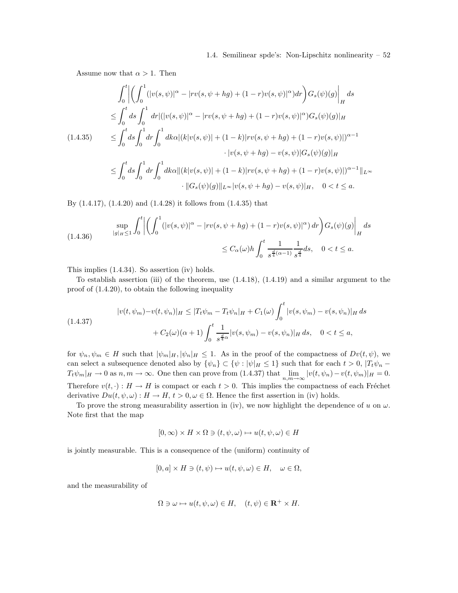Assume now that  $\alpha > 1$ . Then

$$
\int_{0}^{t} \left| \left( \int_{0}^{1} (|v(s, \psi)|^{\alpha} - |rv(s, \psi + hg) + (1 - r)v(s, \psi)|^{\alpha}) dr \right) G_{s}(\psi)(g) \right|_{H} ds
$$
  
\n
$$
\leq \int_{0}^{t} ds \int_{0}^{1} dr |(|v(s, \psi)|^{\alpha} - |rv(s, \psi + hg) + (1 - r)v(s, \psi)|^{\alpha}) G_{s}(\psi)(g)|_{H}
$$
  
\n
$$
\leq \int_{0}^{t} ds \int_{0}^{1} dr \int_{0}^{1} dk \alpha |(k|v(s, \psi)| + (1 - k)|rv(s, \psi + hg) + (1 - r)v(s, \psi)|^{\alpha - 1}
$$
  
\n
$$
\cdot |v(s, \psi + hg) - v(s, \psi)| G_{s}(\psi)(g)|_{H}
$$
  
\n
$$
\leq \int_{0}^{t} ds \int_{0}^{1} dr \int_{0}^{1} dk \alpha ||(k|v(s, \psi)| + (1 - k)|rv(s, \psi + hg) + (1 - r)v(s, \psi)|^{\alpha - 1} ||_{L^{\infty}}
$$
  
\n
$$
\cdot ||G_{s}(\psi)(g)||_{L^{\infty}} |v(s, \psi + hg) - v(s, \psi)||_{H}, \quad 0 < t \leq a.
$$

By (1.4.17), (1.4.20) and (1.4.28) it follows from (1.4.35) that

(1.4.36) 
$$
\sup_{|g|_{H} \le 1} \int_{0}^{t} \left| \left( \int_{0}^{1} (|v(s, \psi)|^{\alpha} - |rv(s, \psi + hg) + (1 - r)v(s, \psi)|^{\alpha}) dr \right) G_{s}(\psi)(g) \right|_{H} ds
$$
  

$$
\le C_{\alpha}(\omega) h \int_{0}^{t} \frac{1}{s^{\frac{d}{4}(\alpha - 1)}} \frac{1}{s^{\frac{d}{4}}} ds, \quad 0 < t \le a.
$$

This implies (1.4.34). So assertion (iv) holds.

To establish assertion (iii) of the theorem, use (1.4.18), (1.4.19) and a similar argument to the proof of (1.4.20), to obtain the following inequality

$$
|v(t, \psi_m) - v(t, \psi_n)|_H \le |T_t \psi_m - T_t \psi_n|_H + C_1(\omega) \int_0^t |v(s, \psi_m) - v(s, \psi_n)|_H ds
$$
  

$$
+ C_2(\omega)(\alpha + 1) \int_0^t \frac{1}{s^{\frac{d}{4}\alpha}} |v(s, \psi_m) - v(s, \psi_n)|_H ds, \quad 0 < t \le a,
$$

for  $\psi_n, \psi_m \in H$  such that  $|\psi_m|_H, |\psi_n|_H \leq 1$ . As in the proof of the compactness of  $Dv(t, \psi)$ , we can select a subsequence denoted also by  $\{\psi_n\} \subset \{\psi : |\psi|_H \leq 1\}$  such that for each  $t > 0$ ,  $|T_t\psi_n T_t\psi_m|_H \to 0$  as  $n, m \to \infty$ . One then can prove from  $(1.4.37)$  that  $\lim_{n,m \to \infty} |v(t, \psi_n) - v(t, \psi_m)|_H = 0$ . Therefore  $v(t, \cdot) : H \to H$  is compact or each  $t > 0$ . This implies the compactness of each Fréchet derivative  $Du(t, \psi, \omega): H \to H$ ,  $t > 0, \omega \in \Omega$ . Hence the first assertion in (iv) holds.

To prove the strong measurability assertion in (iv), we now highlight the dependence of u on  $\omega$ . Note first that the map

$$
[0, \infty) \times H \times \Omega \ni (t, \psi, \omega) \mapsto u(t, \psi, \omega) \in H
$$

is jointly measurable. This is a consequence of the (uniform) continuity of

$$
[0,a] \times H \ni (t,\psi) \mapsto u(t,\psi,\omega) \in H, \quad \omega \in \Omega,
$$

and the measurability of

$$
\Omega \ni \omega \mapsto u(t, \psi, \omega) \in H, \quad (t, \psi) \in \mathbf{R}^+ \times H.
$$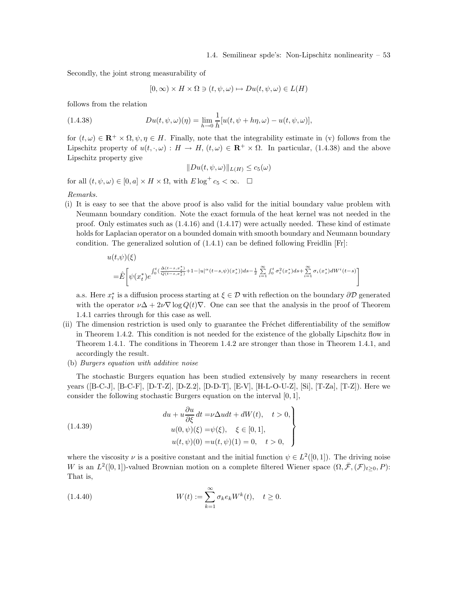Secondly, the joint strong measurability of

$$
[0, \infty) \times H \times \Omega \ni (t, \psi, \omega) \mapsto Du(t, \psi, \omega) \in L(H)
$$

follows from the relation

(1.4.38) 
$$
Du(t, \psi, \omega)(\eta) = \lim_{h \to 0} \frac{1}{h} [u(t, \psi + h\eta, \omega) - u(t, \psi, \omega)],
$$

for  $(t, \omega) \in \mathbb{R}^+ \times \Omega$ ,  $\psi, \eta \in H$ . Finally, note that the integrability estimate in (v) follows from the Lipschitz property of  $u(t, \cdot, \omega): H \to H$ ,  $(t, \omega) \in \mathbb{R}^+ \times \Omega$ . In particular, (1.4.38) and the above Lipschitz property give

$$
||Du(t, \psi, \omega)||_{L(H)} \le c_5(\omega)
$$

for all  $(t, \psi, \omega) \in [0, a] \times H \times \Omega$ , with  $E \log^+ c_5 < \infty$ .  $\Box$ 

Remarks.

(i) It is easy to see that the above proof is also valid for the initial boundary value problem with Neumann boundary condition. Note the exact formula of the heat kernel was not needed in the proof. Only estimates such as (1.4.16) and (1.4.17) were actually needed. These kind of estimate holds for Laplacian operator on a bounded domain with smooth boundary and Neumann boundary condition. The generalized solution of (1.4.1) can be defined following Freidlin [Fr]:

$$
u(t,\psi)(\xi) = \hat{E}\left[\psi(x_t^*)e^{\int_0^t (\frac{\Delta(t-s,x_s^*)}{Q(t-s,x_s^*)}+1-|u|^{\alpha}(t-s,\psi)(x_s^*))ds-\frac{1}{2}\sum_{i=1}^{\infty}\int_0^t \sigma_i^2(x_s^*)ds+\sum_{i=1}^{\infty}\sigma_i(x_s^*)dW^i(t-s)\right]
$$

a.s. Here  $x_t^*$  is a diffusion process starting at  $\xi \in \mathcal{D}$  with reflection on the boundary  $\partial \mathcal{D}$  generated with the operator  $\nu\Delta + 2\nu\nabla \log Q(t)\nabla$ . One can see that the analysis in the proof of Theorem 1.4.1 carries through for this case as well.

- (ii) The dimension restriction is used only to guarantee the Fréchet differentiability of the semiflow in Theorem 1.4.2. This condition is not needed for the existence of the globally Lipschitz flow in Theorem 1.4.1. The conditions in Theorem 1.4.2 are stronger than those in Theorem 1.4.1, and accordingly the result.
- (b) Burgers equation with additive noise

The stochastic Burgers equation has been studied extensively by many researchers in recent years ([B-C-J], [B-C-F], [D-T-Z], [D-Z.2], [D-D-T], [E-V], [H-L-O-U-Z], [Si], [T-Za], [T-Z]). Here we consider the following stochastic Burgers equation on the interval [0, 1],

(1.4.39)  
\n
$$
du + u \frac{\partial u}{\partial \xi} dt = \nu \Delta u dt + dW(t), \quad t > 0,
$$
\n
$$
u(0, \psi)(\xi) = \psi(\xi), \quad \xi \in [0, 1],
$$
\n
$$
u(t, \psi)(0) = u(t, \psi)(1) = 0, \quad t > 0,
$$

where the viscosity  $\nu$  is a positive constant and the initial function  $\psi \in L^2([0,1])$ . The driving noise W is an  $L^2([0,1])$ -valued Brownian motion on a complete filtered Wiener space  $(\Omega, \bar{\mathcal{F}}, (\mathcal{F})_{t \geq 0}, P)$ : That is,

(1.4.40) 
$$
W(t) := \sum_{k=1}^{\infty} \sigma_k e_k W^k(t), \quad t \ge 0.
$$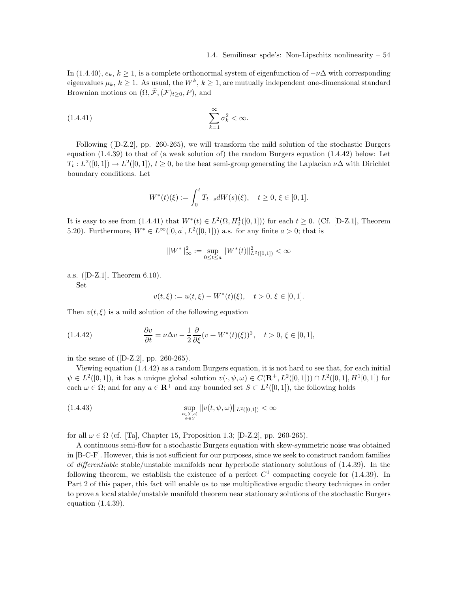In (1.4.40),  $e_k$ ,  $k \geq 1$ , is a complete orthonormal system of eigenfunction of  $-\nu\Delta$  with corresponding eigenvalues  $\mu_k, k \geq 1$ . As usual, the  $W^k, k \geq 1$ , are mutually independent one-dimensional standard Brownian motions on  $(\Omega, \bar{\mathcal{F}}, (\mathcal{F})_{t>0}, P)$ , and

$$
(1.4.41) \qquad \qquad \sum_{k=1}^{\infty} \sigma_k^2 < \infty.
$$

Following ([D-Z.2], pp. 260-265), we will transform the mild solution of the stochastic Burgers equation (1.4.39) to that of (a weak solution of) the random Burgers equation (1.4.42) below: Let  $T_t: L^2([0,1]) \to L^2([0,1])$ ,  $t \ge 0$ , be the heat semi-group generating the Laplacian  $\nu\Delta$  with Dirichlet boundary conditions. Let

$$
W^*(t)(\xi) := \int_0^t T_{t-s}dW(s)(\xi), \quad t \ge 0, \, \xi \in [0,1].
$$

It is easy to see from  $(1.4.41)$  that  $W^*(t) \in L^2(\Omega, H_0^1([0,1]))$  for each  $t \geq 0$ . (Cf. [D-Z.1], Theorem 5.20). Furthermore,  $W^* \in L^{\infty}([0, a], L^2([0, 1]))$  a.s. for any finite  $a > 0$ ; that is

$$
||W^*||_{\infty}^2 := \sup_{0 \le t \le a} ||W^*(t)||_{L^2([0,1])}^2 < \infty
$$

a.s. ([D-Z.1], Theorem 6.10).

Set

$$
v(t,\xi) := u(t,\xi) - W^*(t)(\xi), \quad t > 0, \xi \in [0,1].
$$

Then  $v(t, \xi)$  is a mild solution of the following equation

(1.4.42) 
$$
\frac{\partial v}{\partial t} = \nu \Delta v - \frac{1}{2} \frac{\partial}{\partial \xi} (v + W^*(t)(\xi))^2, \quad t > 0, \xi \in [0, 1],
$$

in the sense of ([D-Z.2], pp. 260-265).

Viewing equation (1.4.42) as a random Burgers equation, it is not hard to see that, for each initial  $\psi \in L^2([0,1])$ , it has a unique global solution  $v(\cdot,\psi,\omega) \in C(\mathbf{R}^+, L^2([0,1])) \cap L^2([0,1], H^1[0,1])$  for each  $\omega \in \Omega$ ; and for any  $a \in \mathbb{R}^+$  and any bounded set  $S \subset L^2([0,1])$ , the following holds

(1.4.43) 
$$
\sup_{\substack{t \in [0,a] \\ \psi \in S}} \|v(t,\psi,\omega)\|_{L^2([0,1])} < \infty
$$

for all  $\omega \in \Omega$  (cf. [Ta], Chapter 15, Proposition 1.3; [D-Z.2], pp. 260-265).

A continuous semi-flow for a stochastic Burgers equation with skew-symmetric noise was obtained in [B-C-F]. However, this is not sufficient for our purposes, since we seek to construct random families of differentiable stable/unstable manifolds near hyperbolic stationary solutions of (1.4.39). In the following theorem, we establish the existence of a perfect  $C<sup>1</sup>$  compacting cocycle for (1.4.39). In Part 2 of this paper, this fact will enable us to use multiplicative ergodic theory techniques in order to prove a local stable/unstable manifold theorem near stationary solutions of the stochastic Burgers equation (1.4.39).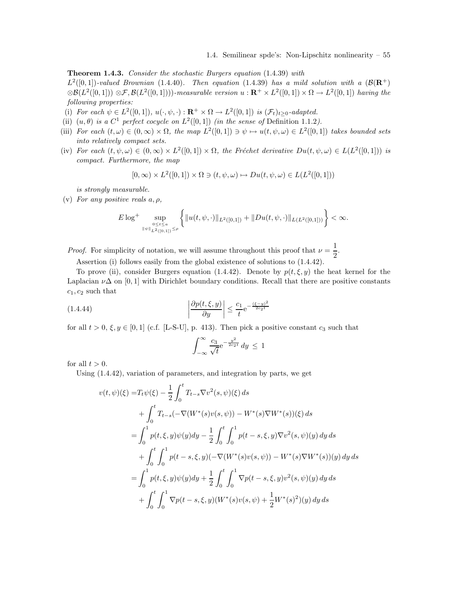Theorem 1.4.3. Consider the stochastic Burgers equation  $(1.4.39)$  with  $L^2([0,1])$ -valued Brownian (1.4.40). Then equation (1.4.39) has a mild solution with a  $(\mathcal{B}(\mathbf{R}^+))$ 

 $\otimes \mathcal{B}(L^2([0,1])) \otimes \mathcal{F}, \mathcal{B}(L^2([0,1]))$ -measurable version  $u: \mathbf{R}^+ \times L^2([0,1]) \times \Omega \to L^2([0,1])$  having the following properties:

- (i) For each  $\psi \in L^2([0,1])$ ,  $u(\cdot,\psi,\cdot): \mathbf{R}^+ \times \Omega \to L^2([0,1])$  is  $(\mathcal{F}_t)_{t \geq 0}$ -adapted.
- (ii)  $(u, \theta)$  is a  $C^1$  perfect cocycle on  $L^2([0,1])$  (in the sense of Definition 1.1.2).
- (iii) For each  $(t, \omega) \in (0, \infty) \times \Omega$ , the map  $L^2([0, 1]) \ni \psi \mapsto u(t, \psi, \omega) \in L^2([0, 1])$  takes bounded sets into relatively compact sets.
- (iv) For each  $(t, \psi, \omega) \in (0, \infty) \times L^2([0, 1]) \times \Omega$ , the Fréchet derivative  $Du(t, \psi, \omega) \in L(L^2([0, 1]))$  is compact. Furthermore, the map

$$
[0,\infty) \times L^2([0,1]) \times \Omega \ni (t,\psi,\omega) \mapsto Du(t,\psi,\omega) \in L(L^2([0,1]))
$$

is strongly measurable.

(v) For any positive reals  $a, \rho$ ,

$$
E\log^+\sup_{0\leq t\leq a \atop{\| \psi \|_{L^2([0,1])}\leq \rho}}\left\{\|u(t,\psi,\cdot)\|_{L^2([0,1])}+\|Du(t,\psi,\cdot)\|_{L(L^2([0,1]))}\right\}<\infty.
$$

*Proof.* For simplicity of notation, we will assume throughout this proof that  $\nu = \frac{1}{2}$  $\frac{1}{2}$ .

Assertion (i) follows easily from the global existence of solutions to (1.4.42).

To prove (ii), consider Burgers equation (1.4.42). Denote by  $p(t, \xi, y)$  the heat kernel for the Laplacian  $\nu\Delta$  on [0, 1] with Dirichlet boundary conditions. Recall that there are positive constants  $c_1, c_2$  such that

$$
\left| \frac{\partial p(t,\xi,y)}{\partial y} \right| \le \frac{c_1}{t} e^{-\frac{(\xi-y)^2}{2c_2 t}}
$$

for all  $t > 0$ ,  $\xi, y \in [0, 1]$  (c.f. [L-S-U], p. 413). Then pick a positive constant  $c_3$  such that

$$
\int_{-\infty}^{\infty} \frac{c_3}{\sqrt{t}} e^{-\frac{y^2}{2c_2 t}} dy \le 1
$$

for all  $t > 0$ .

Using (1.4.42), variation of parameters, and integration by parts, we get

$$
v(t, \psi)(\xi) = T_t \psi(\xi) - \frac{1}{2} \int_0^t T_{t-s} \nabla v^2(s, \psi)(\xi) ds
$$
  
+ 
$$
\int_0^t T_{t-s}(-\nabla(W^*(s)v(s, \psi)) - W^*(s)\nabla W^*(s))(\xi) ds
$$
  
= 
$$
\int_0^1 p(t, \xi, y)\psi(y) dy - \frac{1}{2} \int_0^t \int_0^1 p(t-s, \xi, y)\nabla v^2(s, \psi)(y) dy ds
$$
  
+ 
$$
\int_0^t \int_0^1 p(t-s, \xi, y)(-\nabla(W^*(s)v(s, \psi)) - W^*(s)\nabla W^*(s))(y) dy ds
$$
  
= 
$$
\int_0^1 p(t, \xi, y)\psi(y) dy + \frac{1}{2} \int_0^t \int_0^1 \nabla p(t-s, \xi, y)v^2(s, \psi)(y) dy ds
$$
  
+ 
$$
\int_0^t \int_0^1 \nabla p(t-s, \xi, y)(W^*(s)v(s, \psi) + \frac{1}{2}W^*(s)^2)(y) dy ds
$$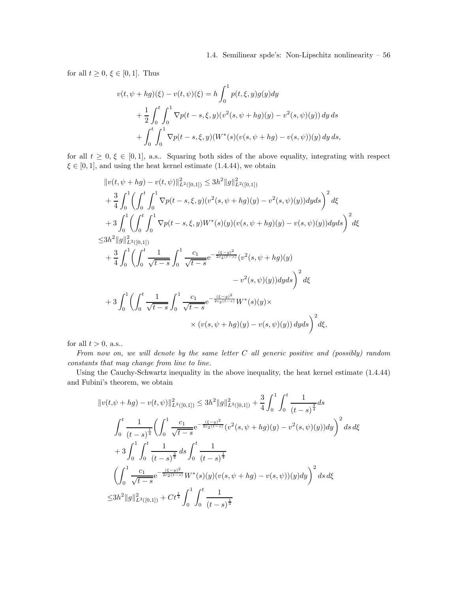for all  $t \geq 0, \xi \in [0, 1]$ . Thus

$$
v(t, \psi + hg)(\xi) - v(t, \psi)(\xi) = h \int_0^1 p(t, \xi, y)g(y)dy
$$
  
+ 
$$
\frac{1}{2} \int_0^t \int_0^1 \nabla p(t - s, \xi, y) (v^2(s, \psi + hg)(y) - v^2(s, \psi)(y)) dy ds
$$
  
+ 
$$
\int_0^t \int_0^1 \nabla p(t - s, \xi, y) (W^*(s)(v(s, \psi + hg) - v(s, \psi))(y) dy ds,
$$

for all  $t \geq 0, \xi \in [0,1],$  a.s.. Squaring both sides of the above equality, integrating with respect  $\xi \in [0, 1]$ , and using the heat kernel estimate (1.4.44), we obtain

$$
||v(t, \psi + hg) - v(t, \psi)||_{L^{2}([0,1])}^{2} \leq 3h^{2}||g||_{L^{2}([0,1])}^{2}
$$
  
+ 
$$
\frac{3}{4} \int_{0}^{1} \left( \int_{0}^{t} \int_{0}^{1} \nabla p(t-s, \xi, y)(v^{2}(s, \psi + hg)(y) - v^{2}(s, \psi)(y))dyds \right)^{2} d\xi
$$
  
+ 
$$
3 \int_{0}^{1} \left( \int_{0}^{t} \int_{0}^{1} \nabla p(t-s, \xi, y)W^{*}(s)(y)(v(s, \psi + hg)(y) - v(s, \psi)(y))dyds \right)^{2} d\xi
$$
  

$$
\leq 3h^{2}||g||_{L^{2}([0,1])}^{2}
$$
  
+ 
$$
\frac{3}{4} \int_{0}^{1} \left( \int_{0}^{t} \frac{1}{\sqrt{t-s}} \int_{0}^{1} \frac{c_{1}}{\sqrt{t-s}} e^{-\frac{(\xi - y)^{2}}{2c_{2}(t-s)}} (v^{2}(s, \psi + hg)(y) - v^{2}(s, \psi)(y))dyds \right)^{2} d\xi
$$
  
+ 
$$
3 \int_{0}^{1} \left( \int_{0}^{t} \frac{1}{\sqrt{t-s}} \int_{0}^{1} \frac{c_{1}}{\sqrt{t-s}} e^{-\frac{(\xi - y)^{2}}{2c_{2}(t-s)}} W^{*}(s)(y) \times \right) d\xi
$$
  

$$
\times (v(s, \psi + hg)(y) - v(s, \psi)(y)) dyds \right)^{2} d\xi,
$$

for all  $t > 0$ , a.s..

From now on, we will denote by the same letter C all generic positive and (possibly) random constants that may change from line to line.

Using the Cauchy-Schwartz inequality in the above inequality, the heat kernel estimate (1.4.44) and Fubini's theorem, we obtain

$$
||v(t,\psi + hg) - v(t,\psi)||_{L^{2}([0,1])}^{2} \leq 3h^{2}||g||_{L^{2}([0,1])}^{2} + \frac{3}{4} \int_{0}^{1} \int_{0}^{t} \frac{1}{(t-s)^{\frac{3}{4}}} ds
$$
  

$$
\int_{0}^{t} \frac{1}{(t-s)^{\frac{1}{4}}} \left( \int_{0}^{1} \frac{c_{1}}{\sqrt{t-s}} e^{-\frac{(\xi-y)^{2}}{2c_{2}(t-s)}} (v^{2}(s,\psi + hg)(y) - v^{2}(s,\psi)(y)) dy \right)^{2} ds d\xi
$$
  

$$
+ 3 \int_{0}^{1} \int_{0}^{t} \frac{1}{(t-s)^{\frac{3}{4}}} ds \int_{0}^{t} \frac{1}{(t-s)^{\frac{1}{4}}}
$$
  

$$
\left( \int_{0}^{1} \frac{c_{1}}{\sqrt{t-s}} e^{-\frac{(\xi-y)^{2}}{2c_{2}(t-s)}} W^{*}(s)(y)(v(s,\psi + hg) - v(s,\psi))(y) dy \right)^{2} ds d\xi
$$
  

$$
\leq 3h^{2} ||g||_{L^{2}([0,1])}^{2} + Ct^{\frac{1}{4}} \int_{0}^{1} \int_{0}^{t} \frac{1}{(t-s)^{\frac{1}{4}}}
$$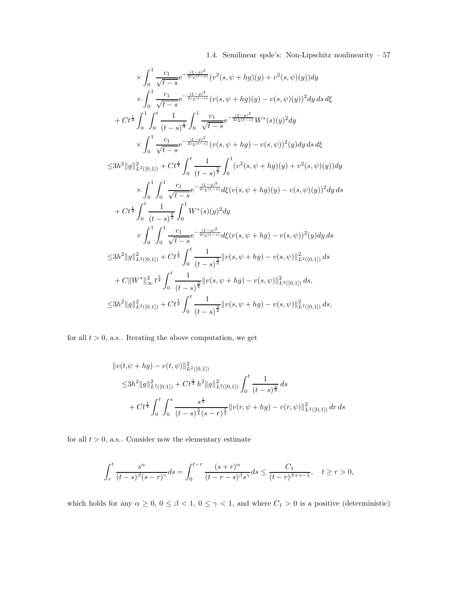$$
\times \int_{0}^{1} \frac{c_{1}}{\sqrt{t-s}} e^{-\frac{(\xi-y)^{2}}{2c_{2}(t-s)}} (v^{2}(s,\psi+hg)(y) + v^{2}(s,\psi)(y)) dy
$$
\n
$$
\times \int_{0}^{1} \frac{c_{1}}{\sqrt{t-s}} e^{-\frac{(\xi-y)^{2}}{2c_{2}(t-s)}} (v(s,\psi+hg)(y) - v(s,\psi)(y))^{2} dy ds d\xi
$$
\n
$$
+ Ct^{\frac{1}{4}} \int_{0}^{1} \int_{0}^{t} \frac{1}{(t-s)^{\frac{1}{4}}} \int_{0}^{1} \frac{c_{1}}{\sqrt{t-s}} e^{-\frac{(\xi-y)^{2}}{2c_{2}(t-s)}} W^{*}(s)(y)^{2} dy
$$
\n
$$
\times \int_{0}^{1} \frac{c_{1}}{\sqrt{t-s}} e^{-\frac{(\xi-y)^{2}}{2c_{2}(t-s)}} (v(s,\psi+hg) - v(s,\psi))^{2} (y) dy ds d\xi
$$
\n
$$
\leq 3h^{2} ||g||_{L^{2}([0,1])}^{2} + Ct^{\frac{1}{4}} \int_{0}^{t} \frac{1}{(t-s)^{\frac{3}{4}}} \int_{0}^{1} (v^{2}(s,\psi+hg)(y) + v^{2}(s,\psi)(y)) dy
$$
\n
$$
\times \int_{0}^{1} \int_{0}^{1} \frac{c_{1}}{\sqrt{t-s}} e^{-\frac{(\xi-y)^{2}}{2c_{2}(t-s)}} d\xi (v(s,\psi+hg)(y) - v(s,\psi)(y))^{2} dy ds
$$
\n
$$
+ Ct^{\frac{1}{4}} \int_{0}^{t} \frac{1}{(t-s)^{\frac{3}{4}}} \int_{0}^{1} W^{*}(s)(y)^{2} dy
$$
\n
$$
\times \int_{0}^{1} \int_{0}^{1} \frac{c_{1}}{\sqrt{t-s}} e^{-\frac{(\xi-y)^{2}}{2c_{2}(t-s)}} d\xi (v(s,\psi+hg) - v(s,\psi))^{2} (y) dy ds
$$
\n
$$
\leq 3h^{2} ||g||_{L^{2}([0,1])}^{2} + Ct^{\frac{1}{4}} \int_{0}^{t} \frac{1}{(t-s)^{\frac{3}{4}}} ||v(s,\psi+hg) - v(s,\psi)||_{L^{2}([
$$

for all  $t > 0$ , a.s.. Iterating the above computation, we get

$$
\|v(t,\psi + hg) - v(t,\psi)\|_{L^2([0,1])}^2
$$
  
\n
$$
\leq 3h^2 \|g\|_{L^2([0,1])}^2 + Ct^{\frac{1}{4}} h^2 \|g\|_{L^2([0,1])}^2 \int_0^t \frac{1}{(t-s)^{\frac{3}{4}}} ds
$$
  
\n
$$
+ Ct^{\frac{1}{4}} \int_0^t \int_0^s \frac{s^{\frac{1}{4}}}{(t-s)^{\frac{3}{4}}(s-r)^{\frac{3}{4}}} ||v(r,\psi + hg) - v(r,\psi)||_{L^2([0,1])}^2 dr ds
$$

for all  $t > 0$ , a.s.. Consider now the elementary estimate

$$
\int_r^t \frac{s^\alpha}{(t-s)^\beta (s-r)^\gamma} ds = \int_0^{t-r} \frac{(s+r)^\alpha}{(t-r-s)^\beta s^\gamma} ds \le \frac{C_1}{(t-r)^\beta+\gamma-1}, \quad t \ge r > 0,
$$

which holds for any  $\alpha \ge 0$ ,  $0 \le \beta < 1$ ,  $0 \le \gamma < 1$ , and where  $C_1 > 0$  is a positive (deterministic)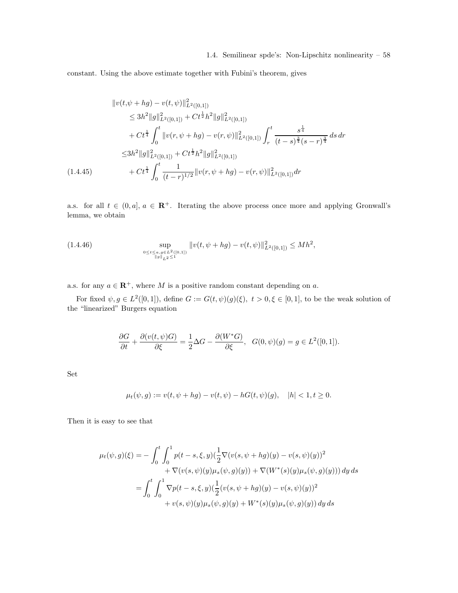constant. Using the above estimate together with Fubini's theorem, gives

$$
\|v(t,\psi + hg) - v(t,\psi)\|_{L^{2}([0,1])}^{2}
$$
\n
$$
\leq 3h^{2} \|g\|_{L^{2}([0,1])}^{2} + Ct^{\frac{1}{2}}h^{2} \|g\|_{L^{2}([0,1])}^{2}
$$
\n
$$
+ Ct^{\frac{1}{4}} \int_{0}^{t} \|v(r,\psi + hg) - v(r,\psi)\|_{L^{2}([0,1])}^{2} \int_{r}^{t} \frac{s^{\frac{1}{4}}}{(t-s)^{\frac{3}{4}}(s-r)^{\frac{3}{4}}} ds dr
$$
\n
$$
\leq 3h^{2} \|g\|_{L^{2}([0,1])}^{2} + Ct^{\frac{1}{2}}h^{2} \|g\|_{L^{2}([0,1])}^{2}
$$
\n
$$
(1.4.45) \qquad + Ct^{\frac{1}{4}} \int_{0}^{t} \frac{1}{(t-r)^{1/2}} \|v(r,\psi + hg) - v(r,\psi)\|_{L^{2}([0,1])}^{2} dr
$$

a.s. for all  $t \in (0, a], a \in \mathbb{R}^+$ . Iterating the above process once more and applying Gronwall's lemma, we obtain

(1.4.46) 
$$
\sup_{\substack{0 \le t \le a, g \in L^2([0,1]) \\ \|g\|_{L^2} \le 1}} \|v(t, \psi + hg) - v(t, \psi)\|_{L^2([0,1])}^2 \le Mh^2,
$$

a.s. for any  $a \in \mathbb{R}^+$ , where M is a positive random constant depending on a.

For fixed  $\psi, g \in L^2([0,1])$ , define  $G := G(t, \psi)(g)(\xi), t > 0, \xi \in [0,1]$ , to be the weak solution of the "linearized" Burgers equation

$$
\frac{\partial G}{\partial t} + \frac{\partial (v(t, \psi)G)}{\partial \xi} = \frac{1}{2}\Delta G - \frac{\partial (W^*G)}{\partial \xi}, \quad G(0, \psi)(g) = g \in L^2([0, 1]).
$$

Set

$$
\mu_t(\psi, g) := v(t, \psi + hg) - v(t, \psi) - hG(t, \psi)(g), \quad |h| < 1, t \ge 0.
$$

Then it is easy to see that

$$
\mu_t(\psi, g)(\xi) = -\int_0^t \int_0^1 p(t - s, \xi, y) (\frac{1}{2} \nabla(v(s, \psi + hg)(y) - v(s, \psi)(y))^2 \n+ \nabla(v(s, \psi)(y)\mu_s(\psi, g)(y)) + \nabla(W^*(s)(y)\mu_s(\psi, g)(y))) dy ds \n= \int_0^t \int_0^1 \nabla p(t - s, \xi, y) (\frac{1}{2}(v(s, \psi + hg)(y) - v(s, \psi)(y))^2 \n+ v(s, \psi)(y)\mu_s(\psi, g)(y) + W^*(s)(y)\mu_s(\psi, g)(y)) dy ds
$$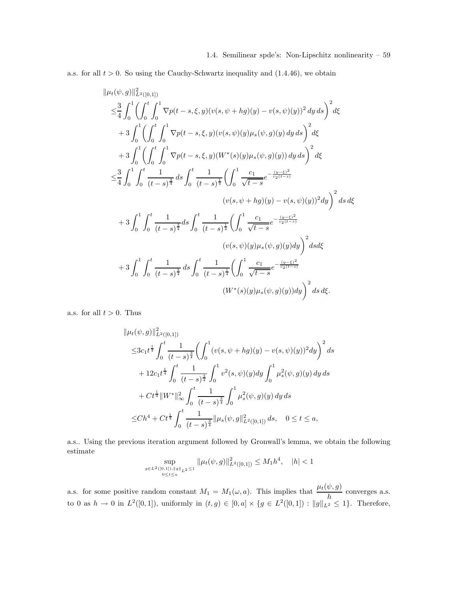a.s. for all  $t > 0$ . So using the Cauchy-Schwartz inequality and  $(1.4.46)$ , we obtain

$$
\| \mu_t(\psi, g) \|_{L^2([0,1])}^2
$$
\n
$$
\leq \frac{3}{4} \int_0^1 \left( \int_0^t \int_0^1 \nabla p(t-s, \xi, y) (v(s, \psi + hg)(y) - v(s, \psi)(y))^2 \, dy \, ds \right)^2 d\xi
$$
\n
$$
+ 3 \int_0^1 \left( \int_0^t \int_0^1 \nabla p(t-s, \xi, y) (v(s, \psi)(y) \mu_s(\psi, g)(y) \, dy \, ds \right)^2 d\xi
$$
\n
$$
+ 3 \int_0^1 \left( \int_0^t \int_0^1 \nabla p(t-s, \xi, y) (W^*(s)(y) \mu_s(\psi, g)(y)) \, dy \, ds \right)^2 d\xi
$$
\n
$$
\leq \frac{3}{4} \int_0^1 \int_0^t \frac{1}{(t-s)^{\frac{3}{4}}} ds \int_0^t \frac{1}{(t-s)^{\frac{1}{4}}} \left( \int_0^1 \frac{c_1}{\sqrt{t-s}} e^{-\frac{(y-\xi)^2}{c_2(t-s)}} (v(s, \psi + hg)(y) - v(s, \psi)(y))^2 dy \right)^2 ds d\xi
$$
\n
$$
+ 3 \int_0^1 \int_0^t \frac{1}{(t-s)^{\frac{3}{4}}} ds \int_0^t \frac{1}{(t-s)^{\frac{1}{4}}} \left( \int_0^1 \frac{c_1}{\sqrt{t-s}} e^{-\frac{(y-\xi)^2}{c_2(t-s)}} (v(s, \psi)(y) \mu_s(\psi, g)(y) dy) \right)^2 ds d\xi
$$
\n
$$
+ 3 \int_0^1 \int_0^t \frac{1}{(t-s)^{\frac{3}{4}}} ds \int_0^t \frac{1}{(t-s)^{\frac{1}{4}}} \left( \int_0^1 \frac{c_1}{\sqrt{t-s}} e^{-\frac{(y-\xi)^2}{c_2(t-s)}} (W^*(s)(y) \mu_s(\psi, g)(y)) dy \right)^2 ds d\xi.
$$

a.s. for all  $t > 0$ . Thus

$$
\|\mu_t(\psi, g)\|_{L^2([0,1])}^2
$$
  
\n
$$
\leq 3c_1 t^{\frac{1}{4}} \int_0^t \frac{1}{(t-s)^{\frac{3}{4}}} \left( \int_0^1 (v(s, \psi + hg)(y) - v(s, \psi)(y))^2 dy \right)^2 ds
$$
  
\n
$$
+ 12c_1 t^{\frac{1}{4}} \int_0^t \frac{1}{(t-s)^{\frac{3}{4}}} \int_0^1 v^2(s, \psi)(y) dy \int_0^1 \mu_s^2(\psi, g)(y) dy ds
$$
  
\n
$$
+ Ct^{\frac{1}{4}} \|W^*\|_{\infty}^2 \int_0^t \frac{1}{(t-s)^{\frac{3}{4}}} \int_0^1 \mu_s^2(\psi, g)(y) dy ds
$$
  
\n
$$
\leq Ch^4 + Ct^{\frac{1}{4}} \int_0^t \frac{1}{(t-s)^{\frac{3}{4}}} \|\mu_s(\psi, g)\|_{L^2([0,1])}^2 ds, \quad 0 \leq t \leq a,
$$

a.s.. Using the previous iteration argument followed by Gronwall's lemma, we obtain the following estimate

$$
\sup_{g \in L^2([0,1]), \|g\|_{L^2} \le 1} \| \mu_t(\psi, g) \|_{L^2([0,1])}^2 \le M_1 h^4, \quad |h| < 1
$$

a.s. for some positive random constant  $M_1 = M_1(\omega, a)$ . This implies that  $\frac{\mu_t(\psi, g)}{h}$  converges a.s. to 0 as  $h \to 0$  in  $L^2([0,1])$ , uniformly in  $(t,g) \in [0,a] \times \{g \in L^2([0,1]) : ||g||_{L^2} \leq 1\}$ . Therefore,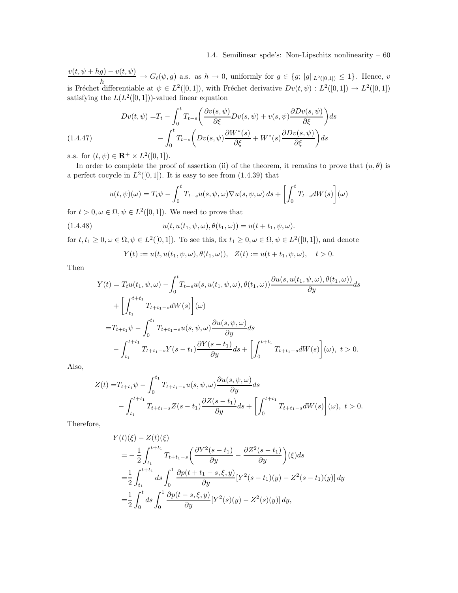$v(t, \psi + hg) - v(t, \psi)$  $\frac{h}{h}$   $\rightarrow$   $G_t(\psi, g)$  a.s. as  $h \rightarrow 0$ , uniformly for  $g \in \{g; ||g||_{L^2([0,1])} \leq 1\}$ . Hence, v is Fréchet differentiable at  $\psi \in L^2([0,1])$ , with Fréchet derivative  $Dv(t,\psi) : L^2([0,1]) \to L^2([0,1])$ satisfying the  $L(L^2([0,1]))$ -valued linear equation

$$
(1.4.47) \qquad Dv(t,\psi) = T_t - \int_0^t T_{t-s} \left( \frac{\partial v(s,\psi)}{\partial \xi} Dv(s,\psi) + v(s,\psi) \frac{\partial Dv(s,\psi)}{\partial \xi} \right) ds - \int_0^t T_{t-s} \left( Dv(s,\psi) \frac{\partial W^*(s)}{\partial \xi} + W^*(s) \frac{\partial Dv(s,\psi)}{\partial \xi} \right) ds
$$

a.s. for  $(t, \psi) \in \mathbf{R}^+ \times L^2([0, 1]).$ 

In order to complete the proof of assertion (ii) of the theorem, it remains to prove that  $(u, \theta)$  is a perfect cocycle in  $L^2([0,1])$ . It is easy to see from  $(1.4.39)$  that

$$
u(t, \psi)(\omega) = T_t \psi - \int_0^t T_{t-s} u(s, \psi, \omega) \nabla u(s, \psi, \omega) ds + \left[ \int_0^t T_{t-s} dW(s) \right](\omega)
$$

for  $t > 0, \omega \in \Omega, \psi \in L^2([0, 1])$ . We need to prove that

(1.4.48) 
$$
u(t, u(t_1, \psi, \omega), \theta(t_1, \omega)) = u(t + t_1, \psi, \omega).
$$

for  $t, t_1 \geq 0, \omega \in \Omega, \psi \in L^2([0, 1])$ . To see this, fix  $t_1 \geq 0, \omega \in \Omega, \psi \in L^2([0, 1])$ , and denote

$$
Y(t) := u(t, u(t_1, \psi, \omega), \theta(t_1, \omega)), \quad Z(t) := u(t + t_1, \psi, \omega), \quad t > 0.
$$

Then

$$
Y(t) = T_t u(t_1, \psi, \omega) - \int_0^t T_{t-s} u(s, u(t_1, \psi, \omega), \theta(t_1, \omega)) \frac{\partial u(s, u(t_1, \psi, \omega), \theta(t_1, \omega))}{\partial y} ds + \left[ \int_{t_1}^{t+t_1} T_{t+t_1-s} dW(s) \right] (\omega) = T_{t+t_1} \psi - \int_0^{t_1} T_{t+t_1-s} u(s, \psi, \omega) \frac{\partial u(s, \psi, \omega)}{\partial y} ds - \int_{t_1}^{t+t_1} T_{t+t_1-s} Y(s - t_1) \frac{\partial Y(s - t_1)}{\partial y} ds + \left[ \int_0^{t+t_1} T_{t+t_1-s} dW(s) \right] (\omega), \ t > 0.
$$

Also,

$$
Z(t) = T_{t+t_1} \psi - \int_0^{t_1} T_{t+t_1-s} u(s, \psi, \omega) \frac{\partial u(s, \psi, \omega)}{\partial y} ds - \int_{t_1}^{t+t_1} T_{t+t_1-s} Z(s-t_1) \frac{\partial Z(s-t_1)}{\partial y} ds + \left[ \int_0^{t+t_1} T_{t+t_1-s} dW(s) \right] (\omega), \ t > 0.
$$

Therefore,

$$
Y(t)(\xi) - Z(t)(\xi)
$$
  
=  $-\frac{1}{2} \int_{t_1}^{t+t_1} T_{t+t_1-s} \left( \frac{\partial Y^2(s-t_1)}{\partial y} - \frac{\partial Z^2(s-t_1)}{\partial y} \right) (\xi) ds$   
=  $\frac{1}{2} \int_{t_1}^{t+t_1} ds \int_0^1 \frac{\partial p(t+t_1-s,\xi,y)}{\partial y} [Y^2(s-t_1)(y) - Z^2(s-t_1)(y)] dy$   
=  $\frac{1}{2} \int_0^t ds \int_0^1 \frac{\partial p(t-s,\xi,y)}{\partial y} [Y^2(s)(y) - Z^2(s)(y)] dy,$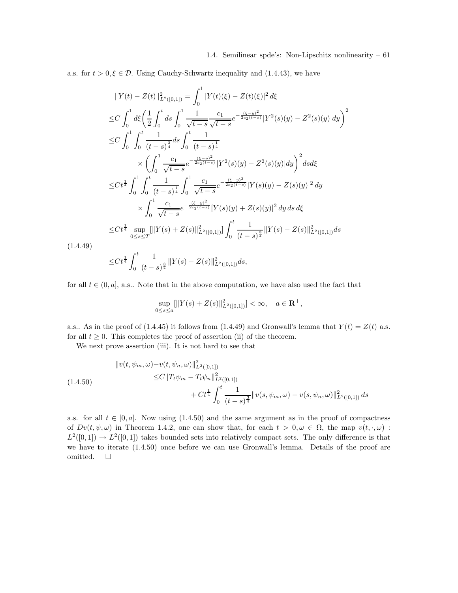a.s. for  $t > 0, \xi \in \mathcal{D}$ . Using Cauchy-Schwartz inequality and (1.4.43), we have

$$
||Y(t) - Z(t)||_{L^{2}([0,1])}^{2} = \int_{0}^{1} |Y(t)(\xi) - Z(t)(\xi)|^{2} d\xi
$$
  
\n
$$
\leq C \int_{0}^{1} d\xi \left( \frac{1}{2} \int_{0}^{t} ds \int_{0}^{1} \frac{1}{\sqrt{t-s}} \frac{c_{1}}{\sqrt{t-s}} e^{-\frac{(\xi - y)^{2}}{2c_{2}(t-s)}} |Y^{2}(s)(y) - Z^{2}(s)(y)| dy \right)^{2}
$$
  
\n
$$
\leq C \int_{0}^{1} \int_{0}^{t} \frac{1}{(t-s)^{\frac{3}{4}}} ds \int_{0}^{t} \frac{1}{(t-s)^{\frac{1}{4}}}
$$
  
\n
$$
\times \left( \int_{0}^{1} \frac{c_{1}}{\sqrt{t-s}} e^{-\frac{(\xi - y)^{2}}{2c_{2}(t-s)}} |Y^{2}(s)(y) - Z^{2}(s)(y)| dy \right)^{2} ds d\xi
$$
  
\n
$$
\leq Ct^{\frac{1}{4}} \int_{0}^{1} \int_{0}^{t} \frac{1}{(t-s)^{\frac{1}{4}}} \int_{0}^{1} \frac{c_{1}}{\sqrt{t-s}} e^{-\frac{(\xi - y)^{2}}{2c_{2}(t-s)}} |Y(s)(y) - Z(s)(y)|^{2} dy
$$
  
\n
$$
\times \int_{0}^{1} \frac{c_{1}}{\sqrt{t-s}} e^{-\frac{(\xi - y)^{2}}{2c_{2}(t-s)}} |Y(s)(y) + Z(s)(y)|^{2} dy ds d\xi
$$
  
\n
$$
\leq Ct^{\frac{1}{4}} \sup_{0 \leq s \leq T} [||Y(s) + Z(s)||_{L^{2}([0,1])}^{2}] \int_{0}^{t} \frac{1}{(t-s)^{\frac{3}{4}}} ||Y(s) - Z(s)||_{L^{2}([0,1])}^{2} ds
$$

$$
\leq C t^{\frac{1}{4}} \int_0^t \frac{1}{(t-s)^{\frac{3}{4}}} ||Y(s)-Z(s)||^2_{L^2([0,1])} ds,
$$

(1.4.49)

for all  $t \in (0, a]$ , a.s.. Note that in the above computation, we have also used the fact that

$$
\sup_{0\le s\le a} [\|Y(s)+Z(s)\|_{L^2([0,1])}^2] < \infty, \quad a \in \mathbf{R}^+,
$$

a.s.. As in the proof of (1.4.45) it follows from (1.4.49) and Gronwall's lemma that  $Y(t) = Z(t)$  a.s. for all  $t \geq 0$ . This completes the proof of assertion (ii) of the theorem.

We next prove assertion (iii). It is not hard to see that

$$
\|v(t, \psi_m, \omega) - v(t, \psi_n, \omega)\|_{L^2([0,1])}^2
$$
  
\n
$$
\leq C \|T_t \psi_m - T_t \psi_n\|_{L^2([0,1])}^2
$$
  
\n
$$
+ Ct^{\frac{1}{4}} \int_0^t \frac{1}{(t-s)^{\frac{3}{4}}} \|v(s, \psi_m, \omega) - v(s, \psi_n, \omega)\|_{L^2([0,1])}^2 ds
$$

a.s. for all  $t \in [0, a]$ . Now using  $(1.4.50)$  and the same argument as in the proof of compactness of  $Dv(t, \psi, \omega)$  in Theorem 1.4.2, one can show that, for each  $t > 0, \omega \in \Omega$ , the map  $v(t, \cdot, \omega)$ :  $L^2([0,1]) \to L^2([0,1])$  takes bounded sets into relatively compact sets. The only difference is that we have to iterate (1.4.50) once before we can use Gronwall's lemma. Details of the proof are omitted.  $\quad \ \ \Box$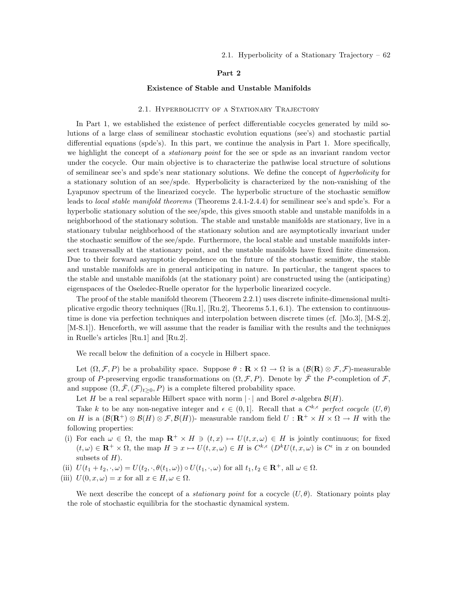# Part 2

### Existence of Stable and Unstable Manifolds

#### 2.1. HYPERBOLICITY OF A STATIONARY TRAJECTORY

In Part 1, we established the existence of perfect differentiable cocycles generated by mild solutions of a large class of semilinear stochastic evolution equations (see's) and stochastic partial differential equations (spde's). In this part, we continue the analysis in Part 1. More specifically, we highlight the concept of a *stationary point* for the see or spde as an invariant random vector under the cocycle. Our main objective is to characterize the pathwise local structure of solutions of semilinear see's and spde's near stationary solutions. We define the concept of hyperbolicity for a stationary solution of an see/spde. Hyperbolicity is characterized by the non-vanishing of the Lyapunov spectrum of the linearized cocycle. The hyperbolic structure of the stochastic semiflow leads to local stable manifold theorems (Theorems 2.4.1-2.4.4) for semilinear see's and spde's. For a hyperbolic stationary solution of the see/spde, this gives smooth stable and unstable manifolds in a neighborhood of the stationary solution. The stable and unstable manifolds are stationary, live in a stationary tubular neighborhood of the stationary solution and are asymptotically invariant under the stochastic semiflow of the see/spde. Furthermore, the local stable and unstable manifolds intersect transversally at the stationary point, and the unstable manifolds have fixed finite dimension. Due to their forward asymptotic dependence on the future of the stochastic semiflow, the stable and unstable manifolds are in general anticipating in nature. In particular, the tangent spaces to the stable and unstable manifolds (at the stationary point) are constructed using the (anticipating) eigenspaces of the Oseledec-Ruelle operator for the hyperbolic linearized cocycle.

The proof of the stable manifold theorem (Theorem 2.2.1) uses discrete infinite-dimensional multiplicative ergodic theory techniques ( $[Ru.1]$ ,  $[Ru.2]$ , Theorems 5.1, 6.1). The extension to continuoustime is done via perfection techniques and interpolation between discrete times (cf. [Mo.3], [M-S.2], [M-S.1]). Henceforth, we will assume that the reader is familiar with the results and the techniques in Ruelle's articles [Ru.1] and [Ru.2].

We recall below the definition of a cocycle in Hilbert space.

Let  $(\Omega, \mathcal{F}, P)$  be a probability space. Suppose  $\theta : \mathbf{R} \times \Omega \to \Omega$  is a  $(\mathcal{B}(\mathbf{R}) \otimes \mathcal{F}, \mathcal{F})$ -measurable group of P-preserving ergodic transformations on  $(\Omega, \mathcal{F}, P)$ . Denote by  $\bar{\mathcal{F}}$  the P-completion of  $\mathcal{F}$ , and suppose  $(\Omega, \bar{\mathcal{F}}, (\mathcal{F})_{t>0}, P)$  is a complete filtered probability space.

Let H be a real separable Hilbert space with norm  $\lvert \cdot \rvert$  and Borel  $\sigma$ -algebra  $\mathcal{B}(H)$ .

Take k to be any non-negative integer and  $\epsilon \in (0,1]$ . Recall that a  $C^{k,\epsilon}$  perfect cocycle  $(U,\theta)$ on H is a  $(\mathcal{B}(\mathbf{R}^+) \otimes \mathcal{B}(H) \otimes \mathcal{F}, \mathcal{B}(H))$ - measurable random field  $U : \mathbf{R}^+ \times H \times \Omega \to H$  with the following properties:

- (i) For each  $\omega \in \Omega$ , the map  $\mathbb{R}^+ \times H \ni (t, x) \mapsto U(t, x, \omega) \in H$  is jointly continuous; for fixed  $(t,\omega) \in \mathbf{R}^+ \times \Omega$ , the map  $H \ni x \mapsto U(t,x,\omega) \in H$  is  $C^{k,\epsilon}$   $(D^k U(t,x,\omega)$  is  $C^{\epsilon}$  in x on bounded subsets of  $H$ ).
- (ii)  $U(t_1+t_2, \cdot, \omega) = U(t_2, \cdot, \theta(t_1, \omega)) \circ U(t_1, \cdot, \omega)$  for all  $t_1, t_2 \in \mathbb{R}^+$ , all  $\omega \in \Omega$ .
- (iii)  $U(0, x, \omega) = x$  for all  $x \in H, \omega \in \Omega$ .

We next describe the concept of a *stationary point* for a cocycle  $(U, \theta)$ . Stationary points play the role of stochastic equilibria for the stochastic dynamical system.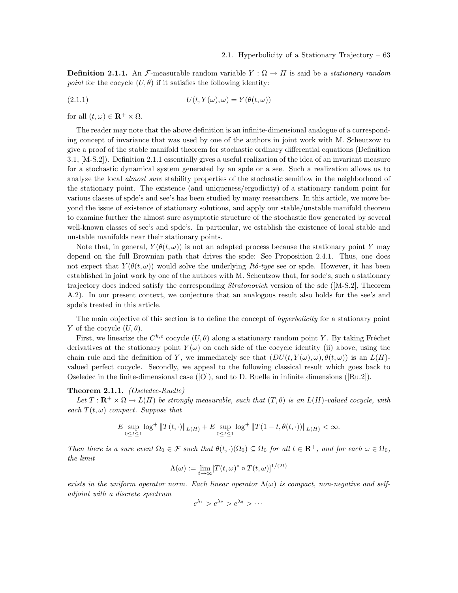**Definition 2.1.1.** An *F*-measurable random variable  $Y : \Omega \to H$  is said be a *stationary random* point for the cocycle  $(U, \theta)$  if it satisfies the following identity:

(2.1.1) 
$$
U(t, Y(\omega), \omega) = Y(\theta(t, \omega))
$$

for all  $(t, \omega) \in \mathbf{R}^+ \times \Omega$ .

The reader may note that the above definition is an infinite-dimensional analogue of a corresponding concept of invariance that was used by one of the authors in joint work with M. Scheutzow to give a proof of the stable manifold theorem for stochastic ordinary differential equations (Definition 3.1, [M-S.2]). Definition 2.1.1 essentially gives a useful realization of the idea of an invariant measure for a stochastic dynamical system generated by an spde or a see. Such a realization allows us to analyze the local *almost sure* stability properties of the stochastic semiflow in the neighborhood of the stationary point. The existence (and uniqueness/ergodicity) of a stationary random point for various classes of spde's and see's has been studied by many researchers. In this article, we move beyond the issue of existence of stationary solutions, and apply our stable/unstable manifold theorem to examine further the almost sure asymptotic structure of the stochastic flow generated by several well-known classes of see's and spde's. In particular, we establish the existence of local stable and unstable manifolds near their stationary points.

Note that, in general,  $Y(\theta(t, \omega))$  is not an adapted process because the stationary point Y may depend on the full Brownian path that drives the spde: See Proposition 2.4.1. Thus, one does not expect that  $Y(\theta(t, \omega))$  would solve the underlying Itô-type see or spde. However, it has been established in joint work by one of the authors with M. Scheutzow that, for sode's, such a stationary trajectory does indeed satisfy the corresponding Stratonovich version of the sde ([M-S.2], Theorem A.2). In our present context, we conjecture that an analogous result also holds for the see's and spde's treated in this article.

The main objective of this section is to define the concept of *hyperbolicity* for a stationary point Y of the cocycle  $(U, \theta)$ .

First, we linearize the  $C^{k,\epsilon}$  cocycle  $(U,\theta)$  along a stationary random point Y. By taking Fréchet derivatives at the stationary point  $Y(\omega)$  on each side of the cocycle identity (ii) above, using the chain rule and the definition of Y, we immediately see that  $(DU(t, Y(\omega), \omega), \theta(t, \omega))$  is an  $L(H)$ valued perfect cocycle. Secondly, we appeal to the following classical result which goes back to Oseledec in the finite-dimensional case  $([O])$ , and to D. Ruelle in infinite dimensions  $([Ru.2])$ .

# Theorem 2.1.1. (Oseledec-Ruelle)

Let  $T: \mathbf{R}^+ \times \Omega \to L(H)$  be strongly measurable, such that  $(T, \theta)$  is an  $L(H)$ -valued cocycle, with each  $T(t, \omega)$  compact. Suppose that

$$
E \sup_{0 \le t \le 1} \log^+ \|T(t, \cdot)\|_{L(H)} + E \sup_{0 \le t \le 1} \log^+ \|T(1-t, \theta(t, \cdot))\|_{L(H)} < \infty.
$$

Then there is a sure event  $\Omega_0 \in \mathcal{F}$  such that  $\theta(t, \cdot)(\Omega_0) \subseteq \Omega_0$  for all  $t \in \mathbf{R}^+$ , and for each  $\omega \in \Omega_0$ , the limit

$$
\Lambda(\omega) := \lim_{t \to \infty} [T(t, \omega)^* \circ T(t, \omega)]^{1/(2t)}
$$

exists in the uniform operator norm. Each linear operator  $\Lambda(\omega)$  is compact, non-negative and selfadjoint with a discrete spectrum

$$
e^{\lambda_1} > e^{\lambda_2} > e^{\lambda_3} > \cdots
$$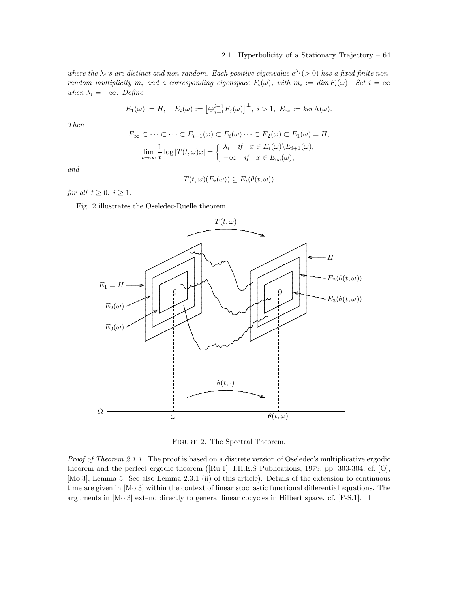where the  $\lambda_i$ 's are distinct and non-random. Each positive eigenvalue  $e^{\lambda_i}$  (> 0) has a fixed finite nonrandom multiplicity  $m_i$  and a corresponding eigenspace  $F_i(\omega)$ , with  $m_i := \dim F_i(\omega)$ . Set  $i = \infty$ when  $\lambda_i = -\infty$ . Define

$$
E_1(\omega) := H, \quad E_i(\omega) := \left[\oplus_{j=1}^{i-1} F_j(\omega)\right]^{\perp}, \quad i > 1, \quad E_{\infty} := \ker \Lambda(\omega).
$$

Then

$$
E_{\infty} \subset \cdots \subset \cdots \subset E_{i+1}(\omega) \subset E_i(\omega) \cdots \subset E_2(\omega) \subset E_1(\omega) = H,
$$
  

$$
\lim_{t \to \infty} \frac{1}{t} \log |T(t, \omega)x| = \begin{cases} \lambda_i & \text{if } x \in E_i(\omega) \backslash E_{i+1}(\omega), \\ -\infty & \text{if } x \in E_{\infty}(\omega), \end{cases}
$$

and

$$
T(t,\omega)(E_i(\omega))\subseteq E_i(\theta(t,\omega))
$$

for all  $t \geq 0$ ,  $i \geq 1$ .

Fig. 2 illustrates the Oseledec-Ruelle theorem.



Figure 2. The Spectral Theorem.

Proof of Theorem 2.1.1. The proof is based on a discrete version of Oseledec's multiplicative ergodic theorem and the perfect ergodic theorem ([Ru.1], I.H.E.S Publications, 1979, pp. 303-304; cf. [O], [Mo.3], Lemma 5. See also Lemma 2.3.1 (ii) of this article). Details of the extension to continuous time are given in [Mo.3] within the context of linear stochastic functional differential equations. The arguments in [Mo.3] extend directly to general linear cocycles in Hilbert space. cf. [F-S.1].  $\Box$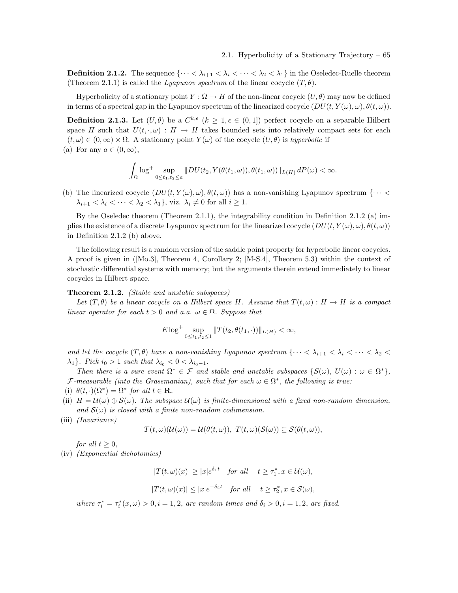**Definition 2.1.2.** The sequence  $\{\cdots < \lambda_{i+1} < \lambda_i < \cdots < \lambda_2 < \lambda_1\}$  in the Oseledec-Ruelle theorem (Theorem 2.1.1) is called the Lyapunov spectrum of the linear cocycle  $(T, \theta)$ .

Hyperbolicity of a stationary point  $Y : \Omega \to H$  of the non-linear cocycle  $(U, \theta)$  may now be defined in terms of a spectral gap in the Lyapunov spectrum of the linearized cocycle  $(DU(t, Y(\omega), \omega), \theta(t, \omega))$ .

**Definition 2.1.3.** Let  $(U, \theta)$  be a  $C^{k,\epsilon}$   $(k \geq 1, \epsilon \in (0,1])$  perfect cocycle on a separable Hilbert space H such that  $U(t, \cdot, \omega) : H \to H$  takes bounded sets into relatively compact sets for each  $(t, \omega) \in (0, \infty) \times \Omega$ . A stationary point  $Y(\omega)$  of the cocycle  $(U, \theta)$  is hyperbolic if

(a) For any  $a \in (0, \infty)$ ,

$$
\int_{\Omega} \log^{+} \sup_{0 \leq t_1, t_2 \leq a} \|DU(t_2, Y(\theta(t_1, \omega)), \theta(t_1, \omega))\|_{L(H)} dP(\omega) < \infty.
$$

(b) The linearized cocycle  $(DU(t, Y(\omega), \omega), \theta(t, \omega))$  has a non-vanishing Lyapunov spectrum  $\{\cdots$  $\lambda_{i+1} < \lambda_i < \cdots < \lambda_2 < \lambda_1$ , viz.  $\lambda_i \neq 0$  for all  $i \geq 1$ .

By the Oseledec theorem (Theorem 2.1.1), the integrability condition in Definition 2.1.2 (a) implies the existence of a discrete Lyapunov spectrum for the linearized cocycle  $(DU(t, Y(\omega), \omega), \theta(t, \omega))$ in Definition 2.1.2 (b) above.

The following result is a random version of the saddle point property for hyperbolic linear cocycles. A proof is given in ([Mo.3], Theorem 4, Corollary 2; [M-S.4], Theorem 5.3) within the context of stochastic differential systems with memory; but the arguments therein extend immediately to linear cocycles in Hilbert space.

# Theorem 2.1.2. (Stable and unstable subspaces)

Let  $(T, \theta)$  be a linear cocycle on a Hilbert space H. Assume that  $T(t, \omega) : H \to H$  is a compact linear operator for each  $t > 0$  and a.a.  $\omega \in \Omega$ . Suppose that

$$
E \log^+ \sup_{0 \le t_1, t_2 \le 1} ||T(t_2, \theta(t_1, \cdot))||_{L(H)} < \infty,
$$

and let the cocycle  $(T, \theta)$  have a non-vanishing Lyapunov spectrum  $\{\cdots < \lambda_{i+1} < \lambda_i < \cdots < \lambda_2 <$  $\lambda_1$ . Pick  $i_0 > 1$  such that  $\lambda_{i_0} < 0 < \lambda_{i_0-1}$ .

Then there is a sure event  $\Omega^* \in \mathcal{F}$  and stable and unstable subspaces  $\{S(\omega), U(\omega) : \omega \in \Omega^*\},$  $\mathcal{F}\text{-}measurable$  (into the Grassmanian), such that for each  $\omega \in \Omega^*,$  the following is true:

- (i)  $\theta(t, \cdot)(\Omega^*) = \Omega^*$  for all  $t \in \mathbf{R}$ .
- (ii)  $H = \mathcal{U}(\omega) \oplus \mathcal{S}(\omega)$ . The subspace  $\mathcal{U}(\omega)$  is finite-dimensional with a fixed non-random dimension, and  $S(\omega)$  is closed with a finite non-random codimension.
- (iii) (Invariance)

$$
T(t,\omega)(\mathcal{U}(\omega))=\mathcal{U}(\theta(t,\omega)),\ T(t,\omega)(\mathcal{S}(\omega))\subseteq \mathcal{S}(\theta(t,\omega)),
$$

for all  $t \geq 0$ ,

(iv) (Exponential dichotomies)

 $|T(t,\omega)(x)| \ge |x|e^{\delta_1 t}$  for all  $t \ge \tau_1^*, x \in \mathcal{U}(\omega)$ ,  $|T(t,\omega)(x)| \leq |x|e^{-\delta_2 t}$  for all  $t \geq \tau_2^*, x \in \mathcal{S}(\omega)$ ,

where  $\tau_i^* = \tau_i^*(x, \omega) > 0, i = 1, 2$ , are random times and  $\delta_i > 0, i = 1, 2$ , are fixed.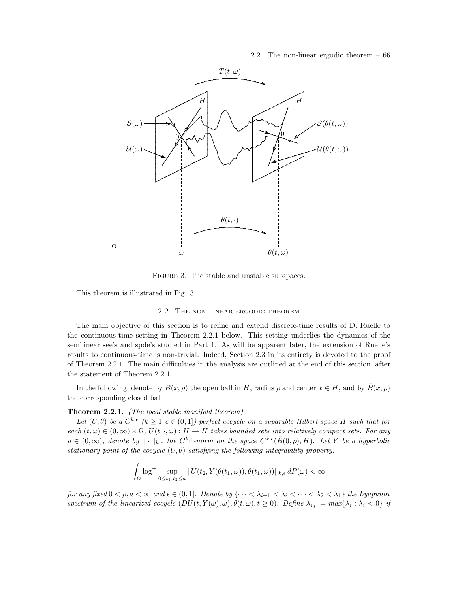2.2. The non-linear ergodic theorem – 66



FIGURE 3. The stable and unstable subspaces.

This theorem is illustrated in Fig. 3.

#### 2.2. The non-linear ergodic theorem

The main objective of this section is to refine and extend discrete-time results of D. Ruelle to the continuous-time setting in Theorem 2.2.1 below. This setting underlies the dynamics of the semilinear see's and spde's studied in Part 1. As will be apparent later, the extension of Ruelle's results to continuous-time is non-trivial. Indeed, Section 2.3 in its entirety is devoted to the proof of Theorem 2.2.1. The main difficulties in the analysis are outlined at the end of this section, after the statement of Theorem 2.2.1.

In the following, denote by  $B(x, \rho)$  the open ball in H, radius  $\rho$  and center  $x \in H$ , and by  $\overline{B}(x, \rho)$ the corresponding closed ball.

# Theorem 2.2.1. (The local stable manifold theorem)

Let  $(U, \theta)$  be a  $C^{k,\epsilon}$   $(k \geq 1, \epsilon \in (0,1])$  perfect cocycle on a separable Hilbert space H such that for each  $(t, \omega) \in (0, \infty) \times \Omega$ ,  $U(t, \cdot, \omega) : H \to H$  takes bounded sets into relatively compact sets. For any  $\rho \in (0,\infty)$ , denote by  $\|\cdot\|_{k,\epsilon}$  the  $C^{k,\epsilon}$ -norm on the space  $C^{k,\epsilon}(\bar{B}(0,\rho),H)$ . Let Y be a hyperbolic stationary point of the cocycle  $(U, \theta)$  satisfying the following integrability property:

$$
\int_{\Omega}\log^{+}\sup_{0\leq t_{1},t_{2}\leq a}\|U(t_{2},Y(\theta(t_{1},\omega)),\theta(t_{1},\omega))\|_{k,\epsilon}\,dP(\omega)<\infty
$$

for any fixed  $0 < \rho, a < \infty$  and  $\epsilon \in (0,1]$ . Denote by  $\{\cdots < \lambda_{i+1} < \lambda_i < \cdots < \lambda_2 < \lambda_1\}$  the Lyapunov spectrum of the linearized cocycle  $(DU(t, Y(\omega), \omega), \theta(t, \omega), t \ge 0)$ . Define  $\lambda_{i_0} := max\{\lambda_i : \lambda_i < 0\}$  if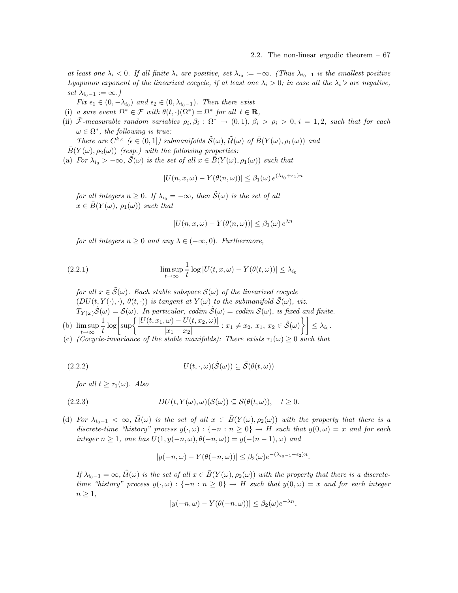at least one  $\lambda_i < 0$ . If all finite  $\lambda_i$  are positive, set  $\lambda_{i_0} := -\infty$ . (Thus  $\lambda_{i_0-1}$  is the smallest positive Lyapunov exponent of the linearized cocycle, if at least one  $\lambda_i > 0$ ; in case all the  $\lambda_i$ 's are negative, set  $\lambda_{i_0-1} := \infty.$ )

Fix  $\epsilon_1 \in (0, -\lambda_{i_0})$  and  $\epsilon_2 \in (0, \lambda_{i_0-1})$ . Then there exist

- (i) a sure event  $\Omega^* \in \mathcal{F}$  with  $\theta(t, \cdot)(\Omega^*) = \Omega^*$  for all  $t \in \mathbf{R}$ ,
- (ii)  $\bar{\mathcal{F}}$ -measurable random variables  $\rho_i, \beta_i : \Omega^* \to (0,1), \beta_i > \rho_i > 0, i = 1,2$ , such that for each  $\omega \in \Omega^*,$  the following is true:

There are  $C^{k,\epsilon}$  ( $\epsilon \in (0,1]$ ) submanifolds  $\tilde{S}(\omega)$ ,  $\tilde{\mathcal{U}}(\omega)$  of  $\bar{B}(Y(\omega), \rho_1(\omega))$  and

 $\bar{B}(Y(\omega), \rho_2(\omega))$  (resp.) with the following properties:

(a) For  $\lambda_{i_0} > -\infty$ ,  $\tilde{S}(\omega)$  is the set of all  $x \in \bar{B}(Y(\omega), \rho_1(\omega))$  such that

$$
|U(n, x, \omega) - Y(\theta(n, \omega))| \leq \beta_1(\omega) e^{(\lambda_{i_0} + \epsilon_1)n}
$$

for all integers  $n \geq 0$ . If  $\lambda_{i_0} = -\infty$ , then  $\tilde{S}(\omega)$  is the set of all  $x \in \overline{B}(Y(\omega), \rho_1(\omega))$  such that

$$
|U(n, x, \omega) - Y(\theta(n, \omega))| \le \beta_1(\omega) e^{\lambda n}
$$

for all integers  $n \geq 0$  and any  $\lambda \in (-\infty, 0)$ . Furthermore,

(2.2.1) 
$$
\limsup_{t \to \infty} \frac{1}{t} \log |U(t, x, \omega) - Y(\theta(t, \omega))| \leq \lambda_{i_0}
$$

for all  $x \in \tilde{\mathcal{S}}(\omega)$ . Each stable subspace  $\mathcal{S}(\omega)$  of the linearized cocycle  $(DU(t, Y(\cdot), \cdot), \theta(t, \cdot))$  is tangent at  $Y(\omega)$  to the submanifold  $\tilde{S}(\omega)$ , viz.  $T_{Y(\omega)}\tilde{\mathcal{S}}(\omega)=\mathcal{S}(\omega)$ . In particular, codim  $\tilde{\mathcal{S}}(\omega)=\text{codim }\mathcal{S}(\omega)$ , is fixed and finite. (b) lim sup 1  $\frac{1}{t} \log \biggl[ \sup \biggl\{ \frac{|U(t,x_1,\omega) - U(t,x_2,\omega)|}{|x_1 - x_2|} \biggr\}$  $\left[\frac{\omega\right)-U(t,x_2,\omega)}{|x_1-x_2|}: x_1\neq x_2,\, x_1,\, x_2\in\tilde{\mathcal{S}}(\omega)\Big\}\Big]\leq\lambda_{i_0}.$ 

 $t\rightarrow\infty$ (c) (Cocycle-invariance of the stable manifolds): There exists  $\tau_1(\omega) \geq 0$  such that

(2.2.2) 
$$
U(t,\cdot,\omega)(\tilde{\mathcal{S}}(\omega)) \subseteq \tilde{\mathcal{S}}(\theta(t,\omega))
$$

for all  $t > \tau_1(\omega)$ . Also

(2.2.3) 
$$
DU(t,Y(\omega),\omega)(\mathcal{S}(\omega))\subseteq \mathcal{S}(\theta(t,\omega)), \quad t\geq 0.
$$

(d) For  $\lambda_{i_0-1} < \infty$ ,  $\tilde{\mathcal{U}}(\omega)$  is the set of all  $x \in \overline{B}(Y(\omega), \rho_2(\omega))$  with the property that there is a discrete-time "history" process  $y(\cdot,\omega): \{-n : n \geq 0\} \to H$  such that  $y(0,\omega) = x$  and for each integer  $n \geq 1$ , one has  $U(1, y(-n, \omega), \theta(-n, \omega)) = y(-(n-1), \omega)$  and

$$
|y(-n,\omega)-Y(\theta(-n,\omega))|\leq \beta_2(\omega)e^{-(\lambda_{i_0-1}-\epsilon_2)n}.
$$

If  $\lambda_{i_0-1} = \infty$ ,  $\tilde{\mathcal{U}}(\omega)$  is the set of all  $x \in \bar{B}(Y(\omega), \rho_2(\omega))$  with the property that there is a discretetime "history" process  $y(\cdot,\omega): \{-n : n \geq 0\} \to H$  such that  $y(0,\omega) = x$  and for each integer  $n \geq 1$ ,

$$
|y(-n,\omega) - Y(\theta(-n,\omega))| \le \beta_2(\omega) e^{-\lambda n},
$$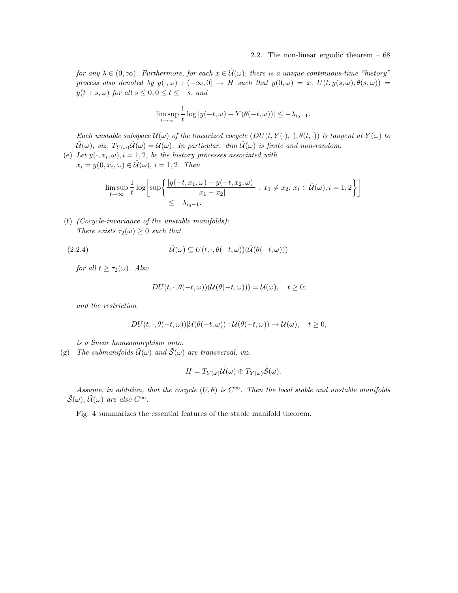### 2.2. The non-linear ergodic theorem – 68

for any  $\lambda \in (0,\infty)$ . Furthermore, for each  $x \in \tilde{\mathcal{U}}(\omega)$ , there is a unique continuous-time "history" process also denoted by  $y(\cdot,\omega) : (-\infty,0] \to H$  such that  $y(0,\omega) = x$ ,  $U(t, y(s,\omega), \theta(s,\omega)) =$  $y(t + s, \omega)$  for all  $s \leq 0, 0 \leq t \leq -s$ , and

$$
\limsup_{t \to \infty} \frac{1}{t} \log |y(-t,\omega) - Y(\theta(-t,\omega))| \leq -\lambda_{i_0-1}.
$$

Each unstable subspace  $\mathcal{U}(\omega)$  of the linearized cocycle  $(DU(t,Y(\cdot),\cdot),\theta(t,\cdot))$  is tangent at  $Y(\omega)$  to  $\tilde{\mathcal{U}}(\omega)$ , viz.  $T_{Y(\omega)}\tilde{\mathcal{U}}(\omega) = \mathcal{U}(\omega)$ . In particular, dim  $\tilde{\mathcal{U}}(\omega)$  is finite and non-random.

(e) Let  $y(\cdot, x_i, \omega)$ ,  $i = 1, 2$ , be the history processes associated with  $x_i = y(0, x_i, \omega) \in \tilde{\mathcal{U}}(\omega), i = 1, 2$ . Then

$$
\limsup_{t \to \infty} \frac{1}{t} \log \left[ \sup \left\{ \frac{|y(-t, x_1, \omega) - y(-t, x_2, \omega)|}{|x_1 - x_2|} : x_1 \neq x_2, x_i \in \tilde{\mathcal{U}}(\omega), i = 1, 2 \right\} \right]
$$
  

$$
\leq -\lambda_{i_0 - 1}.
$$

(f) (Cocycle-invariance of the unstable manifolds): There exists  $\tau_2(\omega) \geq 0$  such that

(2.2.4) 
$$
\tilde{\mathcal{U}}(\omega) \subseteq U(t, \cdot, \theta(-t, \omega))(\tilde{\mathcal{U}}(\theta(-t, \omega)))
$$

for all  $t \geq \tau_2(\omega)$ . Also

$$
DU(t,\cdot,\theta(-t,\omega))(\mathcal{U}(\theta(-t,\omega)))=\mathcal{U}(\omega),\quad t\geq 0;
$$

and the restriction

$$
DU(t,\cdot,\theta(-t,\omega))|\mathcal{U}(\theta(-t,\omega)):\mathcal{U}(\theta(-t,\omega))\to\mathcal{U}(\omega),\quad t\geq 0,
$$

is a linear homeomorphism onto.

(g) The submanifolds  $\tilde{\mathcal{U}}(\omega)$  and  $\tilde{\mathcal{S}}(\omega)$  are transversal, viz.

$$
H=T_{Y(\omega)}\tilde{\mathcal{U}}(\omega)\oplus T_{Y(\omega)}\tilde{\mathcal{S}}(\omega).
$$

Assume, in addition, that the cocycle  $(U, \theta)$  is  $C^{\infty}$ . Then the local stable and unstable manifolds  $\tilde{S}(\omega)$ ,  $\tilde{\mathcal{U}}(\omega)$  are also  $C^{\infty}$ .

Fig. 4 summarizes the essential features of the stable manifold theorem.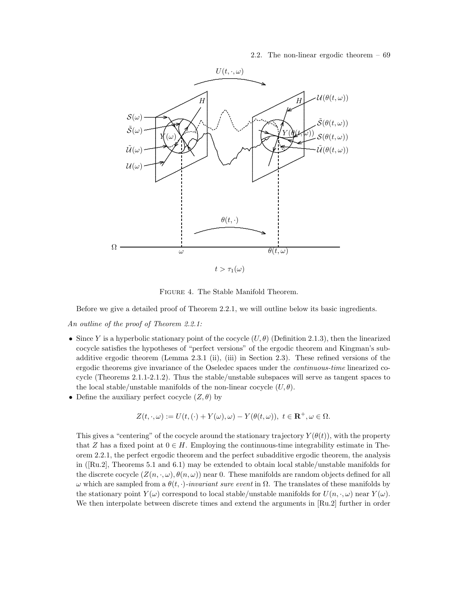2.2. The non-linear ergodic theorem – 69



Figure 4. The Stable Manifold Theorem.

Before we give a detailed proof of Theorem 2.2.1, we will outline below its basic ingredients.

An outline of the proof of Theorem 2.2.1:

- Since Y is a hyperbolic stationary point of the cocycle  $(U, \theta)$  (Definition 2.1.3), then the linearized cocycle satisfies the hypotheses of "perfect versions" of the ergodic theorem and Kingman's subadditive ergodic theorem (Lemma 2.3.1 (ii), (iii) in Section 2.3). These refined versions of the ergodic theorems give invariance of the Oseledec spaces under the continuous-time linearized cocycle (Theorems 2.1.1-2.1.2). Thus the stable/unstable subspaces will serve as tangent spaces to the local stable/unstable manifolds of the non-linear cocycle  $(U, \theta)$ .
- Define the auxiliary perfect cocycle  $(Z, \theta)$  by

$$
Z(t,\cdot,\omega):=U(t,(\cdot)+Y(\omega),\omega)-Y(\theta(t,\omega)),\,\,t\in\mathbf{R}^+,\omega\in\Omega.
$$

This gives a "centering" of the cocycle around the stationary trajectory  $Y(\theta(t))$ , with the property that Z has a fixed point at  $0 \in H$ . Employing the continuous-time integrability estimate in Theorem 2.2.1, the perfect ergodic theorem and the perfect subadditive ergodic theorem, the analysis in ([Ru.2], Theorems 5.1 and 6.1) may be extended to obtain local stable/unstable manifolds for the discrete cocycle  $(Z(n,\cdot,\omega),\theta(n,\omega))$  near 0. These manifolds are random objects defined for all ω which are sampled from a  $\theta(t, \cdot)$ -invariant sure event in Ω. The translates of these manifolds by the stationary point  $Y(\omega)$  correspond to local stable/unstable manifolds for  $U(n, \cdot, \omega)$  near  $Y(\omega)$ . We then interpolate between discrete times and extend the arguments in [Ru.2] further in order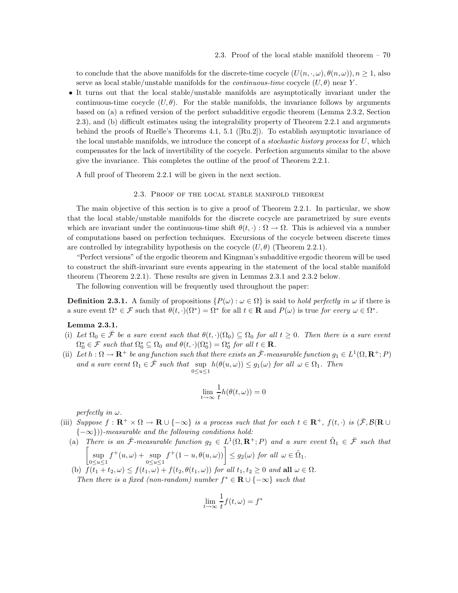to conclude that the above manifolds for the discrete-time cocycle  $(U(n, \cdot, \omega), \theta(n, \omega))$ ,  $n \geq 1$ , also serve as local stable/unstable manifolds for the *continuous-time* cocycle  $(U, \theta)$  near Y.

• It turns out that the local stable/unstable manifolds are asymptotically invariant under the continuous-time cocycle  $(U, \theta)$ . For the stable manifolds, the invariance follows by arguments based on (a) a refined version of the perfect subadditive ergodic theorem (Lemma 2.3.2, Section 2.3), and (b) difficult estimates using the integrability property of Theorem 2.2.1 and arguments behind the proofs of Ruelle's Theorems 4.1, 5.1 ([Ru.2]). To establish asymptotic invariance of the local unstable manifolds, we introduce the concept of a *stochastic history process* for  $U$ , which compensates for the lack of invertibility of the cocycle. Perfection arguments similar to the above give the invariance. This completes the outline of the proof of Theorem 2.2.1.

A full proof of Theorem 2.2.1 will be given in the next section.

# 2.3. Proof of the local stable manifold theorem

The main objective of this section is to give a proof of Theorem 2.2.1. In particular, we show that the local stable/unstable manifolds for the discrete cocycle are parametrized by sure events which are invariant under the continuous-time shift  $\theta(t, \cdot) : \Omega \to \Omega$ . This is achieved via a number of computations based on perfection techniques. Excursions of the cocycle between discrete times are controlled by integrability hypothesis on the cocycle  $(U, \theta)$  (Theorem 2.2.1).

"Perfect versions" of the ergodic theorem and Kingman's subadditive ergodic theorem will be used to construct the shift-invariant sure events appearing in the statement of the local stable manifold theorem (Theorem 2.2.1). These results are given in Lemmas 2.3.1 and 2.3.2 below.

The following convention will be frequently used throughout the paper:

**Definition 2.3.1.** A family of propositions  $\{P(\omega): \omega \in \Omega\}$  is said to *hold perfectly in*  $\omega$  if there is a sure event  $\Omega^* \in \mathcal{F}$  such that  $\theta(t, \cdot)(\Omega^*) = \Omega^*$  for all  $t \in \mathbf{R}$  and  $P(\omega)$  is true for every  $\omega \in \Omega^*$ .

# Lemma 2.3.1.

- (i) Let  $\Omega_0 \in \bar{\mathcal{F}}$  be a sure event such that  $\theta(t, \cdot)(\Omega_0) \subseteq \Omega_0$  for all  $t \geq 0$ . Then there is a sure event  $\Omega_0^* \in \mathcal{F}$  such that  $\Omega_0^* \subseteq \Omega_0$  and  $\theta(t, \cdot)(\Omega_0^*) = \Omega_0^*$  for all  $t \in \mathbb{R}$ .
- (ii) Let  $h: \Omega \to \mathbf{R}^+$  be any function such that there exists an  $\bar{\mathcal{F}}$ -measurable function  $g_1 \in L^1(\Omega, \mathbf{R}^+; P)$ and a sure event  $\Omega_1 \in \bar{\mathcal{F}}$  such that  $\sup_{\alpha \in \mathcal{I}} h(\theta(u,\omega)) \leq g_1(\omega)$  for all  $\omega \in \Omega_1$ . Then  $0 \le u \le 1$

$$
\lim_{t \to \infty} \frac{1}{t} h(\theta(t, \omega)) = 0
$$

perfectly in  $\omega$ .

- (iii) Suppose  $f: \mathbf{R}^+ \times \Omega \to \mathbf{R} \cup \{-\infty\}$  is a process such that for each  $t \in \mathbf{R}^+$ ,  $f(t, \cdot)$  is  $(\overline{F}, \mathcal{B}(\mathbf{R} \cup$  ${−∞}}$ ))-measurable and the following conditions hold:
	- (a) There is an  $\bar{\mathcal{F}}$ -measurable function  $g_2 \in L^1(\Omega, \mathbf{R}^+; P)$  and a sure event  $\tilde{\Omega}_1 \in \bar{\mathcal{F}}$  such that  $\int$  sup  $0 \le u \le 1$  $f^+(u, \omega) + \sup$  $0 \le u \le 1$  $f^+(1-u,\theta(u,\omega))\Big| \leq g_2(\omega)$  for all  $\omega \in \tilde{\Omega}_1$ .
	- (b)  $\overline{f(t_1+t_2,\omega)} \leq f(t_1,\omega) + f(t_2,\theta(t_1,\omega))$  for all  $t_1,t_2 \geq 0$  and all  $\omega \in \Omega$ . Then there is a fixed (non-random) number  $f^* \in \mathbf{R} \cup \{-\infty\}$  such that

$$
\lim_{t \to \infty} \frac{1}{t} f(t, \omega) = f^*
$$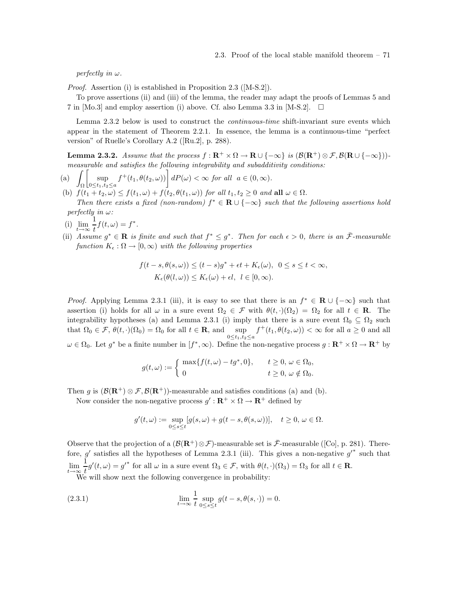perfectly in  $\omega$ .

Proof. Assertion (i) is established in Proposition 2.3 ([M-S.2]).

To prove assertions (ii) and (iii) of the lemma, the reader may adapt the proofs of Lemmas 5 and 7 in [Mo.3] and employ assertion (i) above. Cf. also Lemma 3.3 in [M-S.2].  $\Box$ 

Lemma 2.3.2 below is used to construct the continuous-time shift-invariant sure events which appear in the statement of Theorem 2.2.1. In essence, the lemma is a continuous-time "perfect version" of Ruelle's Corollary A.2 ([Ru.2], p. 288).

**Lemma 2.3.2.** Assume that the process  $f : \mathbb{R}^+ \times \Omega \to \mathbb{R} \cup \{-\infty\}$  is  $(\mathcal{B}(\mathbb{R}^+) \otimes \mathcal{F}, \mathcal{B}(\mathbb{R} \cup \{-\infty\}))$ . measurable and satisfies the following integrability and subadditivity conditions:

- $(a)$ Ω  $\left[\begin{array}{c} \infty \end{array}\right]$  $0 \leq t_1,t_2 \leq a$  $f^+(t_1, \theta(t_2, \omega))\bigg] dP(\omega) < \infty$  for all  $a \in (0, \infty)$ .
- (b)  $f(t_1+t_2,\omega) \leq f(t_1,\omega) + f(t_2,\theta(t_1,\omega))$  for all  $t_1, t_2 \geq 0$  and all  $\omega \in \Omega$ . Then there exists a fixed (non-random)  $f^* \in \mathbf{R} \cup \{-\infty\}$  such that the following assertions hold perfectly in  $\omega$ :
- (i)  $\lim_{t\to\infty}\frac{1}{t}$  $\frac{1}{t}f(t,\omega)=f^*.$
- (ii) Assume  $g^* \in \mathbf{R}$  is finite and such that  $f^* \leq g^*$ . Then for each  $\epsilon > 0$ , there is an  $\bar{\mathcal{F}}$ -measurable function  $K_{\epsilon} : \Omega \to [0, \infty)$  with the following properties

$$
f(t-s, \theta(s,\omega)) \le (t-s)g^* + \epsilon t + K_{\epsilon}(\omega), \ \ 0 \le s \le t < \infty,
$$
  

$$
K_{\epsilon}(\theta(l,\omega)) \le K_{\epsilon}(\omega) + \epsilon l, \ \ l \in [0,\infty).
$$

*Proof.* Applying Lemma 2.3.1 (iii), it is easy to see that there is an  $f^* \in \mathbf{R} \cup \{-\infty\}$  such that assertion (i) holds for all  $\omega$  in a sure event  $\Omega_2 \in \mathcal{F}$  with  $\theta(t, \cdot)(\Omega_2) = \Omega_2$  for all  $t \in \mathbb{R}$ . The integrability hypotheses (a) and Lemma 2.3.1 (i) imply that there is a sure event  $\Omega_0 \subseteq \Omega_2$  such that  $\Omega_0 \in \mathcal{F}, \theta(t, \cdot)(\Omega_0) = \Omega_0$  for all  $t \in \mathbf{R}$ , and  $\sup_{0 \le t_1, t_2 \le a}$  $f^+(t_1, \theta(t_2, \omega)) < \infty$  for all  $a \ge 0$  and all  $\omega \in \Omega_0$ . Let  $g^*$  be a finite number in  $[f^*,\infty)$ . Define the non-negative process  $g: \mathbf{R}^+ \times \Omega \to \mathbf{R}^+$  by

Let 
$$
y = 0
$$
 and hence number in  $[y, y, z]$ . Define the non-negative process  $y$  and  $y$  are  $x$  and  $z$  are

$$
g(t,\omega) := \begin{cases} \max\{f(t,\omega) - t g^*, 0\}, & t \ge 0, \, \omega \in \Omega_0, \\ 0 & t \ge 0, \, \omega \notin \Omega_0. \end{cases}
$$

Then g is  $(\mathcal{B}(\mathbf{R}^+) \otimes \mathcal{F}, \mathcal{B}(\mathbf{R}^+))$ -measurable and satisfies conditions (a) and (b).

Now consider the non-negative process  $g' : \mathbb{R}^+ \times \Omega \to \mathbb{R}^+$  defined by

$$
g'(t,\omega) := \sup_{0 \le s \le t} [g(s,\omega) + g(t-s,\theta(s,\omega))], \quad t \ge 0, \, \omega \in \Omega.
$$

Observe that the projection of a  $(\mathcal{B}(\mathbf{R}^+) \otimes \mathcal{F})$ -measurable set is  $\bar{\mathcal{F}}$ -measurable ([Co], p. 281). Therefore, g' satisfies all the hypotheses of Lemma 2.3.1 (iii). This gives a non-negative  $g'^*$  such that  $\lim_{t\to\infty}\frac{1}{t}$  $\frac{1}{t}g'(t,\omega) = g'^*$  for all  $\omega$  in a sure event  $\Omega_3 \in \mathcal{F}$ , with  $\theta(t, \cdot)(\Omega_3) = \Omega_3$  for all  $t \in \mathbb{R}$ . We will show next the following convergence in probability:

(2.3.1) 
$$
\lim_{t \to \infty} \frac{1}{t} \sup_{0 \le s \le t} g(t - s, \theta(s, \cdot)) = 0.
$$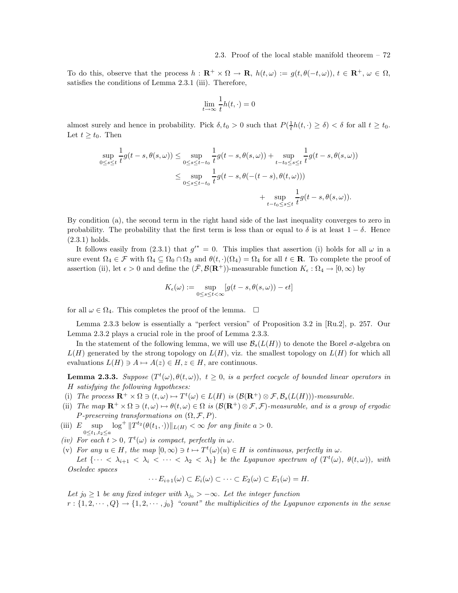To do this, observe that the process  $h : \mathbf{R}^+ \times \Omega \to \mathbf{R}$ ,  $h(t, \omega) := g(t, \theta(-t, \omega))$ ,  $t \in \mathbf{R}^+$ ,  $\omega \in \Omega$ , satisfies the conditions of Lemma 2.3.1 (iii). Therefore,

$$
\lim_{t \to \infty} \frac{1}{t} h(t, \cdot) = 0
$$

almost surely and hence in probability. Pick  $\delta, t_0 > 0$  such that  $P(\frac{1}{t}h(t, \cdot) \ge \delta) < \delta$  for all  $t \ge t_0$ . Let  $t \geq t_0$ . Then

$$
\sup_{0\leq s\leq t} \frac{1}{t}g(t-s,\theta(s,\omega)) \leq \sup_{0\leq s\leq t-t_0} \frac{1}{t}g(t-s,\theta(s,\omega)) + \sup_{t-t_0\leq s\leq t} \frac{1}{t}g(t-s,\theta(s,\omega))
$$
  

$$
\leq \sup_{0\leq s\leq t-t_0} \frac{1}{t}g(t-s,\theta(-(t-s),\theta(t,\omega)))
$$
  

$$
+ \sup_{t-t_0\leq s\leq t} \frac{1}{t}g(t-s,\theta(s,\omega)).
$$

By condition (a), the second term in the right hand side of the last inequality converges to zero in probability. The probability that the first term is less than or equal to  $\delta$  is at least  $1 - \delta$ . Hence (2.3.1) holds.

It follows easily from  $(2.3.1)$  that  $g'^* = 0$ . This implies that assertion (i) holds for all  $\omega$  in a sure event  $\Omega_4 \in \mathcal{F}$  with  $\Omega_4 \subseteq \Omega_0 \cap \Omega_3$  and  $\theta(t, \cdot)(\Omega_4) = \Omega_4$  for all  $t \in \mathbb{R}$ . To complete the proof of assertion (ii), let  $\epsilon > 0$  and define the  $(\bar{\mathcal{F}}, \mathcal{B}(\mathbf{R}^+))$ -measurable function  $K_{\epsilon} : \Omega_4 \to [0, \infty)$  by

$$
K_{\epsilon}(\omega) := \sup_{0 \le s \le t < \infty} [g(t - s, \theta(s, \omega)) - \epsilon t]
$$

for all  $\omega \in \Omega_4$ . This completes the proof of the lemma.  $\square$ 

Lemma 2.3.3 below is essentially a "perfect version" of Proposition 3.2 in [Ru.2], p. 257. Our Lemma 2.3.2 plays a crucial role in the proof of Lemma 2.3.3.

In the statement of the following lemma, we will use  $\mathcal{B}_s(L(H))$  to denote the Borel  $\sigma$ -algebra on  $L(H)$  generated by the strong topology on  $L(H)$ , viz. the smallest topology on  $L(H)$  for which all evaluations  $L(H) \ni A \mapsto A(z) \in H$ ,  $z \in H$ , are continuous.

**Lemma 2.3.3.** Suppose  $(T^t(\omega), \theta(t, \omega))$ ,  $t \geq 0$ , is a perfect cocycle of bounded linear operators in H satisfying the following hypotheses:

- (i) The process  $\mathbf{R}^+ \times \Omega \ni (t, \omega) \mapsto T^t(\omega) \in L(H)$  is  $(\mathcal{B}(\mathbf{R}^+) \otimes \mathcal{F}, \mathcal{B}_s(L(H)))$ -measurable.
- (ii) The map  $\mathbf{R}^+ \times \Omega \ni (t, \omega) \mapsto \theta(t, \omega) \in \Omega$  is  $(\mathcal{B}(\mathbf{R}^+) \otimes \mathcal{F}, \mathcal{F})$ -measurable, and is a group of ergodic P-preserving transformations on  $(\Omega, \mathcal{F}, P)$ .
- (iii)  $E \sup_{0 \le t \le t} \log^+ \|T^{t_2}(\theta(t_1, \cdot))\|_{L(H)} < \infty$  for any finite  $a > 0$ .  $0 \le t_1, t_2 \le a$
- (iv) For each  $t > 0$ ,  $T^t(\omega)$  is compact, perfectly in  $\omega$ .
- (v) For any  $u \in H$ , the map  $[0, \infty) \ni t \mapsto T^t(\omega)(u) \in H$  is continuous, perfectly in  $\omega$ . Let  $\{\cdots < \lambda_{i+1} < \lambda_i < \cdots < \lambda_2 < \lambda_1\}$  be the Lyapunov spectrum of  $(T^t(\omega), \theta(t, \omega))$ , with Oseledec spaces

$$
\cdots E_{i+1}(\omega) \subset E_i(\omega) \subset \cdots \subset E_2(\omega) \subset E_1(\omega) = H.
$$

Let  $j_0 \geq 1$  be any fixed integer with  $\lambda_{j_0} > -\infty$ . Let the integer function  $r:\{1,2,\dots,Q\}\rightarrow\{1,2,\dots,j_0\}$  "count" the multiplicities of the Lyapunov exponents in the sense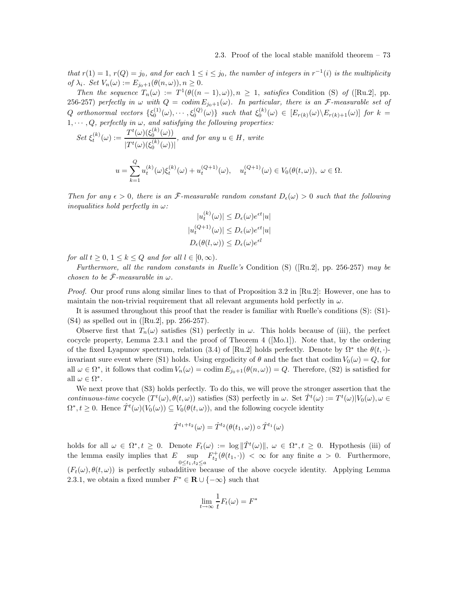that  $r(1) = 1$ ,  $r(Q) = j_0$ , and for each  $1 \le i \le j_0$ , the number of integers in  $r^{-1}(i)$  is the multiplicity of  $\lambda_i$ . Set  $V_n(\omega) := E_{j_0+1}(\theta(n,\omega)), n \geq 0$ .

Then the sequence  $T_n(\omega) := T^1(\theta((n-1), \omega))$ ,  $n \ge 1$ , satisfies Condition (S) of ([Ru.2], pp. 256-257) perfectly in  $\omega$  with  $Q = \text{codim } E_{j_0+1}(\omega)$ . In particular, there is an *F*-measurable set of Q orthonormal vectors  $\{\xi_0^{(1)}(\omega), \cdots, \xi_0^{(Q)}(\omega)\}\$  such that  $\xi_0^{(k)}(\omega) \in [E_{r(k)}(\omega)\setminus E_{r(k)+1}(\omega)]$  for  $k=$  $1, \dots, Q$ , perfectly in  $\omega$ , and satisfying the following properties:<br> $T^{t}(\omega)(\xi^{(k)}(\omega))$ 

$$
Set \xi_t^{(k)}(\omega) := \frac{T^t(\omega)(\xi_0^{(k)}(\omega))}{|T^t(\omega)(\xi_0^{(k)}(\omega))|}, \text{ and for any } u \in H, \text{ write}
$$
  

$$
u = \sum_{k=1}^Q u_t^{(k)}(\omega)\xi_t^{(k)}(\omega) + u_t^{(Q+1)}(\omega), \quad u_t^{(Q+1)}(\omega) \in V_0(\theta(t,\omega)), \omega \in \Omega.
$$

Then for any  $\epsilon > 0$ , there is an  $\bar{\mathcal{F}}$ -measurable random constant  $D_{\epsilon}(\omega) > 0$  such that the following inequalities hold perfectly in  $\omega$ :

$$
|u_t^{(k)}(\omega)| \le D_{\epsilon}(\omega)e^{\epsilon t}|u|
$$
  

$$
|u_t^{(Q+1)}(\omega)| \le D_{\epsilon}(\omega)e^{\epsilon t}|u|
$$
  

$$
D_{\epsilon}(\theta(l,\omega)) \le D_{\epsilon}(\omega)e^{\epsilon l}
$$

for all  $t \geq 0, 1 \leq k \leq Q$  and for all  $l \in [0, \infty)$ .

Furthermore, all the random constants in Ruelle's Condition (S) ([Ru.2], pp. 256-257) may be chosen to be  $\bar{\mathcal{F}}$ -measurable in  $\omega$ .

Proof. Our proof runs along similar lines to that of Proposition 3.2 in [Ru.2]: However, one has to maintain the non-trivial requirement that all relevant arguments hold perfectly in  $\omega$ .

It is assumed throughout this proof that the reader is familiar with Ruelle's conditions (S): (S1)- (S4) as spelled out in ([Ru.2], pp. 256-257).

Observe first that  $T_n(\omega)$  satisfies (S1) perfectly in  $\omega$ . This holds because of (iii), the perfect cocycle property, Lemma 2.3.1 and the proof of Theorem 4 ([Mo.1]). Note that, by the ordering of the fixed Lyapunov spectrum, relation (3.4) of [Ru.2] holds perfectly. Denote by  $\Omega^*$  the  $\theta(t, \cdot)$ invariant sure event where (S1) holds. Using ergodicity of  $\theta$  and the fact that codim  $V_0(\omega) = Q$ , for all  $\omega \in \Omega^*$ , it follows that codim  $V_n(\omega) = \text{codim } E_{j_0+1}(\theta(n,\omega)) = Q$ . Therefore, (S2) is satisfied for all  $\omega \in \Omega^*$ .

We next prove that (S3) holds perfectly. To do this, we will prove the stronger assertion that the continuous-time cocycle  $(T^t(\omega), \theta(t, \omega))$  satisfies (S3) perfectly in  $\omega$ . Set  $\hat{T}^t(\omega) := T^t(\omega)|V_0(\omega), \omega \in$  $\Omega^*, t \geq 0$ . Hence  $\hat{T}^t(\omega)(V_0(\omega)) \subseteq V_0(\theta(t,\omega))$ , and the following cocycle identity

$$
\hat{T}^{t_1+t_2}(\omega) = \hat{T}^{t_2}(\theta(t_1,\omega)) \circ \hat{T}^{t_1}(\omega)
$$

holds for all  $\omega \in \Omega^*, t \geq 0$ . Denote  $F_t(\omega) := \log ||\hat{T}^t(\omega)||, \ \omega \in \Omega^*, t \geq 0$ . Hypothesis (iii) of the lemma easily implies that  $E$  sup  $0 \leq t_1, t_2 \leq a$  $F_{t_2}^+(\theta(t_1,\cdot)) < \infty$  for any finite  $a > 0$ . Furthermore,  $(F_t(\omega), \theta(t, \omega))$  is perfectly subadditive because of the above cocycle identity. Applying Lemma 2.3.1, we obtain a fixed number  $F^* \in \mathbf{R} \cup \{-\infty\}$  such that

$$
\lim_{t \to \infty} \frac{1}{t} F_t(\omega) = F^*
$$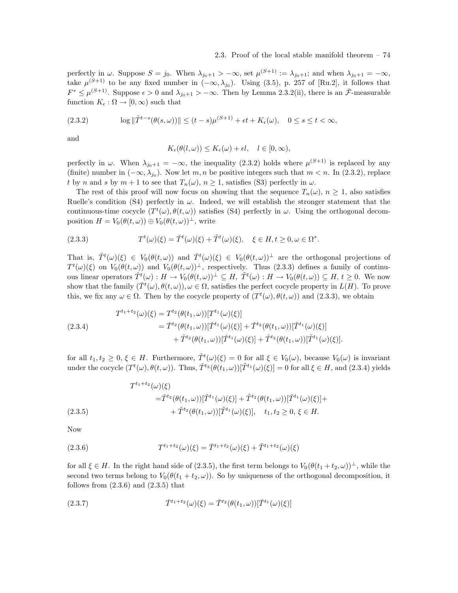### 2.3. Proof of the local stable manifold theorem – 74

perfectly in  $\omega$ . Suppose  $S = j_0$ . When  $\lambda_{j_0+1} > -\infty$ , set  $\mu^{(S+1)} := \lambda_{j_0+1}$ ; and when  $\lambda_{j_0+1} = -\infty$ , take  $\mu^{(S+1)}$  to be any fixed number in  $(-\infty, \lambda_{j_0})$ . Using (3.5), p. 257 of [Ru.2], it follows that  $F^* \leq \mu^{(S+1)}$ . Suppose  $\epsilon > 0$  and  $\lambda_{j_0+1} > -\infty$ . Then by Lemma 2.3.2(ii), there is an  $\bar{\mathcal{F}}$ -measurable function  $K_{\epsilon} : \Omega \to [0, \infty)$  such that

(2.3.2) 
$$
\log \|\hat{T}^{t-s}(\theta(s,\omega))\| \le (t-s)\mu^{(S+1)} + \epsilon t + K_{\epsilon}(\omega), \quad 0 \le s \le t < \infty,
$$

and

$$
K_{\epsilon}(\theta(l,\omega)) \leq K_{\epsilon}(\omega) + \epsilon l, \quad l \in [0,\infty),
$$

perfectly in  $\omega$ . When  $\lambda_{j_0+1} = -\infty$ , the inequality (2.3.2) holds where  $\mu^{(S+1)}$  is replaced by any (finite) number in  $(-\infty, \lambda_{j_0})$ . Now let m, n be positive integers such that  $m < n$ . In (2.3.2), replace t by n and s by  $m + 1$  to see that  $T_n(\omega)$ ,  $n \geq 1$ , satisfies (S3) perfectly in  $\omega$ .

The rest of this proof will now focus on showing that the sequence  $T_n(\omega)$ ,  $n \geq 1$ , also satisfies Ruelle's condition (S4) perfectly in  $\omega$ . Indeed, we will establish the stronger statement that the continuous-time cocycle  $(T^t(\omega), \theta(t, \omega))$  satisfies (S4) perfectly in  $\omega$ . Using the orthogonal decomposition  $H = V_0(\theta(t, \omega)) \oplus V_0(\theta(t, \omega))^{\perp}$ , write

(2.3.3) 
$$
T^{t}(\omega)(\xi) = \check{T}^{t}(\omega)(\xi) + \tilde{T}^{t}(\omega)(\xi), \quad \xi \in H, t \ge 0, \omega \in \Omega^{*}.
$$

That is,  $\tilde{T}^t(\omega)(\xi) \in V_0(\theta(t,\omega))$  and  $\tilde{T}^t(\omega)(\xi) \in V_0(\theta(t,\omega))^{\perp}$  are the orthogonal projections of  $T^t(\omega)(\xi)$  on  $V_0(\theta(t,\omega))$  and  $V_0(\theta(t,\omega))^{\perp}$ , respectively. Thus (2.3.3) defines a family of continuous linear operators  $\check{T}^t(\omega) : H \to V_0(\theta(t,\omega))^{\perp} \subseteq H, \ \tilde{T}^t(\omega) : H \to V_0(\theta(t,\omega)) \subseteq H, t \geq 0$ . We now show that the family  $(\check{T}^t(\omega), \theta(t,\omega)), \omega \in \Omega$ , satisfies the perfect cocycle property in  $L(H)$ . To prove this, we fix any  $\omega \in \Omega$ . Then by the cocycle property of  $(T^t(\omega), \theta(t, \omega))$  and  $(2.3.3)$ , we obtain

(2.3.4)  
\n
$$
T^{t_1+t_2}(\omega)(\xi) = T^{t_2}(\theta(t_1,\omega))[T^{t_1}(\omega)(\xi)]
$$
\n
$$
= \check{T}^{t_2}(\theta(t_1,\omega))[ \check{T}^{t_1}(\omega)(\xi)] + \check{T}^{t_2}(\theta(t_1,\omega))[ \tilde{T}^{t_1}(\omega)(\xi)]
$$
\n
$$
+ \tilde{T}^{t_2}(\theta(t_1,\omega))[ \check{T}^{t_1}(\omega)(\xi)] + \tilde{T}^{t_2}(\theta(t_1,\omega))[ \tilde{T}^{t_1}(\omega)(\xi)].
$$

for all  $t_1, t_2 \geq 0, \xi \in H$ . Furthermore,  $\check{T}^t(\omega)(\xi) = 0$  for all  $\xi \in V_0(\omega)$ , because  $V_0(\omega)$  is invariant under the cocycle  $(T^t(\omega), \theta(t, \omega))$ . Thus,  $\check{T}^{t_2}(\theta(t_1, \omega))[\tilde{T}^{t_1}(\omega)(\xi)] = 0$  for all  $\xi \in H$ , and (2.3.4) yields

$$
(2.3.5)
$$
\n
$$
T^{t_1+t_2}(\omega)(\xi)
$$
\n
$$
= \tilde{T}^{t_2}(\theta(t_1,\omega))[\tilde{T}^{t_1}(\omega)(\xi)] + \tilde{T}^{t_2}(\theta(t_1,\omega))[\tilde{T}^{t_1}(\omega)(\xi)] + \tilde{T}^{t_2}(\theta(t_1,\omega))[\tilde{T}^{t_1}(\omega)(\xi)], \quad t_1, t_2 \ge 0, \xi \in H.
$$

Now

(2.3.6) 
$$
T^{t_1+t_2}(\omega)(\xi) = \check{T}^{t_1+t_2}(\omega)(\xi) + \tilde{T}^{t_1+t_2}(\omega)(\xi)
$$

for all  $\xi \in H$ . In the right hand side of (2.3.5), the first term belongs to  $V_0(\theta(t_1 + t_2, \omega))^{\perp}$ , while the second two terms belong to  $V_0(\theta(t_1 + t_2, \omega))$ . So by uniqueness of the orthogonal decomposition, it follows from  $(2.3.6)$  and  $(2.3.5)$  that

(2.3.7) 
$$
\check{T}^{t_1+t_2}(\omega)(\xi) = \check{T}^{t_2}(\theta(t_1,\omega))[\check{T}^{t_1}(\omega)(\xi)]
$$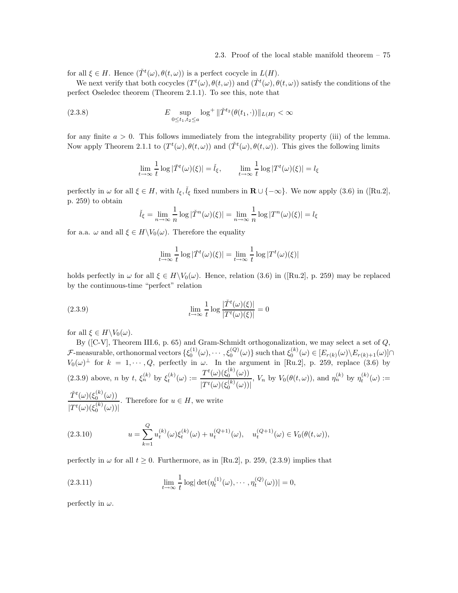for all  $\xi \in H$ . Hence  $(\check{T}^t(\omega), \theta(t, \omega))$  is a perfect cocycle in  $L(H)$ .

We next verify that both cocycles  $(T^t(\omega), \theta(t, \omega))$  and  $(\check{T}^t(\omega), \theta(t, \omega))$  satisfy the conditions of the perfect Oseledec theorem (Theorem 2.1.1). To see this, note that

(2.3.8) 
$$
E \sup_{0 \le t_1, t_2 \le a} \log^+ ||\check{T}^{t_2}(\theta(t_1, \cdot))||_{L(H)} < \infty
$$

for any finite  $a > 0$ . This follows immediately from the integrability property (iii) of the lemma. Now apply Theorem 2.1.1 to  $(T^t(\omega), \theta(t, \omega))$  and  $(\check{T}^t(\omega), \theta(t, \omega))$ . This gives the following limits

$$
\lim_{t \to \infty} \frac{1}{t} \log |\check{T}^t(\omega)(\xi)| = \check{l}_{\xi}, \qquad \lim_{t \to \infty} \frac{1}{t} \log |T^t(\omega)(\xi)| = l_{\xi}
$$

perfectly in  $\omega$  for all  $\xi \in H$ , with  $l_{\xi}, \tilde{l}_{\xi}$  fixed numbers in  $\mathbf{R} \cup \{-\infty\}$ . We now apply (3.6) in ([Ru.2], p. 259) to obtain

$$
\check{l}_{\xi} = \lim_{n \to \infty} \frac{1}{n} \log |\check{T}^n(\omega)(\xi)| = \lim_{n \to \infty} \frac{1}{n} \log |T^n(\omega)(\xi)| = l_{\xi}
$$

for a.a.  $\omega$  and all  $\xi \in H \backslash V_0(\omega)$ . Therefore the equality

$$
\lim_{t \to \infty} \frac{1}{t} \log |\check{T}^t(\omega)(\xi)| = \lim_{t \to \infty} \frac{1}{t} \log |\check{T}^t(\omega)(\xi)|
$$

holds perfectly in  $\omega$  for all  $\xi \in H\backslash V_0(\omega)$ . Hence, relation (3.6) in ([Ru.2], p. 259) may be replaced by the continuous-time "perfect" relation

(2.3.9) 
$$
\lim_{t \to \infty} \frac{1}{t} \log \frac{|\check{T}^t(\omega)(\xi)|}{|T^t(\omega)(\xi)|} = 0
$$

for all  $\xi \in H \backslash V_0(\omega)$ .

By ( $[C-V]$ , Theorem III.6, p. 65) and Gram-Schmidt orthogonalization, we may select a set of  $Q$ , F-measurable, orthonormal vectors  $\{\xi_0^{(1)}(\omega), \cdots, \xi_0^{(Q)}(\omega)\}$  such that  $\xi_0^{(k)}(\omega) \in [E_{r(k)}(\omega) \setminus E_{r(k)+1}(\omega)] \cap$  $V_0(\omega)$ <sup> $\perp$ </sup> for  $k = 1, \dots, Q$ , perfectly in  $\omega$ . In the argument in [Ru.2], p. 259, replace (3.6) by (2.3.9) above, *n* by *t*,  $\xi_n^{(k)}$  by  $\xi_t^{(k)}(\omega) := \frac{T^t(\omega)(\xi_0^{(k)}(\omega))}{T^t(\omega)(\xi_0^{(k)}(\omega))}$  $|T^t(\omega)(\xi_0^{(k)}(\omega))|$ ,  $V_n$  by  $V_0(\theta(t,\omega))$ , and  $\eta_n^{(k)}$  by  $\eta_t^{(k)}(\omega) :=$  $\check{T}^t(\omega)(\xi_0^{(k)}(\omega))$  $|T^t(\omega)(\xi_0^{(k)}(\omega))|$ . Therefore for  $u \in H$ , we write

(2.3.10) 
$$
u = \sum_{k=1}^{Q} u_t^{(k)}(\omega) \xi_t^{(k)}(\omega) + u_t^{(Q+1)}(\omega), \quad u_t^{(Q+1)}(\omega) \in V_0(\theta(t, \omega)),
$$

perfectly in  $\omega$  for all  $t \geq 0$ . Furthermore, as in [Ru.2], p. 259, (2.3.9) implies that

(2.3.11) 
$$
\lim_{t \to \infty} \frac{1}{t} \log |\det(\eta_t^{(1)}(\omega), \cdots, \eta_t^{(Q)}(\omega))| = 0,
$$

perfectly in  $\omega$ .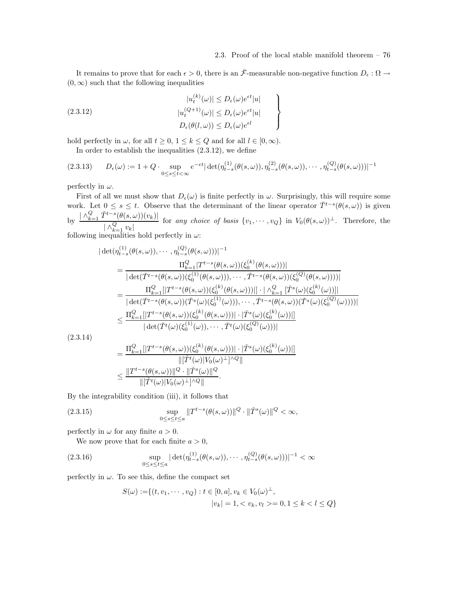$\mathcal{L}$  $\overline{\mathcal{L}}$ 

 $\int$ 

It remains to prove that for each  $\epsilon > 0$ , there is an  $\bar{\mathcal{F}}$ -measurable non-negative function  $D_{\epsilon} : \Omega \to$  $(0, \infty)$  such that the following inequalities

(2.3.12)  
\n
$$
|u_t^{(k)}(\omega)| \le D_{\epsilon}(\omega)e^{\epsilon t}|u|
$$
\n
$$
|u_t^{(Q+1)}(\omega)| \le D_{\epsilon}(\omega)e^{\epsilon t}|u|
$$
\n
$$
D_{\epsilon}(\theta(l,\omega)) \le D_{\epsilon}(\omega)e^{\epsilon l}
$$

hold perfectly in  $\omega$ , for all  $t \geq 0$ ,  $1 \leq k \leq Q$  and for all  $l \in [0, \infty)$ .

 $($ 

In order to establish the inequalities (2.3.12), we define

$$
(2.3.13) \qquad D_{\epsilon}(\omega) := 1 + Q \cdot \sup_{0 \le s \le t < \infty} e^{-\epsilon t} |\det(\eta_{t-s}^{(1)}(\theta(s,\omega)), \eta_{t-s}^{(2)}(\theta(s,\omega)), \cdots, \eta_{t-s}^{(Q)}(\theta(s,\omega)))|^{-1}
$$

perfectly in  $\omega$ .

First of all we must show that  $D_{\epsilon}(\omega)$  is finite perfectly in  $\omega$ . Surprisingly, this will require some work. Let  $0 \leq s \leq t$ . Observe that the determinant of the linear operator  $\check{T}^{t-s}(\theta(s,\omega))$  is given by  $\frac{|\wedge_{k=1}^Q \check{T}^{t-s}(\theta(s,\omega))(v_k)|}{Q}$  $| \wedge_{k=1}^Q v_k |$ for any choice of basis  $\{v_1, \dots, v_Q\}$  in  $V_0(\theta(s,\omega))^{\perp}$ . Therefore, the

following inequalities hold perfectly in  $\omega$ :

 $(1)$ 

$$
|\det(\eta_{t-s}^{(1)}(\theta(s,\omega)),\cdots,\eta_{t-s}^{(Q)}(\theta(s,\omega)))|^{-1} \n= \frac{\Pi_{k=1}^{Q}|T^{t-s}(\theta(s,\omega))(\xi_{0}^{(k)}(\theta(s,\omega)))|}{|\det(\check{T}^{t-s}(\theta(s,\omega))(\xi_{0}^{(1)}(\theta(s,\omega))),\cdots,\check{T}^{t-s}(\theta(s,\omega))(\xi_{0}^{(Q)}(\theta(s,\omega))))|} \n= \frac{\Pi_{k=1}^{Q}|T^{t-s}(\theta(s,\omega))(\xi_{0}^{(k)}(\theta(s,\omega)))| \cdot |\wedge_{k=1}^{Q} [\check{T}^{s}(\omega)(\xi_{0}^{(k)}(\omega))]|}{|\det(\check{T}^{t-s}(\theta(s,\omega))(\check{T}^{s}(\omega)(\xi_{0}^{(1)}(\omega))),\cdots,\check{T}^{t-s}(\theta(s,\omega))(\check{T}^{s}(\omega)(\xi_{0}^{(Q)}(\omega))))|} \n\leq \frac{\Pi_{k=1}^{Q}|[T^{t-s}(\theta(s,\omega))(\xi_{0}^{(k)}(\theta(s,\omega)))| \cdot |\check{T}^{s}(\omega)(\xi_{0}^{(k)}(\omega))|}{|\det(\check{T}^{t}(\omega)(\xi_{0}^{(1)}(\omega)),\cdots,\check{T}^{t}(\omega)(\xi_{0}^{(Q)}(\omega)))|}
$$
\n3.14)

 $(2.3$ 

$$
= \frac{\Pi_{k=1}^{Q} [|T^{t-s}(\theta(s,\omega))(\xi_0^{(k)}(\theta(s,\omega))| \cdot |\check{T}^s(\omega)(\xi_0^{(k)}(\omega))|]}{\|[\check{T}^t(\omega)|V_0(\omega)^{\perp}]\wedge Q\|} \leq \frac{\|T^{t-s}(\theta(s,\omega))\|^Q \cdot \|\check{T}^s(\omega)\|^Q}{\|[\check{T}^t(\omega)|V_0(\omega)^{\perp}]\wedge Q\|}.
$$

By the integrability condition (iii), it follows that

(2.3.15) 
$$
\sup_{0 \le s \le t \le a} \|T^{t-s}(\theta(s,\omega))\|^{Q} \cdot \|\check{T}^{s}(\omega)\|^{Q} < \infty,
$$

perfectly in  $\omega$  for any finite  $a > 0$ .

We now prove that for each finite  $a > 0$ ,

(2.3.16) 
$$
\sup_{0 \le s \le t \le a} |\det(\eta_{t-s}^{(1)}(\theta(s,\omega)), \cdots, \eta_{t-s}^{(Q)}(\theta(s,\omega)))|^{-1} < \infty
$$

perfectly in  $\omega$ . To see this, define the compact set

$$
S(\omega) := \{ (t, v_1, \cdots, v_Q) : t \in [0, a], v_k \in V_0(\omega)^\perp, |v_k| = 1, < v_k, v_l > 0, 1 \le k < l \le Q \}
$$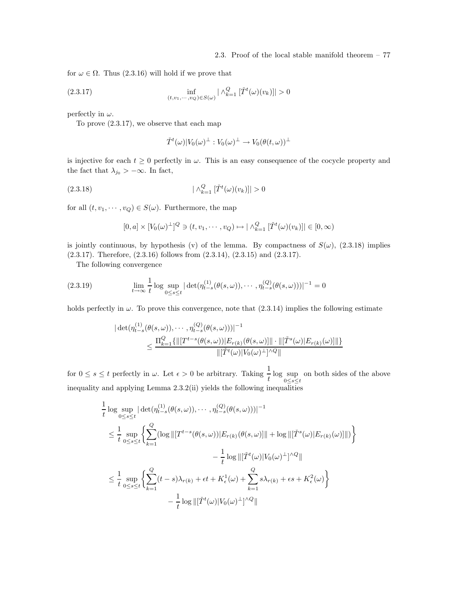for  $\omega \in \Omega$ . Thus (2.3.16) will hold if we prove that

(2.3.17) 
$$
\inf_{(t,v_1,\dots,v_Q)\in S(\omega)} |\wedge_{k=1}^Q [\check{T}^t(\omega)(v_k)]| > 0
$$

perfectly in  $\omega$ .

To prove (2.3.17), we observe that each map

$$
\check{T}^t(\omega)|V_0(\omega)^{\perp}:V_0(\omega)^{\perp}\to V_0(\theta(t,\omega))^{\perp}
$$

is injective for each  $t \geq 0$  perfectly in  $\omega$ . This is an easy consequence of the cocycle property and the fact that  $\lambda_{j_0} > -\infty$ . In fact,

$$
(2.3.18)\qquad \qquad |\wedge_{k=1}^{Q} [\check{T}^t(\omega)(v_k)]| > 0
$$

for all  $(t, v_1, \dots, v_Q) \in S(\omega)$ . Furthermore, the map

$$
[0, a] \times [V_0(\omega)^{\perp}]^Q \ni (t, v_1, \cdots, v_Q) \mapsto |\wedge_{k=1}^Q [\check{T}^t(\omega)(v_k)]| \in [0, \infty)
$$

is jointly continuous, by hypothesis (v) of the lemma. By compactness of  $S(\omega)$ , (2.3.18) implies  $(2.3.17)$ . Therefore,  $(2.3.16)$  follows from  $(2.3.14)$ ,  $(2.3.15)$  and  $(2.3.17)$ .

The following convergence

(2.3.19) 
$$
\lim_{t \to \infty} \frac{1}{t} \log \sup_{0 \le s \le t} |\det(\eta_{t-s}^{(1)}(\theta(s,\omega)), \cdots, \eta_{t-s}^{(Q)}(\theta(s,\omega)))|^{-1} = 0
$$

holds perfectly in  $\omega$ . To prove this convergence, note that  $(2.3.14)$  implies the following estimate

$$
|\det(\eta_{t-s}^{(1)}(\theta(s,\omega)), \cdots, \eta_{t-s}^{(Q)}(\theta(s,\omega)))|^{-1} \leq \frac{\Pi_{k=1}^{Q} \{ \|[T^{t-s}(\theta(s,\omega))| E_{r(k)}(\theta(s,\omega)]\| \cdot \|[\tilde{T}^{s}(\omega)| E_{r(k)}(\omega)]\| \}}{\|[\tilde{T}^{t}(\omega)| V_{0}(\omega)^{\perp}]^{\wedge Q} \|}
$$

for  $0 \leq s \leq t$  perfectly in  $\omega$ . Let  $\epsilon > 0$  be arbitrary. Taking  $\frac{1}{t} \log \sup_{0 \leq s \leq t}$  $0 \leq s \leq t$ on both sides of the above inequality and applying Lemma 2.3.2(ii) yields the following inequalities

$$
\frac{1}{t} \log \sup_{0 \le s \le t} |\det(\eta_{t-s}^{(1)}(\theta(s,\omega)), \cdots, \eta_{t-s}^{(Q)}(\theta(s,\omega)))|^{-1}
$$
\n
$$
\le \frac{1}{t} \sup_{0 \le s \le t} \left\{ \sum_{k=1}^{Q} (\log ||[T^{t-s}(\theta(s,\omega))|E_{r(k)}(\theta(s,\omega))|| + \log ||[T^{s}(\omega)|E_{r(k)}(\omega)]||) \right\}
$$
\n
$$
- \frac{1}{t} \log ||[T^{t}(\omega)|V_0(\omega)^{\perp}]^{\wedge Q}||
$$
\n
$$
\le \frac{1}{t} \sup_{0 \le s \le t} \left\{ \sum_{k=1}^{Q} (t-s)\lambda_{r(k)} + \epsilon t + K_{\epsilon}^{1}(\omega) + \sum_{k=1}^{Q} s\lambda_{r(k)} + \epsilon s + K_{\epsilon}^{2}(\omega) \right\}
$$
\n
$$
- \frac{1}{t} \log ||[T^{t}(\omega)|V_0(\omega)^{\perp}]^{\wedge Q}||
$$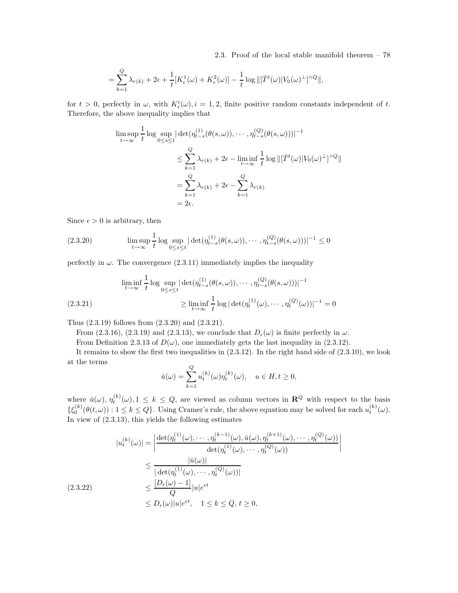2.3. Proof of the local stable manifold theorem – 78

$$
= \sum_{k=1}^{Q} \lambda_{r(k)} + 2\epsilon + \frac{1}{t} [K_{\epsilon}^{1}(\omega) + K_{\epsilon}^{2}(\omega)] - \frac{1}{t} \log ||[\check{T}^{t}(\omega)|V_{0}(\omega)^{\perp}]^{\wedge Q}||,
$$

for  $t > 0$ , perfectly in  $\omega$ , with  $K_{\epsilon}^{i}(\omega), i = 1, 2$ , finite positive random constants independent of t. Therefore, the above inequality implies that

$$
\limsup_{t \to \infty} \frac{1}{t} \log \sup_{0 \le s \le t} |\det(\eta_{t-s}^{(1)}(\theta(s,\omega)), \cdots, \eta_{t-s}^{(Q)}(\theta(s,\omega)))|^{-1}
$$
  

$$
\le \sum_{k=1}^{Q} \lambda_{r(k)} + 2\epsilon - \liminf_{t \to \infty} \frac{1}{t} \log ||[\check{T}^{t}(\omega)|V_0(\omega)^{\perp}]^{\wedge Q}||
$$
  

$$
= \sum_{k=1}^{Q} \lambda_{r(k)} + 2\epsilon - \sum_{k=1}^{Q} \lambda_{r(k)}
$$
  

$$
= 2\epsilon.
$$

Since  $\epsilon > 0$  is arbitrary, then

$$
(2.3.20) \qquad \limsup_{t \to \infty} \frac{1}{t} \log \sup_{0 \le s \le t} |\det(\eta_{t-s}^{(1)}(\theta(s,\omega)), \cdots, \eta_{t-s}^{(Q)}(\theta(s,\omega)))|^{-1} \le 0
$$

perfectly in  $\omega$ . The convergence (2.3.11) immediately implies the inequality

$$
\liminf_{t \to \infty} \frac{1}{t} \log \sup_{0 \le s \le t} |\det(\eta_{t-s}^{(1)}(\theta(s,\omega)), \cdots, \eta_{t-s}^{(Q)}(\theta(s,\omega)))|^{-1}
$$
  
(2.3.21)  

$$
\ge \liminf_{t \to \infty} \frac{1}{t} \log |\det(\eta_t^{(1)}(\omega), \cdots, \eta_t^{(Q)}(\omega))|^{-1} = 0
$$

Thus (2.3.19) follows from (2.3.20) and (2.3.21).

From (2.3.16), (2.3.19) and (2.3.13), we conclude that  $D_{\epsilon}(\omega)$  is finite perfectly in  $\omega$ .

From Definition 2.3.13 of  $D(\omega)$ , one immediately gets the last inequality in (2.3.12).

It remains to show the first two inequalities in  $(2.3.12)$ . In the right hand side of  $(2.3.10)$ , we look at the terms

$$
\check{u}(\omega) = \sum_{k=1}^{Q} u_t^{(k)}(\omega) \eta_t^{(k)}(\omega), \quad u \in H, t \ge 0,
$$

where  $\check{u}(\omega)$ ,  $\eta_t^{(k)}(\omega)$ ,  $1 \leq k \leq Q$ , are viewed as column vectors in  $\mathbb{R}^Q$  with respect to the basis  $\{\xi_0^{(k)}(\theta(t,\omega)) : 1 \leq k \leq Q\}$ . Using Cramer's rule, the above equation may be solved for each  $u_t^{(k)}(\omega)$ . In view of (2.3.13), this yields the following estimates

$$
|u_t^{(k)}(\omega)| = \left| \frac{\det(\eta_t^{(1)}(\omega), \cdots, \eta_t^{(k-1)}(\omega), \check{u}(\omega), \eta_t^{(k+1)}(\omega), \cdots, \eta_t^{(Q)}(\omega))}{\det(\eta_t^{(1)}(\omega), \cdots, \eta_t^{(Q)}(\omega))} \right|
$$
  

$$
\leq \frac{|\check{u}(\omega)|}{|\det(\eta_t^{(1)}(\omega), \cdots, \eta_t^{(Q)}(\omega))|}
$$
  
(2.3.22)  

$$
\leq \frac{[D_{\epsilon}(\omega) - 1]}{Q} |u| e^{\epsilon t}
$$
  

$$
\leq D_{\epsilon}(\omega) |u| e^{\epsilon t}, \quad 1 \leq k \leq Q, t \geq 0,
$$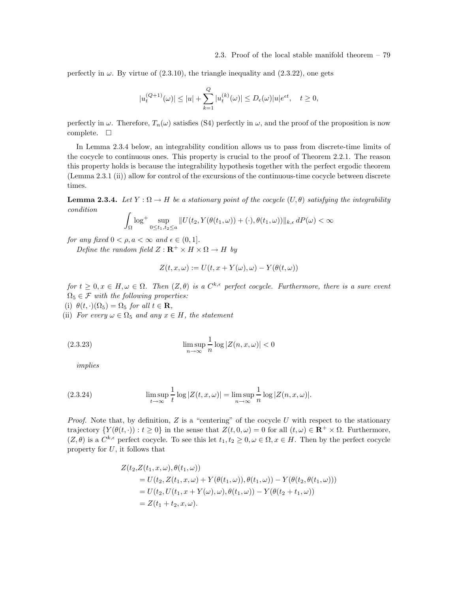perfectly in  $\omega$ . By virtue of (2.3.10), the triangle inequality and (2.3.22), one gets

$$
|u_t^{(Q+1)}(\omega)| \le |u| + \sum_{k=1}^Q |u_t^{(k)}(\omega)| \le D_{\epsilon}(\omega)|u|e^{\epsilon t}, \quad t \ge 0,
$$

perfectly in  $\omega$ . Therefore,  $T_n(\omega)$  satisfies (S4) perfectly in  $\omega$ , and the proof of the proposition is now complete.  $\square$ 

In Lemma 2.3.4 below, an integrability condition allows us to pass from discrete-time limits of the cocycle to continuous ones. This property is crucial to the proof of Theorem 2.2.1. The reason this property holds is because the integrability hypothesis together with the perfect ergodic theorem (Lemma 2.3.1 (ii)) allow for control of the excursions of the continuous-time cocycle between discrete times.

**Lemma 2.3.4.** Let  $Y : \Omega \to H$  be a stationary point of the cocycle  $(U, \theta)$  satisfying the integrability condition

$$
\int_{\Omega} \log^{+} \sup_{0 \leq t_1, t_2 \leq a} ||U(t_2, Y(\theta(t_1, \omega)) + (\cdot), \theta(t_1, \omega))||_{k,\epsilon} dP(\omega) < \infty
$$

for any fixed  $0 < \rho, a < \infty$  and  $\epsilon \in (0, 1]$ . Define the random field  $Z : \mathbf{R}^+ \times H \times \Omega \to H$  by

$$
Z(t, x, \omega) := U(t, x + Y(\omega), \omega) - Y(\theta(t, \omega))
$$

for  $t \geq 0, x \in H, \omega \in \Omega$ . Then  $(Z, \theta)$  is a  $C^{k,\epsilon}$  perfect cocycle. Furthermore, there is a sure event  $\Omega_5 \in \mathcal{F}$  with the following properties:

(i)  $\theta(t, \cdot)(\Omega_5) = \Omega_5$  for all  $t \in \mathbf{R}$ ,

(ii) For every  $\omega \in \Omega_5$  and any  $x \in H$ , the statement

(2.3.23) 
$$
\limsup_{n \to \infty} \frac{1}{n} \log |Z(n, x, \omega)| < 0
$$

implies

(2.3.24) 
$$
\limsup_{t \to \infty} \frac{1}{t} \log |Z(t, x, \omega)| = \limsup_{n \to \infty} \frac{1}{n} \log |Z(n, x, \omega)|.
$$

*Proof.* Note that, by definition,  $Z$  is a "centering" of the cocycle  $U$  with respect to the stationary trajectory  $\{Y(\theta(t, \cdot)) : t \geq 0\}$  in the sense that  $Z(t, 0, \omega) = 0$  for all  $(t, \omega) \in \mathbb{R}^+ \times \Omega$ . Furthermore,  $(Z, \theta)$  is a  $C^{k,\epsilon}$  perfect cocycle. To see this let  $t_1, t_2 \geq 0, \omega \in \Omega, x \in H$ . Then by the perfect cocycle property for  $U$ , it follows that

$$
Z(t_2, Z(t_1, x, \omega), \theta(t_1, \omega))
$$
  
=  $U(t_2, Z(t_1, x, \omega) + Y(\theta(t_1, \omega)), \theta(t_1, \omega)) - Y(\theta(t_2, \theta(t_1, \omega)))$   
=  $U(t_2, U(t_1, x + Y(\omega), \omega), \theta(t_1, \omega)) - Y(\theta(t_2 + t_1, \omega))$   
=  $Z(t_1 + t_2, x, \omega).$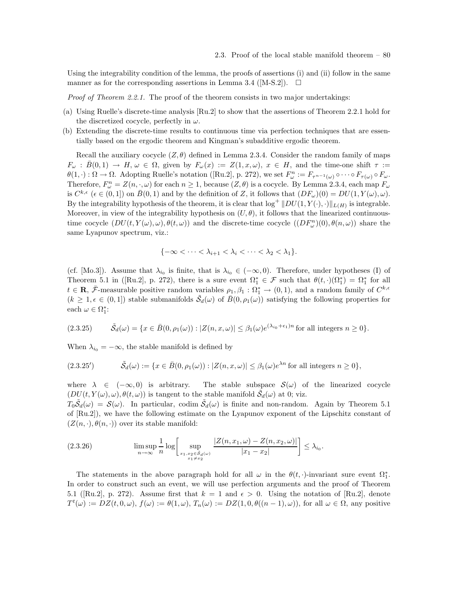Using the integrability condition of the lemma, the proofs of assertions (i) and (ii) follow in the same manner as for the corresponding assertions in Lemma 3.4 ([M-S.2]).  $\Box$ 

*Proof of Theorem 2.2.1.* The proof of the theorem consists in two major undertakings:

- (a) Using Ruelle's discrete-time analysis [Ru.2] to show that the assertions of Theorem 2.2.1 hold for the discretized cocycle, perfectly in  $\omega$ .
- (b) Extending the discrete-time results to continuous time via perfection techniques that are essentially based on the ergodic theorem and Kingman's subadditive ergodic theorem.

Recall the auxiliary cocycle  $(Z, \theta)$  defined in Lemma 2.3.4. Consider the random family of maps  $F_\omega : \overline{B}(0,1) \to H, \omega \in \Omega$ , given by  $F_\omega(x) := Z(1,x,\omega), x \in H$ , and the time-one shift  $\tau :=$  $\theta(1, \cdot): \Omega \to \Omega$ . Adopting Ruelle's notation ([Ru.2], p. 272), we set  $F^n_\omega := F_{\tau^{n-1}(\omega)} \circ \cdots \circ F_{\tau(\omega)} \circ F_\omega$ . Therefore,  $F^n_\omega = Z(n, \cdot, \omega)$  for each  $n \ge 1$ , because  $(Z, \theta)$  is a cocycle. By Lemma 2.3.4, each map  $F_\omega$ is  $C^{k,\epsilon}$  ( $\epsilon \in (0,1]$ ) on  $\bar{B}(0,1)$  and by the definition of Z, it follows that  $(DF_{\omega})(0) = DU(1, Y(\omega), \omega)$ . By the integrability hypothesis of the theorem, it is clear that  $\log^+ \|DU(1, Y(\cdot), \cdot)\|_{L(H)}$  is integrable. Moreover, in view of the integrability hypothesis on  $(U, \theta)$ , it follows that the linearized continuoustime cocycle  $(DU(t, Y(\omega), \omega), \theta(t, \omega))$  and the discrete-time cocycle  $((DF_{\omega}^{n})(0), \theta(n, \omega))$  share the same Lyapunov spectrum, viz.:

$$
\{-\infty < \cdots < \lambda_{i+1} < \lambda_i < \cdots < \lambda_2 < \lambda_1\}.
$$

(cf. [Mo.3]). Assume that  $\lambda_{i_0}$  is finite, that is  $\lambda_{i_0} \in (-\infty, 0)$ . Therefore, under hypotheses (I) of Theorem 5.1 in ([Ru.2], p. 272), there is a sure event  $\Omega_1^* \in \mathcal{F}$  such that  $\theta(t, \cdot)(\Omega_1^*) = \Omega_1^*$  for all  $t \in \mathbf{R}$ ,  $\bar{\mathcal{F}}$ -measurable positive random variables  $\rho_1, \beta_1 : \Omega_1^* \to (0,1)$ , and a random family of  $C^{k,\epsilon}$  $(k \geq 1, \epsilon \in (0,1])$  stable submanifolds  $\tilde{S}_d(\omega)$  of  $\bar{B}(0, \rho_1(\omega))$  satisfying the following properties for each  $\omega \in \Omega_1^*$ :

$$
(2.3.25) \qquad \tilde{S}_d(\omega) = \{ x \in \bar{B}(0, \rho_1(\omega)) : |Z(n, x, \omega)| \leq \beta_1(\omega) e^{(\lambda_{i_0} + \epsilon_1)n} \text{ for all integers } n \geq 0 \}.
$$

When  $\lambda_{i_0} = -\infty$ , the stable manifold is defined by

$$
(2.3.25') \qquad \tilde{S}_d(\omega) := \{ x \in \bar{B}(0, \rho_1(\omega)) : |Z(n, x, \omega)| \le \beta_1(\omega)e^{\lambda n} \text{ for all integers } n \ge 0 \},
$$

where  $\lambda \in (-\infty, 0)$  is arbitrary. The stable subspace  $\mathcal{S}(\omega)$  of the linearized cocycle  $(DU(t, Y(\omega), \omega), \theta(t, \omega))$  is tangent to the stable manifold  $\tilde{S}_d(\omega)$  at 0; viz.

 $T_0\tilde{\mathcal{S}}_d(\omega) = \mathcal{S}(\omega)$ . In particular, codim  $\tilde{\mathcal{S}}_d(\omega)$  is finite and non-random. Again by Theorem 5.1 of [Ru.2]), we have the following estimate on the Lyapunov exponent of the Lipschitz constant of  $(Z(n, \cdot), \theta(n, \cdot))$  over its stable manifold:

$$
(2.3.26) \qquad \limsup_{n \to \infty} \frac{1}{n} \log \left[ \sup_{\substack{x_1, x_2 \in \tilde{S}_d(\omega) \\ x_1 \neq x_2}} \frac{|Z(n, x_1, \omega) - Z(n, x_2, \omega)|}{|x_1 - x_2|} \right] \leq \lambda_{i_0}.
$$

The statements in the above paragraph hold for all  $\omega$  in the  $\theta(t, \cdot)$ -invariant sure event  $\Omega_1^*$ . In order to construct such an event, we will use perfection arguments and the proof of Theorem 5.1 ([Ru.2], p. 272). Assume first that  $k = 1$  and  $\epsilon > 0$ . Using the notation of [Ru.2], denote  $T^t(\omega) := DZ(t, 0, \omega), f(\omega) := \theta(1, \omega), T_n(\omega) := DZ(1, 0, \theta((n-1), \omega)),$  for all  $\omega \in \Omega$ , any positive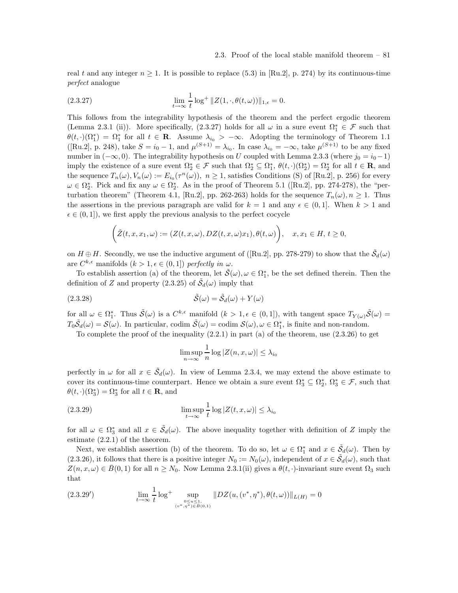real t and any integer  $n \geq 1$ . It is possible to replace (5.3) in [Ru.2], p. 274) by its continuous-time perfect analogue

(2.3.27) 
$$
\lim_{t \to \infty} \frac{1}{t} \log^+ \|Z(1,\cdot,\theta(t,\omega))\|_{1,\epsilon} = 0.
$$

This follows from the integrability hypothesis of the theorem and the perfect ergodic theorem (Lemma 2.3.1 (ii)). More specifically, (2.3.27) holds for all  $\omega$  in a sure event  $\Omega_1^* \in \mathcal{F}$  such that  $\theta(t, \cdot)(\Omega_1^*) = \Omega_1^*$  for all  $t \in \mathbf{R}$ . Assume  $\lambda_{i_0} > -\infty$ . Adopting the terminology of Theorem 1.1 ([Ru.2], p. 248), take  $S = i_0 - 1$ , and  $\mu^{(S+1)} = \lambda_{i_0}$ . In case  $\lambda_{i_0} = -\infty$ , take  $\mu^{(S+1)}$  to be any fixed number in  $(-\infty, 0)$ . The integrability hypothesis on U coupled with Lemma 2.3.3 (where  $j_0 = i_0 - 1$ ) imply the existence of a sure event  $\Omega_2^* \in \mathcal{F}$  such that  $\Omega_2^* \subseteq \Omega_1^*, \theta(t, \cdot)(\Omega_2^*) = \Omega_2^*$  for all  $t \in \mathbb{R}$ , and the sequence  $T_n(\omega), V_n(\omega) := E_{i_0}(\tau^n(\omega)), n \ge 1$ , satisfies Conditions (S) of [Ru.2], p. 256) for every  $\omega \in \Omega_2^*$ . Pick and fix any  $\omega \in \Omega_2^*$ . As in the proof of Theorem 5.1 ([Ru.2], pp. 274-278), the "perturbation theorem" (Theorem 4.1, [Ru.2], pp. 262-263) holds for the sequence  $T_n(\omega)$ ,  $n \geq 1$ . Thus the assertions in the previous paragraph are valid for  $k = 1$  and any  $\epsilon \in (0, 1]$ . When  $k > 1$  and  $\epsilon \in (0, 1]$ , we first apply the previous analysis to the perfect cocycle

$$
\left(\check{Z}(t,x,x_1,\omega):=(Z(t,x,\omega),DZ(t,x,\omega)x_1),\theta(t,\omega)\right),\quad x,x_1\in H,\ t\geq 0,
$$

on  $H \oplus H$ . Secondly, we use the inductive argument of ([Ru.2], pp. 278-279) to show that the  $\tilde{S}_d(\omega)$ are  $C^{k,\epsilon}$  manifolds  $(k > 1, \epsilon \in (0,1])$  perfectly in  $\omega$ .

To establish assertion (a) of the theorem, let  $\tilde{S}(\omega), \omega \in \Omega_1^*$ , be the set defined therein. Then the definition of Z and property (2.3.25) of  $\tilde{S}_d(\omega)$  imply that

(2.3.28) 
$$
\tilde{S}(\omega) = \tilde{S}_d(\omega) + Y(\omega)
$$

for all  $\omega \in \Omega^*_1$ . Thus  $\tilde{\mathcal{S}}(\omega)$  is a  $C^{k,\epsilon}$  manifold  $(k > 1, \epsilon \in (0,1])$ , with tangent space  $T_{Y(\omega)}\tilde{\mathcal{S}}(\omega)$  =  $T_0\tilde{\mathcal{S}}_d(\omega) = \mathcal{S}(\omega)$ . In particular, codim  $\tilde{\mathcal{S}}(\omega) =$  codim  $\mathcal{S}(\omega), \omega \in \Omega_1^*$ , is finite and non-random.

To complete the proof of the inequality  $(2.2.1)$  in part  $(a)$  of the theorem, use  $(2.3.26)$  to get

$$
\limsup_{n \to \infty} \frac{1}{n} \log |Z(n, x, \omega)| \le \lambda_{i_0}
$$

perfectly in  $\omega$  for all  $x \in \tilde{S}_d(\omega)$ . In view of Lemma 2.3.4, we may extend the above estimate to cover its continuous-time counterpart. Hence we obtain a sure event  $\Omega_3^* \subseteq \Omega_2^*, \Omega_3^* \in \mathcal{F}$ , such that  $\theta(t, \cdot)(\Omega_3^*) = \Omega_3^*$  for all  $t \in \mathbf{R}$ , and

(2.3.29) 
$$
\limsup_{t \to \infty} \frac{1}{t} \log |Z(t, x, \omega)| \leq \lambda_{i_0}
$$

for all  $\omega \in \Omega_3^*$  and all  $x \in \tilde{\mathcal{S}}_d(\omega)$ . The above inequality together with definition of Z imply the estimate (2.2.1) of the theorem.

Next, we establish assertion (b) of the theorem. To do so, let  $\omega \in \Omega_1^*$  and  $x \in \tilde{S}_d(\omega)$ . Then by (2.3.26), it follows that there is a positive integer  $N_0 := N_0(\omega)$ , independent of  $x \in \tilde{S}_d(\omega)$ , such that  $Z(n, x, \omega) \in \overline{B}(0, 1)$  for all  $n \geq N_0$ . Now Lemma 2.3.1(ii) gives a  $\theta(t, \cdot)$ -invariant sure event  $\Omega_3$  such that

$$
(2.3.29') \qquad \qquad \lim_{t \to \infty} \frac{1}{t} \log^+ \sup_{\substack{0 \le u \le 1, \\ (v^*, \eta^*) \in B(0,1)}} \|DZ(u, (v^*, \eta^*), \theta(t, \omega))\|_{L(H)} = 0
$$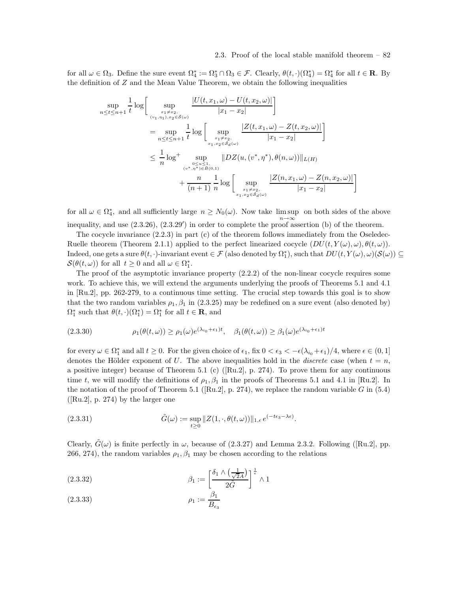### 2.3. Proof of the local stable manifold theorem – 82

for all  $\omega \in \Omega_3$ . Define the sure event  $\Omega_4^* := \Omega_3^* \cap \Omega_3 \in \mathcal{F}$ . Clearly,  $\theta(t, \cdot)(\Omega_4^*) = \Omega_4^*$  for all  $t \in \mathbb{R}$ . By the definition of  $Z$  and the Mean Value Theorem, we obtain the following inequalities

$$
\sup_{n \leq t \leq n+1} \frac{1}{t} \log \left[ \sup_{\substack{x_1 \neq x_2, \\ (v_1, \eta_1), x_2 \in \tilde{\mathcal{S}}(\omega)}} \frac{|U(t, x_1, \omega) - U(t, x_2, \omega)|}{|x_1 - x_2|} \right]
$$
\n
$$
= \sup_{n \leq t \leq n+1} \frac{1}{t} \log \left[ \sup_{\substack{x_1 \neq x_2, \\ x_1, x_2 \in \tilde{\mathcal{S}}_d(\omega)}} \frac{|Z(t, x_1, \omega) - Z(t, x_2, \omega)|}{|x_1 - x_2|} \right]
$$
\n
$$
\leq \frac{1}{n} \log^+ \sup_{\substack{0 \leq u \leq 1, \\ (v^*, \eta^*) \in B(0, 1)}} \|DZ(u, (v^*, \eta^*), \theta(n, \omega))\|_{L(H)} + \frac{n}{(n+1)} \frac{1}{n} \log \left[ \sup_{\substack{x_1 \neq x_2, \\ x_1, x_2 \in \tilde{\mathcal{S}}_d(\omega)}} \frac{|Z(n, x_1, \omega) - Z(n, x_2, \omega)|}{|x_1 - x_2|} \right]
$$

for all  $\omega \in \Omega_4^*$ , and all sufficiently large  $n \geq N_0(\omega)$ . Now take  $\limsup$  on both sides of the above inequality, and use  $(2.3.26)$ ,  $(2.3.29')$  in order to complete the proof assertion (b) of the theorem.

The cocycle invariance (2.2.3) in part (c) of the theorem follows immediately from the Oseledec-Ruelle theorem (Theorem 2.1.1) applied to the perfect linearized cocycle  $(DU(t, Y(\omega), \omega), \theta(t, \omega))$ . Indeed, one gets a sure  $\theta(t, \cdot)$ -invariant event  $\in \mathcal{F}$  (also denoted by  $\Omega_1^*$ ), such that  $DU(t, Y(\omega), \omega)(\mathcal{S}(\omega)) \subseteq$  $\mathcal{S}(\theta(t,\omega))$  for all  $t \geq 0$  and all  $\omega \in \Omega_1^*$ .

The proof of the asymptotic invariance property (2.2.2) of the non-linear cocycle requires some work. To achieve this, we will extend the arguments underlying the proofs of Theorems 5.1 and 4.1 in [Ru.2], pp. 262-279, to a continuous time setting. The crucial step towards this goal is to show that the two random variables  $\rho_1$ ,  $\beta_1$  in (2.3.25) may be redefined on a sure event (also denoted by)  $\Omega_1^*$  such that  $\theta(t, \cdot)(\Omega_1^*) = \Omega_1^*$  for all  $t \in \mathbf{R}$ , and

(2.3.30) 
$$
\rho_1(\theta(t,\omega)) \ge \rho_1(\omega)e^{(\lambda_{i_0}+\epsilon_1)t}, \quad \beta_1(\theta(t,\omega)) \ge \beta_1(\omega)e^{(\lambda_{i_0}+\epsilon_1)t}
$$

for every  $\omega \in \Omega_1^*$  and all  $t \geq 0$ . For the given choice of  $\epsilon_1$ , fix  $0 < \epsilon_3 < -\epsilon(\lambda_{i_0} + \epsilon_1)/4$ , where  $\epsilon \in (0, 1]$ denotes the Hölder exponent of U. The above inequalities hold in the *discrete* case (when  $t = n$ , a positive integer) because of Theorem 5.1 (c) ( $\lbrack \text{Ru.2}\rbrack$ , p. 274). To prove them for any continuous time t, we will modify the definitions of  $\rho_1$ ,  $\beta_1$  in the proofs of Theorems 5.1 and 4.1 in [Ru.2]. In the notation of the proof of Theorem 5.1 ([Ru.2], p. 274), we replace the random variable G in  $(5.4)$ ]  $([Ru.2], p. 274)$  by the larger one

(2.3.31) 
$$
\tilde{G}(\omega) := \sup_{t \geq 0} ||Z(1,\cdot,\theta(t,\omega))||_{1,\epsilon} e^{(-t\epsilon_3 - \lambda \epsilon)}.
$$

Clearly,  $G(\omega)$  is finite perfectly in  $\omega$ , because of (2.3.27) and Lemma 2.3.2. Following ([Ru.2], pp. 266, 274), the random variables  $\rho_1$ ,  $\beta_1$  may be chosen according to the relations

$$
\beta_1 := \left[\frac{\delta_1 \wedge \left(\frac{1}{\sqrt{2}A}\right)}{2\tilde{G}}\right]^{\frac{1}{\epsilon}} \wedge 1
$$

$$
(2.3.33)\qquad \qquad \rho_1 := \frac{\beta_1}{B_{\epsilon_3}}
$$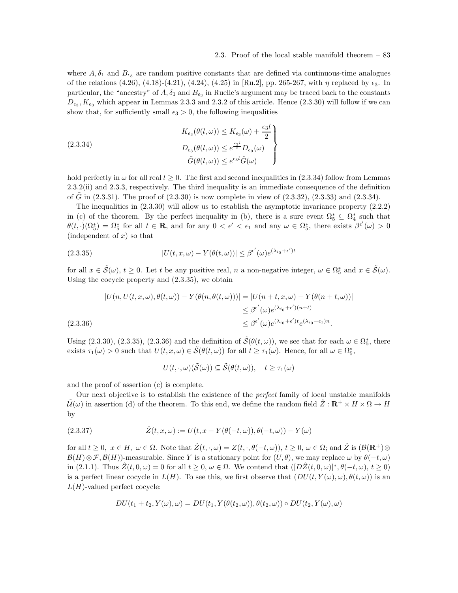### 2.3. Proof of the local stable manifold theorem – 83

where  $A, \delta_1$  and  $B_{\epsilon_3}$  are random positive constants that are defined via continuous-time analogues of the relations (4.26), (4.18)-(4.21), (4.24), (4.25) in [Ru.2], pp. 265-267, with  $\eta$  replaced by  $\epsilon_3$ . In particular, the "ancestry" of  $A$ ,  $\delta_1$  and  $B_{\epsilon_3}$  in Ruelle's argument may be traced back to the constants  $D_{\epsilon_3}$ ,  $K_{\epsilon_3}$  which appear in Lemmas 2.3.3 and 2.3.2 of this article. Hence (2.3.30) will follow if we can show that, for sufficiently small  $\epsilon_3 > 0$ , the following inequalities

(2.3.34)  
\n
$$
K_{\epsilon_3}(\theta(l,\omega)) \leq K_{\epsilon_3}(\omega) + \frac{\epsilon_3 l}{2}
$$
\n
$$
D_{\epsilon_3}(\theta(l,\omega)) \leq e^{\frac{\epsilon_3 l}{2}} D_{\epsilon_3}(\omega)
$$
\n
$$
\tilde{G}(\theta(l,\omega)) \leq e^{\epsilon_3 l} \tilde{G}(\omega)
$$

hold perfectly in  $\omega$  for all real  $l \geq 0$ . The first and second inequalities in  $(2.3.34)$  follow from Lemmas 2.3.2(ii) and 2.3.3, respectively. The third inequality is an immediate consequence of the definition of G in  $(2.3.31)$ . The proof of  $(2.3.30)$  is now complete in view of  $(2.3.32)$ ,  $(2.3.33)$  and  $(2.3.34)$ .

The inequalities in (2.3.30) will allow us to establish the asymptotic invariance property (2.2.2) in (c) of the theorem. By the perfect inequality in (b), there is a sure event  $\Omega_5^* \subseteq \Omega_4^*$  such that  $\theta(t, \cdot)(\Omega_5^*) = \Omega_5^*$  for all  $t \in \mathbb{R}$ , and for any  $0 < \epsilon' < \epsilon_1$  and any  $\omega \in \Omega_5^*$ , there exists  $\beta^{\epsilon'}(\omega) > 0$ (independent of  $x$ ) so that

(2.3.35) 
$$
|U(t, x, \omega) - Y(\theta(t, \omega))| \leq \beta^{\epsilon'}(\omega) e^{(\lambda_{i_0} + \epsilon')t}
$$

for all  $x \in \tilde{S}(\omega)$ ,  $t \geq 0$ . Let t be any positive real, n a non-negative integer,  $\omega \in \Omega_5^*$  and  $x \in \tilde{S}(\omega)$ . Using the cocycle property and (2.3.35), we obtain

$$
|U(n, U(t, x, \omega), \theta(t, \omega)) - Y(\theta(n, \theta(t, \omega)))| = |U(n + t, x, \omega) - Y(\theta(n + t, \omega))|
$$
  

$$
\leq \beta^{\epsilon'}(\omega) e^{(\lambda_{i_0} + \epsilon')(n + t)}
$$
  
(2.3.36)  

$$
\leq \beta^{\epsilon'}(\omega) e^{(\lambda_{i_0} + \epsilon')t} e^{(\lambda_{i_0} + \epsilon_1)n}.
$$

Using (2.3.30), (2.3.35), (2.3.36) and the definition of  $\tilde{S}(\theta(t,\omega))$ , we see that for each  $\omega \in \Omega_5^*$ , there exists  $\tau_1(\omega) > 0$  such that  $U(t, x, \omega) \in \tilde{\mathcal{S}}(\theta(t, \omega))$  for all  $t \ge \tau_1(\omega)$ . Hence, for all  $\omega \in \Omega_5^*$ ,

$$
U(t,\cdot,\omega)(\tilde{\mathcal{S}}(\omega))\subseteq \tilde{\mathcal{S}}(\theta(t,\omega)),\quad t\geq \tau_1(\omega)
$$

and the proof of assertion (c) is complete.

Our next objective is to establish the existence of the perfect family of local unstable manifolds  $\tilde{\mathcal{U}}(\omega)$  in assertion (d) of the theorem. To this end, we define the random field  $\hat{Z}: \mathbf{R}^+ \times H \times \Omega \to H$ by

(2.3.37) 
$$
\hat{Z}(t,x,\omega) := U(t,x+Y(\theta(-t,\omega)),\theta(-t,\omega)) - Y(\omega)
$$

for all  $t \geq 0$ ,  $x \in H$ ,  $\omega \in \Omega$ . Note that  $\hat{Z}(t, \cdot, \omega) = Z(t, \cdot, \theta(-t, \omega))$ ,  $t \geq 0$ ,  $\omega \in \Omega$ ; and  $\hat{Z}$  is  $(\mathcal{B}(\mathbf{R}^+) \otimes$  $\mathcal{B}(H)\otimes\mathcal{F},\mathcal{B}(H)$ -measurable. Since Y is a stationary point for  $(U,\theta)$ , we may replace  $\omega$  by  $\theta(-t,\omega)$ in (2.1.1). Thus  $\hat{Z}(t,0,\omega) = 0$  for all  $t \geq 0$ ,  $\omega \in \Omega$ . We contend that  $([D\hat{Z}(t,0,\omega)]^*, \theta(-t,\omega), t \geq 0)$ is a perfect linear cocycle in  $L(H)$ . To see this, we first observe that  $(DU(t, Y(\omega), \omega), \theta(t, \omega))$  is an  $L(H)$ -valued perfect cocycle:

$$
DU(t_1+t_2,Y(\omega),\omega)=DU(t_1,Y(\theta(t_2,\omega)),\theta(t_2,\omega))\circ DU(t_2,Y(\omega),\omega)
$$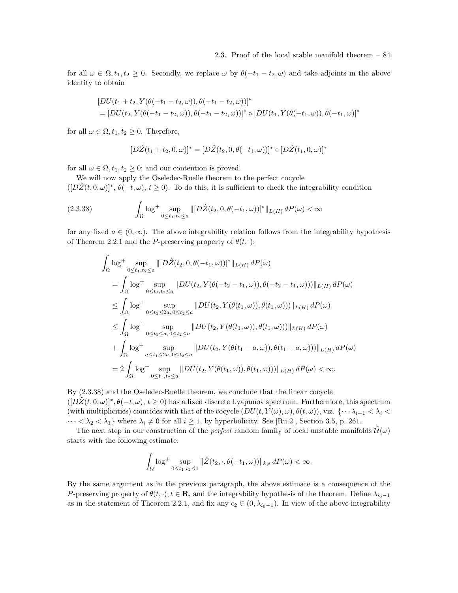for all  $\omega \in \Omega, t_1, t_2 \geq 0$ . Secondly, we replace  $\omega$  by  $\theta(-t_1 - t_2, \omega)$  and take adjoints in the above identity to obtain

$$
[DU(t_1+t_2, Y(\theta(-t_1-t_2,\omega)), \theta(-t_1-t_2,\omega))]^*
$$
  
= 
$$
[DU(t_2, Y(\theta(-t_1-t_2,\omega)), \theta(-t_1-t_2,\omega))]^* \circ [DU(t_1, Y(\theta(-t_1,\omega)), \theta(-t_1,\omega)]^*
$$

for all  $\omega \in \Omega$ ,  $t_1, t_2 \geq 0$ . Therefore,

$$
[D\hat{Z}(t_1+t_2,0,\omega)]^* = [D\hat{Z}(t_2,0,\theta(-t_1,\omega))]^* \circ [D\hat{Z}(t_1,0,\omega)]^*
$$

for all  $\omega \in \Omega$ ,  $t_1, t_2 \geq 0$ ; and our contention is proved.

We will now apply the Oseledec-Ruelle theorem to the perfect cocycle  $([D\hat{Z}(t,0,\omega)]^*, \theta(-t,\omega), t\geq 0)$ . To do this, it is sufficient to check the integrability condition

$$
(2.3.38)\qquad \int_{\Omega} \log^+ \sup_{0 \le t_1, t_2 \le a} ||[D\hat{Z}(t_2, 0, \theta(-t_1, \omega))]^*||_{L(H)} dP(\omega) < \infty
$$

for any fixed  $a \in (0,\infty)$ . The above integrability relation follows from the integrability hypothesis of Theorem 2.2.1 and the P-preserving property of  $\theta(t, \cdot)$ :

$$
\int_{\Omega} \log^{+} \sup_{0 \leq t_{1}, t_{2} \leq a} ||[D\hat{Z}(t_{2}, 0, \theta(-t_{1}, \omega))]^{*}||_{L(H)} dP(\omega)
$$
\n
$$
= \int_{\Omega} \log^{+} \sup_{0 \leq t_{1}, t_{2} \leq a} ||DU(t_{2}, Y(\theta(-t_{2} - t_{1}, \omega)), \theta(-t_{2} - t_{1}, \omega)))||_{L(H)} dP(\omega)
$$
\n
$$
\leq \int_{\Omega} \log^{+} \sup_{0 \leq t_{1} \leq 2a, 0 \leq t_{2} \leq a} ||DU(t_{2}, Y(\theta(t_{1}, \omega)), \theta(t_{1}, \omega)))||_{L(H)} dP(\omega)
$$
\n
$$
\leq \int_{\Omega} \log^{+} \sup_{0 \leq t_{1} \leq a, 0 \leq t_{2} \leq a} ||DU(t_{2}, Y(\theta(t_{1}, \omega)), \theta(t_{1}, \omega)))||_{L(H)} dP(\omega)
$$
\n
$$
+ \int_{\Omega} \log^{+} \sup_{a \leq t_{1} \leq 2a, 0 \leq t_{2} \leq a} ||DU(t_{2}, Y(\theta(t_{1} - a, \omega)), \theta(t_{1} - a, \omega)))||_{L(H)} dP(\omega)
$$
\n
$$
= 2 \int_{\Omega} \log^{+} \sup_{0 \leq t_{1}, t_{2} \leq a} ||DU(t_{2}, Y(\theta(t_{1}, \omega)), \theta(t_{1}, \omega)))||_{L(H)} dP(\omega) < \infty.
$$

By (2.3.38) and the Oseledec-Ruelle theorem, we conclude that the linear cocycle  $([D\hat{Z}(t,0,\omega)]^*,\theta(-t,\omega), t\geq 0)$  has a fixed discrete Lyapunov spectrum. Furthermore, this spectrum (with multiplicities) coincides with that of the cocycle  $(DU(t, Y(\omega), \omega), \theta(t, \omega))$ , viz.  $\{\cdots \lambda_{i+1} < \lambda_i < \lambda_i\}$  $\cdots < \lambda_2 < \lambda_1$  where  $\lambda_i \neq 0$  for all  $i \geq 1$ , by hyperbolicity. See [Ru.2], Section 3.5, p. 261.

The next step in our construction of the *perfect* random family of local unstable manifolds  $\mathcal{U}(\omega)$ starts with the following estimate:

$$
\int_{\Omega} \log^{+} \sup_{0 \leq t_1, t_2 \leq 1} \| \hat{Z}(t_2, \cdot, \theta(-t_1, \omega)) \|_{k,\epsilon} dP(\omega) < \infty.
$$

By the same argument as in the previous paragraph, the above estimate is a consequence of the P-preserving property of  $\theta(t, \cdot), t \in \mathbf{R}$ , and the integrability hypothesis of the theorem. Define  $\lambda_{i_0-1}$ as in the statement of Theorem 2.2.1, and fix any  $\epsilon_2 \in (0, \lambda_{i_0-1})$ . In view of the above integrability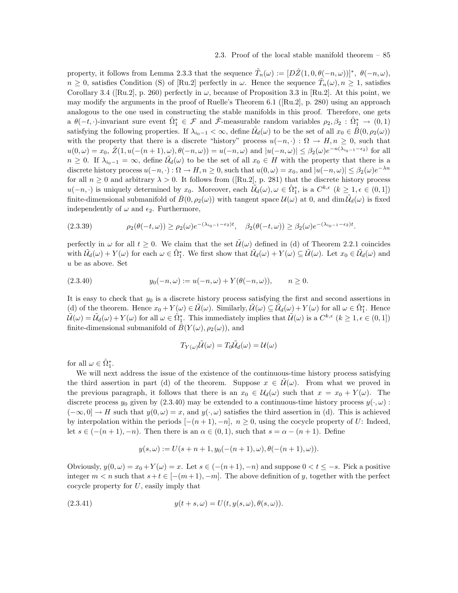property, it follows from Lemma 2.3.3 that the sequence  $\tilde{T}_n(\omega) := [D\hat{Z}(1,0,\theta(-n,\omega))]^*$ ,  $\theta(-n,\omega)$ ,  $n \geq 0$ , satisfies Condition (S) of [Ru.2] perfectly in  $\omega$ . Hence the sequence  $\tilde{T}_n(\omega), n \geq 1$ , satisfies Corollary 3.4 ([Ru.2], p. 260) perfectly in  $\omega$ , because of Proposition 3.3 in [Ru.2]. At this point, we may modify the arguments in the proof of Ruelle's Theorem 6.1 ([Ru.2], p. 280) using an approach analogous to the one used in constructing the stable manifolds in this proof. Therefore, one gets a  $\theta(-t, \cdot)$ -invariant sure event  $\hat{\Omega}^*_1 \in \mathcal{F}$  and  $\bar{\mathcal{F}}$ -measurable random variables  $\rho_2, \beta_2 : \hat{\Omega}^*_1 \to (0, 1)$ satisfying the following properties. If  $\lambda_{i_0-1} < \infty$ , define  $\tilde{\mathcal{U}}_d(\omega)$  to be the set of all  $x_0 \in \bar{B}(0, \rho_2(\omega))$ with the property that there is a discrete "history" process  $u(-n, \cdot) : \Omega \to H, n \geq 0$ , such that  $u(0,\omega) = x_0, \ \hat{Z}(1, u(-(n+1),\omega), \theta(-n,\omega)) = u(-n,\omega) \text{ and } |u(-n,\omega)| \leq \beta_2(\omega)e^{-n(\lambda_{i_0-1}-\epsilon_2)} \text{ for all }$  $n \geq 0$ . If  $\lambda_{i_0-1} = \infty$ , define  $\tilde{\mathcal{U}}_d(\omega)$  to be the set of all  $x_0 \in H$  with the property that there is a discrete history process  $u(-n, \cdot): \Omega \to H, n \ge 0$ , such that  $u(0, \omega) = x_0$ , and  $|u(-n, \omega)| \le \beta_2(\omega)e^{-\lambda n}$ for all  $n \geq 0$  and arbitrary  $\lambda > 0$ . It follows from ([Ru.2], p. 281) that the discrete history process  $u(-n, \cdot)$  is uniquely determined by  $x_0$ . Moreover, each  $\tilde{U}_d(\omega), \omega \in \hat{\Omega}_1^*$ , is a  $C^{k,\epsilon}$   $(k \geq 1, \epsilon \in (0,1])$ finite-dimensional submanifold of  $\bar{B}(0, \rho_2(\omega))$  with tangent space  $\mathcal{U}(\omega)$  at 0, and  $\dim \tilde{\mathcal{U}}_d(\omega)$  is fixed independently of  $\omega$  and  $\epsilon_2$ . Furthermore,

$$
(2.3.39) \qquad \rho_2(\theta(-t,\omega)) \ge \rho_2(\omega)e^{-(\lambda_{i_0-1}-\epsilon_2)t}, \quad \beta_2(\theta(-t,\omega)) \ge \beta_2(\omega)e^{-(\lambda_{i_0-1}-\epsilon_2)t}.
$$

perfectly in  $\omega$  for all  $t > 0$ . We claim that the set  $\mathcal{U}(\omega)$  defined in (d) of Theorem 2.2.1 coincides with  $\tilde{\mathcal{U}}_d(\omega) + Y(\omega)$  for each  $\omega \in \hat{\Omega}_1^*$ . We first show that  $\tilde{\mathcal{U}}_d(\omega) + Y(\omega) \subseteq \tilde{\mathcal{U}}(\omega)$ . Let  $x_0 \in \tilde{\mathcal{U}}_d(\omega)$  and u be as above. Set

(2.3.40) 
$$
y_0(-n,\omega) := u(-n,\omega) + Y(\theta(-n,\omega)), \quad n \ge 0.
$$

It is easy to check that  $y_0$  is a discrete history process satisfying the first and second assertions in (d) of the theorem. Hence  $x_0 + Y(\omega) \in \tilde{\mathcal{U}}(\omega)$ . Similarly,  $\tilde{\mathcal{U}}(\omega) \subseteq \tilde{\mathcal{U}}_d(\omega) + Y(\omega)$  for all  $\omega \in \hat{\Omega}_1^*$ . Hence  $\tilde{\mathcal{U}}(\omega) = \tilde{\mathcal{U}}_d(\omega) + Y(\omega)$  for all  $\omega \in \hat{\Omega}_{\underline{1}}^*$ . This immediately implies that  $\tilde{\mathcal{U}}(\omega)$  is a  $C^{k,\epsilon}$   $(k \geq 1, \epsilon \in (0,1])$ finite-dimensional submanifold of  $\overline{B}(Y(\omega), \rho_2(\omega))$ , and

$$
T_{Y(\omega)}\tilde{\mathcal{U}}(\omega) = T_0\tilde{\mathcal{U}}_d(\omega) = \mathcal{U}(\omega)
$$

for all  $\omega \in \hat{\Omega}_1^*$ .

We will next address the issue of the existence of the continuous-time history process satisfying the third assertion in part (d) of the theorem. Suppose  $x \in \mathcal{U}(\omega)$ . From what we proved in the previous paragraph, it follows that there is an  $x_0 \in \mathcal{U}_d(\omega)$  such that  $x = x_0 + Y(\omega)$ . The discrete process  $y_0$  given by  $(2.3.40)$  may be extended to a continuous-time history process  $y(\cdot, \omega)$ :  $(-\infty, 0] \to H$  such that  $y(0, \omega) = x$ , and  $y(\cdot, \omega)$  satisfies the third assertion in (d). This is achieved by interpolation within the periods  $[-(n+1), -n]$ ,  $n \geq 0$ , using the cocycle property of U: Indeed, let  $s \in \{-n+1, -n\}$ . Then there is an  $\alpha \in (0, 1)$ , such that  $s = \alpha - (n + 1)$ . Define

$$
y(s, \omega) := U(s+n+1, y_0(-(n+1), \omega), \theta(-(n+1), \omega)).
$$

Obviously,  $y(0, \omega) = x_0 + Y(\omega) = x$ . Let  $s \in (-n+1), -n$  and suppose  $0 < t \leq -s$ . Pick a positive integer  $m < n$  such that  $s+t \in [-(m+1), -m]$ . The above definition of y, together with the perfect cocycle property for  $U$ , easily imply that

(2.3.41) 
$$
y(t+s,\omega) = U(t,y(s,\omega),\theta(s,\omega)).
$$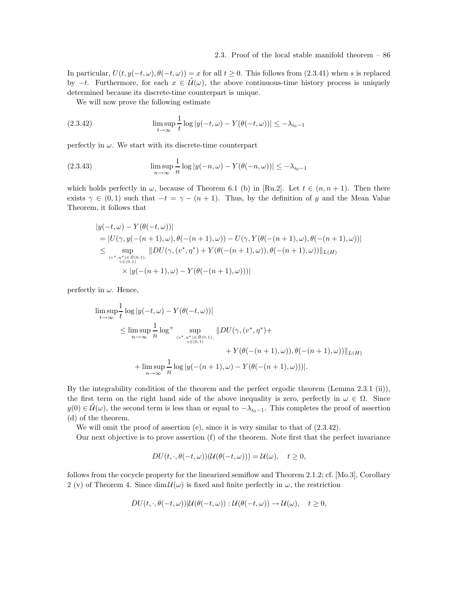In particular,  $U(t, y(-t, \omega), \theta(-t, \omega)) = x$  for all  $t \ge 0$ . This follows from (2.3.41) when s is replaced by  $-t$ . Furthermore, for each  $x \in \tilde{\mathcal{U}}(\omega)$ , the above continuous-time history process is uniquely determined because its discrete-time counterpart is unique.

We will now prove the following estimate

(2.3.42) 
$$
\limsup_{t \to \infty} \frac{1}{t} \log |y(-t,\omega) - Y(\theta(-t,\omega))| \leq -\lambda_{i_0-1}
$$

perfectly in  $\omega.$  We start with its discrete-time counterpart

(2.3.43) 
$$
\limsup_{n \to \infty} \frac{1}{n} \log |y(-n,\omega) - Y(\theta(-n,\omega))| \leq -\lambda_{i_0-1}
$$

which holds perfectly in  $\omega$ , because of Theorem 6.1 (b) in [Ru.2]. Let  $t \in (n, n + 1)$ . Then there exists  $\gamma \in (0,1)$  such that  $-t = \gamma - (n+1)$ . Thus, by the definition of y and the Mean Value Theorem, it follows that

$$
|y(-t,\omega) - Y(\theta(-t,\omega))|
$$
  
= |U(\gamma, y(-(n+1), \omega), \theta(-(n+1), \omega)) - U(\gamma, Y(\theta(-(n+1), \omega), \theta(-(n+1), \omega))|  

$$
\leq \sup_{(v^*, \eta^*) \in B(0,1), \atop \gamma \in (0,1)} \|DU(\gamma, (v^*, \eta^*) + Y(\theta(-(n+1), \omega)), \theta(-(n+1), \omega))\|_{L(H)} \times |y(-(n+1), \omega) - Y(\theta(-(n+1), \omega))|
$$

perfectly in  $\omega$ . Hence,

$$
\limsup_{t \to \infty} \frac{1}{t} \log |y(-t, \omega) - Y(\theta(-t, \omega))|
$$
\n
$$
\leq \limsup_{n \to \infty} \frac{1}{n} \log^+ \sup_{(v^*, \eta^*) \in \overline{B}(0, 1), \atop \gamma \in (0, 1)} ||DU(\gamma, (v^*, \eta^*) + V(\theta(-(n+1), \omega)), \theta(-(n+1), \omega))||_{L(H)}
$$
\n
$$
+ \limsup_{n \to \infty} \frac{1}{n} \log |y(-(n+1), \omega) - Y(\theta(-(n+1), \omega))||.
$$

By the integrability condition of the theorem and the perfect ergodic theorem (Lemma 2.3.1 (ii)), the first term on the right hand side of the above inequality is zero, perfectly in  $\omega \in \Omega$ . Since  $y(0) \in \mathcal{U}(\omega)$ , the second term is less than or equal to  $-\lambda_{i_0-1}$ . This completes the proof of assertion (d) of the theorem.

We will omit the proof of assertion (e), since it is very similar to that of  $(2.3.42)$ .

Our next objective is to prove assertion (f) of the theorem. Note first that the perfect invariance

$$
DU(t,\cdot,\theta(-t,\omega))(\mathcal{U}(\theta(-t,\omega)))=\mathcal{U}(\omega),\quad t\geq 0,
$$

follows from the cocycle property for the linearized semiflow and Theorem 2.1.2; cf. [Mo.3], Corollary 2 (v) of Theorem 4. Since  $\dim \mathcal{U}(\omega)$  is fixed and finite perfectly in  $\omega$ , the restriction

$$
DU(t,\cdot,\theta(-t,\omega))|U(\theta(-t,\omega)):\mathcal{U}(\theta(-t,\omega))\to\mathcal{U}(\omega),\quad t\geq 0,
$$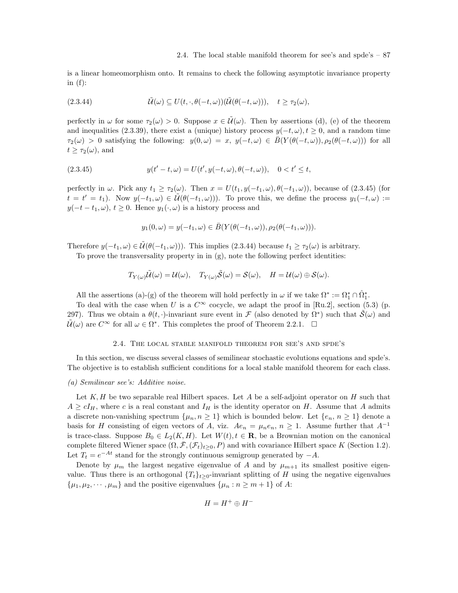is a linear homeomorphism onto. It remains to check the following asymptotic invariance property in  $(f)$ :

(2.3.44) 
$$
\tilde{\mathcal{U}}(\omega) \subseteq U(t, \cdot, \theta(-t, \omega))(\tilde{\mathcal{U}}(\theta(-t, \omega))), \quad t \geq \tau_2(\omega),
$$

perfectly in  $\omega$  for some  $\tau_2(\omega) > 0$ . Suppose  $x \in \mathcal{U}(\omega)$ . Then by assertions (d), (e) of the theorem and inequalities (2.3.39), there exist a (unique) history process  $y(-t, \omega)$ ,  $t \ge 0$ , and a random time  $\tau_2(\omega) > 0$  satisfying the following:  $y(0, \omega) = x$ ,  $y(-t, \omega) \in \overline{B}(Y(\theta(-t, \omega)), \rho_2(\theta(-t, \omega)))$  for all  $t \geq \tau_2(\omega)$ , and

(2.3.45) 
$$
y(t'-t, \omega) = U(t', y(-t, \omega), \theta(-t, \omega)), \quad 0 < t' \leq t,
$$

perfectly in  $\omega$ . Pick any  $t_1 \geq \tau_2(\omega)$ . Then  $x = U(t_1, y(-t_1, \omega), \theta(-t_1, \omega))$ , because of (2.3.45) (for  $t = t' = t_1$ ). Now  $y(-t_1, \omega) \in \tilde{\mathcal{U}}(\theta(-t_1, \omega))$ . To prove this, we define the process  $y_1(-t, \omega) :=$  $y(-t - t_1, \omega), t \ge 0$ . Hence  $y_1(\cdot, \omega)$  is a history process and

$$
y_1(0,\omega)=y(-t_1,\omega)\in \bar B(Y(\theta(-t_1,\omega)),\rho_2(\theta(-t_1,\omega))).
$$

Therefore  $y(-t_1, \omega) \in \tilde{\mathcal{U}}(\theta(-t_1, \omega))$ . This implies (2.3.44) because  $t_1 \geq \tau_2(\omega)$  is arbitrary.

To prove the transversality property in in (g), note the following perfect identities:

$$
T_{Y(\omega)}\tilde{\mathcal{U}}(\omega) = \mathcal{U}(\omega), \quad T_{Y(\omega)}\tilde{\mathcal{S}}(\omega) = \mathcal{S}(\omega), \quad H = \mathcal{U}(\omega) \oplus \mathcal{S}(\omega).
$$

All the assertions (a)-(g) of the theorem will hold perfectly in  $\omega$  if we take  $\Omega^* := \Omega_1^* \cap \hat{\Omega}_1^*$ .

To deal with the case when U is a  $C^{\infty}$  cocycle, we adapt the proof in [Ru.2], section (5.3) (p. 297). Thus we obtain a  $\theta(t, \cdot)$ -invariant sure event in F (also denoted by  $\Omega^*$ ) such that  $\tilde{\mathcal{S}}(\omega)$  and  $\tilde{\mathcal{U}}(\omega)$  are  $C^{\infty}$  for all  $\omega \in \Omega^*$ . This completes the proof of Theorem 2.2.1.  $\Box$ 

# 2.4. The local stable manifold theorem for see's and spde's

In this section, we discuss several classes of semilinear stochastic evolutions equations and spde's. The objective is to establish sufficient conditions for a local stable manifold theorem for each class.

# (a) Semilinear see's: Additive noise.

Let  $K, H$  be two separable real Hilbert spaces. Let A be a self-adjoint operator on H such that  $A \geq cI_H$ , where c is a real constant and  $I_H$  is the identity operator on H. Assume that A admits a discrete non-vanishing spectrum  $\{\mu_n, n \geq 1\}$  which is bounded below. Let  $\{e_n, n \geq 1\}$  denote a basis for H consisting of eigen vectors of A, viz.  $Ae_n = \mu_n e_n$ ,  $n \geq 1$ . Assume further that  $A^{-1}$ is trace-class. Suppose  $B_0 \in L_2(K, H)$ . Let  $W(t), t \in \mathbf{R}$ , be a Brownian motion on the canonical complete filtered Wiener space  $(\Omega, \bar{\mathcal{F}}, (\mathcal{F}_t)_{t>0}, P)$  and with covariance Hilbert space K (Section 1.2). Let  $T_t = e^{-At}$  stand for the strongly continuous semigroup generated by  $-A$ .

Denote by  $\mu_m$  the largest negative eigenvalue of A and by  $\mu_{m+1}$  its smallest positive eigenvalue. Thus there is an orthogonal  $\{T_t\}_{t\geq 0}$ -invariant splitting of H using the negative eigenvalues  $\{\mu_1, \mu_2, \cdots, \mu_m\}$  and the positive eigenvalues  $\{\mu_n : n \geq m+1\}$  of A:

$$
H = H^+ \oplus H^-
$$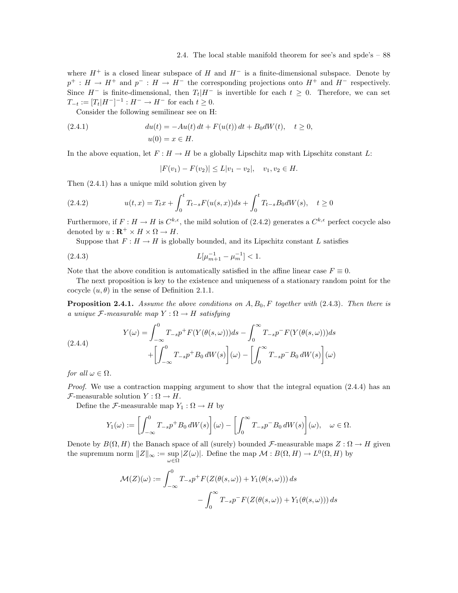where  $H^+$  is a closed linear subspace of H and  $H^-$  is a finite-dimensional subspace. Denote by  $p^+ : H \to H^+$  and  $p^- : H \to H^-$  the corresponding projections onto  $H^+$  and  $H^-$  respectively. Since  $H^-$  is finite-dimensional, then  $T_t|H^-$  is invertible for each  $t \geq 0$ . Therefore, we can set  $T_{-t} := [T_t | H^-]^{-1} : H^- \to H^-$  for each  $t \ge 0$ .

Consider the following semilinear see on H:

(2.4.1) 
$$
du(t) = -Au(t) dt + F(u(t)) dt + B_0 dW(t), \quad t \ge 0,
$$

$$
u(0) = x \in H.
$$

In the above equation, let  $F: H \to H$  be a globally Lipschitz map with Lipschitz constant L:

$$
|F(v_1) - F(v_2)| \le L|v_1 - v_2|, \quad v_1, v_2 \in H.
$$

Then (2.4.1) has a unique mild solution given by

(2.4.2) 
$$
u(t,x) = T_t x + \int_0^t T_{t-s} F(u(s,x)) ds + \int_0^t T_{t-s} B_0 dW(s), \quad t \ge 0
$$

Furthermore, if  $F: H \to H$  is  $C^{k,\epsilon}$ , the mild solution of (2.4.2) generates a  $C^{k,\epsilon}$  perfect cocycle also denoted by  $u : \mathbf{R}^+ \times H \times \Omega \to H$ .

Suppose that  $F: H \to H$  is globally bounded, and its Lipschitz constant L satisfies

(2.4.3) 
$$
L[\mu_{m+1}^{-1} - \mu_m^{-1}] < 1.
$$

Note that the above condition is automatically satisfied in the affine linear case  $F \equiv 0$ .

The next proposition is key to the existence and uniqueness of a stationary random point for the cocycle  $(u, \theta)$  in the sense of Definition 2.1.1.

**Proposition 2.4.1.** Assume the above conditions on  $A, B_0, F$  together with (2.4.3). Then there is a unique  $\mathcal F$ -measurable map  $Y : \Omega \to H$  satisfying

(2.4.4)  

$$
Y(\omega) = \int_{-\infty}^{0} T_{-s} p^{+} F(Y(\theta(s, \omega))) ds - \int_{0}^{\infty} T_{-s} p^{-} F(Y(\theta(s, \omega))) ds
$$

$$
+ \left[ \int_{-\infty}^{0} T_{-s} p^{+} B_{0} dW(s) \right](\omega) - \left[ \int_{0}^{\infty} T_{-s} p^{-} B_{0} dW(s) \right](\omega)
$$

for all  $\omega \in \Omega$ .

Proof. We use a contraction mapping argument to show that the integral equation (2.4.4) has an  $\mathcal{F}\text{-measurable solution } Y : \Omega \to H.$ 

Define the *F*-measurable map  $Y_1 : \Omega \to H$  by

$$
Y_1(\omega) := \left[ \int_{-\infty}^0 T_{-s} p^+ B_0 \, dW(s) \right] (\omega) - \left[ \int_0^\infty T_{-s} p^- B_0 \, dW(s) \right] (\omega), \quad \omega \in \Omega.
$$

Denote by  $B(\Omega, H)$  the Banach space of all (surely) bounded F-measurable maps  $Z : \Omega \to H$  given the supremum norm  $||Z||_{\infty} := \sup_{\omega \in \Omega} |Z(\omega)|$ . Define the map  $\mathcal{M} : B(\Omega, H) \to L^0(\Omega, H)$  by

$$
\mathcal{M}(Z)(\omega) := \int_{-\infty}^{0} T_{-s} p^{+} F(Z(\theta(s, \omega)) + Y_{1}(\theta(s, \omega))) ds - \int_{0}^{\infty} T_{-s} p^{-} F(Z(\theta(s, \omega)) + Y_{1}(\theta(s, \omega))) ds
$$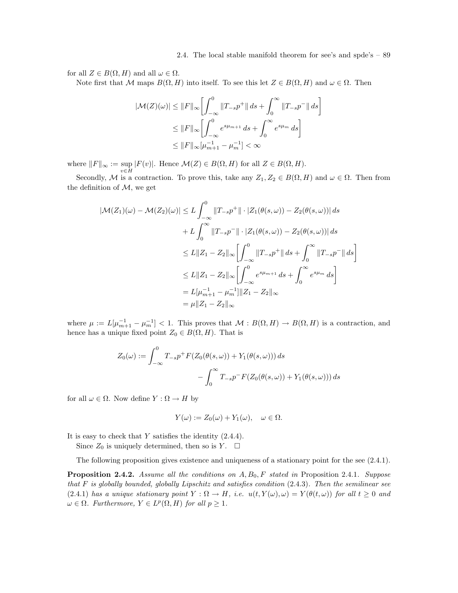for all  $Z \in B(\Omega, H)$  and all  $\omega \in \Omega$ .

Note first that M maps  $B(\Omega, H)$  into itself. To see this let  $Z \in B(\Omega, H)$  and  $\omega \in \Omega$ . Then

$$
|\mathcal{M}(Z)(\omega)| \le ||F||_{\infty} \left[ \int_{-\infty}^{0} ||T_{-s}p^+|| ds + \int_{0}^{\infty} ||T_{-s}p^-|| ds \right]
$$
  

$$
\le ||F||_{\infty} \left[ \int_{-\infty}^{0} e^{s\mu_{m+1}} ds + \int_{0}^{\infty} e^{s\mu_{m}} ds \right]
$$
  

$$
\le ||F||_{\infty} \left[ \mu_{m+1}^{-1} - \mu_{m}^{-1} \right] < \infty
$$

where  $||F||_{\infty} := \sup_{v \in H} |F(v)|$ . Hence  $\mathcal{M}(Z) \in B(\Omega, H)$  for all  $Z \in B(\Omega, H)$ .

Secondly, M is a contraction. To prove this, take any  $Z_1, Z_2 \in B(\Omega, H)$  and  $\omega \in \Omega$ . Then from the definition of  $M$ , we get

$$
|\mathcal{M}(Z_1)(\omega) - \mathcal{M}(Z_2)(\omega)| \le L \int_{-\infty}^0 ||T_{-s}p^+|| \cdot |Z_1(\theta(s,\omega)) - Z_2(\theta(s,\omega))| ds
$$
  
+  $L \int_0^{\infty} ||T_{-s}p^-|| \cdot |Z_1(\theta(s,\omega)) - Z_2(\theta(s,\omega))| ds$   
 $\le L ||Z_1 - Z_2||_{\infty} \left[ \int_{-\infty}^0 ||T_{-s}p^+|| ds + \int_0^{\infty} ||T_{-s}p^-|| ds \right]$   
 $\le L ||Z_1 - Z_2||_{\infty} \left[ \int_{-\infty}^0 e^{s\mu_{m+1}} ds + \int_0^{\infty} e^{s\mu_m} ds \right]$   
=  $L[\mu_{m+1}^{-1} - \mu_m^{-1}] ||Z_1 - Z_2||_{\infty}$   
=  $\mu ||Z_1 - Z_2||_{\infty}$ 

where  $\mu := L[\mu_{m+1}^{-1} - \mu_m^{-1}] < 1$ . This proves that  $\mathcal{M} : B(\Omega, H) \to B(\Omega, H)$  is a contraction, and hence has a unique fixed point  $Z_0 \in B(\Omega, H)$ . That is

$$
Z_0(\omega) := \int_{-\infty}^0 T_{-s} p^+ F(Z_0(\theta(s,\omega)) + Y_1(\theta(s,\omega))) ds
$$

$$
- \int_0^\infty T_{-s} p^- F(Z_0(\theta(s,\omega)) + Y_1(\theta(s,\omega))) ds
$$

for all  $\omega \in \Omega$ . Now define  $Y : \Omega \to H$  by

$$
Y(\omega) := Z_0(\omega) + Y_1(\omega), \quad \omega \in \Omega.
$$

It is easy to check that  $Y$  satisfies the identity  $(2.4.4)$ .

Since  $Z_0$  is uniquely determined, then so is Y.  $\Box$ 

The following proposition gives existence and uniqueness of a stationary point for the see (2.4.1).

**Proposition 2.4.2.** Assume all the conditions on  $A, B_0, F$  stated in Proposition 2.4.1. Suppose that  $F$  is globally bounded, globally Lipschitz and satisfies condition  $(2.4.3)$ . Then the semilinear see (2.4.1) has a unique stationary point  $Y : \Omega \to H$ , i.e.  $u(t, Y(\omega), \omega) = Y(\theta(t, \omega))$  for all  $t \geq 0$  and  $\omega \in \Omega$ . Furthermore,  $Y \in L^p(\Omega, H)$  for all  $p \geq 1$ .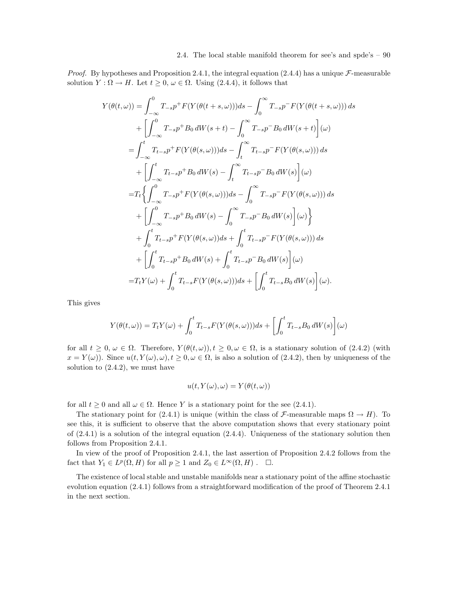*Proof.* By hypotheses and Proposition 2.4.1, the integral equation (2.4.4) has a unique  $\mathcal{F}\text{-measurable}$ solution  $Y : \Omega \to H$ . Let  $t \geq 0$ ,  $\omega \in \Omega$ . Using (2.4.4), it follows that

$$
Y(\theta(t,\omega)) = \int_{-\infty}^{0} T_{-s}p^{+} F(Y(\theta(t+s,\omega)))ds - \int_{0}^{\infty} T_{-s}p^{-} F(Y(\theta(t+s,\omega)))ds + \left[ \int_{-\infty}^{0} T_{-s}p^{+} B_{0} dW(s+t) - \int_{0}^{\infty} T_{-s}p^{-} B_{0} dW(s+t) \right] (\omega) = \int_{-\infty}^{t} T_{t-s}p^{+} F(Y(\theta(s,\omega)))ds - \int_{t}^{\infty} T_{t-s}p^{-} F(Y(\theta(s,\omega)))ds + \left[ \int_{-\infty}^{t} T_{t-s}p^{+} B_{0} dW(s) - \int_{t}^{\infty} T_{t-s}p^{-} B_{0} dW(s) \right] (\omega) = T_{t} \left\{ \int_{-\infty}^{0} T_{-s}p^{+} F(Y(\theta(s,\omega)))ds - \int_{0}^{\infty} T_{-s}p^{-} F(Y(\theta(s,\omega)))ds + \left[ \int_{-\infty}^{0} T_{-s}p^{+} B_{0} dW(s) - \int_{0}^{\infty} T_{-s}p^{-} B_{0} dW(s) \right] (\omega) \right\} + \int_{0}^{t} T_{t-s}p^{+} F(Y(\theta(s,\omega))ds + \int_{0}^{t} T_{t-s}p^{-} F(Y(\theta(s,\omega)))ds + \left[ \int_{0}^{t} T_{t-s}p^{+} B_{0} dW(s) + \int_{0}^{t} T_{t-s}p^{-} B_{0} dW(s) \right] (\omega) = T_{t} Y(\omega) + \int_{0}^{t} T_{t-s}F(Y(\theta(s,\omega)))ds + \left[ \int_{0}^{t} T_{t-s}B_{0} dW(s) \right] (\omega).
$$

This gives

$$
Y(\theta(t,\omega)) = T_t Y(\omega) + \int_0^t T_{t-s} F(Y(\theta(s,\omega))) ds + \left[ \int_0^t T_{t-s} B_0 dW(s) \right](\omega)
$$

for all  $t \geq 0$ ,  $\omega \in \Omega$ . Therefore,  $Y(\theta(t, \omega))$ ,  $t \geq 0$ ,  $\omega \in \Omega$ , is a stationary solution of (2.4.2) (with  $x = Y(\omega)$ . Since  $u(t, Y(\omega), \omega), t \geq 0, \omega \in \Omega$ , is also a solution of (2.4.2), then by uniqueness of the solution to  $(2.4.2)$ , we must have

$$
u(t, Y(\omega), \omega) = Y(\theta(t, \omega))
$$

for all  $t > 0$  and all  $\omega \in \Omega$ . Hence Y is a stationary point for the see (2.4.1).

The stationary point for (2.4.1) is unique (within the class of F-measurable maps  $\Omega \to H$ ). To see this, it is sufficient to observe that the above computation shows that every stationary point of (2.4.1) is a solution of the integral equation (2.4.4). Uniqueness of the stationary solution then follows from Proposition 2.4.1.

In view of the proof of Proposition 2.4.1, the last assertion of Proposition 2.4.2 follows from the fact that  $Y_1 \in L^p(\Omega, H)$  for all  $p \ge 1$  and  $Z_0 \in L^{\infty}(\Omega, H)$ .  $\Box$ .

The existence of local stable and unstable manifolds near a stationary point of the affine stochastic evolution equation (2.4.1) follows from a straightforward modification of the proof of Theorem 2.4.1 in the next section.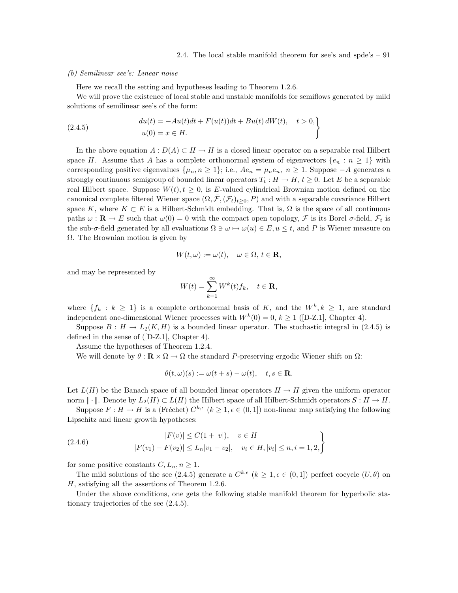### (b) Semilinear see's: Linear noise

Here we recall the setting and hypotheses leading to Theorem 1.2.6.

We will prove the existence of local stable and unstable manifolds for semiflows generated by mild solutions of semilinear see's of the form:

(2.4.5) 
$$
du(t) = -Au(t)dt + F(u(t))dt + Bu(t) dW(t), \quad t > 0,
$$

$$
u(0) = x \in H.
$$

In the above equation  $A: D(A) \subset H \to H$  is a closed linear operator on a separable real Hilbert space H. Assume that A has a complete orthonormal system of eigenvectors  $\{e_n : n \geq 1\}$  with corresponding positive eigenvalues  $\{\mu_n, n \geq 1\}$ ; i.e.,  $Ae_n = \mu_n e_n$ ,  $n \geq 1$ . Suppose  $-A$  generates a strongly continuous semigroup of bounded linear operators  $T_t : H \to H$ ,  $t \geq 0$ . Let E be a separable real Hilbert space. Suppose  $W(t)$ ,  $t \geq 0$ , is E-valued cylindrical Brownian motion defined on the canonical complete filtered Wiener space  $(\Omega, \bar{\mathcal{F}}, (\mathcal{F}_t)_{t>0}, P)$  and with a separable covariance Hilbert space K, where  $K \subset E$  is a Hilbert-Schmidt embedding. That is,  $\Omega$  is the space of all continuous paths  $\omega : \mathbf{R} \to E$  such that  $\omega(0) = 0$  with the compact open topology,  $\mathcal F$  is its Borel  $\sigma$ -field,  $\mathcal F_t$  is the sub- $\sigma$ -field generated by all evaluations  $\Omega \ni \omega \mapsto \omega(u) \in E, u \leq t$ , and P is Wiener measure on Ω. The Brownian motion is given by

$$
W(t,\omega) := \omega(t), \quad \omega \in \Omega, \, t \in \mathbf{R},
$$

and may be represented by

$$
W(t) = \sum_{k=1}^{\infty} W^k(t) f_k, \quad t \in \mathbf{R},
$$

where  $\{f_k : k \geq 1\}$  is a complete orthonormal basis of K, and the  $W^k, k \geq 1$ , are standard independent one-dimensional Wiener processes with  $W^k(0) = 0, k \ge 1$  ([D-Z.1], Chapter 4).

Suppose  $B: H \to L_2(K, H)$  is a bounded linear operator. The stochastic integral in (2.4.5) is defined in the sense of ([D-Z.1], Chapter 4).

Assume the hypotheses of Theorem 1.2.4.

We will denote by  $\theta : \mathbf{R} \times \Omega \to \Omega$  the standard P-preserving ergodic Wiener shift on  $\Omega$ :

$$
\theta(t,\omega)(s) := \omega(t+s) - \omega(t), \quad t, s \in \mathbf{R}.
$$

Let  $L(H)$  be the Banach space of all bounded linear operators  $H \to H$  given the uniform operator norm  $\|\cdot\|$ . Denote by  $L_2(H) \subset L(H)$  the Hilbert space of all Hilbert-Schmidt operators  $S: H \to H$ .

Suppose  $F: H \to H$  is a (Fréchet)  $C^{k,\epsilon}$   $(k \geq 1, \epsilon \in (0,1])$  non-linear map satisfying the following Lipschitz and linear growth hypotheses:

(2.4.6) 
$$
|F(v)| \le C(1+|v|), \quad v \in H
$$

$$
|F(v_1) - F(v_2)| \le L_n |v_1 - v_2|, \quad v_i \in H, |v_i| \le n, i = 1, 2,
$$

for some positive constants  $C, L_n, n \geq 1$ .

The mild solutions of the see (2.4.5) generate a  $C^{k,\epsilon}$   $(k \geq 1, \epsilon \in (0,1])$  perfect cocycle  $(U,\theta)$  on H, satisfying all the assertions of Theorem 1.2.6.

Under the above conditions, one gets the following stable manifold theorem for hyperbolic stationary trajectories of the see (2.4.5).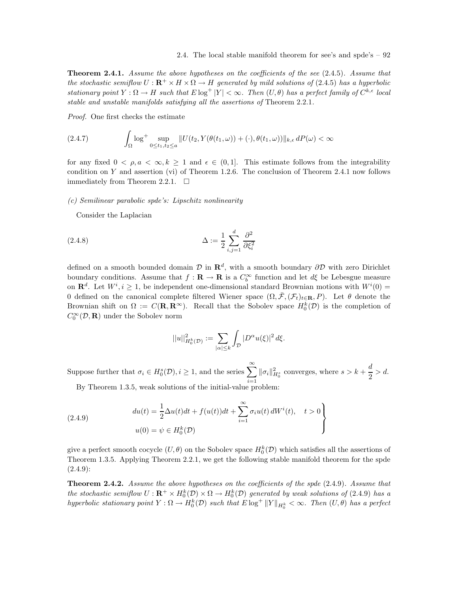**Theorem 2.4.1.** Assume the above hypotheses on the coefficients of the see (2.4.5). Assume that the stochastic semiflow  $U: \mathbf{R}^+ \times H \times \Omega \to H$  generated by mild solutions of (2.4.5) has a hyperbolic stationary point  $Y : \Omega \to H$  such that  $E \log^+ |Y| < \infty$ . Then  $(U, \theta)$  has a perfect family of  $C^{k,\epsilon}$  local stable and unstable manifolds satisfying all the assertions of Theorem 2.2.1.

Proof. One first checks the estimate

$$
(2.4.7) \qquad \int_{\Omega} \log^+ \sup_{0 \le t_1, t_2 \le a} ||U(t_2, Y(\theta(t_1, \omega)) + (\cdot), \theta(t_1, \omega))||_{k,\epsilon} dP(\omega) < \infty
$$

for any fixed  $0 < \rho, a < \infty, k \ge 1$  and  $\epsilon \in (0, 1]$ . This estimate follows from the integrability condition on Y and assertion (vi) of Theorem 1.2.6. The conclusion of Theorem 2.4.1 now follows immediately from Theorem 2.2.1.  $\Box$ 

(c) Semilinear parabolic spde's: Lipschitz nonlinearity

Consider the Laplacian

$$
\Delta := \frac{1}{2} \sum_{i,j=1}^{d} \frac{\partial^2}{\partial \xi_i^2}
$$

defined on a smooth bounded domain  $\mathcal D$  in  $\mathbf R^d$ , with a smooth boundary  $\partial \mathcal D$  with zero Dirichlet boundary conditions. Assume that  $f: \mathbf{R} \to \mathbf{R}$  is a  $C_b^{\infty}$  function and let  $d\xi$  be Lebesgue measure on  $\mathbf{R}^{d}$ . Let  $W^{i}, i \geq 1$ , be independent one-dimensional standard Brownian motions with  $W^{i}(0)$  = 0 defined on the canonical complete filtered Wiener space  $(\Omega, \bar{\mathcal{F}}, (\mathcal{F}_t)_{t \in \mathbf{R}}, P)$ . Let  $\theta$  denote the Brownian shift on  $\Omega := C(\mathbf{R}, \mathbf{R}^{\infty})$ . Recall that the Sobolev space  $H_0^k(D)$  is the completion of  $C_0^{\infty}(\mathcal{D}, \mathbf{R})$  under the Sobolev norm

$$
||u||_{H_0^k(\mathcal{D})}^2 := \sum_{|\alpha| \le k} \int_{\mathcal{D}} |D^{\alpha} u(\xi)|^2 d\xi.
$$

Suppose further that  $\sigma_i \in H_0^s(\mathcal{D}), i \geq 1$ , and the series  $\sum_{i=1}^{\infty} ||\sigma_i||_{H_0^s}^2$  converges, where  $s > k + \frac{d}{2}$  $\frac{a}{2} > d$ . By Theorem 1.3.5, weak solutions of the initial-value problem:

(2.4.9) 
$$
du(t) = \frac{1}{2}\Delta u(t)dt + f(u(t))dt + \sum_{i=1}^{\infty} \sigma_i u(t) dW^i(t), \quad t > 0
$$

$$
u(0) = \psi \in H_0^k(\mathcal{D})
$$

give a perfect smooth cocycle  $(U, \theta)$  on the Sobolev space  $H_0^k(D)$  which satisfies all the assertions of Theorem 1.3.5. Applying Theorem 2.2.1, we get the following stable manifold theorem for the spde  $(2.4.9):$ 

Theorem 2.4.2. Assume the above hypotheses on the coefficients of the spde (2.4.9). Assume that the stochastic semiflow  $U: \mathbf{R}^+ \times H_0^k(\mathcal{D}) \times \Omega \to H_0^k(\mathcal{D})$  generated by weak solutions of (2.4.9) has a hyperbolic stationary point  $Y: \Omega \to H^k_0(\mathcal{D})$  such that  $E \log^+ ||Y||_{H^k_0} < \infty$ . Then  $(U, \theta)$  has a perfect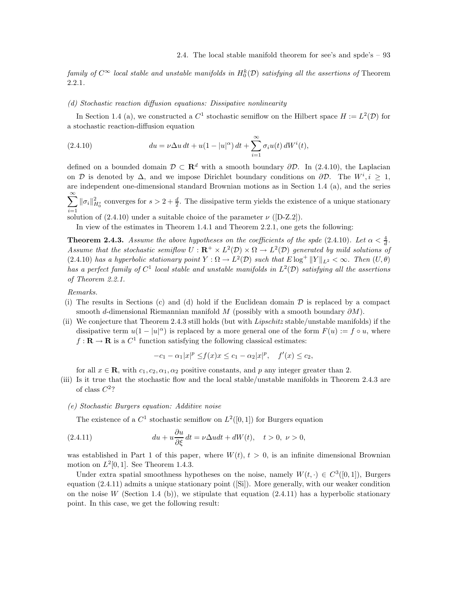family of  $C^{\infty}$  local stable and unstable manifolds in  $H_0^k(D)$  satisfying all the assertions of Theorem 2.2.1.

## (d) Stochastic reaction diffusion equations: Dissipative nonlinearity

In Section 1.4 (a), we constructed a  $C^1$  stochastic semiflow on the Hilbert space  $H := L^2(\mathcal{D})$  for a stochastic reaction-diffusion equation

(2.4.10) 
$$
du = \nu \Delta u \, dt + u(1 - |u|^{\alpha}) \, dt + \sum_{i=1}^{\infty} \sigma_i u(t) \, dW^i(t),
$$

defined on a bounded domain  $\mathcal{D} \subset \mathbb{R}^d$  with a smooth boundary  $\partial \mathcal{D}$ . In (2.4.10), the Laplacian on D is denoted by  $\Delta$ , and we impose Dirichlet boundary conditions on  $\partial \mathcal{D}$ . The  $W^i, i \geq 1$ , are independent one-dimensional standard Brownian motions as in Section 1.4 (a), and the series  $\sum_{i=1}^{\infty} \|\sigma_i\|_{H_0^s}^2$  converges for  $s > 2 + \frac{d}{2}$ . The dissipative term yields the existence of a unique stationary

i=1<br>solution of (2.4.10) under a suitable choice of the parameter  $\nu$  ([D-Z.2]).

In view of the estimates in Theorem 1.4.1 and Theorem 2.2.1, one gets the following:

**Theorem 2.4.3.** Assume the above hypotheses on the coefficients of the spde (2.4.10). Let  $\alpha < \frac{4}{d}$ . Assume that the stochastic semiflow  $U: \mathbf{R}^+ \times L^2(\mathcal{D}) \times \Omega \to L^2(\mathcal{D})$  generated by mild solutions of  $(2.4.10)$  has a hyperbolic stationary point  $Y : \Omega \to L^2(\mathcal{D})$  such that  $E \log^+ ||Y||_{L^2} < \infty$ . Then  $(U, \theta)$ has a perfect family of  $C^1$  local stable and unstable manifolds in  $L^2(\mathcal{D})$  satisfying all the assertions of Theorem 2.2.1.

# Remarks.

- (i) The results in Sections (c) and (d) hold if the Euclidean domain  $\mathcal D$  is replaced by a compact smooth d-dimensional Riemannian manifold M (possibly with a smooth boundary  $\partial M$ ).
- (ii) We conjecture that Theorem 2.4.3 still holds (but with Lipschitz stable/unstable manifolds) if the dissipative term  $u(1-|u|<sup>\alpha</sup>)$  is replaced by a more general one of the form  $F(u) := f \circ u$ , where  $f: \mathbf{R} \to \mathbf{R}$  is a  $C^1$  function satisfying the following classical estimates:

$$
-c_1 - \alpha_1 |x|^p \le f(x)x \le c_1 - \alpha_2 |x|^p, \quad f'(x) \le c_2,
$$

for all  $x \in \mathbf{R}$ , with  $c_1, c_2, \alpha_1, \alpha_2$  positive constants, and p any integer greater than 2.

- (iii) Is it true that the stochastic flow and the local stable/unstable manifolds in Theorem 2.4.3 are of class  $C^2$ ?
	- (e) Stochastic Burgers equation: Additive noise

The existence of a  $C^1$  stochastic semiflow on  $L^2([0,1])$  for Burgers equation

(2.4.11) 
$$
du + u\frac{\partial u}{\partial \xi}dt = \nu \Delta u dt + dW(t), \quad t > 0, \ \nu > 0,
$$

was established in Part 1 of this paper, where  $W(t)$ ,  $t > 0$ , is an infinite dimensional Brownian motion on  $L^2[0,1]$ . See Theorem 1.4.3.

Under extra spatial smoothness hypotheses on the noise, namely  $W(t, \cdot) \in C^3([0,1])$ , Burgers equation (2.4.11) admits a unique stationary point ([Si]). More generally, with our weaker condition on the noise W (Section 1.4 (b)), we stipulate that equation  $(2.4.11)$  has a hyperbolic stationary point. In this case, we get the following result: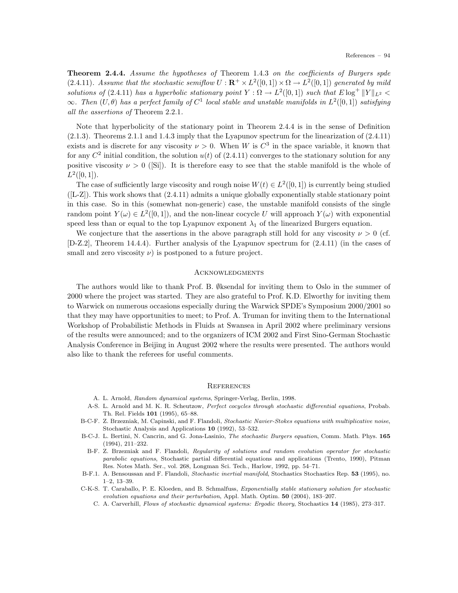Theorem 2.4.4. Assume the hypotheses of Theorem 1.4.3 on the coefficients of Burgers spde (2.4.11). Assume that the stochastic semiflow  $U: \mathbf{R}^+ \times L^2([0,1]) \times \Omega \to L^2([0,1])$  generated by mild solutions of (2.4.11) has a hyperbolic stationary point  $Y : \Omega \to L^2([0,1])$  such that  $E \log^+ ||Y||_{L^2}$  $\infty$ . Then  $(U, \theta)$  has a perfect family of  $C^1$  local stable and unstable manifolds in  $L^2([0,1])$  satisfying all the assertions of Theorem 2.2.1.

Note that hyperbolicity of the stationary point in Theorem 2.4.4 is in the sense of Definition (2.1.3). Theorems 2.1.1 and 1.4.3 imply that the Lyapunov spectrum for the linearization of (2.4.11) exists and is discrete for any viscosity  $\nu > 0$ . When W is  $C^3$  in the space variable, it known that for any  $C^2$  initial condition, the solution  $u(t)$  of  $(2.4.11)$  converges to the stationary solution for any positive viscosity  $\nu > 0$  ([Si]). It is therefore easy to see that the stable manifold is the whole of  $L^2([0,1]).$ 

The case of sufficiently large viscosity and rough noise  $W(t) \in L^2([0,1])$  is currently being studied  $([L-Z])$ . This work shows that  $(2.4.11)$  admits a unique globally exponentially stable stationary point in this case. So in this (somewhat non-generic) case, the unstable manifold consists of the single random point  $Y(\omega) \in L^2([0,1])$ , and the non-linear cocycle U will approach  $Y(\omega)$  with exponential speed less than or equal to the top Lyapunov exponent  $\lambda_1$  of the linearized Burgers equation.

We conjecture that the assertions in the above paragraph still hold for any viscosity  $\nu > 0$  (cf. [D-Z.2], Theorem 14.4.4). Further analysis of the Lyapunov spectrum for (2.4.11) (in the cases of small and zero viscosity  $\nu$ ) is postponed to a future project.

#### **ACKNOWLEDGMENTS**

The authors would like to thank Prof. B. Øksendal for inviting them to Oslo in the summer of 2000 where the project was started. They are also grateful to Prof. K.D. Elworthy for inviting them to Warwick on numerous occasions especially during the Warwick SPDE's Symposium 2000/2001 so that they may have opportunities to meet; to Prof. A. Truman for inviting them to the International Workshop of Probabilistic Methods in Fluids at Swansea in April 2002 where preliminary versions of the results were announced; and to the organizers of ICM 2002 and First Sino-German Stochastic Analysis Conference in Beijing in August 2002 where the results were presented. The authors would also like to thank the referees for useful comments.

#### **REFERENCES**

- A. L. Arnold, Random dynamical systems, Springer-Verlag, Berlin, 1998.
- A-S. L. Arnold and M. K. R. Scheutzow, Perfect cocycles through stochastic differential equations, Probab. Th. Rel. Fields 101 (1995), 65–88.
- B-C-F. Z. Brzezniak, M. Capinski, and F. Flandoli, Stochastic Navier-Stokes equations with multiplicative noise, Stochastic Analysis and Applications 10 (1992), 53–532.
- B-C-J. L. Bertini, N. Cancrin, and G. Jona-Lasinio, The stochastic Burgers equation, Comm. Math. Phys. 165 (1994), 211–232.
- B-F. Z. Brzezniak and F. Flandoli, Regularity of solutions and random evolution operator for stochastic parabolic equations, Stochastic partial differential equations and applications (Trento, 1990), Pitman Res. Notes Math. Ser., vol. 268, Longman Sci. Tech., Harlow, 1992, pp. 54–71.
- B-F.1. A. Bensoussan and F. Flandoli, Stochastic inertial manifold, Stochastics Stochastics Rep. 53 (1995), no. 1–2, 13–39.
- C-K-S. T. Caraballo, P. E. Kloeden, and B. Schmalfuss, Exponentially stable stationary solution for stochastic evolution equations and their perturbation, Appl. Math. Optim. 50 (2004), 183–207.
	- C. A. Carverhill, Flows of stochastic dynamical systems: Ergodic theory, Stochastics 14 (1985), 273–317.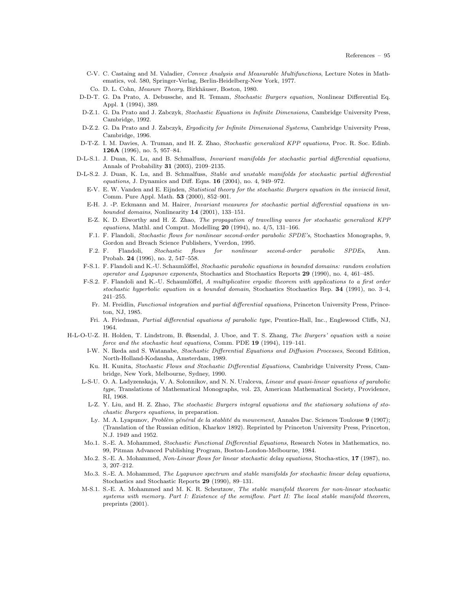- C-V. C. Castaing and M. Valadier, Convex Analysis and Measurable Multifunctions, Lecture Notes in Mathematics, vol. 580, Springer-Verlag, Berlin-Heidelberg-New York, 1977.
- Co. D. L. Cohn, Measure Theory, Birkhäuser, Boston, 1980.
- D-D-T. G. Da Prato, A. Debussche, and R. Temam, Stochastic Burgers equation, Nonlinear Differential Eq. Appl. 1 (1994), 389.
- D-Z.1. G. Da Prato and J. Zabczyk, Stochastic Equations in Infinite Dimensions, Cambridge University Press, Cambridge, 1992.
- D-Z.2. G. Da Prato and J. Zabczyk, Ergodicity for Infinite Dimensional Systems, Cambridge University Press, Cambridge, 1996.
- D-T-Z. I. M. Davies, A. Truman, and H. Z. Zhao, Stochastic generalized KPP equations, Proc. R. Soc. Edinb. 126A (1996), no. 5, 957–84.
- D-L-S.1. J. Duan, K. Lu, and B. Schmalfuss, Invariant manifolds for stochastic partial differential equations, Annals of Probability 31 (2003), 2109–2135.
- D-L-S.2. J. Duan, K. Lu, and B. Schmalfuss, Stable and unstable manifolds for stochastic partial differential equations, J. Dynamics and Diff. Eqns. 16 (2004), no. 4, 949–972.
	- E-V. E. W. Vanden and E. Eijnden, Statistical theory for the stochastic Burgers equation in the inviscid limit, Comm. Pure Appl. Math. 53 (2000), 852–901.
	- E-H. J. -P. Eckmann and M. Hairer, Invariant measures for stochastic partial differential equations in unbounded domains, Nonlinearity 14 (2001), 133–151.
	- E-Z. K. D. Elworthy and H. Z. Zhao, The propagation of travelling waves for stochastic generalized KPP equations, Mathl. and Comput. Modelling  $20$  (1994), no.  $4/5$ , 131–166.
	- F.1. F. Flandoli, Stochastic flows for nonlinear second-order parabolic SPDE's, Stochastics Monographs, 9, Gordon and Breach Science Publishers, Yverdon, 1995.
	- F.2. F. Flandoli, Stochastic flows for nonlinear second-order parabolic SPDEs, Ann. Probab. 24 (1996), no. 2, 547–558.
	- F-S.1. F. Flandoli and K.-U. Schaumlöffel, Stochastic parabolic equations in bounded domains: random evolution operator and Lyapunov exponents, Stochastics and Stochastics Reports 29 (1990), no. 4, 461–485.
	- F-S.2. F. Flandoli and K.-U. Schaumlöffel, A multiplicative ergodic theorem with applications to a first order stochastic hyperbolic equation in a bounded domain, Stochastics Stochastics Rep. 34 (1991), no. 3–4, 241–255.
		- Fr. M. Freidlin, Functional integration and partial differential equations, Princeton University Press, Princeton, NJ, 1985.
		- Fri. A. Friedman, Partial differential equations of parabolic type, Prentice-Hall, Inc., Englewood Cliffs, NJ, 1964.
- H-L-O-U-Z. H. Holden, T. Lindstrom, B. Øksendal, J. Uboe, and T. S. Zhang, The Burgers' equation with a noise force and the stochastic heat equations, Comm. PDE 19 (1994), 119–141.
	- I-W. N. Ikeda and S. Watanabe, Stochastic Differential Equations and Diffusion Processes, Second Edition, North-Holland-Kodansha, Amsterdam, 1989.
	- Ku. H. Kunita, Stochastic Flows and Stochastic Differential Equations, Cambridge University Press, Cambridge, New York, Melbourne, Sydney, 1990.
	- L-S-U. O. A. Ladyzenskaja, V. A. Solonnikov, and N. N. Uralceva, Linear and quasi-linear equations of parabolic type, Translations of Mathematical Monographs, vol. 23, American Mathematical Society, Providence, RI, 1968.
		- L-Z. Y. Liu, and H. Z. Zhao, The stochastic Burgers integral equations and the stationary solutions of stochastic Burgers equations, in preparation.
		- Ly. M. A. Lyapunov, Problèm général de la stablité du mouvement, Annales Dac. Sciences Toulouse 9 (1907); (Translation of the Russian edition, Kharkov 1892). Reprinted by Princeton University Press, Princeton, N.J. 1949 and 1952.
	- Mo.1. S.-E. A. Mohammed, Stochastic Functional Differential Equations, Research Notes in Mathematics, no. 99, Pitman Advanced Publishing Program, Boston-London-Melbourne, 1984.
	- Mo.2. S.-E. A. Mohammed, Non-Linear flows for linear stochastic delay equations, Stocha-stics, 17 (1987), no. 3, 207–212.
	- Mo.3. S.-E. A. Mohammed, The Lyapunov spectrum and stable manifolds for stochastic linear delay equations, Stochastics and Stochastic Reports 29 (1990), 89–131.
	- M-S.1. S.-E. A. Mohammed and M. K. R. Scheutzow, The stable manifold theorem for non-linear stochastic systems with memory. Part I: Existence of the semiflow. Part II: The local stable manifold theorem, preprints (2001).